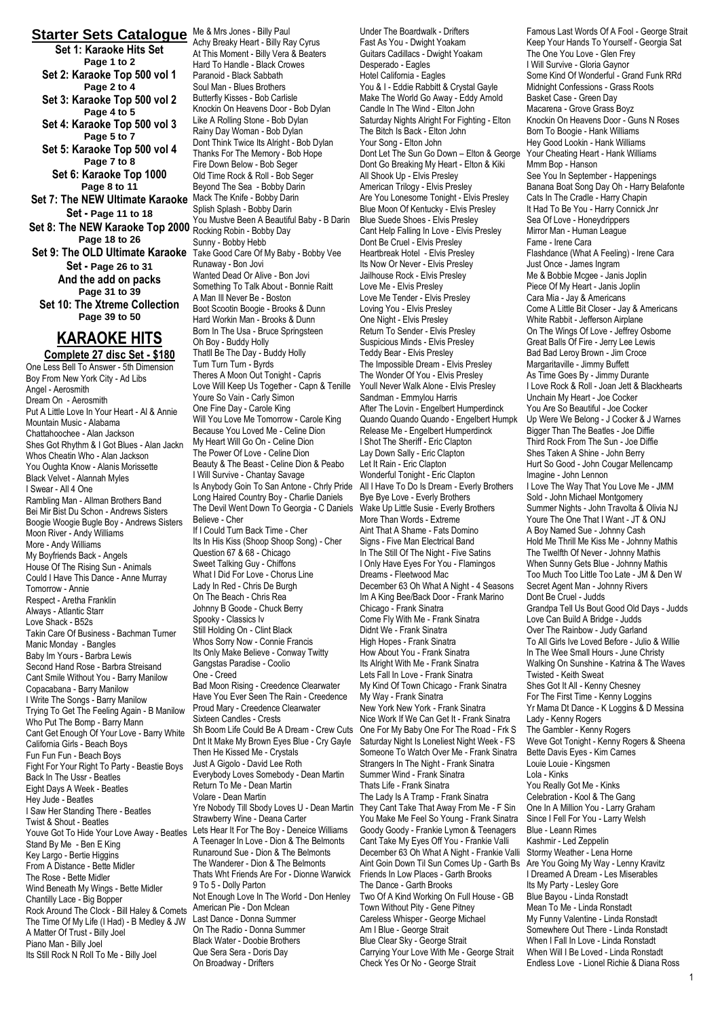## **Starter Sets Catalogue** Me & Mrs Jones - Billy Paul

**Set 1: Karaoke Hits Set Page 1 to 2 Set 2: Karaoke Top 500 vol 1 Page 2 to 4 Set 3: Karaoke Top 500 vol 2 Page 4 to 5 Set 4: Karaoke Top 500 vol 3 Page 5 to 7 Set 5: Karaoke Top 500 vol 4 Page 7 to 8 Set 6: Karaoke Top 1000 Page 8 to 11 Set 7: The NEW Ultimate Karaoke Set - Page 11 to 18** Set 8: The NEW Karaoke Top 2000 Rocking Robin - Bobby Day **Page 18 to 26** Set 9: The OLD Ultimate Karaoke Take Good Care Of My Baby - Bobby Vee **Set - Page 26 to 31 And the add on packs Page 31 to 39 Set 10: The Xtreme Collection Page 39 to 50**

## **KARAOKE HITS**

**Complete 27 disc Set - \$180** One Less Bell To Answer - 5th Dimension Boy From New York City - Ad Libs Angel - Aerosmith Dream On - Aerosmith Put A Little Love In Your Heart - Al & Annie Mountain Music - Alabama Chattahoochee - Alan Jackson Shes Got Rhythm & I Got Blues - Alan Jackn Whos Cheatin Who - Alan Jackson You Oughta Know - Alanis Morissette Black Velvet - Alannah Myles I Swear - All 4 One Rambling Man - Allman Brothers Band Bei Mir Bist Du Schon - Andrews Sisters Boogie Woogie Bugle Boy - Andrews Sisters Moon River - Andy Williams More - Andy Williams My Boyfriends Back - Angels House Of The Rising Sun - Animals Could I Have This Dance - Anne Murray Tomorrow - Annie Respect - Aretha Franklin Always - Atlantic Starr Love Shack - B52s Takin Care Of Business - Bachman Turner Manic Monday - Bangles Baby Im Yours - Barbra Lewis Second Hand Rose - Barbra Streisand Cant Smile Without You - Barry Manilow Copacabana - Barry Manilow I Write The Songs - Barry Manilow Trying To Get The Feeling Again - B Manilow Who Put The Bomp - Barry Mann Cant Get Enough Of Your Love - Barry White California Girls - Beach Boys Fun Fun Fun - Beach Boys Fight For Your Right To Party - Beastie Boys Back In The Ussr - Beatles Eight Days A Week - Beatles Hey Jude - Beatles I Saw Her Standing There - Beatles Twist & Shout - Beatles Youve Got To Hide Your Love Away - Beatles Stand By Me - Ben E King Key Largo - Bertie Higgins From A Distance - Bette Midler The Rose - Bette Midler Wind Beneath My Wings - Bette Midler Chantilly Lace - Big Bopper Rock Around The Clock - Bill Haley & Comets The Time Of My Life (I Had) - B Medley & JW A Matter Of Trust - Billy Joel Piano Man - Billy Joel Its Still Rock N Roll To Me - Billy Joel

Achy Breaky Heart - Billy Ray Cyrus At This Moment - Billy Vera & Beaters Hard To Handle - Black Crowes Paranoid - Black Sabbath Soul Man - Blues Brothers Butterfly Kisses - Bob Carlisle Knockin On Heavens Door - Bob Dylan Like A Rolling Stone - Bob Dylan Rainy Day Woman - Bob Dylan Dont Think Twice Its Alright - Bob Dylan Thanks For The Memory - Bob Hope Fire Down Below - Bob Seger Old Time Rock & Roll - Bob Seger Beyond The Sea - Bobby Darin Mack The Knife - Bobby Darin Splish Splash - Bobby Darin You Mustve Been A Beautiful Baby - B Darin Sunny - Bobby Hebb Runaway - Bon Jovi Wanted Dead Or Alive - Bon Jovi Something To Talk About - Bonnie Raitt A Man Ill Never Be - Boston Boot Scootin Boogie - Brooks & Dunn Hard Workin Man - Brooks & Dunn Born In The Usa - Bruce Springsteen Oh Boy - Buddy Holly Thatll Be The Day - Buddy Holly Turn Turn Turn - Byrds Theres A Moon Out Tonight - Capris Love Will Keep Us Together - Capn & Tenille Youre So Vain - Carly Simon One Fine Day - Carole King Will You Love Me Tomorrow - Carole King Because You Loved Me - Celine Dion My Heart Will Go On - Celine Dion The Power Of Love - Celine Dion Beauty & The Beast - Celine Dion & Peabo I Will Survive - Chantay Savage Is Anybody Goin To San Antone - Chrly Pride Long Haired Country Boy - Charlie Daniels The Devil Went Down To Georgia - C Daniels Believe - Cher If I Could Turn Back Time - Cher Its In His Kiss (Shoop Shoop Song) - Cher Question 67 & 68 - Chicago Sweet Talking Guy - Chiffons What I Did For Love - Chorus Line Lady In Red - Chris De Burgh On The Beach - Chris Rea Johnny B Goode - Chuck Berry Spooky - Classics Iv Still Holding On - Clint Black Whos Sorry Now - Connie Francis Its Only Make Believe - Conway Twitty Gangstas Paradise - Coolio One - Creed Bad Moon Rising - Creedence Clearwater Have You Ever Seen The Rain - Creedence Proud Mary - Creedence Clearwater Sixteen Candles - Crests Sh Boom Life Could Be A Dream - Crew Cuts Dnt It Make My Brown Eyes Blue - Cry Gayle Then He Kissed Me - Crystals Just A Gigolo - David Lee Roth Everybody Loves Somebody - Dean Martin Return To Me - Dean Martin Volare - Dean Martin Yre Nobody Till Sbody Loves U - Dean Martin Strawberry Wine - Deana Carter Lets Hear It For The Boy - Deneice Williams A Teenager In Love - Dion & The Belmonts Runaround Sue - Dion & The Belmonts The Wanderer - Dion & The Belmonts Thats Wht Friends Are For - Dionne Warwick 9 To 5 - Dolly Parton Not Enough Love In The World - Don Henley American Pie - Don Mclean Last Dance - Donna Summer On The Radio - Donna Summer Black Water - Doobie Brothers Que Sera Sera - Doris Day

On Broadway - Drifters

Under The Boardwalk - Drifters Fast As You - Dwight Yoakam Guitars Cadillacs - Dwight Yoakam Desperado - Eagles Hotel California - Eagles You & I - Eddie Rabbitt & Crystal Gayle Make The World Go Away - Eddy Arnold Candle In The Wind - Elton John Saturday Nights Alright For Fighting - Elton The Bitch Is Back - Elton John Your Song - Elton John Dont Let The Sun Go Down – Elton & George Dont Go Breaking My Heart - Elton & Kiki All Shook Up - Elvis Presley American Trilogy - Elvis Presley Are You Lonesome Tonight - Elvis Presley Blue Moon Of Kentucky - Elvis Presley Blue Suede Shoes - Elvis Presley Cant Help Falling In Love - Elvis Presley Dont Be Cruel - Elvis Presley Heartbreak Hotel - Elvis Presley Its Now Or Never - Elvis Presley Jailhouse Rock - Elvis Presley Love Me - Elvis Presley Love Me Tender - Elvis Presley Loving You - Elvis Presley One Night - Elvis Presley Return To Sender - Elvis Presley Suspicious Minds - Elvis Presley Teddy Bear - Elvis Presley The Impossible Dream - Elvis Presley The Wonder Of You - Elvis Presley Youll Never Walk Alone - Elvis Presley Sandman - Emmylou Harris After The Lovin - Engelbert Humperdinck Quando Quando Quando - Engelbert Humpk Release Me - Engelbert Humperdinck I Shot The Sheriff - Eric Clapton Lay Down Sally - Eric Clapton Let It Rain - Eric Clapton Wonderful Tonight - Eric Clapton All I Have To Do Is Dream - Everly Brothers Bye Bye Love - Everly Brothers Wake Up Little Susie - Everly Brothers More Than Words - Extreme Aint That A Shame - Fats Domino Signs - Five Man Electrical Band In The Still Of The Night - Five Satins I Only Have Eyes For You - Flamingos Dreams - Fleetwood Mac December 63 Oh What A Night - 4 Seasons Im A King Bee/Back Door - Frank Marino Chicago - Frank Sinatra Come Fly With Me - Frank Sinatra Didnt We - Frank Sinatra High Hopes - Frank Sinatra How About You - Frank Sinatra Its Alright With Me - Frank Sinatra Lets Fall In Love - Frank Sinatra My Kind Of Town Chicago - Frank Sinatra My Way - Frank Sinatra New York New York - Frank Sinatra Nice Work If We Can Get It - Frank Sinatra One For My Baby One For The Road - Frk S Saturday Night Is Loneliest Night Week - FS Someone To Watch Over Me - Frank Sinatra Strangers In The Night - Frank Sinatra Summer Wind - Frank Sinatra Thats Life - Frank Sinatra The Lady Is A Tramp - Frank Sinatra They Cant Take That Away From Me - F Sin You Make Me Feel So Young - Frank Sinatra Goody Goody - Frankie Lymon & Teenagers Cant Take My Eyes Off You - Frankie Valli December 63 Oh What A Night - Frankie Valli Aint Goin Down Til Sun Comes Up - Garth Bs Friends In Low Places - Garth Brooks The Dance - Garth Brooks Two Of A Kind Working On Full House - GB Town Without Pity - Gene Pitney Careless Whisper - George Michael Am I Blue - George Strait Blue Clear Sky - George Strait Carrying Your Love With Me - George Strait Check Yes Or No - George Strait

Famous Last Words Of A Fool - George Strait Keep Your Hands To Yourself - Georgia Sat The One You Love - Glen Frey I Will Survive - Gloria Gaynor Some Kind Of Wonderful - Grand Funk RRd Midnight Confessions - Grass Roots Basket Case - Green Day Macarena - Grove Grass Boyz Knockin On Heavens Door - Guns N Roses Born To Boogie - Hank Williams Hey Good Lookin - Hank Williams Your Cheating Heart - Hank Williams Mmm Bop - Hanson See You In September - Happenings Banana Boat Song Day Oh - Harry Belafonte Cats In The Cradle - Harry Chapin It Had To Be You - Harry Connick Jnr Sea Of Love - Honeydrippers Mirror Man - Human League Fame - Irene Cara Flashdance (What A Feeling) - Irene Cara Just Once - James Ingram Me & Bobbie Mcgee - Janis Joplin Piece Of My Heart - Janis Joplin Cara Mia - Jay & Americans Come A Little Bit Closer - Jay & Americans White Rabbit - Jefferson Airplane On The Wings Of Love - Jeffrey Osborne Great Balls Of Fire - Jerry Lee Lewis Bad Bad Leroy Brown - Jim Croce Margaritaville - Jimmy Buffett As Time Goes By - Jimmy Durante I Love Rock & Roll - Joan Jett & Blackhearts Unchain My Heart - Joe Cocker You Are So Beautiful - Joe Cocker Up Were We Belong - J Cocker & J Warnes Bigger Than The Beatles - Joe Diffie Third Rock From The Sun - Joe Diffie Shes Taken A Shine - John Berry Hurt So Good - John Cougar Mellencamp Imagine - John Lennon I Love The Way That You Love Me - JMM Sold - John Michael Montgomery Summer Nights - John Travolta & Olivia NJ Youre The One That I Want - JT & ONJ A Boy Named Sue - Johnny Cash Hold Me Thrill Me Kiss Me - Johnny Mathis The Twelfth Of Never - Johnny Mathis When Sunny Gets Blue - Johnny Mathis Too Much Too Little Too Late - JM & Den W Secret Agent Man - Johnny Rivers Dont Be Cruel - Judds Grandpa Tell Us Bout Good Old Days - Judds Love Can Build A Bridge - Judds Over The Rainbow - Judy Garland To All Girls Ive Loved Before - Julio & Willie In The Wee Small Hours - June Christy Walking On Sunshine - Katrina & The Waves Twisted - Keith Sweat Shes Got It All - Kenny Chesney For The First Time - Kenny Loggins Yr Mama Dt Dance - K Loggins & D Messina Lady - Kenny Rogers The Gambler - Kenny Rogers Weve Got Tonight - Kenny Rogers & Sheena Bette Davis Eyes - Kim Carnes Louie Louie - Kingsmen Lola - Kinks You Really Got Me - Kinks Celebration - Kool & The Gang One In A Million You - Larry Graham Since I Fell For You - Larry Welsh Blue - Leann Rimes Kashmir - Led Zeppelin Stormy Weather - Lena Horne Are You Going My Way - Lenny Kravitz I Dreamed A Dream - Les Miserables Its My Party - Lesley Gore Blue Bayou - Linda Ronstadt Mean To Me - Linda Ronstadt My Funny Valentine - Linda Ronstadt Somewhere Out There - Linda Ronstadt When I Fall In Love - Linda Ronstadt When Will I Be Loved - Linda Ronstadt Endless Love - Lionel Richie & Diana Ross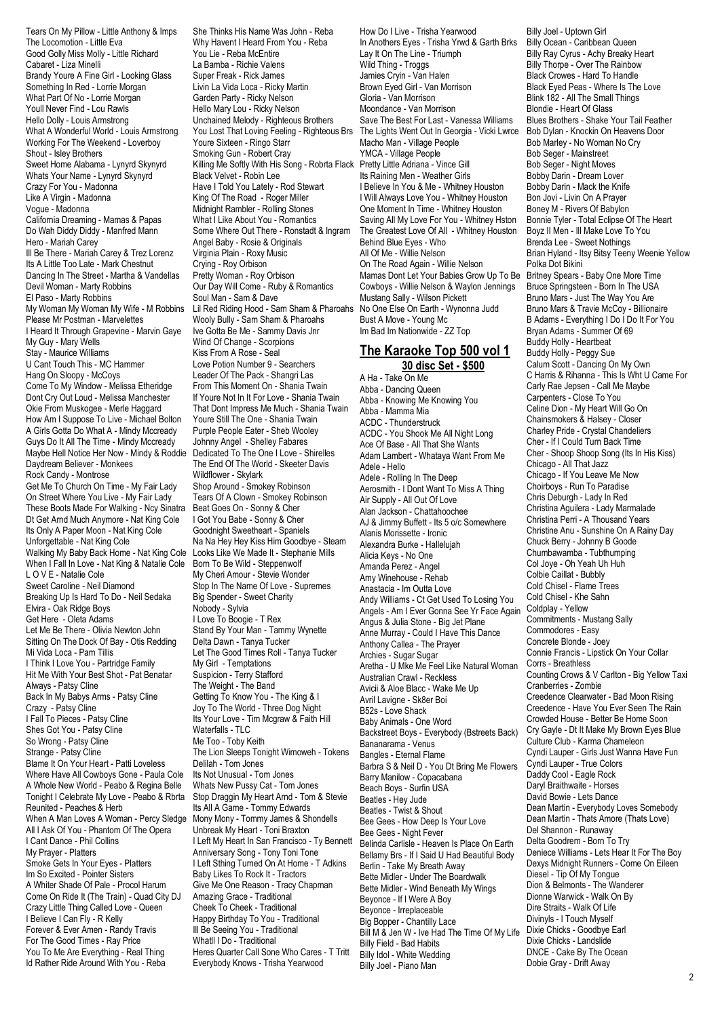Tears On My Pillow - Little Anthony & Imps The Locomotion - Little Eva Good Golly Miss Molly - Little Richard Cabaret - Liza Minelli Brandy Youre A Fine Girl - Looking Glass Something In Red - Lorrie Morgan What Part Of No - Lorrie Morgan Youll Never Find - Lou Rawls Hello Dolly - Louis Armstrong What A Wonderful World - Louis Armstrong Working For The Weekend - Loverboy Shout - Isley Brothers Sweet Home Alabama - Lynyrd Skynyrd Whats Your Name - Lynyrd Skynyrd Crazy For You - Madonna Like A Virgin - Madonna Vogue - Madonna California Dreaming - Mamas & Papas Do Wah Diddy Diddy - Manfred Mann Hero - Mariah Carey Ill Be There - Mariah Carey & Trez Lorenz Its A Little Too Late - Mark Chestnut Dancing In The Street - Martha & Vandellas Devil Woman - Marty Robbins El Paso - Marty Robbins My Woman My Woman My Wife - M Robbins Please Mr Postman - Marvelettes I Heard It Through Grapevine - Marvin Gaye My Guy - Mary Wells Stay - Maurice Williams U Cant Touch This - MC Hammer Hang On Sloopy - McCoys Come To My Window - Melissa Etheridge Dont Cry Out Loud - Melissa Manchester Okie From Muskogee - Merle Haggard How Am I Suppose To Live - Michael Bolton A Girls Gotta Do What A - Mindy Mccready Guys Do It All The Time - Mindy Mccready Maybe Hell Notice Her Now - Mindy & Roddie Dedicated To The One I Love - Shirelles Daydream Believer - Monkees Rock Candy - Montrose Get Me To Church On Time - My Fair Lady On Street Where You Live - My Fair Lady These Boots Made For Walking - Ncy Sinatra Dt Get Arnd Much Anymore - Nat King Cole Its Only A Paper Moon - Nat King Cole Unforgettable - Nat King Cole Walking My Baby Back Home - Nat King Cole When I Fall In Love - Nat King & Natalie Cole L O V E - Natalie Cole Sweet Caroline - Neil Diamond Breaking Up Is Hard To Do - Neil Sedaka Elvira - Oak Ridge Boys Get Here - Oleta Adams Let Me Be There - Olivia Newton John Sitting On The Dock Of Bay - Otis Redding Mi Vida Loca - Pam Tillis I Think I Love You - Partridge Family Hit Me With Your Best Shot - Pat Benatar Always - Patsy Cline Back In My Babys Arms - Patsy Cline Crazy - Patsy Cline I Fall To Pieces - Patsy Cline Shes Got You - Patsy Cline So Wrong - Patsy Cline Strange - Patsy Cline Blame It On Your Heart - Patti Loveless Where Have All Cowboys Gone - Paula Cole A Whole New World - Peabo & Regina Belle Tonight I Celebrate My Love - Peabo & Rbrta Reunited - Peaches & Herb When A Man Loves A Woman - Percy Sledge All I Ask Of You - Phantom Of The Opera I Cant Dance - Phil Collins My Prayer - Platters Smoke Gets In Your Eyes - Platters Im So Excited - Pointer Sisters A Whiter Shade Of Pale - Procol Harum Come On Ride It (The Train) - Quad City DJ Crazy Little Thing Called Love - Queen I Believe I Can Fly - R Kelly Forever & Ever Amen - Randy Travis For The Good Times - Ray Price You To Me Are Everything - Real Thing Id Rather Ride Around With You - Reba

She Thinks His Name Was John - Reba Why Havent I Heard From You - Reba You Lie - Reba McEntire La Bamba - Richie Valens Super Freak - Rick James Livin La Vida Loca - Ricky Martin Garden Party - Ricky Nelson Hello Mary Lou - Ricky Nelson Unchained Melody - Righteous Brothers You Lost That Loving Feeling - Righteous Brs Youre Sixteen - Ringo Starr Smoking Gun - Robert Cray Killing Me Softly With His Song - Robrta Flack Black Velvet - Robin Lee Have I Told You Lately - Rod Stewart King Of The Road - Roger Miller Midnight Rambler - Rolling Stones What I Like About You - Romantics Some Where Out There - Ronstadt & Ingram Angel Baby - Rosie & Originals Virginia Plain - Roxy Music Crying - Roy Orbison Pretty Woman - Roy Orbison Our Day Will Come - Ruby & Romantics Soul Man - Sam & Dave Lil Red Riding Hood - Sam Sham & Pharoahs Wooly Bully - Sam Sham & Pharoahs Ive Gotta Be Me - Sammy Davis Jnr Wind Of Change - Scorpions Kiss From A Rose - Seal Love Potion Number 9 - Searchers Leader Of The Pack - Shangri Las From This Moment On - Shania Twain If Youre Not In It For Love - Shania Twain That Dont Impress Me Much - Shania Twain Youre Still The One - Shania Twain Purple People Eater - Sheb Wooley Johnny Angel - Shelley Fabares The End Of The World - Skeeter Davis Wildflower - Skylark Shop Around - Smokey Robinson Tears Of A Clown - Smokey Robinson Beat Goes On - Sonny & Cher I Got You Babe - Sonny & Cher Goodnight Sweetheart - Spaniels Na Na Hey Hey Kiss Him Goodbye - Steam Looks Like We Made It - Stephanie Mills Born To Be Wild - Steppenwolf My Cheri Amour - Stevie Wonder Stop In The Name Of Love - Supremes Big Spender - Sweet Charity Nobody - Sylvia I Love To Boogie - T Rex Stand By Your Man - Tammy Wynette Delta Dawn - Tanya Tucker Let The Good Times Roll - Tanya Tucker My Girl - Temptations Suspicion - Terry Stafford The Weight - The Band Getting To Know You - The King & I Joy To The World - Three Dog Night Its Your Love - Tim Mcgraw & Faith Hill Waterfalls - TLC Me Too - Toby Keith The Lion Sleeps Tonight Wimoweh - Tokens Delilah - Tom Jones Its Not Unusual - Tom Jones Whats New Pussy Cat - Tom Jones Stop Draggin My Heart Arnd - Tom & Stevie Its All A Game - Tommy Edwards Mony Mony - Tommy James & Shondells Unbreak My Heart - Toni Braxton I Left My Heart In San Francisco - Ty Bennett Anniversary Song - Tony Toni Tone I Left Sthing Turned On At Home - T Adkins Baby Likes To Rock It - Tractors Give Me One Reason - Tracy Chapman Amazing Grace - Traditional Cheek To Cheek - Traditional Happy Birthday To You - Traditional Ill Be Seeing You - Traditional Whatll I Do - Traditional Heres Quarter Call Sone Who Cares - T Tritt Everybody Knows - Trisha Yearwood

How Do I Live - Trisha Yearwood In Anothers Eyes - Trisha Yrwd & Garth Brks Lay It On The Line - Triumph Wild Thing - Troggs Jamies Cryin - Van Halen Brown Eyed Girl - Van Morrison Gloria - Van Morrison Moondance - Van Morrison Save The Best For Last - Vanessa Williams The Lights Went Out In Georgia - Vicki Lwrce Macho Man - Village People YMCA - Village People Pretty Little Adriana - Vince Gill Its Raining Men - Weather Girls I Believe In You & Me - Whitney Houston I Will Always Love You - Whitney Houston One Moment In Time - Whitney Houston Saving All My Love For You - Whitney Hston The Greatest Love Of All - Whitney Houston Behind Blue Eyes - Who All Of Me - Willie Nelson On The Road Again - Willie Nelson Mamas Dont Let Your Babies Grow Up To Be Cowboys - Willie Nelson & Waylon Jennings Mustang Sally - Wilson Pickett No One Else On Earth - Wynonna Judd Bust A Move - Young Mc Im Bad Im Nationwide - ZZ Top **The Karaoke Top 500 vol 1 30 disc Set - \$500**

#### A Ha - Take On Me Abba - Dancing Queen Abba - Knowing Me Knowing You Abba - Mamma Mia ACDC - Thunderstruck ACDC - You Shook Me All Night Long Ace Of Base - All That She Wants Adam Lambert - Whataya Want From Me Adele - Hello Adele - Rolling In The Deep Aerosmith - I Dont Want To Miss A Thing Air Supply - All Out Of Love Alan Jackson - Chattahoochee AJ & Jimmy Buffett - Its 5 o/c Somewhere Alanis Morissette - Ironic Alexandra Burke - Hallelujah Alicia Keys - No One Amanda Perez - Angel Amy Winehouse - Rehab Anastacia - Im Outta Love Andy Williams - Ct Get Used To Losing You Angels - Am I Ever Gonna See Yr Face Again Angus & Julia Stone - Big Jet Plane Anne Murray - Could I Have This Dance Anthony Callea - The Prayer Archies - Sugar Sugar Aretha - U Mke Me Feel Like Natural Woman Australian Crawl - Reckless Avicii & Aloe Blacc - Wake Me Up Avril Lavigne - Sk8er Boi B52s - Love Shack Baby Animals - One Word Backstreet Boys - Everybody (Bstreets Back) Bananarama - Venus Bangles - Eternal Flame Barbra S & Neil D - You Dt Bring Me Flowers Barry Manilow - Copacabana Beach Boys - Surfin USA Beatles - Hey Jude Beatles - Twist & Shout Bee Gees - How Deep Is Your Love Bee Gees - Night Fever Belinda Carlisle - Heaven Is Place On Earth Bellamy Brs - If I Said U Had Beautiful Body Berlin - Take My Breath Away Bette Midler - Under The Boardwalk Bette Midler - Wind Beneath My Wings Beyonce - If I Were A Boy Beyonce - Irreplaceable Big Bopper - Chantilly Lace Bill M & Jen W - Ive Had The Time Of My Life Billy Field - Bad Habits Billy Idol - White Wedding Billy Joel - Piano Man

Billy Joel - Uptown Girl Billy Ocean - Caribbean Queen Billy Ray Cyrus - Achy Breaky Heart Billy Thorpe - Over The Rainbow Black Crowes - Hard To Handle Black Eyed Peas - Where Is The Love Blink 182 - All The Small Things Blondie - Heart Of Glass Blues Brothers - Shake Your Tail Feather Bob Dylan - Knockin On Heavens Door Bob Marley - No Woman No Cry Bob Seger - Mainstreet Bob Seger - Night Moves Bobby Darin - Dream Lover Bobby Darin - Mack the Knife Bon Jovi - Livin On A Prayer Boney M - Rivers Of Babylon Bonnie Tyler - Total Eclipse Of The Heart Boyz II Men - Ill Make Love To You Brenda Lee - Sweet Nothings Brian Hyland - Itsy Bitsy Teeny Weenie Yellow Polka Dot Bikini Britney Spears - Baby One More Time Bruce Springsteen - Born In The USA Bruno Mars - Just The Way You Are Bruno Mars & Travie McCoy - Billionaire B Adams - Everything I Do I Do It For You Bryan Adams - Summer Of 69 Buddy Holly - Heartbeat Buddy Holly - Peggy Sue Calum Scott - Dancing On My Own C Harris & Rihanna - This Is Wht U Came For Carly Rae Jepsen - Call Me Maybe Carpenters - Close To You Celine Dion - My Heart Will Go On Chainsmokers & Halsey - Closer Charley Pride - Crystal Chandeliers Cher - If I Could Turn Back Time Cher - Shoop Shoop Song (Its In His Kiss) Chicago - All That Jazz Chicago - If You Leave Me Now Choirboys - Run To Paradise Chris Deburgh - Lady In Red Christina Aguilera - Lady Marmalade Christina Perri - A Thousand Years Christine Anu - Sunshine On A Rainy Day Chuck Berry - Johnny B Goode Chumbawamba - Tubthumping Col Joye - Oh Yeah Uh Huh Colbie Caillat - Bubbly Cold Chisel - Flame Trees Cold Chisel - Khe Sahn Coldplay - Yellow Commitments - Mustang Sally Commodores - Easy Concrete Blonde - Joey Connie Francis - Lipstick On Your Collar Corrs - Breathless Counting Crows & V Carlton - Big Yellow Taxi Cranberries - Zombie Creedence Clearwater - Bad Moon Rising Creedence - Have You Ever Seen The Rain Crowded House - Better Be Home Soon Cry Gayle - Dt It Make My Brown Eyes Blue Culture Club - Karma Chameleon Cyndi Lauper - Girls Just Wanna Have Fun Cyndi Lauper - True Colors Daddy Cool - Eagle Rock Daryl Braithwaite - Horses David Bowie - Lets Dance Dean Martin - Everybody Loves Somebody Dean Martin - Thats Amore (Thats Love) Del Shannon - Runaway Delta Goodrem - Born To Try Deniece Williams - Lets Hear It For The Boy Dexys Midnight Runners - Come On Eileen Diesel - Tip Of My Tongue Dion & Belmonts - The Wanderer Dionne Warwick - Walk On By Dire Straits - Walk Of Life Divinyls - I Touch Myself Dixie Chicks - Goodbye Earl Dixie Chicks - Landslide DNCE - Cake By The Ocean Dobie Gray - Drift Away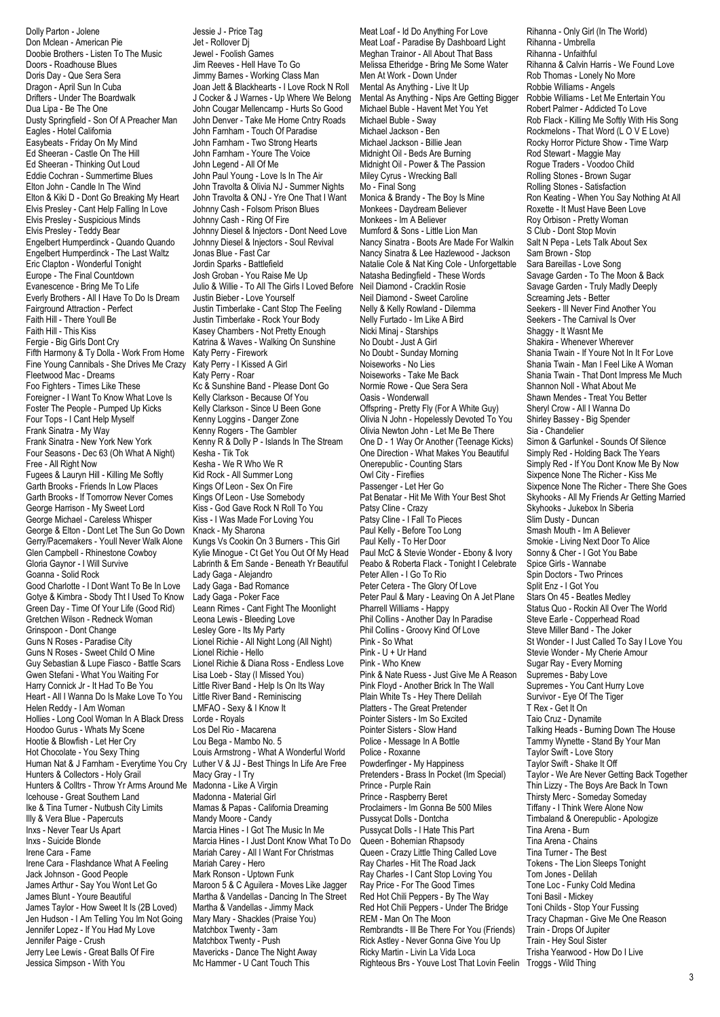Dolly Parton - Jolene Don Mclean - American Pie Doobie Brothers - Listen To The Music Doors - Roadhouse Blues Doris Day - Que Sera Sera Dragon - April Sun In Cuba Drifters - Under The Boardwalk Dua Lipa - Be The One Dusty Springfield - Son Of A Preacher Man Eagles - Hotel California Easybeats - Friday On My Mind Ed Sheeran - Castle On The Hill Ed Sheeran - Thinking Out Loud Eddie Cochran - Summertime Blues Elton John - Candle In The Wind Elton & Kiki D - Dont Go Breaking My Heart Elvis Presley - Cant Help Falling In Love Elvis Presley - Suspicious Minds Elvis Presley - Teddy Bear Engelbert Humperdinck - Quando Quando Engelbert Humperdinck - The Last Waltz Eric Clapton - Wonderful Tonight Europe - The Final Countdown Evanescence - Bring Me To Life Everly Brothers - All I Have To Do Is Dream Fairground Attraction - Perfect Faith Hill - There Youll Be Faith Hill - This Kiss Fergie - Big Girls Dont Cry Fifth Harmony & Ty Dolla - Work From Home Fine Young Cannibals - She Drives Me Crazy Fleetwood Mac - Dreams Foo Fighters - Times Like These Foreigner - I Want To Know What Love Is Foster The People - Pumped Up Kicks Four Tops - I Cant Help Myself Frank Sinatra - My Way Frank Sinatra - New York New York Four Seasons - Dec 63 (Oh What A Night) Free - All Right Now Fugees & Lauryn Hill - Killing Me Softly Garth Brooks - Friends In Low Places Garth Brooks - If Tomorrow Never Comes George Harrison - My Sweet Lord George Michael - Careless Whisper George & Elton - Dont Let The Sun Go Down Gerry/Pacemakers - Youll Never Walk Alone Glen Campbell - Rhinestone Cowboy Gloria Gaynor - I Will Survive Goanna - Solid Rock Good Charlotte - I Dont Want To Be In Love Gotye & Kimbra - Sbody Tht I Used To Know Green Day - Time Of Your Life (Good Rid) Gretchen Wilson - Redneck Woman Grinspoon - Dont Change Guns N Roses - Paradise City Guns N Roses - Sweet Child O Mine Guy Sebastian & Lupe Fiasco - Battle Scars Gwen Stefani - What You Waiting For Harry Connick Jr - It Had To Be You Heart - All I Wanna Do Is Make Love To You Helen Reddy - I Am Woman Hollies - Long Cool Woman In A Black Dress Hoodoo Gurus - Whats My Scene Hootie & Blowfish - Let Her Cry Hot Chocolate - You Sexy Thing Human Nat & J Farnham - Everytime You Cry Luther V & JJ - Best Things In Life Are Free Hunters & Collectors - Holy Grail Hunters & Colltrs - Throw Yr Arms Around Me Madonna - Like A Virgin Icehouse - Great Southern Land Ike & Tina Turner - Nutbush City Limits Illy & Vera Blue - Papercuts Inxs - Never Tear Us Apart Inxs - Suicide Blonde Irene Cara - Fame Irene Cara - Flashdance What A Feeling Jack Johnson - Good People James Arthur - Say You Wont Let Go James Blunt - Youre Beautiful James Taylor - How Sweet It Is (2B Loved) Jen Hudson - I Am Telling You Im Not Going Jennifer Lopez - If You Had My Love Jennifer Paige - Crush Jerry Lee Lewis - Great Balls Of Fire Jessica Simpson - With You

Jessie J - Price Tag Jet - Rollover Dj Jewel - Foolish Games Jim Reeves - Hell Have To Go Jimmy Barnes - Working Class Man Joan Jett & Blackhearts - I Love Rock N Roll J Cocker & J Warnes - Up Where We Belong John Cougar Mellencamp - Hurts So Good John Denver - Take Me Home Cntry Roads John Farnham - Touch Of Paradise John Farnham - Two Strong Hearts John Farnham - Youre The Voice John Legend - All Of Me John Paul Young - Love Is In The Air John Travolta & Olivia NJ - Summer Nights John Travolta & ONJ - Yre One That I Want Johnny Cash - Folsom Prison Blues Johnny Cash - Ring Of Fire Johnny Diesel & Injectors - Dont Need Love Johnny Diesel & Injectors - Soul Revival Jonas Blue - Fast Car Jordin Sparks - Battlefield Josh Groban - You Raise Me Up Julio & Willie - To All The Girls I Loved Before Justin Bieber - Love Yourself Justin Timberlake - Cant Stop The Feeling Justin Timberlake - Rock Your Body Kasey Chambers - Not Pretty Enough Katrina & Waves - Walking On Sunshine Katy Perry - Firework Katy Perry - I Kissed A Girl Katy Perry - Roar Kc & Sunshine Band - Please Dont Go Kelly Clarkson - Because Of You Kelly Clarkson - Since U Been Gone Kenny Loggins - Danger Zone Kenny Rogers - The Gambler Kenny R & Dolly P - Islands In The Stream Kesha - Tik Tok Kesha - We R Who We R Kid Rock - All Summer Long Kings Of Leon - Sex On Fire Kings Of Leon - Use Somebody Kiss - God Gave Rock N Roll To You Kiss - I Was Made For Loving You Knack - My Sharona Kungs Vs Cookin On 3 Burners - This Girl Kylie Minogue - Ct Get You Out Of My Head Labrinth & Em Sande - Beneath Yr Beautiful Lady Gaga - Alejandro Lady Gaga - Bad Romance Lady Gaga - Poker Face Leann Rimes - Cant Fight The Moonlight Leona Lewis - Bleeding Love Lesley Gore - Its My Party Lionel Richie - All Night Long (All Night) Lionel Richie - Hello Lionel Richie & Diana Ross - Endless Love Lisa Loeb - Stay (I Missed You) Little River Band - Help Is On Its Way Little River Band - Reminiscing LMFAO - Sexy & I Know It Lorde - Royals Los Del Rio - Macarena Lou Bega - Mambo No. 5 Louis Armstrong - What A Wonderful World Macy Gray - I Try Madonna - Material Girl Mamas & Papas - California Dreaming Mandy Moore - Candy Marcia Hines - I Got The Music In Me Marcia Hines - I Just Dont Know What To Do Mariah Carey - All I Want For Christmas Mariah Carey - Hero Mark Ronson - Uptown Funk Maroon 5 & C Aguilera - Moves Like Jagger Martha & Vandellas - Dancing In The Street Martha & Vandellas - Jimmy Mack Mary Mary - Shackles (Praise You) Matchbox Twenty - 3am Matchbox Twenty - Push Mavericks - Dance The Night Away Mc Hammer - U Cant Touch This

Meat Loaf - Id Do Anything For Love Meat Loaf - Paradise By Dashboard Light Meghan Trainor - All About That Bass Melissa Etheridge - Bring Me Some Water Men At Work - Down Under Mental As Anything - Live It Up Mental As Anything - Nips Are Getting Bigger Michael Buble - Havent Met You Yet Michael Buble - Sway Michael Jackson - Ben Michael Jackson - Billie Jean Midnight Oil - Beds Are Burning Midnight Oil - Power & The Passion Miley Cyrus - Wrecking Ball Mo - Final Song Monica & Brandy - The Boy Is Mine Monkees - Daydream Believer Monkees - Im A Believer Mumford & Sons - Little Lion Man Nancy Sinatra - Boots Are Made For Walkin Nancy Sinatra & Lee Hazlewood - Jackson Natalie Cole & Nat King Cole - Unforgettable Natasha Bedingfield - These Words Neil Diamond - Cracklin Rosie Neil Diamond - Sweet Caroline Nelly & Kelly Rowland - Dilemma Nelly Furtado - Im Like A Bird Nicki Minaj - Starships No Doubt - Just A Girl No Doubt - Sunday Morning Noiseworks - No Lies Noiseworks - Take Me Back Normie Rowe - Que Sera Sera Oasis - Wonderwall Offspring - Pretty Fly (For A White Guy) Olivia N John - Hopelessly Devoted To You Olivia Newton John - Let Me Be There One D - 1 Way Or Another (Teenage Kicks) One Direction - What Makes You Beautiful Onerepublic - Counting Stars Owl City - Fireflies Passenger - Let Her Go Pat Benatar - Hit Me With Your Best Shot Patsy Cline - Crazy Patsy Cline - I Fall To Pieces Paul Kelly - Before Too Long Paul Kelly - To Her Door Paul McC & Stevie Wonder - Ebony & Ivory Peabo & Roberta Flack - Tonight I Celebrate Peter Allen - I Go To Rio Peter Cetera - The Glory Of Love Peter Paul & Mary - Leaving On A Jet Plane Pharrell Williams - Happy Phil Collins - Another Day In Paradise Phil Collins - Groovy Kind Of Love Pink - So What Pink - U + Ur Hand Pink - Who Knew Pink & Nate Ruess - Just Give Me A Reason Pink Floyd - Another Brick In The Wall Plain White Ts - Hey There Delilah Platters - The Great Pretender Pointer Sisters - Im So Excited Pointer Sisters - Slow Hand Police - Message In A Bottle Police - Roxanne Powderfinger - My Happiness Pretenders - Brass In Pocket (Im Special) Prince - Purple Rain Prince - Raspberry Beret Proclaimers - Im Gonna Be 500 Miles Pussycat Dolls - Dontcha Pussycat Dolls - I Hate This Part Queen - Bohemian Rhapsody Queen - Crazy Little Thing Called Love Ray Charles - Hit The Road Jack Ray Charles - I Cant Stop Loving You Ray Price - For The Good Times Red Hot Chili Peppers - By The Way Red Hot Chili Peppers - Under The Bridge REM - Man On The Moon Rembrandts - Ill Be There For You (Friends) Rick Astley - Never Gonna Give You Up Ricky Martin - Livin La Vida Loca Righteous Brs - Youve Lost That Lovin Feelin

Rihanna - Only Girl (In The World) Rihanna - Umbrella Rihanna - Unfaithful Rihanna & Calvin Harris - We Found Love Rob Thomas - Lonely No More Robbie Williams - Angels Robbie Williams - Let Me Entertain You Robert Palmer - Addicted To Love Rob Flack - Killing Me Softly With His Song Rockmelons - That Word (L O V E Love) Rocky Horror Picture Show - Time Warp Rod Stewart - Maggie May Rogue Traders - Voodoo Child Rolling Stones - Brown Sugar Rolling Stones - Satisfaction Ron Keating - When You Say Nothing At All Roxette - It Must Have Been Love Roy Orbison - Pretty Woman S Club - Dont Stop Movin Salt N Pepa - Lets Talk About Sex Sam Brown - Stop Sara Bareillas - Love Song Savage Garden - To The Moon & Back Savage Garden - Truly Madly Deeply Screaming Jets - Better Seekers - Ill Never Find Another You Seekers - The Carnival Is Over Shaggy - It Wasnt Me Shakira - Whenever Wherever Shania Twain - If Youre Not In It For Love Shania Twain - Man I Feel Like A Woman Shania Twain - That Dont Impress Me Much Shannon Noll - What About Me Shawn Mendes - Treat You Better Sheryl Crow - All I Wanna Do Shirley Bassey - Big Spender Sia - Chandelier Simon & Garfunkel - Sounds Of Silence Simply Red - Holding Back The Years Simply Red - If You Dont Know Me By Now Sixpence None The Richer - Kiss Me Sixpence None The Richer - There She Goes Skyhooks - All My Friends Ar Getting Married Skyhooks - Jukebox In Siberia Slim Dusty - Duncan Smash Mouth - Im A Believer Smokie - Living Next Door To Alice Sonny & Cher - I Got You Babe Spice Girls - Wannabe Spin Doctors - Two Princes Split Enz - I Got You Stars On 45 - Beatles Medley Status Quo - Rockin All Over The World Steve Earle - Copperhead Road Steve Miller Band - The Joker St Wonder - I Just Called To Say I Love You Stevie Wonder - My Cherie Amour Sugar Ray - Every Morning Supremes - Baby Love Supremes - You Cant Hurry Love Survivor - Eye Of The Tiger T Rex - Get It On Taio Cruz - Dynamite Talking Heads - Burning Down The House Tammy Wynette - Stand By Your Man Taylor Swift - Love Story Taylor Swift - Shake It Off Taylor - We Are Never Getting Back Together Thin Lizzy - The Boys Are Back In Town Thirsty Merc - Someday Someday Tiffany - I Think Were Alone Now Timbaland & Onerepublic - Apologize Tina Arena - Burn Tina Arena - Chains Tina Turner - The Best Tokens - The Lion Sleeps Tonight Tom Jones - Delilah Tone Loc - Funky Cold Medina Toni Basil - Mickey Toni Childs - Stop Your Fussing Tracy Chapman - Give Me One Reason Train - Drops Of Jupiter Train - Hey Soul Sister Trisha Yearwood - How Do I Live

Troggs - Wild Thing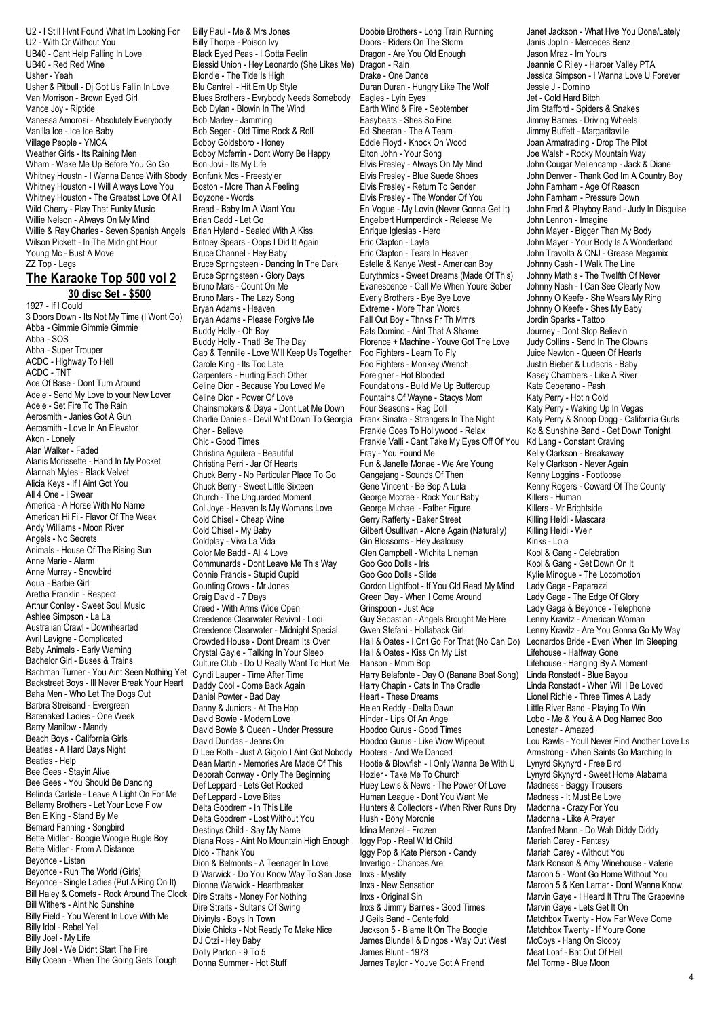U2 - I Still Hvnt Found What Im Looking For U2 - With Or Without You UB40 - Cant Help Falling In Love UB40 - Red Red Wine Usher - Yeah Usher & Pitbull - Dj Got Us Fallin In Love Van Morrison - Brown Eyed Girl Vance Joy - Riptide Vanessa Amorosi - Absolutely Everybody Vanilla Ice - Ice Ice Baby Village People - YMCA Weather Girls - Its Raining Men Wham - Wake Me Up Before You Go Go Whitney Houstn - I Wanna Dance With Sbody Whitney Houston - I Will Always Love You Whitney Houston - The Greatest Love Of All Wild Cherry - Play That Funky Music Willie Nelson - Always On My Mind Willie & Ray Charles - Seven Spanish Angels Wilson Pickett - In The Midnight Hour Young Mc - Bust A Move ZZ Top - Legs

### **The Karaoke Top 500 vol 2 30 disc Set - \$500**

1927 - If I Could 3 Doors Down - Its Not My Time (I Wont Go) Abba - Gimmie Gimmie Gimmie Abba - SOS Abba - Super Trouper ACDC - Highway To Hell ACDC - TNT Ace Of Base - Dont Turn Around Adele - Send My Love to your New Lover Adele - Set Fire To The Rain Aerosmith - Janies Got A Gun Aerosmith - Love In An Elevator Akon - Lonely Alan Walker - Faded Alanis Morissette - Hand In My Pocket Alannah Myles - Black Velvet Alicia Keys - If I Aint Got You All 4 One - I Swear America - A Horse With No Name American Hi Fi - Flavor Of The Weak Andy Williams - Moon River Angels - No Secrets Animals - House Of The Rising Sun Anne Marie - Alarm Anne Murray - Snowbird Aqua - Barbie Girl Aretha Franklin - Respect Arthur Conley - Sweet Soul Music Ashlee Simpson - La La Australian Crawl - Downhearted Avril Lavigne - Complicated Baby Animals - Early Warning Bachelor Girl - Buses & Trains Bachman Turner - You Aint Seen Nothing Yet Backstreet Boys - Ill Never Break Your Heart Baha Men - Who Let The Dogs Out Barbra Streisand - Evergreen Barenaked Ladies - One Week Barry Manilow - Mandy Beach Boys - California Girls Beatles - A Hard Days Night Beatles - Help Bee Gees - Stayin Alive Bee Gees - You Should Be Dancing Belinda Carlisle - Leave A Light On For Me Bellamy Brothers - Let Your Love Flow Ben E King - Stand By Me Bernard Fanning - Songbird Bette Midler - Boogie Woogie Bugle Boy Bette Midler - From A Distance Beyonce - Listen Beyonce - Run The World (Girls) Beyonce - Single Ladies (Put A Ring On It) Bill Haley & Comets - Rock Around The Clock Bill Withers - Aint No Sunshine Billy Field - You Werent In Love With Me Billy Idol - Rebel Yell Billy Joel - My Life Billy Joel - We Didnt Start The Fire Billy Ocean - When The Going Gets Tough

Billy Paul - Me & Mrs Jones Billy Thorpe - Poison Ivy Black Eyed Peas - I Gotta Feelin Blessid Union - Hey Leonardo (She Likes Me) Dragon - Rain Blondie - The Tide Is High Blu Cantrell - Hit Em Up Style Blues Brothers - Evrybody Needs Somebody Bob Dylan - Blowin In The Wind Bob Marley - Jamming Bob Seger - Old Time Rock & Roll Bobby Goldsboro - Honey Bobby Mcferrin - Dont Worry Be Happy Bon Jovi - Its My Life Bonfunk Mcs - Freestyler Boston - More Than A Feeling Boyzone - Words Bread - Baby Im A Want You Brian Cadd - Let Go Brian Hyland - Sealed With A Kiss Britney Spears - Oops I Did It Again Bruce Channel - Hey Baby Bruce Springsteen - Dancing In The Dark Bruce Springsteen - Glory Days Bruno Mars - Count On Me Bruno Mars - The Lazy Song Bryan Adams - Heaven Bryan Adams - Please Forgive Me Buddy Holly - Oh Boy Buddy Holly - Thatll Be The Day Cap & Tennille - Love Will Keep Us Together Carole King - Its Too Late Carpenters - Hurting Each Other Celine Dion - Because You Loved Me Celine Dion - Power Of Love Chainsmokers & Daya - Dont Let Me Down Charlie Daniels - Devil Wnt Down To Georgia Cher - Believe Chic - Good Times Christina Aguilera - Beautiful Christina Perri - Jar Of Hearts Chuck Berry - No Particular Place To Go Chuck Berry - Sweet Little Sixteen Church - The Unguarded Moment Col Joye - Heaven Is My Womans Love Cold Chisel - Cheap Wine Cold Chisel - My Baby Coldplay - Viva La Vida Color Me Badd - All 4 Love Communards - Dont Leave Me This Way Connie Francis - Stupid Cupid Counting Crows - Mr Jones Craig David - 7 Days Creed - With Arms Wide Open Creedence Clearwater Revival - Lodi Creedence Clearwater - Midnight Special Crowded House - Dont Dream Its Over Crystal Gayle - Talking In Your Sleep Culture Club - Do U Really Want To Hurt Me Cyndi Lauper - Time After Time Daddy Cool - Come Back Again Daniel Powter - Bad Day Danny & Juniors - At The Hop David Bowie - Modern Love David Bowie & Queen - Under Pressure David Dundas - Jeans On D Lee Roth - Just A Gigolo I Aint Got Nobody Dean Martin - Memories Are Made Of This Deborah Conway - Only The Beginning Def Leppard - Lets Get Rocked Def Leppard - Love Bites Delta Goodrem - In This Life Delta Goodrem - Lost Without You Destinys Child - Say My Name Diana Ross - Aint No Mountain High Enough Dido - Thank You Dion & Belmonts - A Teenager In Love D Warwick - Do You Know Way To San Jose Dionne Warwick - Heartbreaker Dire Straits - Money For Nothing Dire Straits - Sultans Of Swing Divinyls - Boys In Town Dixie Chicks - Not Ready To Make Nice DJ Otzi - Hey Baby Dolly Parton - 9 To 5 Donna Summer - Hot Stuff

Doobie Brothers - Long Train Running Doors - Riders On The Storm Dragon - Are You Old Enough Drake - One Dance Duran Duran - Hungry Like The Wolf Eagles - Lyin Eyes Earth Wind & Fire - September Easybeats - Shes So Fine Ed Sheeran - The A Team Eddie Floyd - Knock On Wood Elton John - Your Song Elvis Presley - Always On My Mind Elvis Presley - Blue Suede Shoes Elvis Presley - Return To Sender Elvis Presley - The Wonder Of You En Vogue - My Lovin (Never Gonna Get It) Engelbert Humperdinck - Release Me Enrique Iglesias - Hero Eric Clapton - Layla Eric Clapton - Tears In Heaven Estelle & Kanye West - American Boy Eurythmics - Sweet Dreams (Made Of This) Evanescence - Call Me When Youre Sober Everly Brothers - Bye Bye Love Extreme - More Than Words Fall Out Boy - Thnks Fr Th Mmrs Fats Domino - Aint That A Shame Florence + Machine - Youve Got The Love Foo Fighters - Learn To Fly Foo Fighters - Monkey Wrench Foreigner - Hot Blooded Foundations - Build Me Up Buttercup Fountains Of Wayne - Stacys Mom Four Seasons - Rag Doll Frank Sinatra - Strangers In The Night Frankie Goes To Hollywood - Relax Frankie Valli - Cant Take My Eyes Off Of You Fray - You Found Me Fun & Janelle Monae - We Are Young Gangajang - Sounds Of Then Gene Vincent - Be Bop A Lula George Mccrae - Rock Your Baby George Michael - Father Figure Gerry Rafferty - Baker Street Gilbert Osullivan - Alone Again (Naturally) Gin Blossoms - Hey Jealousy Glen Campbell - Wichita Lineman Goo Goo Dolls - Iris Goo Goo Dolls - Slide Gordon Lightfoot - If You Cld Read My Mind Green Day - When I Come Around Grinspoon - Just Ace Guy Sebastian - Angels Brought Me Here Gwen Stefani - Hollaback Girl Hall & Oates - I Cnt Go For That (No Can Do) Leonardos Bride - Even When Im Sleeping Hall & Oates - Kiss On My List Hanson - Mmm Bop Harry Belafonte - Day O (Banana Boat Song) Harry Chapin - Cats In The Cradle Heart - These Dreams Helen Reddy - Delta Dawn Hinder - Lips Of An Angel Hoodoo Gurus - Good Times Hoodoo Gurus - Like Wow Wipeout Hooters - And We Danced Hootie & Blowfish - I Only Wanna Be With U Hozier - Take Me To Church Huey Lewis & News - The Power Of Love Human League - Dont You Want Me Hunters & Collectors - When River Runs Dry Hush - Bony Moronie Idina Menzel - Frozen Iggy Pop - Real Wild Child Iggy Pop & Kate Pierson - Candy Invertigo - Chances Are Inxs - Mystify Inxs - New Sensation Inxs - Original Sin Inxs & Jimmy Barnes - Good Times J Geils Band - Centerfold Jackson 5 - Blame It On The Boogie James Blundell & Dingos - Way Out West James Blunt - 1973 James Taylor - Youve Got A Friend

Janet Jackson - What Hve You Done/Lately Janis Joplin - Mercedes Benz Jason Mraz - Im Yours Jeannie C Riley - Harper Valley PTA Jessica Simpson - I Wanna Love U Forever Jessie J - Domino Jet - Cold Hard Bitch Jim Stafford - Spiders & Snakes Jimmy Barnes - Driving Wheels Jimmy Buffett - Margaritaville Joan Armatrading - Drop The Pilot Joe Walsh - Rocky Mountain Way John Cougar Mellencamp - Jack & Diane John Denver - Thank God Im A Country Boy John Farnham - Age Of Reason John Farnham - Pressure Down John Fred & Playboy Band - Judy In Disguise John Lennon - Imagine John Mayer - Bigger Than My Body John Mayer - Your Body Is A Wonderland John Travolta & ONJ - Grease Megamix Johnny Cash - I Walk The Line Johnny Mathis - The Twelfth Of Never Johnny Nash - I Can See Clearly Now Johnny O Keefe - She Wears My Ring Johnny O Keefe - Shes My Baby Jordin Sparks - Tattoo Journey - Dont Stop Believin Judy Collins - Send In The Clowns Juice Newton - Queen Of Hearts Justin Bieber & Ludacris - Baby Kasey Chambers - Like A River Kate Ceberano - Pash Katy Perry - Hot n Cold Katy Perry - Waking Up In Vegas Katy Perry & Snoop Dogg - California Gurls Kc & Sunshine Band - Get Down Tonight Kd Lang - Constant Craving Kelly Clarkson - Breakaway Kelly Clarkson - Never Again Kenny Loggins - Footloose Kenny Rogers - Coward Of The County Killers - Human Killers - Mr Brightside Killing Heidi - Mascara Killing Heidi - Weir Kinks - Lola Kool & Gang - Celebration Kool & Gang - Get Down On It Kylie Minogue - The Locomotion Lady Gaga - Paparazzi Lady Gaga - The Edge Of Glory Lady Gaga & Beyonce - Telephone Lenny Kravitz - American Woman Lenny Kravitz - Are You Gonna Go My Way Lifehouse - Halfway Gone Lifehouse - Hanging By A Moment Linda Ronstadt - Blue Bayou Linda Ronstadt - When Will I Be Loved Lionel Richie - Three Times A Lady Little River Band - Playing To Win Lobo - Me & You & A Dog Named Boo Lonestar - Amazed Lou Rawls - Youll Never Find Another Love Ls Armstrong - When Saints Go Marching In Lynyrd Skynyrd - Free Bird Lynyrd Skynyrd - Sweet Home Alabama Madness - Baggy Trousers Madness - It Must Be Love Madonna - Crazy For You Madonna - Like A Prayer Manfred Mann - Do Wah Diddy Diddy Mariah Carey - Fantasy Mariah Carey - Without You Mark Ronson & Amy Winehouse - Valerie Maroon 5 - Wont Go Home Without You Maroon 5 & Ken Lamar - Dont Wanna Know Marvin Gaye - I Heard It Thru The Grapevine Marvin Gaye - Lets Get It On Matchbox Twenty - How Far Weve Come Matchbox Twenty - If Youre Gone McCoys - Hang On Sloopy Meat Loaf - Bat Out Of Hell Mel Torme - Blue Moon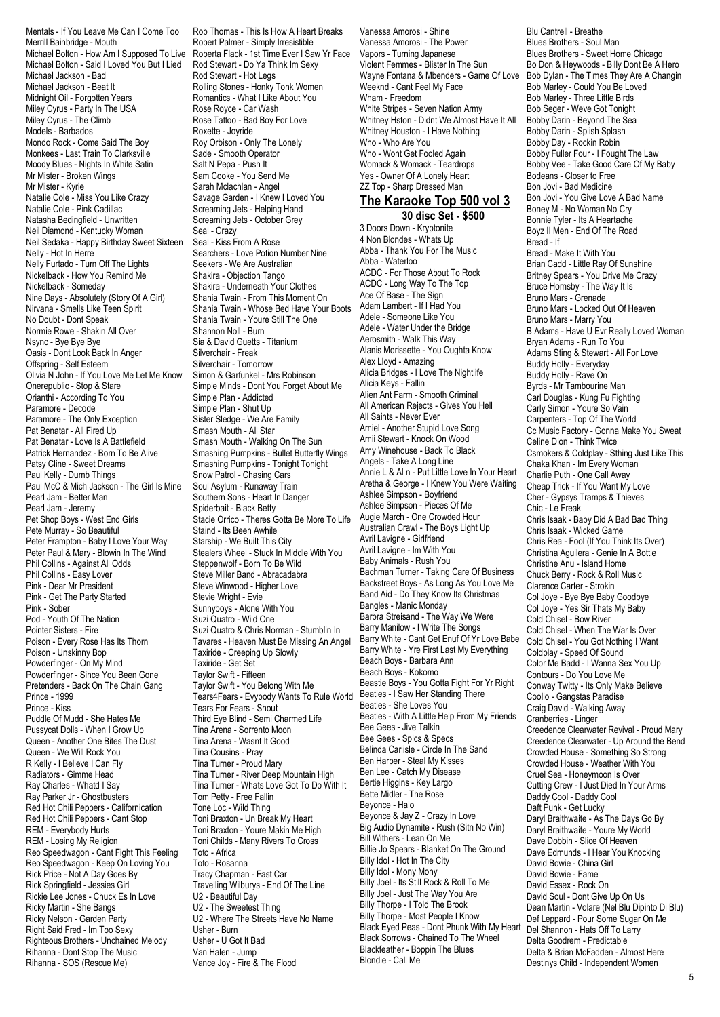Mentals - If You Leave Me Can I Come Too Merrill Bainbridge - Mouth Michael Bolton - How Am I Supposed To Live Michael Bolton - Said I Loved You But I Lied Michael Jackson - Bad Michael Jackson - Beat It Midnight Oil - Forgotten Years Miley Cyrus - Party In The USA Miley Cyrus - The Climb Models - Barbados Mondo Rock - Come Said The Boy Monkees - Last Train To Clarksville Moody Blues - Nights In White Satin Mr Mister - Broken Wings Mr Mister - Kyrie Natalie Cole - Miss You Like Crazy Natalie Cole - Pink Cadillac Natasha Bedingfield - Unwritten Neil Diamond - Kentucky Woman Neil Sedaka - Happy Birthday Sweet Sixteen Nelly - Hot In Herre Nelly Furtado - Turn Off The Lights Nickelback - How You Remind Me Nickelback - Someday Nine Days - Absolutely (Story Of A Girl) Nirvana - Smells Like Teen Spirit No Doubt - Dont Speak Normie Rowe - Shakin All Over Nsync - Bye Bye Bye Oasis - Dont Look Back In Anger Offspring - Self Esteem Olivia N John - If You Love Me Let Me Know Onerepublic - Stop & Stare Orianthi - According To You Paramore - Decode Paramore - The Only Exception Pat Benatar - All Fired Up Pat Benatar - Love Is A Battlefield Patrick Hernandez - Born To Be Alive Patsy Cline - Sweet Dreams Paul Kelly - Dumb Things Paul McC & Mich Jackson - The Girl Is Mine Pearl Jam - Better Man Pearl Jam - Jeremy Pet Shop Boys - West End Girls Pete Murray - So Beautiful Peter Frampton - Baby I Love Your Way Peter Paul & Mary - Blowin In The Wind Phil Collins - Against All Odds Phil Collins - Easy Lover Pink - Dear Mr President Pink - Get The Party Started Pink - Sober Pod - Youth Of The Nation Pointer Sisters - Fire Poison - Every Rose Has Its Thorn Poison - Unskinny Bop Powderfinger - On My Mind Powderfinger - Since You Been Gone Pretenders - Back On The Chain Gang Prince - 1999 Prince - Kiss Puddle Of Mudd - She Hates Me Pussycat Dolls - When I Grow Up Queen - Another One Bites The Dust Queen - We Will Rock You R Kelly - I Believe I Can Fly Radiators - Gimme Head Ray Charles - Whatd I Say Ray Parker Jr - Ghostbusters Red Hot Chili Peppers - Californication Red Hot Chili Peppers - Cant Stop REM - Everybody Hurts REM - Losing My Religion Reo Speedwagon - Cant Fight This Feeling Reo Speedwagon - Keep On Loving You Rick Price - Not A Day Goes By Rick Springfield - Jessies Girl Rickie Lee Jones - Chuck Es In Love Ricky Martin - She Bangs Ricky Nelson - Garden Party Right Said Fred - Im Too Sexy Righteous Brothers - Unchained Melody Rihanna - Dont Stop The Music Rihanna - SOS (Rescue Me)

Rob Thomas - This Is How A Heart Breaks Robert Palmer - Simply Irresistible Roberta Flack - 1st Time Ever I Saw Yr Face Rod Stewart - Do Ya Think Im Sexy Rod Stewart - Hot Legs Rolling Stones - Honky Tonk Women Romantics - What I Like About You Rose Royce - Car Wash Rose Tattoo - Bad Boy For Love Roxette - Joyride Roy Orbison - Only The Lonely Sade - Smooth Operator Salt N Pepa - Push It Sam Cooke - You Send Me Sarah Mclachlan - Angel Savage Garden - I Knew I Loved You Screaming Jets - Helping Hand Screaming Jets - October Grey Seal - Crazy Seal - Kiss From A Rose Searchers - Love Potion Number Nine Seekers - We Are Australian Shakira - Objection Tango Shakira - Underneath Your Clothes Shania Twain - From This Moment On Shania Twain - Whose Bed Have Your Boots Shania Twain - Youre Still The One Shannon Noll - Burn Sia & David Guetts - Titanium Silverchair - Freak Silverchair - Tomorrow Simon & Garfunkel - Mrs Robinson Simple Minds - Dont You Forget About Me Simple Plan - Addicted Simple Plan - Shut Up Sister Sledge - We Are Family Smash Mouth - All Star Smash Mouth - Walking On The Sun Smashing Pumpkins - Bullet Butterfly Wings Smashing Pumpkins - Tonight Tonight Snow Patrol - Chasing Cars Soul Asylum - Runaway Train Southern Sons - Heart In Danger Spiderbait - Black Betty Stacie Orrico - Theres Gotta Be More To Life Staind - Its Been Awhile Starship - We Built This City Stealers Wheel - Stuck In Middle With You Steppenwolf - Born To Be Wild Steve Miller Band - Abracadabra Steve Winwood - Higher Love Stevie Wright - Evie Sunnyboys - Alone With You Suzi Quatro - Wild One Suzi Quatro & Chris Norman - Stumblin In Tavares - Heaven Must Be Missing An Angel Taxiride - Creeping Up Slowly Taxiride - Get Set Taylor Swift - Fifteen Taylor Swift - You Belong With Me Tears4Fears - Evybody Wants To Rule World Tears For Fears - Shout Third Eye Blind - Semi Charmed Life Tina Arena - Sorrento Moon Tina Arena - Wasnt It Good Tina Cousins - Pray Tina Turner - Proud Mary Tina Turner - River Deep Mountain High Tina Turner - Whats Love Got To Do With It Tom Petty - Free Fallin Tone Loc - Wild Thing Toni Braxton - Un Break My Heart Toni Braxton - Youre Makin Me High Toni Childs - Many Rivers To Cross Toto - Africa Toto - Rosanna Tracy Chapman - Fast Car Travelling Wilburys - End Of The Line U2 - Beautiful Day U2 - The Sweetest Thing U2 - Where The Streets Have No Name Usher - Burn Usher - U Got It Bad Van Halen - Jump Vance Joy - Fire & The Flood

Vanessa Amorosi - Shine Vanessa Amorosi - The Power Vapors - Turning Japanese Violent Femmes - Blister In The Sun Wayne Fontana & Mbenders - Game Of Love Weeknd - Cant Feel My Face Wham - Freedom White Stripes - Seven Nation Army Whitney Hston - Didnt We Almost Have It All Whitney Houston - I Have Nothing Who - Who Are You Who - Wont Get Fooled Again Womack & Womack - Teardrops Yes - Owner Of A Lonely Heart ZZ Top - Sharp Dressed Man

### **The Karaoke Top 500 vol 3 30 disc Set - \$500**

3 Doors Down - Kryptonite 4 Non Blondes - Whats Up Abba - Thank You For The Music Abba - Waterloo ACDC - For Those About To Rock ACDC - Long Way To The Top Ace Of Base - The Sign Adam Lambert - If I Had You Adele - Someone Like You Adele - Water Under the Bridge Aerosmith - Walk This Way Alanis Morissette - You Oughta Know Alex Lloyd - Amazing Alicia Bridges - I Love The Nightlife Alicia Keys - Fallin Alien Ant Farm - Smooth Criminal All American Rejects - Gives You Hell All Saints - Never Ever Amiel - Another Stupid Love Song Amii Stewart - Knock On Wood Amy Winehouse - Back To Black Angels - Take A Long Line Annie L & Al n - Put Little Love In Your Heart Aretha & George - I Knew You Were Waiting Ashlee Simpson - Boyfriend Ashlee Simpson - Pieces Of Me Augie March - One Crowded Hour Australian Crawl - The Boys Light Up Avril Lavigne - Girlfriend Avril Lavigne - Im With You Baby Animals - Rush You Bachman Turner - Taking Care Of Business Backstreet Boys - As Long As You Love Me Band Aid - Do They Know Its Christmas Bangles - Manic Monday Barbra Streisand - The Way We Were Barry Manilow - I Write The Songs Barry White - Cant Get Enuf Of Yr Love Babe Barry White - Yre First Last My Everything Beach Boys - Barbara Ann Beach Boys - Kokomo Beastie Boys - You Gotta Fight For Yr Right Beatles - I Saw Her Standing There Beatles - She Loves You Beatles - With A Little Help From My Friends Bee Gees - Jive Talkin Bee Gees - Spics & Specs Belinda Carlisle - Circle In The Sand Ben Harper - Steal My Kisses Ben Lee - Catch My Disease Bertie Higgins - Key Largo Bette Midler - The Rose Beyonce - Halo Beyonce & Jay Z - Crazy In Love Big Audio Dynamite - Rush (Sitn No Win) Bill Withers - Lean On Me Billie Jo Spears - Blanket On The Ground Billy Idol - Hot In The City Billy Idol - Mony Mony Billy Joel - Its Still Rock & Roll To Me Billy Joel - Just The Way You Are Billy Thorpe - I Told The Brook Billy Thorpe - Most People I Know Black Eyed Peas - Dont Phunk With My Heart Black Sorrows - Chained To The Wheel Blackfeather - Boppin The Blues Blondie - Call Me

Blu Cantrell - Breathe Blues Brothers - Soul Man Blues Brothers - Sweet Home Chicago Bo Don & Heywoods - Billy Dont Be A Hero Bob Dylan - The Times They Are A Changin Bob Marley - Could You Be Loved Bob Marley - Three Little Birds Bob Seger - Weve Got Tonight Bobby Darin - Beyond The Sea Bobby Darin - Splish Splash Bobby Day - Rockin Robin Bobby Fuller Four - I Fought The Law Bobby Vee - Take Good Care Of My Baby Bodeans - Closer to Free Bon Jovi - Bad Medicine Bon Jovi - You Give Love A Bad Name Boney M - No Woman No Cry Bonnie Tyler - Its A Heartache Boyz II Men - End Of The Road Bread - If Bread - Make It With You Brian Cadd - Little Ray Of Sunshine Britney Spears - You Drive Me Crazy Bruce Hornsby - The Way It Is Bruno Mars - Grenade Bruno Mars - Locked Out Of Heaven Bruno Mars - Marry You B Adams - Have U Evr Really Loved Woman Bryan Adams - Run To You Adams Sting & Stewart - All For Love Buddy Holly - Everyday Buddy Holly - Rave On Byrds - Mr Tambourine Man Carl Douglas - Kung Fu Fighting Carly Simon - Youre So Vain Carpenters - Top Of The World Cc Music Factory - Gonna Make You Sweat Celine Dion - Think Twice Csmokers & Coldplay - Sthing Just Like This Chaka Khan - Im Every Woman Charlie Puth - One Call Away Cheap Trick - If You Want My Love Cher - Gypsys Tramps & Thieves Chic - Le Freak Chris Isaak - Baby Did A Bad Bad Thing Chris Isaak - Wicked Game Chris Rea - Fool (If You Think Its Over) Christina Aguilera - Genie In A Bottle Christine Anu - Island Home Chuck Berry - Rock & Roll Music Clarence Carter - Strokin Col Joye - Bye Bye Baby Goodbye Col Joye - Yes Sir Thats My Baby Cold Chisel - Bow River Cold Chisel - When The War Is Over Cold Chisel - You Got Nothing I Want Coldplay - Speed Of Sound Color Me Badd - I Wanna Sex You Up Contours - Do You Love Me Conway Twitty - Its Only Make Believe Coolio - Gangstas Paradise Craig David - Walking Away Cranberries - Linger Creedence Clearwater Revival - Proud Mary Creedence Clearwater - Up Around the Bend Crowded House - Something So Strong Crowded House - Weather With You Cruel Sea - Honeymoon Is Over Cutting Crew - I Just Died In Your Arms Daddy Cool - Daddy Cool Daft Punk - Get Lucky Daryl Braithwaite - As The Days Go By Daryl Braithwaite - Youre My World Dave Dobbin - Slice Of Heaven Dave Edmunds - I Hear You Knocking David Bowie - China Girl David Bowie - Fame David Essex - Rock On David Soul - Dont Give Up On Us Dean Martin - Volare (Nel Blu Dipinto Di Blu) Def Leppard - Pour Some Sugar On Me Del Shannon - Hats Off To Larry Delta Goodrem - Predictable Delta & Brian McFadden - Almost Here Destinys Child - Independent Women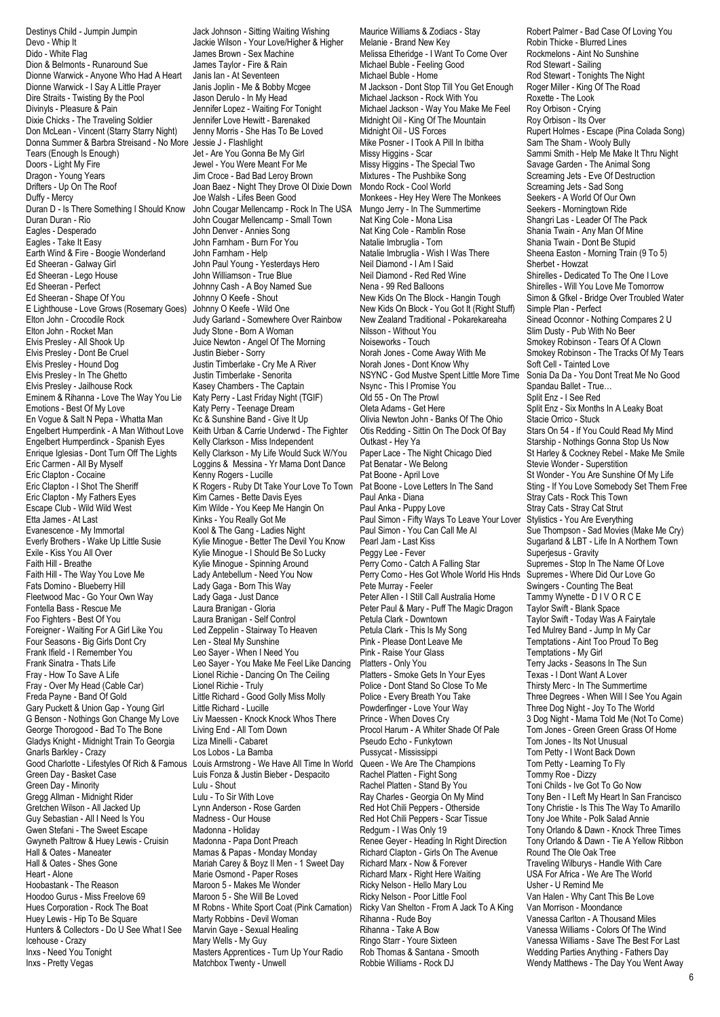Destinys Child - Jumpin Jumpin Devo - Whip It Dido - White Flag Dion & Belmonts - Runaround Sue Dionne Warwick - Anyone Who Had A Heart Dionne Warwick - I Say A Little Prayer Dire Straits - Twisting By the Pool Divinyls - Pleasure & Pain Dixie Chicks - The Traveling Soldier Don McLean - Vincent (Starry Starry Night) Donna Summer & Barbra Streisand - No More Jessie J - Flashlight Tears (Enough Is Enough) Doors - Light My Fire Dragon - Young Years Drifters - Up On The Roof Duffy - Mercy Duran D - Is There Something I Should Know Duran Duran - Rio Eagles - Desperado Eagles - Take It Easy Earth Wind & Fire - Boogie Wonderland Ed Sheeran - Galway Girl Ed Sheeran - Lego House Ed Sheeran - Perfect Ed Sheeran - Shape Of You E Lighthouse - Love Grows (Rosemary Goes) Johnny O Keefe - Wild One Elton John - Crocodile Rock Elton John - Rocket Man Elvis Presley - All Shook Up Elvis Presley - Dont Be Cruel Elvis Presley - Hound Dog Elvis Presley - In The Ghetto Elvis Presley - Jailhouse Rock Eminem & Rihanna - Love The Way You Lie Emotions - Best Of My Love En Vogue & Salt N Pepa - Whatta Man Engelbert Humperdink - A Man Without Love Engelbert Humperdinck - Spanish Eyes Enrique Iglesias - Dont Turn Off The Lights Eric Carmen - All By Myself Eric Clapton - Cocaine Eric Clapton - I Shot The Sheriff Eric Clapton - My Fathers Eyes Escape Club - Wild Wild West Etta James - At Last Evanescence - My Immortal Everly Brothers - Wake Up Little Susie Exile - Kiss You All Over Faith Hill - Breathe Faith Hill - The Way You Love Me Fats Domino - Blueberry Hill Fleetwood Mac - Go Your Own Way Fontella Bass - Rescue Me Foo Fighters - Best Of You Foreigner - Waiting For A Girl Like You Four Seasons - Big Girls Dont Cry Frank Ifield - I Remember You Frank Sinatra - Thats Life Fray - How To Save A Life Fray - Over My Head (Cable Car) Freda Payne - Band Of Gold Gary Puckett & Union Gap - Young Girl G Benson - Nothings Gon Change My Love George Thorogood - Bad To The Bone Gladys Knight - Midnight Train To Georgia Gnarls Barkley - Crazy Good Charlotte - Lifestyles Of Rich & Famous Louis Armstrong - We Have All Time In World Green Day - Basket Case Green Day - Minority Gregg Allman - Midnight Rider Gretchen Wilson - All Jacked Up Guy Sebastian - All I Need Is You Gwen Stefani - The Sweet Escape Gwyneth Paltrow & Huey Lewis - Cruisin Hall & Oates - Maneater Hall & Oates - Shes Gone Heart - Alone Hoobastank - The Reason Hoodoo Gurus - Miss Freelove 69 Hues Corporation - Rock The Boat Huey Lewis - Hip To Be Square Hunters & Collectors - Do U See What I See Icehouse - Crazy Inxs - Need You Tonight Inxs - Pretty Vegas

Jack Johnson - Sitting Waiting Wishing Jackie Wilson - Your Love/Higher & Higher James Brown - Sex Machine James Taylor - Fire & Rain Janis Ian - At Seventeen Janis Joplin - Me & Bobby Mcgee Jason Derulo - In My Head Jennifer Lopez - Waiting For Tonight Jennifer Love Hewitt - Barenaked Jenny Morris - She Has To Be Loved Jet - Are You Gonna Be My Girl Jewel - You Were Meant For Me Jim Croce - Bad Bad Leroy Brown Joan Baez - Night They Drove Ol Dixie Down Joe Walsh - Lifes Been Good John Cougar Mellencamp - Rock In The USA John Cougar Mellencamp - Small Town John Denver - Annies Song John Farnham - Burn For You John Farnham - Help John Paul Young - Yesterdays Hero John Williamson - True Blue Johnny Cash - A Boy Named Sue Johnny O Keefe - Shout Judy Garland - Somewhere Over Rainbow Judy Stone - Born A Woman Juice Newton - Angel Of The Morning Justin Bieber - Sorry Justin Timberlake - Cry Me A River Justin Timberlake - Senorita Kasey Chambers - The Captain Katy Perry - Last Friday Night (TGIF) Katy Perry - Teenage Dream Kc & Sunshine Band - Give It Up Keith Urban & Carrie Underwd - The Fighter Kelly Clarkson - Miss Independent Kelly Clarkson - My Life Would Suck W/You Loggins & Messina - Yr Mama Dont Dance Kenny Rogers - Lucille K Rogers - Ruby Dt Take Your Love To Town Pat Boone - Love Letters In The Sand Kim Carnes - Bette Davis Eyes Kim Wilde - You Keep Me Hangin On Kinks - You Really Got Me Kool & The Gang - Ladies Night Kylie Minogue - Better The Devil You Know Kylie Minogue - I Should Be So Lucky Kylie Minogue - Spinning Around Lady Antebellum - Need You Now Lady Gaga - Born This Way Lady Gaga - Just Dance Laura Branigan - Gloria Laura Branigan - Self Control Led Zeppelin - Stairway To Heaven Len - Steal My Sunshine Leo Sayer - When I Need You Leo Sayer - You Make Me Feel Like Dancing Lionel Richie - Dancing On The Ceiling Lionel Richie - Truly Little Richard - Good Golly Miss Molly Little Richard - Lucille Liv Maessen - Knock Knock Whos There Living End - All Torn Down Liza Minelli - Cabaret Los Lobos - La Bamba Luis Fonza & Justin Bieber - Despacito Lulu - Shout Lulu - To Sir With Love Lynn Anderson - Rose Garden Madness - Our House Madonna - Holiday Madonna - Papa Dont Preach Mamas & Papas - Monday Monday Mariah Carey & Boyz II Men - 1 Sweet Day Marie Osmond - Paper Roses Maroon 5 - Makes Me Wonder Maroon 5 - She Will Be Loved M Robns - White Sport Coat (Pink Carnation) Marty Robbins - Devil Woman Marvin Gaye - Sexual Healing Mary Wells - My Guy Masters Apprentices - Turn Up Your Radio Matchbox Twenty - Unwell

Maurice Williams & Zodiacs - Stay Melanie - Brand New Key Melissa Etheridge - I Want To Come Over Michael Buble - Feeling Good Michael Buble - Home M Jackson - Dont Stop Till You Get Enough Michael Jackson - Rock With You Michael Jackson - Way You Make Me Feel Midnight Oil - King Of The Mountain Midnight Oil - US Forces Mike Posner - I Took A Pill In Ibitha Missy Higgins - Scar Missy Higgins - The Special Two Mixtures - The Pushbike Song Mondo Rock - Cool World Monkees - Hey Hey Were The Monkees Mungo Jerry - In The Summertime Nat King Cole - Mona Lisa Nat King Cole - Ramblin Rose Natalie Imbruglia - Torn Natalie Imbruglia - Wish I Was There Neil Diamond - I Am I Said Neil Diamond - Red Red Wine Nena - 99 Red Balloons New Kids On The Block - Hangin Tough New Kids On Block - You Got It (Right Stuff) New Zealand Traditional - Pokarekareaha Nilsson - Without You Noiseworks - Touch Norah Jones - Come Away With Me Norah Jones - Dont Know Why NSYNC - God Mustve Spent Little More Time Nsync - This I Promise You Old 55 - On The Prowl Oleta Adams - Get Here Olivia Newton John - Banks Of The Ohio Otis Redding - Sittin On The Dock Of Bay Outkast - Hey Ya Paper Lace - The Night Chicago Died Pat Benatar - We Belong Pat Boone - April Love Paul Anka - Diana Paul Anka - Puppy Love Paul Simon - Fifty Ways To Leave Your Lover Paul Simon - You Can Call Me Al Pearl Jam - Last Kiss Peggy Lee - Fever Perry Como - Catch A Falling Star Perry Como - Hes Got Whole World His Hnds Pete Murray - Feeler Peter Allen - I Still Call Australia Home Peter Paul & Mary - Puff The Magic Dragon Petula Clark - Downtown Petula Clark - This Is My Song Pink - Please Dont Leave Me Pink - Raise Your Glass Platters - Only You Platters - Smoke Gets In Your Eyes Police - Dont Stand So Close To Me Police - Every Breath You Take Powderfinger - Love Your Way Prince - When Doves Cry Procol Harum - A Whiter Shade Of Pale Pseudo Echo - Funkytown Pussycat - Mississippi Queen - We Are The Champions Rachel Platten - Fight Song Rachel Platten - Stand By You Ray Charles - Georgia On My Mind Red Hot Chili Peppers - Otherside Red Hot Chili Peppers - Scar Tissue Redgum - I Was Only 19 Renee Geyer - Heading In Right Direction Richard Clapton - Girls On The Avenue Richard Marx - Now & Forever Richard Marx - Right Here Waiting Ricky Nelson - Hello Mary Lou Ricky Nelson - Poor Little Fool Ricky Van Shelton - From A Jack To A King Rihanna - Rude Boy Rihanna - Take A Bow Ringo Starr - Youre Sixteen Rob Thomas & Santana - Smooth Robbie Williams - Rock DJ

Robert Palmer - Bad Case Of Loving You Robin Thicke - Blurred Lines Rockmelons - Aint No Sunshine Rod Stewart - Sailing Rod Stewart - Tonights The Night Roger Miller - King Of The Road Roxette - The Look Roy Orbison - Crying Roy Orbison - Its Over Rupert Holmes - Escape (Pina Colada Song) Sam The Sham - Wooly Bully Sammi Smith - Help Me Make It Thru Night Savage Garden - The Animal Song Screaming Jets - Eve Of Destruction Screaming Jets - Sad Song Seekers - A World Of Our Own Seekers - Morningtown Ride Shangri Las - Leader Of The Pack Shania Twain - Any Man Of Mine Shania Twain - Dont Be Stupid Sheena Easton - Morning Train (9 To 5) Sherbet - Howzat Shirelles - Dedicated To The One I Love Shirelles - Will You Love Me Tomorrow Simon & Gfkel - Bridge Over Troubled Water Simple Plan - Perfect Sinead Oconnor - Nothing Compares 2 U Slim Dusty - Pub With No Beer Smokey Robinson - Tears Of A Clown Smokey Robinson - The Tracks Of My Tears Soft Cell - Tainted Love Sonia Da Da - You Dont Treat Me No Good Spandau Ballet - True… Split Enz - I See Red Split Enz - Six Months In A Leaky Boat Stacie Orrico - Stuck Stars On 54 - If You Could Read My Mind Starship - Nothings Gonna Stop Us Now St Harley & Cockney Rebel - Make Me Smile Stevie Wonder - Superstition St Wonder - You Are Sunshine Of My Life Sting - If You Love Somebody Set Them Free Stray Cats - Rock This Town Stray Cats - Stray Cat Strut Stylistics - You Are Everything Sue Thompson - Sad Movies (Make Me Cry) Sugarland & LBT - Life In A Northern Town Superjesus - Gravity Supremes - Stop In The Name Of Love Supremes - Where Did Our Love Go Swingers - Counting The Beat Tammy Wynette - D I V O R C E Taylor Swift - Blank Space Taylor Swift - Today Was A Fairytale Ted Mulrey Band - Jump In My Car Temptations - Aint Too Proud To Beg Temptations - My Girl Terry Jacks - Seasons In The Sun Texas - I Dont Want A Lover Thirsty Merc - In The Summertime Three Degrees - When Will I See You Again Three Dog Night - Joy To The World 3 Dog Night - Mama Told Me (Not To Come) Tom Jones - Green Green Grass Of Home Tom Jones - Its Not Unusual Tom Petty - I Wont Back Down Tom Petty - Learning To Fly Tommy Roe - Dizzy Toni Childs - Ive Got To Go Now Tony Ben - I Left My Heart In San Francisco Tony Christie - Is This The Way To Amarillo Tony Joe White - Polk Salad Annie Tony Orlando & Dawn - Knock Three Times Tony Orlando & Dawn - Tie A Yellow Ribbon Round The Ole Oak Tree Traveling Wilburys - Handle With Care USA For Africa - We Are The World Usher - U Remind Me Van Halen - Why Cant This Be Love Van Morrison - Moondance Vanessa Carlton - A Thousand Miles Vanessa Williams - Colors Of The Wind Vanessa Williams - Save The Best For Last Wedding Parties Anything - Fathers Day Wendy Matthews - The Day You Went Away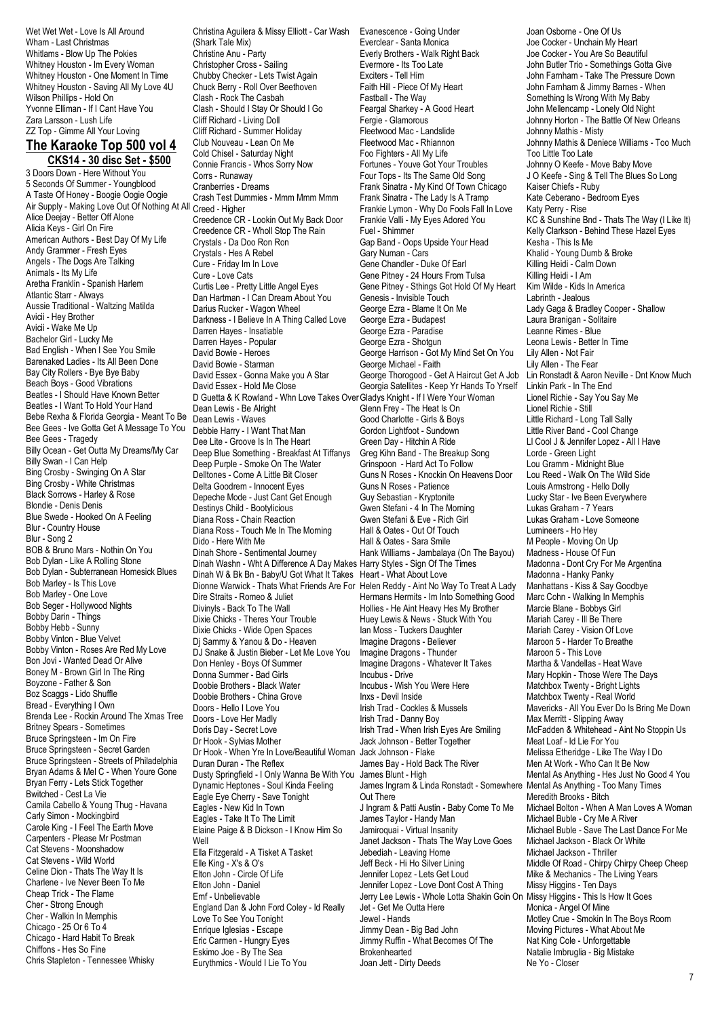Wet Wet - Love Is All Around Wham - Last Christmas Whitlams - Blow Up The Pokies Whitney Houston - Im Every Woman Whitney Houston - One Moment In Time Whitney Houston - Saving All My Love 4U Wilson Phillips - Hold On Yvonne Elliman - If I Cant Have You Zara Larsson - Lush Life ZZ Top - Gimme All Your Loving

### **The Karaoke Top 500 vol 4 CKS14 - 30 disc Set - \$500**

3 Doors Down - Here Without You 5 Seconds Of Summer - Youngblood A Taste Of Honey - Boogie Oogie Oogie Air Supply - Making Love Out Of Nothing At All Alice Deejay - Better Off Alone Alicia Keys - Girl On Fire American Authors - Best Day Of My Life Andy Grammer - Fresh Eyes Angels - The Dogs Are Talking Animals - Its My Life Aretha Franklin - Spanish Harlem Atlantic Starr - Always Aussie Traditional - Waltzing Matilda Avicii - Hey Brother Avicii - Wake Me Up Bachelor Girl - Lucky Me Bad English - When I See You Smile Barenaked Ladies - Its All Been Done Bay City Rollers - Bye Bye Baby Beach Boys - Good Vibrations Beatles - I Should Have Known Better Beatles - I Want To Hold Your Hand Bebe Rexha & Florida Georgia - Meant To Be Bee Gees - Ive Gotta Get A Message To You Bee Gees - Tragedy Billy Ocean - Get Outta My Dreams/My Car Billy Swan - I Can Help Bing Crosby - Swinging On A Star Bing Crosby - White Christmas Black Sorrows - Harley & Rose Blondie - Denis Denis Blue Swede - Hooked On A Feeling Blur - Country House Blur - Song 2 BOB & Bruno Mars - Nothin On You Bob Dylan - Like A Rolling Stone Bob Dylan - Subterranean Homesick Blues Bob Marley - Is This Love Bob Marley - One Love Bob Seger - Hollywood Nights Bobby Darin - Things Bobby Hebb - Sunny Bobby Vinton - Blue Velvet Bobby Vinton - Roses Are Red My Love Bon Jovi - Wanted Dead Or Alive Boney M - Brown Girl In The Ring Boyzone - Father & Son Boz Scaggs - Lido Shuffle Bread - Everything I Own Brenda Lee - Rockin Around The Xmas Tree Britney Spears - Sometimes Bruce Springsteen - Im On Fire Bruce Springsteen - Secret Garden Bruce Springsteen - Streets of Philadelphia Bryan Adams & Mel C - When Youre Gone Bryan Ferry - Lets Stick Together Bwitched - Cest La Vie Camila Cabello & Young Thug - Havana Carly Simon - Mockingbird Carole King - I Feel The Earth Move Carpenters - Please Mr Postman Cat Stevens - Moonshadow Cat Stevens - Wild World Celine Dion - Thats The Way It Is Charlene - Ive Never Been To Me Cheap Trick - The Flame Cher - Strong Enough Cher - Walkin In Memphis Chicago - 25 Or 6 To 4 Chicago - Hard Habit To Break Chiffons - Hes So Fine Chris Stapleton - Tennessee Whisky

(Shark Tale Mix) Christine Anu - Party Christopher Cross - Sailing Chubby Checker - Lets Twist Again Chuck Berry - Roll Over Beethoven Clash - Rock The Casbah Clash - Should I Stay Or Should I Go Cliff Richard - Living Doll Cliff Richard - Summer Holiday Club Nouveau - Lean On Me Cold Chisel - Saturday Night Connie Francis - Whos Sorry Now Corrs - Runaway Cranberries - Dreams Crash Test Dummies - Mmm Mmm Mmm Creed - Higher Creedence CR - Lookin Out My Back Door Creedence CR - Wholl Stop The Rain Crystals - Da Doo Ron Ron Crystals - Hes A Rebel Cure - Friday Im In Love Cure - Love Cats Curtis Lee - Pretty Little Angel Eyes Dan Hartman - I Can Dream About You Darius Rucker - Wagon Wheel Darkness - I Believe In A Thing Called Love Darren Hayes - Insatiable Darren Hayes - Popular David Bowie - Heroes David Bowie - Starman David Essex - Gonna Make you A Star David Essex - Hold Me Close D Guetta & K Rowland - Whn Love Takes Over Gladys Knight - If I Were Your Woman Dean Lewis - Be Alright Dean Lewis - Waves Debbie Harry - I Want That Man Dee Lite - Groove Is In The Heart Deep Blue Something - Breakfast At Tiffanys Deep Purple - Smoke On The Water Delltones - Come A Little Bit Closer Delta Goodrem - Innocent Eyes Depeche Mode - Just Cant Get Enough Destinys Child - Bootylicious Diana Ross - Chain Reaction Diana Ross - Touch Me In The Morning Dido - Here With Me Dinah Shore - Sentimental Journey Dinah Washn - Wht A Difference A Day Makes Harry Styles - Sign Of The Times Dinah W & Bk Bn - Baby/U Got What It Takes Heart - What About Love Dionne Warwick - Thats What Friends Are For Helen Reddy - Aint No Way To Treat A Lady Dire Straits - Romeo & Juliet Divinyls - Back To The Wall Dixie Chicks - Theres Your Trouble Dixie Chicks - Wide Open Spaces Dj Sammy & Yanou & Do - Heaven DJ Snake & Justin Bieber - Let Me Love You Don Henley - Boys Of Summer Donna Summer - Bad Girls Doobie Brothers - Black Water Doobie Brothers - China Grove Doors - Hello I Love You Doors - Love Her Madly Doris Day - Secret Love Dr Hook - Sylvias Mother Dr Hook - When Yre In Love/Beautiful Woman Jack Johnson - Flake Duran Duran - The Reflex Dusty Springfield - I Only Wanna Be With You James Blunt - High Dynamic Heptones - Soul Kinda Feeling Eagle Eye Cherry - Save Tonight Eagles - New Kid In Town Eagles - Take It To The Limit Elaine Paige & B Dickson - I Know Him So Well Ella Fitzgerald - A Tisket A Tasket Elle King - X's & O's Elton John - Circle Of Life Elton John - Daniel Emf - Unbelievable England Dan & John Ford Coley - Id Really Love To See You Tonight Enrique Iglesias - Escape Eringue Section<br>Eric Carmen - Hungry Eyes Eskimo Joe - By The Sea Eurythmics - Would I Lie To You

Christina Aguilera & Missy Elliott - Car Wash Evanescence - Going Under Everclear - Santa Monica Everly Brothers - Walk Right Back Evermore - Its Too Late Exciters - Tell Him Faith Hill - Piece Of My Heart Fastball - The Way Feargal Sharkey - A Good Heart Fergie - Glamorous Fleetwood Mac - Landslide Fleetwood Mac - Rhiannon Foo Fighters - All My Life Fortunes - Youve Got Your Troubles Four Tops - Its The Same Old Song Frank Sinatra - My Kind Of Town Chicago Frank Sinatra - The Lady Is A Tramp Frankie Lymon - Why Do Fools Fall In Love Frankie Valli - My Eyes Adored You Fuel - Shimmer Gap Band - Oops Upside Your Head Gary Numan - Cars Gene Chandler - Duke Of Earl Gene Pitney - 24 Hours From Tulsa Gene Pitney - Sthings Got Hold Of My Heart Genesis - Invisible Touch George Ezra - Blame It On Me George Ezra - Budapest George Ezra - Paradise George Ezra - Shotgun George Harrison - Got My Mind Set On You George Michael - Faith George Thorogood - Get A Haircut Get A Job Georgia Satellites - Keep Yr Hands To Yrself Glenn Frey - The Heat Is On Good Charlotte - Girls & Boys Gordon Lightfoot - Sundown Green Day - Hitchin A Ride Greg Kihn Band - The Breakup Song Grinspoon - Hard Act To Follow Guns N Roses - Knockin On Heavens Door Guns N Roses - Patience Guy Sebastian - Kryptonite Gwen Stefani - 4 In The Morning Gwen Stefani & Eve - Rich Girl Hall & Oates - Out Of Touch Hall & Oates - Sara Smile Hank Williams - Jambalaya (On The Bayou) Hermans Hermits - Im Into Something Good Hollies - He Aint Heavy Hes My Brother Huey Lewis & News - Stuck With You Ian Moss - Tuckers Daughter Imagine Dragons - Believer Imagine Dragons - Thunder Imagine Dragons - Whatever It Takes Incubus - Drive Incubus - Wish You Were Here Inxs - Devil Inside Irish Trad - Cockles & Mussels Irish Trad - Danny Boy Irish Trad - When Irish Eyes Are Smiling Jack Johnson - Better Together James Bay - Hold Back The River James Ingram & Linda Ronstadt - Somewhere Out There J Ingram & Patti Austin - Baby Come To Me James Taylor - Handy Man Jamiroquai - Virtual Insanity Janet Jackson - Thats The Way Love Goes Jebediah - Leaving Home Jeff Beck - Hi Ho Silver Lining Jennifer Lopez - Lets Get Loud Jennifer Lopez - Love Dont Cost A Thing Jerry Lee Lewis - Whole Lotta Shakin Goin On Missy Higgins - This Is How It Goes Jet - Get Me Outta Here Jewel - Hands Jimmy Dean - Big Bad John Jimmy Ruffin - What Becomes Of The Brokenhearted Joan Jett - Dirty Deeds

Joan Osborne - One Of Us Joe Cocker - Unchain My Heart Joe Cocker - You Are So Beautiful John Butler Trio - Somethings Gotta Give John Farnham - Take The Pressure Down John Farnham & Jimmy Barnes - When Something Is Wrong With My Baby John Mellencamp - Lonely Old Night Johnny Horton - The Battle Of New Orleans Johnny Mathis - Misty Johnny Mathis & Deniece Williams - Too Much Too Little Too Late Johnny O Keefe - Move Baby Move J O Keefe - Sing & Tell The Blues So Long Kaiser Chiefs - Ruby Kate Ceberano - Bedroom Eyes Katy Perry - Rise KC & Sunshine Bnd - Thats The Way (I Like It) Kelly Clarkson - Behind These Hazel Eyes Kesha - This Is Me Khalid - Young Dumb & Broke Killing Heidi - Calm Down Killing Heidi - I Am Kim Wilde - Kids In America Labrinth - Jealous Lady Gaga & Bradley Cooper - Shallow Laura Branigan - Solitaire Leanne Rimes - Blue Leona Lewis - Better In Time Lily Allen - Not Fair Lily Allen - The Fear Lin Ronstadt & Aaron Neville - Dnt Know Much Linkin Park - In The End Lionel Richie - Say You Say Me Lionel Richie - Still Little Richard - Long Tall Sally Little River Band - Cool Change Ll Cool J & Jennifer Lopez - All I Have Lorde - Green Light Lou Gramm - Midnight Blue Lou Reed - Walk On The Wild Side Louis Armstrong - Hello Dolly Lucky Star - Ive Been Everywhere Lukas Graham - 7 Years Lukas Graham - Love Someone Lumineers - Ho Hey M People - Moving On Up Madness - House Of Fun Madonna - Dont Cry For Me Argentina Madonna - Hanky Panky Manhattans - Kiss & Say Goodbye Marc Cohn - Walking In Memphis Marcie Blane - Bobbys Girl Mariah Carey - Ill Be There Mariah Carey - Vision Of Love Maroon 5 - Harder To Breathe Maroon 5 - This Love Martha & Vandellas - Heat Wave Mary Hopkin - Those Were The Days Matchbox Twenty - Bright Lights Matchbox Twenty - Real World Mavericks - All You Ever Do Is Bring Me Down Max Merritt - Slipping Away McFadden & Whitehead - Aint No Stoppin Us Meat Loaf - Id Lie For You Melissa Etheridge - Like The Way I Do Men At Work - Who Can It Be Now Mental As Anything - Hes Just No Good 4 You Mental As Anything - Too Many Times Meredith Brooks - Bitch Michael Bolton - When A Man Loves A Woman Michael Buble - Cry Me A River Michael Buble - Save The Last Dance For Me Michael Jackson - Black Or White Michael Jackson - Thriller Middle Of Road - Chirpy Chirpy Cheep Cheep Mike & Mechanics - The Living Years Missy Higgins - Ten Days Monica - Angel Of Mine Motley Crue - Smokin In The Boys Room Moving Pictures - What About Me Nat King Cole - Unforgettable Natalie Imbruglia - Big Mistake Ne Yo - Closer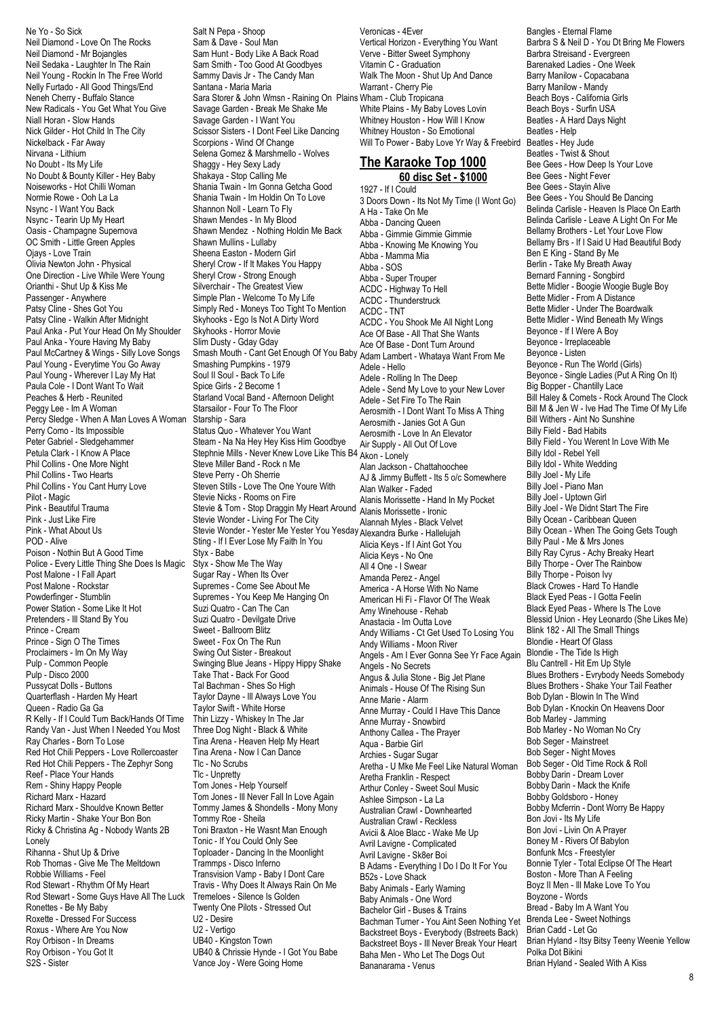Ne Yo - So Sick Neil Diamond - Love On The Rocks Neil Diamond - Mr Bojangles Neil Sedaka - Laughter In The Rain Neil Young - Rockin In The Free World Nelly Furtado - All Good Things/End Neneh Cherry - Buffalo Stance New Radicals - You Get What You Give Niall Horan - Slow Hands Nick Gilder - Hot Child In The City Nickelback - Far Away Nirvana - Lithium No Doubt - Its My Life No Doubt & Bounty Killer - Hey Baby Noiseworks - Hot Chilli Woman Normie Rowe - Ooh La La Nsync - I Want You Back Nsync - Tearin Up My Heart Oasis - Champagne Supernova OC Smith - Little Green Apples Ojays - Love Train Olivia Newton John - Physical One Direction - Live While Were Young Orianthi - Shut Up & Kiss Me Passenger - Anywhere Patsy Cline - Shes Got You Patsy Cline - Walkin After Midnight Paul Anka - Put Your Head On My Shoulder Paul Anka - Youre Having My Baby Paul McCartney & Wings - Silly Love Songs Paul Young - Everytime You Go Away Paul Young - Wherever I Lay My Hat Paula Cole - I Dont Want To Wait Peaches & Herb - Reunited Peggy Lee - Im A Woman Percy Sledge - When A Man Loves A Woman Perry Como - Its Impossible Peter Gabriel - Sledgehammer Petula Clark - I Know A Place Phil Collins - One More Night Phil Collins - Two Hearts Phil Collins - You Cant Hurry Love Pilot - Magic Pink - Beautiful Trauma Pink - Just Like Fire Pink - What About Us POD - Alive Poison - Nothin But A Good Time Police - Every Little Thing She Does Is Magic Post Malone - I Fall Apart Post Malone - Rockstar Powderfinger - Stumblin Power Station - Some Like It Hot Pretenders - Ill Stand By You Prince - Cream Prince - Sign O The Times Proclaimers - Im On My Way Pulp - Common People Pulp - Disco 2000 Pussycat Dolls - Buttons Quarterflash - Harden My Heart Queen - Radio Ga Ga R Kelly - If I Could Turn Back/Hands Of Time Randy Van - Just When I Needed You Most Ray Charles - Born To Lose Red Hot Chili Peppers - Love Rollercoaster Red Hot Chili Peppers - The Zephyr Song Reef - Place Your Hands Rem - Shiny Happy People Richard Marx - Hazard Richard Marx - Shouldve Known Better Ricky Martin - Shake Your Bon Bon Ricky & Christina Ag - Nobody Wants 2B Lonely Rihanna - Shut Up & Drive Rob Thomas - Give Me The Meltdown Robbie Williams - Feel Rod Stewart - Rhythm Of My Heart Rod Stewart - Some Guys Have All The Luck Ronettes - Be My Baby Roxette - Dressed For Success Roxus - Where Are You Now Roy Orbison - In Dreams Roy Orbison - You Got It S2S - Sister

Salt N Pepa - Shoop Sam & Dave - Soul Man Sam Hunt - Body Like A Back Road Sam Smith - Too Good At Goodbyes Sammy Davis Jr - The Candy Man Santana - Maria Maria Sara Storer & John Wmsn - Raining On Plains Wham - Club Tropicana Savage Garden - Break Me Shake Me Savage Garden - I Want You Scissor Sisters - I Dont Feel Like Dancing Scorpions - Wind Of Change Selena Gomez & Marshmello - Wolves Shaggy - Hey Sexy Lady Shakaya - Stop Calling Me Shania Twain - Im Gonna Getcha Good Shania Twain - Im Holdin On To Love Shannon Noll - Learn To Fly Shawn Mendes - In My Blood Shawn Mendez - Nothing Holdin Me Back Shawn Mullins - Lullaby Sheena Easton - Modern Girl Sheryl Crow - If It Makes You Happy Sheryl Crow - Strong Enough Silverchair - The Greatest View Simple Plan - Welcome To My Life Simply Red - Moneys Too Tight To Mention Skyhooks - Ego Is Not A Dirty Word Skyhooks - Horror Movie Slim Dusty - Gday Gday Smash Mouth - Cant Get Enough Of You Baby Adam Lambert - Whataya Want From Me Smashing Pumpkins - 1979 Soul II Soul - Back To Life Spice Girls - 2 Become 1 Starland Vocal Band - Afternoon Delight Starsailor - Four To The Floor Starship - Sara Status Quo - Whatever You Want Steam - Na Na Hey Hey Kiss Him Goodbye Stephnie Mills - Never Knew Love Like This B4 Akon - Lonely Steve Miller Band - Rock n Me Steve Perry - Oh Sherrie Steven Stills - Love The One Youre With Stevie Nicks - Rooms on Fire Stevie & Tom - Stop Draggin My Heart Around Alanis Morissette - Ironic Stevie Wonder - Living For The City Stevie Wonder - Yester Me Yester You Yesday Alexandra Burke - Hallelujah Sting - If I Ever Lose My Faith In You Styx - Babe Styx - Show Me The Way Sugar Ray - When Its Over Supremes - Come See About Me Supremes - You Keep Me Hanging On Suzi Quatro - Can The Can Suzi Quatro - Devilgate Drive Sweet - Ballroom Blitz Sweet - Fox On The Run Swing Out Sister - Breakout Swinging Blue Jeans - Hippy Hippy Shake Take That - Back For Good Tal Bachman - Shes So High Taylor Dayne - Ill Always Love You Taylor Swift - White Horse Thin Lizzy - Whiskey In The Jar Three Dog Night - Black & White Tina Arena - Heaven Help My Heart Tina Arena - Now I Can Dance Tlc - No Scrubs Tlc - Unpretty Tom Jones - Help Yourself Tom Jones - Ill Never Fall In Love Again Tommy James & Shondells - Mony Mony Tommy Roe - Sheila Toni Braxton - He Wasnt Man Enough Tonic - If You Could Only See Toploader - Dancing In the Moonlight Trammps - Disco Inferno Transvision Vamp - Baby I Dont Care Travis - Why Does It Always Rain On Me Tremeloes - Silence Is Golden Twenty One Pilots - Stressed Out U2 - Desire U2 - Vertigo UB40 - Kingston Town UB40 & Chrissie Hynde - I Got You Babe Vance Joy - Were Going Home

Veronicas - 4Ever Vertical Horizon - Everything You Want Verve - Bitter Sweet Symphony Vitamin C - Graduation Walk The Moon - Shut Up And Dance Warrant - Cherry Pie White Plains - My Baby Loves Lovin Whitney Houston - How Will I Know Whitney Houston - So Emotional Will To Power - Baby Love Yr Way & Freebird

#### **The Karaoke Top 1000 60 disc Set - \$1000**

1927 - If I Could 3 Doors Down - Its Not My Time (I Wont Go) A Ha - Take On Me Abba - Dancing Queen Abba - Gimmie Gimmie Gimmie Abba - Knowing Me Knowing You Abba - Mamma Mia Abba - SOS Abba - Super Trouper ACDC - Highway To Hell ACDC - Thunderstruck ACDC - TNT ACDC - You Shook Me All Night Long Ace Of Base - All That She Wants Ace Of Base - Dont Turn Around Adele - Hello Adele - Rolling In The Deep Adele - Send My Love to your New Lover Adele - Set Fire To The Rain Aerosmith - I Dont Want To Miss A Thing Aerosmith - Janies Got A Gun Aerosmith - Love In An Elevator Air Supply - All Out Of Love Alan Jackson - Chattahoochee AJ & Jimmy Buffett - Its 5 o/c Somewhere Alan Walker - Faded Alanis Morissette - Hand In My Pocket Alannah Myles - Black Velvet Alicia Keys - If I Aint Got You Alicia Keys - No One All 4 One - I Swear Amanda Perez - Angel America - A Horse With No Name American Hi Fi - Flavor Of The Weak Amy Winehouse - Rehab Anastacia - Im Outta Love Andy Williams - Ct Get Used To Losing You Andy Williams - Moon River Angels - Am I Ever Gonna See Yr Face Again Angels - No Secrets Angus & Julia Stone - Big Jet Plane Animals - House Of The Rising Sun Anne Marie - Alarm Anne Murray - Could I Have This Dance Anne Murray - Snowbird Anthony Callea - The Prayer Aqua - Barbie Girl Archies - Sugar Sugar Aretha - U Mke Me Feel Like Natural Woman Aretha Franklin - Respect Arthur Conley - Sweet Soul Music Ashlee Simpson - La La Australian Crawl - Downhearted Australian Crawl - Reckless Avicii & Aloe Blacc - Wake Me Up Avril Lavigne - Complicated Avril Lavigne - Sk8er Boi B Adams - Everything I Do I Do It For You B52s - Love Shack Baby Animals - Early Warning Baby Animals - One Word Bachelor Girl - Buses & Trains Bachman Turner - You Aint Seen Nothing Yet Backstreet Boys - Everybody (Bstreets Back) Backstreet Boys - Ill Never Break Your Heart Baha Men - Who Let The Dogs Out Bananarama - Venus

Bangles - Eternal Flame Barbra S & Neil D - You Dt Bring Me Flowers Barbra Streisand - Evergreen Barenaked Ladies - One Week Barry Manilow - Copacabana Barry Manilow - Mandy Beach Boys - California Girls Beach Boys - Surfin USA Beatles - A Hard Days Night Beatles - Help Beatles - Hey Jude Beatles - Twist & Shout Bee Gees - How Deep Is Your Love Bee Gees - Night Fever Bee Gees - Stayin Alive Bee Gees - You Should Be Dancing Belinda Carlisle - Heaven Is Place On Earth Belinda Carlisle - Leave A Light On For Me Bellamy Brothers - Let Your Love Flow Bellamy Brs - If I Said U Had Beautiful Body Ben E King - Stand By Me Berlin - Take My Breath Away Bernard Fanning - Songbird Bette Midler - Boogie Woogie Bugle Boy Bette Midler - From A Distance Bette Midler - Under The Boardwalk Bette Midler - Wind Beneath My Wings Beyonce - If I Were A Boy Beyonce - Irreplaceable Beyonce - Listen Beyonce - Run The World (Girls) Beyonce - Single Ladies (Put A Ring On It) Big Bopper - Chantilly Lace Bill Haley & Comets - Rock Around The Clock Bill M & Jen W - Ive Had The Time Of My Life Bill Withers - Aint No Sunshine Billy Field - Bad Habits Billy Field - You Werent In Love With Me Billy Idol - Rebel Yell Billy Idol - White Wedding Billy Joel - My Life Billy Joel - Piano Man Billy Joel - Uptown Girl Billy Joel - We Didnt Start The Fire Billy Ocean - Caribbean Queen Billy Ocean - When The Going Gets Tough Billy Paul - Me & Mrs Jones Billy Ray Cyrus - Achy Breaky Heart Billy Thorpe - Over The Rainbow Billy Thorpe - Poison Ivy Black Crowes - Hard To Handle Black Eyed Peas - I Gotta Feelin Black Eyed Peas - Where Is The Love Blessid Union - Hey Leonardo (She Likes Me) Blink 182 - All The Small Things Blondie - Heart Of Glass Blondie - The Tide Is High Blu Cantrell - Hit Em Up Style Blues Brothers - Evrybody Needs Somebody Blues Brothers - Shake Your Tail Feather Bob Dylan - Blowin In The Wind Bob Dylan - Knockin On Heavens Door Bob Marley - Jamming Bob Marley - No Woman No Cry Bob Seger - Mainstreet Bob Seger - Night Moves Bob Seger - Old Time Rock & Roll Bobby Darin - Dream Lover Bobby Darin - Mack the Knife Bobby Goldsboro - Honey Bobby Mcferrin - Dont Worry Be Happy Bon Jovi - Its My Life Bon Jovi - Livin On A Prayer Boney M - Rivers Of Babylon Bonfunk Mcs - Freestyler Bonnie Tyler - Total Eclipse Of The Heart Boston - More Than A Feeling Boyz II Men - Ill Make Love To You Boyzone - Words Bread - Baby Im A Want You Brenda Lee - Sweet Nothings Brian Cadd - Let Go Brian Hyland - Itsy Bitsy Teeny Weenie Yellow Polka Dot Bikini Brian Hyland - Sealed With A Kiss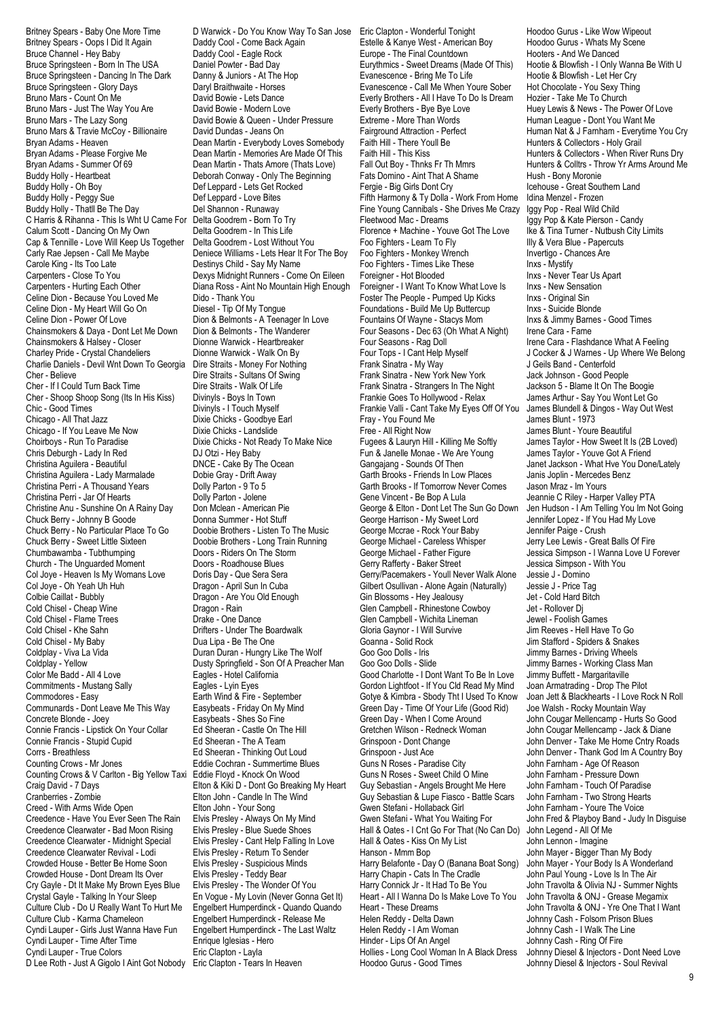Britney Spears - Baby One More Time Britney Spears - Oops I Did It Again Bruce Channel - Hey Baby Bruce Springsteen - Born In The USA Bruce Springsteen - Dancing In The Dark Bruce Springsteen - Glory Days Bruno Mars - Count On Me Bruno Mars - Just The Way You Are Bruno Mars - The Lazy Song Bruno Mars & Travie McCoy - Billionaire Bryan Adams - Heaven Bryan Adams - Please Forgive Me Bryan Adams - Summer Of 69 Buddy Holly - Heartbeat Buddy Holly - Oh Boy Buddy Holly - Peggy Sue Buddy Holly - Thatll Be The Day C Harris & Rihanna - This Is Wht U Came For Calum Scott - Dancing On My Own Cap & Tennille - Love Will Keep Us Together Carly Rae Jepsen - Call Me Maybe Carole King - Its Too Late Carpenters - Close To You Carpenters - Hurting Each Other Celine Dion - Because You Loved Me Celine Dion - My Heart Will Go On Celine Dion - Power Of Love Chainsmokers & Daya - Dont Let Me Down Chainsmokers & Halsey - Closer Charley Pride - Crystal Chandeliers Charlie Daniels - Devil Wnt Down To Georgia Cher - Believe Cher - If I Could Turn Back Time Cher - Shoop Shoop Song (Its In His Kiss) Chic - Good Times Chicago - All That Jazz Chicago - If You Leave Me Now Choirboys - Run To Paradise Chris Deburgh - Lady In Red Christina Aguilera - Beautiful Christina Aguilera - Lady Marmalade Christina Perri - A Thousand Years Christina Perri - Jar Of Hearts Christine Anu - Sunshine On A Rainy Day Chuck Berry - Johnny B Goode Chuck Berry - No Particular Place To Go Chuck Berry - Sweet Little Sixteen Chumbawamba - Tubthumping Church - The Unguarded Moment Col Joye - Heaven Is My Womans Love Col Joye - Oh Yeah Uh Huh Colbie Caillat - Bubbly Cold Chisel - Cheap Wine Cold Chisel - Flame Trees Cold Chisel - Khe Sahn Cold Chisel - My Baby Coldplay - Viva La Vida Coldplay - Yellow Color Me Badd - All 4 Love Commitments - Mustang Sally Commodores - Easy Communards - Dont Leave Me This Way Concrete Blonde - Joey Connie Francis - Lipstick On Your Collar Connie Francis - Stupid Cupid Corrs - Breathless Counting Crows - Mr Jones Counting Crows & V Carlton - Big Yellow Taxi Eddie Floyd - Knock On Wood Craig David - 7 Days Cranberries - Zombie Creed - With Arms Wide Open Creedence - Have You Ever Seen The Rain Creedence Clearwater - Bad Moon Rising Creedence Clearwater - Midnight Special Creedence Clearwater Revival - Lodi Crowded House - Better Be Home Soon Crowded House - Dont Dream Its Over Cry Gayle - Dt It Make My Brown Eyes Blue Crystal Gayle - Talking In Your Sleep Culture Club - Do U Really Want To Hurt Me Culture Club - Karma Chameleon Cyndi Lauper - Girls Just Wanna Have Fun Cyndi Lauper - Time After Time Cyndi Lauper - True Colors D Lee Roth - Just A Gigolo I Aint Got Nobody Eric Clapton - Tears In Heaven

D Warwick - Do You Know Way To San Jose Eric Clapton - Wonderful Tonight Daddy Cool - Come Back Again Daddy Cool - Eagle Rock Daniel Powter - Bad Day Danny & Juniors - At The Hop Daryl Braithwaite - Horses David Bowie - Lets Dance David Bowie - Modern Love David Bowie & Queen - Under Pressure David Dundas - Jeans On Dean Martin - Everybody Loves Somebody Dean Martin - Memories Are Made Of This Dean Martin - Thats Amore (Thats Love) Deborah Conway - Only The Beginning Def Leppard - Lets Get Rocked Def Leppard - Love Bites Del Shannon - Runaway Delta Goodrem - Born To Try Delta Goodrem - In This Life Delta Goodrem - Lost Without You Deniece Williams - Lets Hear It For The Boy Destinys Child - Say My Name Dexys Midnight Runners - Come On Eileen Diana Ross - Aint No Mountain High Enough Dido - Thank You Diesel - Tip Of My Tongue Dion & Belmonts - A Teenager In Love Dion & Belmonts - The Wanderer Dionne Warwick - Heartbreaker Dionne Warwick - Walk On By Dire Straits - Money For Nothing Dire Straits - Sultans Of Swing Dire Straits - Walk Of Life Divinyls - Boys In Town Divinyls - I Touch Myself Dixie Chicks - Goodbye Earl Dixie Chicks - Landslide Dixie Chicks - Not Ready To Make Nice DJ Otzi - Hey Baby DNCE - Cake By The Ocean Dobie Gray - Drift Away Dolly Parton - 9 To 5 Dolly Parton - Jolene Don Mclean - American Pie Donna Summer - Hot Stuff Doobie Brothers - Listen To The Music Doobie Brothers - Long Train Running Doors - Riders On The Storm Doors - Roadhouse Blues Doris Day - Que Sera Sera Dragon - April Sun In Cuba Dragon - Are You Old Enough Dragon - Rain Drake - One Dance Drifters - Under The Boardwalk Dua Lipa - Be The One Duran Duran - Hungry Like The Wolf Dusty Springfield - Son Of A Preacher Man Eagles - Hotel California Eagles - Lyin Eyes Earth Wind & Fire - September Easybeats - Friday On My Mind Easybeats - Shes So Fine Ed Sheeran - Castle On The Hill Ed Sheeran - The A Team Ed Sheeran - Thinking Out Loud Eddie Cochran - Summertime Blues Elton & Kiki D - Dont Go Breaking My Heart Elton John - Candle In The Wind Elton John - Your Song Elvis Presley - Always On My Mind Elvis Presley - Blue Suede Shoes Elvis Presley - Cant Help Falling In Love Elvis Presley - Return To Sender Elvis Presley - Suspicious Minds Elvis Presley - Teddy Bear Elvis Presley - The Wonder Of You En Vogue - My Lovin (Never Gonna Get It) Engelbert Humperdinck - Quando Quando Engelbert Humperdinck - Release Me Engelbert Humperdinck - The Last Waltz Enrique Iglesias - Hero Eric Clapton - Layla

Estelle & Kanye West - American Boy Europe - The Final Countdown Eurythmics - Sweet Dreams (Made Of This) Evanescence - Bring Me To Life Evanescence - Call Me When Youre Sober Everly Brothers - All I Have To Do Is Dream Everly Brothers - Bye Bye Love Extreme - More Than Words Fairground Attraction - Perfect Faith Hill - There Youll Be Faith Hill - This Kiss Fall Out Boy - Thnks Fr Th Mmrs Fats Domino - Aint That A Shame Fergie - Big Girls Dont Cry Fifth Harmony & Ty Dolla - Work From Home Fine Young Cannibals - She Drives Me Crazy Fleetwood Mac - Dreams Florence + Machine - Youve Got The Love Foo Fighters - Learn To Fly Foo Fighters - Monkey Wrench Foo Fighters - Times Like These Foreigner - Hot Blooded Foreigner - I Want To Know What Love Is Foster The People - Pumped Up Kicks Foundations - Build Me Up Buttercup Fountains Of Wayne - Stacys Mom Four Seasons - Dec 63 (Oh What A Night) Four Seasons - Rag Doll Four Tops - I Cant Help Myself Frank Sinatra - My Way Frank Sinatra - New York New York Frank Sinatra - Strangers In The Night Frankie Goes To Hollywood - Relax Frankie Valli - Cant Take My Eyes Off Of You Fray - You Found Me Free - All Right Now Fugees & Lauryn Hill - Killing Me Softly Fun & Janelle Monae - We Are Young Gangajang - Sounds Of Then Garth Brooks - Friends In Low Places Garth Brooks - If Tomorrow Never Comes Gene Vincent - Be Bop A Lula George & Elton - Dont Let The Sun Go Down George Harrison - My Sweet Lord George Mccrae - Rock Your Baby George Michael - Careless Whisper George Michael - Father Figure Gerry Rafferty - Baker Street Gerry/Pacemakers - Youll Never Walk Alone Gilbert Osullivan - Alone Again (Naturally) Gin Blossoms - Hey Jealousy Glen Campbell - Rhinestone Cowboy Glen Campbell - Wichita Lineman Gloria Gaynor - I Will Survive Goanna - Solid Rock Goo Goo Dolls - Iris Goo Goo Dolls - Slide Good Charlotte - I Dont Want To Be In Love Gordon Lightfoot - If You Cld Read My Mind Gotye & Kimbra - Sbody Tht I Used To Know Green Day - Time Of Your Life (Good Rid) Green Day - When I Come Around Gretchen Wilson - Redneck Woman Grinspoon - Dont Change Grinspoon - Just Ace Guns N Roses - Paradise City Guns N Roses - Sweet Child O Mine Guy Sebastian - Angels Brought Me Here Guy Sebastian & Lupe Fiasco - Battle Scars Gwen Stefani - Hollaback Girl Gwen Stefani - What You Waiting For Hall & Oates - I Cnt Go For That (No Can Do) Hall & Oates - Kiss On My List Hanson - Mmm Bop Harry Belafonte - Day O (Banana Boat Song) Harry Chapin - Cats In The Cradle Harry Connick Jr - It Had To Be You Heart - All I Wanna Do Is Make Love To You Heart - These Dreams Helen Reddy - Delta Dawn Helen Reddy - I Am Woman Hinder - Lips Of An Angel Hollies - Long Cool Woman In A Black Dress Hoodoo Gurus - Good Times

Hoodoo Gurus - Like Wow Wipeout Hoodoo Gurus - Whats My Scene Hooters - And We Danced Hootie & Blowfish - I Only Wanna Be With U Hootie & Blowfish - Let Her Cry Hot Chocolate - You Sexy Thing Hozier - Take Me To Church Huey Lewis & News - The Power Of Love Human League - Dont You Want Me Human Nat & J Farnham - Everytime You Cry Hunters & Collectors - Holy Grail Hunters & Collectors - When River Runs Dry Hunters & Colltrs - Throw Yr Arms Around Me Hush - Bony Moronie Icehouse - Great Southern Land Idina Menzel - Frozen Iggy Pop - Real Wild Child Iggy Pop & Kate Pierson - Candy Ike & Tina Turner - Nutbush City Limits Illy & Vera Blue - Papercuts Invertigo - Chances Are Inxs - Mystify Inxs - Never Tear Us Apart Inxs - New Sensation Inxs - Original Sin Inxs - Suicide Blonde Inxs & Jimmy Barnes - Good Times Irene Cara - Fame Irene Cara - Flashdance What A Feeling J Cocker & J Warnes - Up Where We Belong J Geils Band - Centerfold Jack Johnson - Good People Jackson 5 - Blame It On The Boogie James Arthur - Say You Wont Let Go James Blundell & Dingos - Way Out West James Blunt - 1973 James Blunt - Youre Beautiful James Taylor - How Sweet It Is (2B Loved) James Taylor - Youve Got A Friend Janet Jackson - What Hve You Done/Lately Janis Joplin - Mercedes Benz Jason Mraz - Im Yours Jeannie C Riley - Harper Valley PTA Jen Hudson - I Am Telling You Im Not Going Jennifer Lopez - If You Had My Love Jennifer Paige - Crush Jerry Lee Lewis - Great Balls Of Fire Jessica Simpson - I Wanna Love U Forever Jessica Simpson - With You Jessie J - Domino Jessie J - Price Tag Jet - Cold Hard Bitch Jet - Rollover Dj Jewel - Foolish Games Jim Reeves - Hell Have To Go Jim Stafford - Spiders & Snakes Jimmy Barnes - Driving Wheels Jimmy Barnes - Working Class Man Jimmy Buffett - Margaritaville Joan Armatrading - Drop The Pilot Joan Jett & Blackhearts - I Love Rock N Roll Joe Walsh - Rocky Mountain Way John Cougar Mellencamp - Hurts So Good John Cougar Mellencamp - Jack & Diane John Denver - Take Me Home Cntry Roads John Denver - Thank God Im A Country Boy John Farnham - Age Of Reason John Farnham - Pressure Down John Farnham - Touch Of Paradise John Farnham - Two Strong Hearts John Farnham - Youre The Voice John Fred & Playboy Band - Judy In Disguise John Legend - All Of Me John Lennon - Imagine John Mayer - Bigger Than My Body John Mayer - Your Body Is A Wonderland John Paul Young - Love Is In The Air John Travolta & Olivia NJ - Summer Nights John Travolta & ONJ - Grease Megamix John Travolta & ONJ - Yre One That I Want Johnny Cash - Folsom Prison Blues Johnny Cash - I Walk The Line Johnny Cash - Ring Of Fire Johnny Diesel & Injectors - Dont Need Love Johnny Diesel & Injectors - Soul Revival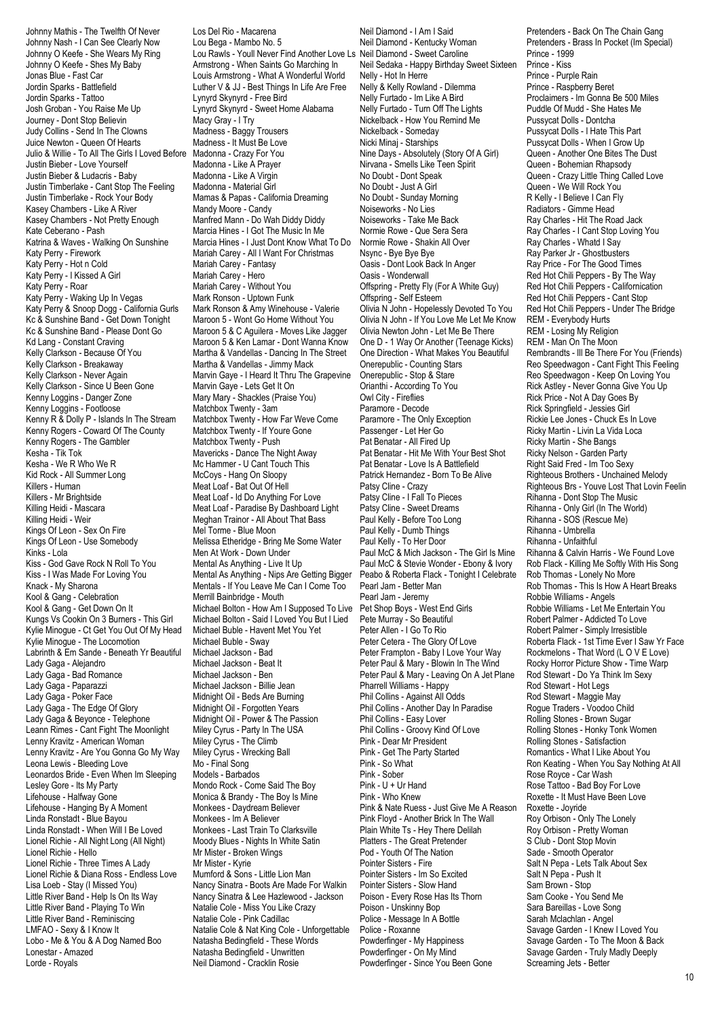Johnny Mathis - The Twelfth Of Never Johnny Nash - I Can See Clearly Now Johnny O Keefe - She Wears My Ring Johnny O Keefe - Shes My Baby Jonas Blue - Fast Car Jordin Sparks - Battlefield Jordin Sparks - Tattoo Josh Groban - You Raise Me Up Journey - Dont Stop Believin Judy Collins - Send In The Clowns Juice Newton - Queen Of Hearts Julio & Willie - To All The Girls I Loved Before Justin Bieber - Love Yourself Justin Bieber & Ludacris - Baby Justin Timberlake - Cant Stop The Feeling Justin Timberlake - Rock Your Body Kasey Chambers - Like A River Kasey Chambers - Not Pretty Enough Kate Ceberano - Pash Katrina & Waves - Walking On Sunshine Katy Perry - Firework Katy Perry - Hot n Cold Katy Perry - I Kissed A Girl Katy Perry - Roar Katy Perry - Waking Up In Vegas Katy Perry & Snoop Dogg - California Gurls Kc & Sunshine Band - Get Down Tonight Kc & Sunshine Band - Please Dont Go Kd Lang - Constant Craving Kelly Clarkson - Because Of You Kelly Clarkson - Breakaway Kelly Clarkson - Never Again Kelly Clarkson - Since U Been Gone Kenny Loggins - Danger Zone Kenny Loggins - Footloose Kenny R & Dolly P - Islands In The Stream Kenny Rogers - Coward Of The County Kenny Rogers - The Gambler Kesha - Tik Tok Kesha - We R Who We R Kid Rock - All Summer Long Killers - Human Killers - Mr Brightside Killing Heidi - Mascara Killing Heidi - Weir Kings Of Leon - Sex On Fire Kings Of Leon - Use Somebody Kinks - Lola Kiss - God Gave Rock N Roll To You Kiss - I Was Made For Loving You Knack - My Sharona Kool & Gang - Celebration Kool & Gang - Get Down On It Kungs Vs Cookin On 3 Burners - This Girl Kylie Minogue - Ct Get You Out Of My Head Kylie Minogue - The Locomotion Labrinth & Em Sande - Beneath Yr Beautiful Lady Gaga - Alejandro Lady Gaga - Bad Romance Lady Gaga - Paparazzi Lady Gaga - Poker Face Lady Gaga - The Edge Of Glory Lady Gaga & Beyonce - Telephone Leann Rimes - Cant Fight The Moonlight Lenny Kravitz - American Woman Lenny Kravitz - Are You Gonna Go My Way Leona Lewis - Bleeding Love Leonardos Bride - Even When Im Sleeping Lesley Gore - Its My Party Lifehouse - Halfway Gone Lifehouse - Hanging By A Moment Linda Ronstadt - Blue Bayou Linda Ronstadt - When Will I Be Loved Lionel Richie - All Night Long (All Night) Lionel Richie - Hello Lionel Richie - Three Times A Lady Lionel Richie & Diana Ross - Endless Love Lisa Loeb - Stay (I Missed You) Little River Band - Help Is On Its Way Little River Band - Playing To Win Little River Band - Reminiscing LMFAO - Sexy & I Know It Lobo - Me & You & A Dog Named Boo Lonestar - Amazed Lorde - Royals

Los Del Rio - Macarena Lou Bega - Mambo No. 5 Lou Rawls - Youll Never Find Another Love Ls Neil Diamond - Sweet Caroline Armstrong - When Saints Go Marching In Louis Armstrong - What A Wonderful World Luther V & JJ - Best Things In Life Are Free Lynyrd Skynyrd - Free Bird Lynyrd Skynyrd - Sweet Home Alabama Macy Gray - I Try Madness - Baggy Trousers Madness - It Must Be Love Madonna - Crazy For You Madonna - Like A Prayer Madonna - Like A Virgin Madonna - Material Girl Mamas & Papas - California Dreaming Mandy Moore - Candy Manfred Mann - Do Wah Diddy Diddy Marcia Hines - I Got The Music In Me Marcia Hines - I Just Dont Know What To Do Mariah Carey - All I Want For Christmas Mariah Carey - Fantasy Mariah Carey - Hero Mariah Carey - Without You Mark Ronson - Uptown Funk Mark Ronson & Amy Winehouse - Valerie Maroon 5 - Wont Go Home Without You Maroon 5 & C Aguilera - Moves Like Jagger Maroon 5 & Ken Lamar - Dont Wanna Know Martha & Vandellas - Dancing In The Street Martha & Vandellas - Jimmy Mack Marvin Gaye - I Heard It Thru The Grapevine Marvin Gaye - Lets Get It On Mary Mary - Shackles (Praise You) Matchbox Twenty - 3am Matchbox Twenty - How Far Weve Come Matchbox Twenty - If Youre Gone Matchbox Twenty - Push Mavericks - Dance The Night Away Mc Hammer - U Cant Touch This McCoys - Hang On Sloopy Meat Loaf - Bat Out Of Hell Meat Loaf - Id Do Anything For Love Meat Loaf - Paradise By Dashboard Light Meghan Trainor - All About That Bass Mel Torme - Blue Moon Melissa Etheridge - Bring Me Some Water Men At Work - Down Under Mental As Anything - Live It Up Mental As Anything - Nips Are Getting Bigger Mentals - If You Leave Me Can I Come Too Merrill Bainbridge - Mouth Michael Bolton - How Am I Supposed To Live Michael Bolton - Said I Loved You But I Lied Michael Buble - Havent Met You Yet Michael Buble - Sway Michael Jackson - Bad Michael Jackson - Beat It Michael Jackson - Ben Michael Jackson - Billie Jean Midnight Oil - Beds Are Burning Midnight Oil - Forgotten Years Midnight Oil - Power & The Passion Miley Cyrus - Party In The USA Miley Cyrus - The Climb Miley Cyrus - Wrecking Ball Mo - Final Song Models - Barbados Mondo Rock - Come Said The Boy Monica & Brandy - The Boy Is Mine Monkees - Daydream Believer Monkees - Im A Believer Monkees - Last Train To Clarksville Moody Blues - Nights In White Satin Mr Mister - Broken Wings Mr Mister - Kyrie Mumford & Sons - Little Lion Man Nancy Sinatra - Boots Are Made For Walkin Nancy Sinatra & Lee Hazlewood - Jackson Natalie Cole - Miss You Like Crazy Natalie Cole - Pink Cadillac Natalie Cole & Nat King Cole - Unforgettable Natasha Bedingfield - These Words Natasha Bedingfield - Unwritten

Neil Diamond - Cracklin Rosie

Neil Diamond - I Am I Said Neil Diamond - Kentucky Woman Neil Sedaka - Happy Birthday Sweet Sixteen Nelly - Hot In Herre Nelly & Kelly Rowland - Dilemma Nelly Furtado - Im Like A Bird Nelly Furtado - Turn Off The Lights Nickelback - How You Remind Me Nickelback - Someday Nicki Minaj - Starships Nine Days - Absolutely (Story Of A Girl) Nirvana - Smells Like Teen Spirit No Doubt - Dont Speak No Doubt - Just A Girl No Doubt - Sunday Morning Noiseworks - No Lies Noiseworks - Take Me Back Normie Rowe - Que Sera Sera Normie Rowe - Shakin All Over Nsync - Bye Bye Bye Oasis - Dont Look Back In Anger Oasis - Wonderwall Offspring - Pretty Fly (For A White Guy) Offspring - Self Esteem Olivia N John - Hopelessly Devoted To You Olivia N John - If You Love Me Let Me Know Olivia Newton John - Let Me Be There One D - 1 Way Or Another (Teenage Kicks) One Direction - What Makes You Beautiful Onerepublic - Counting Stars Onerepublic - Stop & Stare Orianthi - According To You Owl City - Fireflies Paramore - Decode Paramore - The Only Exception Passenger - Let Her Go Pat Benatar - All Fired Up Pat Benatar - Hit Me With Your Best Shot Pat Benatar - Love Is A Battlefield Patrick Hernandez - Born To Be Alive Patsy Cline - Crazy Patsy Cline - I Fall To Pieces Patsy Cline - Sweet Dreams Paul Kelly - Before Too Long Paul Kelly - Dumb Things Paul Kelly - To Her Door Paul McC & Mich Jackson - The Girl Is Mine Paul McC & Stevie Wonder - Ebony & Ivory Peabo & Roberta Flack - Tonight I Celebrate Pearl Jam - Better Man Pearl Jam - Jeremy Pet Shop Boys - West End Girls Pete Murray - So Beautiful Peter Allen - I Go To Rio Peter Cetera - The Glory Of Love Peter Frampton - Baby I Love Your Way Peter Paul & Mary - Blowin In The Wind Peter Paul & Mary - Leaving On A Jet Plane Pharrell Williams - Happy Phil Collins - Against All Odds Phil Collins - Another Day In Paradise Phil Collins - Easy Lover Phil Collins - Groovy Kind Of Love Pink - Dear Mr President Pink - Get The Party Started Pink - So What Pink - Sober Pink - U + Ur Hand Pink - Who Knew Pink & Nate Ruess - Just Give Me A Reason Pink Floyd - Another Brick In The Wall Plain White Ts - Hey There Delilah Platters - The Great Pretender Pod - Youth Of The Nation Pointer Sisters - Fire Pointer Sisters - Im So Excited Pointer Sisters - Slow Hand Poison - Every Rose Has Its Thorn Poison - Unskinny Bop Police - Message In A Bottle Police - Roxanne Powderfinger - My Happiness Powderfinger - On My Mind Powderfinger - Since You Been Gone

Pretenders - Back On The Chain Gang Pretenders - Brass In Pocket (Im Special) Prince - 1999 Prince - Kiss Prince - Purple Rain Prince - Raspberry Beret Proclaimers - Im Gonna Be 500 Miles Puddle Of Mudd - She Hates Me Pussycat Dolls - Dontcha Pussycat Dolls - I Hate This Part Pussycat Dolls - When I Grow Up Queen - Another One Bites The Dust Queen - Bohemian Rhapsody Queen - Crazy Little Thing Called Love Queen - We Will Rock You R Kelly - I Believe I Can Fly Radiators - Gimme Head Ray Charles - Hit The Road Jack Ray Charles - I Cant Stop Loving You Ray Charles - Whatd I Say Ray Parker Jr - Ghostbusters Ray Price - For The Good Times Red Hot Chili Peppers - By The Way Red Hot Chili Peppers - Californication Red Hot Chili Peppers - Cant Stop Red Hot Chili Peppers - Under The Bridge REM - Everybody Hurts REM - Losing My Religion REM - Man On The Moon Rembrandts - Ill Be There For You (Friends) Reo Speedwagon - Cant Fight This Feeling Reo Speedwagon - Keep On Loving You Rick Astley - Never Gonna Give You Up Rick Price - Not A Day Goes By Rick Springfield - Jessies Girl Rickie Lee Jones - Chuck Es In Love Ricky Martin - Livin La Vida Loca Ricky Martin - She Bangs Ricky Nelson - Garden Party Right Said Fred - Im Too Sexy Righteous Brothers - Unchained Melody Righteous Brs - Youve Lost That Lovin Feelin Rihanna - Dont Stop The Music Rihanna - Only Girl (In The World) Rihanna - SOS (Rescue Me) Rihanna - Umbrella Rihanna - Unfaithful Rihanna & Calvin Harris - We Found Love Rob Flack - Killing Me Softly With His Song Rob Thomas - Lonely No More Rob Thomas - This Is How A Heart Breaks Robbie Williams - Angels Robbie Williams - Let Me Entertain You Robert Palmer - Addicted To Love Robert Palmer - Simply Irresistible Roberta Flack - 1st Time Ever I Saw Yr Face Rockmelons - That Word (L O V E Love) Rocky Horror Picture Show - Time Warp Rod Stewart - Do Ya Think Im Sexy Rod Stewart - Hot Legs Rod Stewart - Maggie May Rogue Traders - Voodoo Child Rolling Stones - Brown Sugar Rolling Stones - Honky Tonk Women Rolling Stones - Satisfaction Romantics - What I Like About You Ron Keating - When You Say Nothing At All Rose Royce - Car Wash Rose Tattoo - Bad Boy For Love Roxette - It Must Have Been Love Roxette - Joyride Roy Orbison - Only The Lonely Roy Orbison - Pretty Woman S Club - Dont Stop Movin Sade - Smooth Operator Salt N Pepa - Lets Talk About Sex Salt N Pepa - Push It Sam Brown - Stop Sam Cooke - You Send Me Sara Bareillas - Love Song Sarah Mclachlan - Angel Savage Garden - I Knew I Loved You Savage Garden - To The Moon & Back Savage Garden - Truly Madly Deeply

Screaming Jets - Better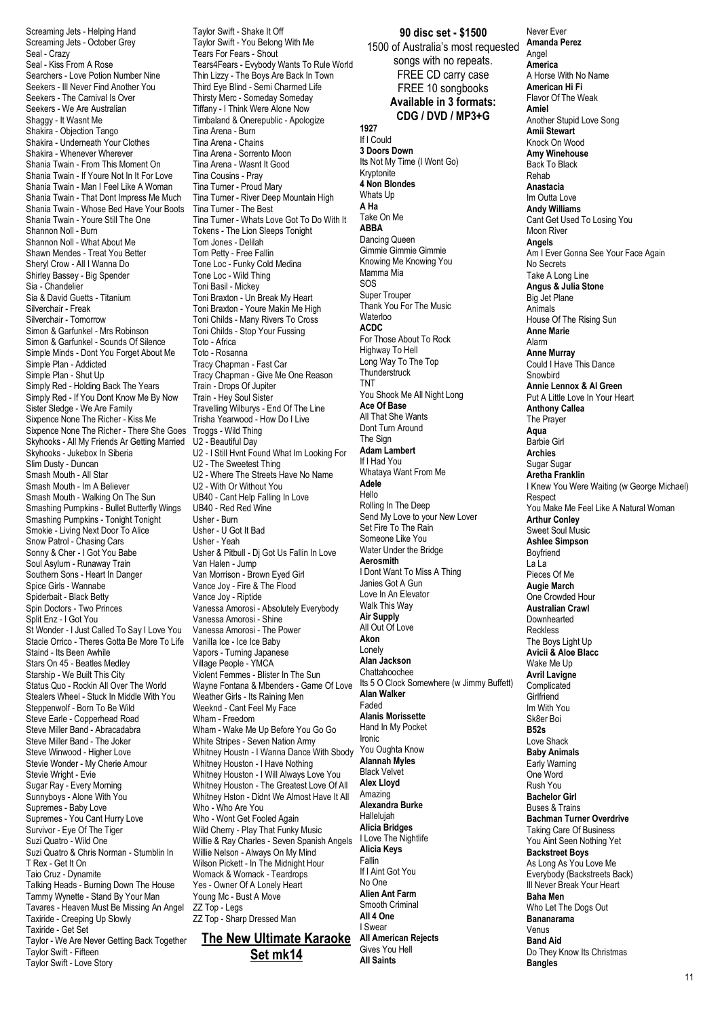Screaming Jets - Helping Hand Screaming Jets - October Grey Seal - Crazy Seal - Kiss From A Rose Searchers - Love Potion Number Nine Seekers - Ill Never Find Another You Seekers - The Carnival Is Over Seekers - We Are Australian Shaggy - It Wasnt Me Shakira - Objection Tango Shakira - Underneath Your Clothes Shakira - Whenever Wherever Shania Twain - From This Moment On Shania Twain - If Youre Not In It For Love Shania Twain - Man I Feel Like A Woman Shania Twain - That Dont Impress Me Much Shania Twain - Whose Bed Have Your Boots Shania Twain - Youre Still The One Shannon Noll - Burn Shannon Noll - What About Me Shawn Mendes - Treat You Better Sheryl Crow - All I Wanna Do Shirley Bassey - Big Spender Sia - Chandelier Sia & David Guetts - Titanium Silverchair - Freak Silverchair - Tomorrow Simon & Garfunkel - Mrs Robinson Simon & Garfunkel - Sounds Of Silence Simple Minds - Dont You Forget About Me Simple Plan - Addicted Simple Plan - Shut Up Simply Red - Holding Back The Years Simply Red - If You Dont Know Me By Now Sister Sledge - We Are Family Sixpence None The Richer - Kiss Me Sixpence None The Richer - There She Goes Skyhooks - All My Friends Ar Getting Married Skyhooks - Jukebox In Siberia Slim Dusty - Duncan Smash Mouth - All Star Smash Mouth - Im A Believer Smash Mouth - Walking On The Sun Smashing Pumpkins - Bullet Butterfly Wings Smashing Pumpkins - Tonight Tonight Smokie - Living Next Door To Alice Snow Patrol - Chasing Cars Sonny & Cher - I Got You Babe Soul Asylum - Runaway Train Southern Sons - Heart In Danger Spice Girls - Wannabe Spiderbait - Black Betty Spin Doctors - Two Princes Split Enz - I Got You St Wonder - I Just Called To Say I Love You Stacie Orrico - Theres Gotta Be More To Life Staind - Its Been Awhile Stars On 45 - Beatles Medley Starship - We Built This City Status Quo - Rockin All Over The World Stealers Wheel - Stuck In Middle With You Steppenwolf - Born To Be Wild Steve Earle - Copperhead Road Steve Miller Band - Abracadabra Steve Miller Band - The Joker Steve Winwood - Higher Love Stevie Wonder - My Cherie Amour Stevie Wright - Evie Sugar Ray - Every Morning Sunnyboys - Alone With You Supremes - Baby Love Supremes - You Cant Hurry Love Survivor - Eve Of The Tiger Suzi Quatro - Wild One Suzi Quatro & Chris Norman - Stumblin In T Rex - Get It On Taio Cruz - Dynamite Talking Heads - Burning Down The House Tammy Wynette - Stand By Your Man Tavares - Heaven Must Be Missing An Angel Taxiride - Creeping Up Slowly Taxiride - Get Set Taylor - We Are Never Getting Back Together Taylor Swift - Fifteen Taylor Swift - Love Story

Taylor Swift - Shake It Off Taylor Swift - You Belong With Me Tears For Fears - Shout Tears4Fears - Evybody Wants To Rule World Thin Lizzy - The Boys Are Back In Town Third Eye Blind - Semi Charmed Life Thirsty Merc - Someday Someday Tiffany - I Think Were Alone Now Timbaland & Onerepublic - Apologize Tina Arena - Burn Tina Arena - Chains Tina Arena - Sorrento Moon Tina Arena - Wasnt It Good Tina Cousins - Pray Tina Turner - Proud Mary Tina Turner - River Deep Mountain High Tina Turner - The Best Tina Turner - Whats Love Got To Do With It Tokens - The Lion Sleeps Tonight Tom Jones - Delilah Tom Petty - Free Fallin Tone Loc - Funky Cold Medina Tone Loc - Wild Thing Toni Basil - Mickey Toni Braxton - Un Break My Heart Toni Braxton - Youre Makin Me High Toni Childs - Many Rivers To Cross Toni Childs - Stop Your Fussing Toto - Africa Toto - Rosanna Tracy Chapman - Fast Car Tracy Chapman - Give Me One Reason Train - Drops Of Jupiter Train - Hey Soul Sister Travelling Wilburys - End Of The Line Trisha Yearwood - How Do I Live Troggs - Wild Thing U2 - Beautiful Day U2 - I Still Hvnt Found What Im Looking For U2 - The Sweetest Thing U2 - Where The Streets Have No Name U2 - With Or Without You UB40 - Cant Help Falling In Love UB40 - Red Red Wine Usher - Burn Usher - U Got It Bad Usher - Yeah Usher & Pitbull - Dj Got Us Fallin In Love Van Halen - Jump Van Morrison - Brown Eyed Girl Vance Joy - Fire & The Flood Vance Joy - Riptide Vanessa Amorosi - Absolutely Everybody Vanessa Amorosi - Shine Vanessa Amorosi - The Power Vanilla Ice - Ice Ice Baby Vapors - Turning Japanese Village People - YMCA Violent Femmes - Blister In The Sun Wayne Fontana & Mbenders - Game Of Love Weather Girls - Its Raining Men Weeknd - Cant Feel My Face Wham - Freedom Wham - Wake Me Up Before You Go Go White Stripes - Seven Nation Army Whitney Houstn - I Wanna Dance With Sbody Whitney Houston - I Have Nothing Whitney Houston - I Will Always Love You Whitney Houston - The Greatest Love Of All Whitney Hston - Didnt We Almost Have It All Who - Who Are You Who - Wont Get Fooled Again Wild Cherry - Play That Funky Music Willie & Ray Charles - Seven Spanish Angels Willie Nelson - Always On My Mind Wilson Pickett - In The Midnight Hour Womack & Womack - Teardrops Yes - Owner Of A Lonely Heart Young Mc - Bust A Move ZZ Top - Legs ZZ Top - Sharp Dressed Man **The New Ultimate Karaoke** 

**Set mk14**

**90 disc set - \$1500** 1500 of Australia's most requested songs with no repeats. FREE CD carry case FREE 10 songbooks **Available in 3 formats: CDG / DVD / MP3+G 1927** If I Could **3 Doors Down** Its Not My Time (I Wont Go) Kryptonite **4 Non Blondes** Whats Un **A Ha** Take On Me **ABBA** Dancing Queen Gimmie Gimmie Gimmie Knowing Me Knowing You Mamma Mia SOS Super Trouper Thank You For The Music Waterloo **ACDC** For Those About To Rock Highway To Hell Long Way To The Top **Thunderstruck** TNT You Shook Me All Night Long **Ace Of Base** All That She Wants Dont Turn Around The Sign **Adam Lambert** If I Had You Whataya Want From Me **Adele** Hello Rolling In The Deep Send My Love to your New Lover Set Fire To The Rain Someone Like You Water Under the Bridge **Aerosmith** I Dont Want To Miss A Thing Janies Got A Gun Love In An Elevator Walk This Way **Air Supply** All Out Of Love **Akon** Lonely **Alan Jackson** Chattahoochee Its 5 O Clock Somewhere (w Jimmy Buffett) **Alan Walker** Faded **Alanis Morissette** Hand In My Pocket Ironic You Oughta Know **Alannah Myles** Black Velvet **Alex Lloyd** Amazing **Alexandra Burke** Hallelujah **Alicia Bridges** I Love The Nightlife **Alicia Keys** Fallin If I Aint Got You No One **Alien Ant Farm** Smooth Criminal **All 4 One** I Swear **All American Rejects** Gives You Hell **All Saints**

Never Ever **Amanda Perez** Angel **America** A Horse With No Name **American Hi Fi** Flavor Of The Weak **Amiel** Another Stupid Love Song **Amii Stewart** Knock On Wood **Amy Winehouse** Back To Black Rehab **Anastacia** Im Outta Love **Andy Williams** Cant Get Used To Losing You Moon River **Angels** Am I Ever Gonna See Your Face Again No Secrets Take A Long Line **Angus & Julia Stone** Big Jet Plane Animals House Of The Rising Sun **Anne Marie** Alarm **Anne Murray** Could I Have This Dance **Snowbird Annie Lennox & Al Green** Put A Little Love In Your Heart **Anthony Callea** The Prayer **Aqua** Barbie Girl **Archies** Sugar Sugar **Aretha Franklin** I Knew You Were Waiting (w George Michael) **Respect** You Make Me Feel Like A Natural Woman **Arthur Conley** Sweet Soul Music **Ashlee Simpson** Boyfriend La La Pieces Of Me **Augie March** One Crowded Hour **Australian Crawl** Downhearted Reckless The Boys Light Up **Avicii & Aloe Blacc** Wake Me Up **Avril Lavigne Complicated** Girlfriend Im With You Sk8er Boi **B52s** Love Shack **Baby Animals** Early Warning One Word Rush You **Bachelor Girl** Buses & Trains **Bachman Turner Overdrive** Taking Care Of Business You Aint Seen Nothing Yet **Backstreet Boys** As Long As You Love Me Everybody (Backstreets Back) Ill Never Break Your Heart **Baha Men** Who Let The Dogs Out **Bananarama** Venus **Band Aid** Do They Know Its Christmas **Bangles**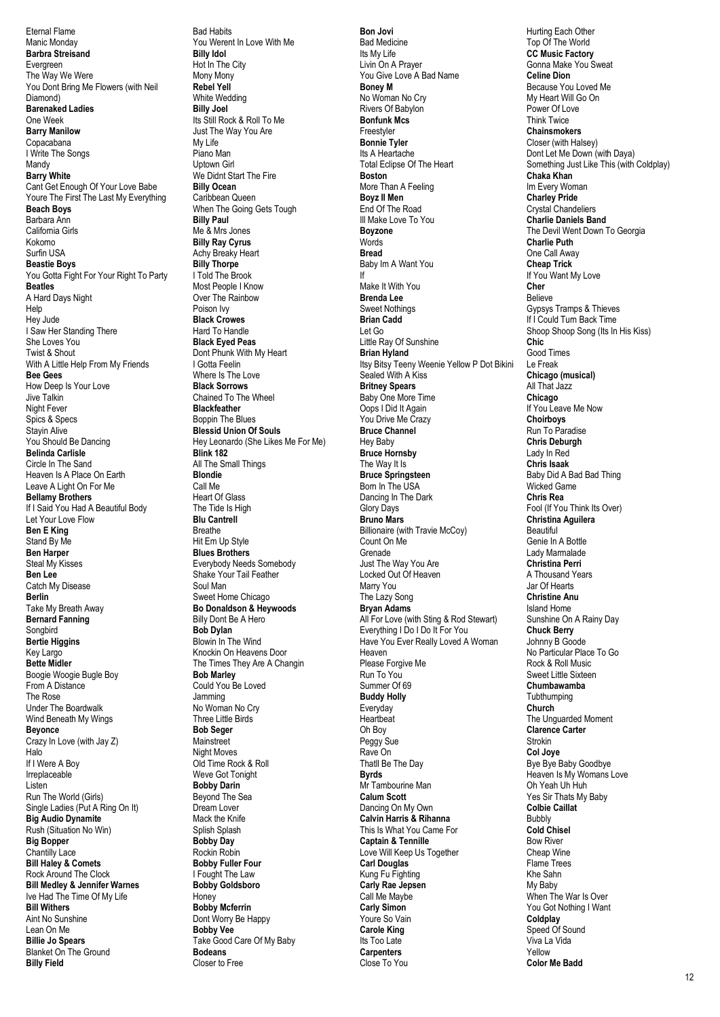Eternal Flame Manic Monday **Barbra Streisand** Evergreen The Way We Were You Dont Bring Me Flowers (with Neil Diamond) **Barenaked Ladies** One Week **Barry Manilow** Copacabana I Write The Songs Mandy **Barry White** Cant Get Enough Of Your Love Babe Youre The First The Last My Everything **Beach Boys** Barbara Ann California Girls Kokomo Surfin USA **Beastie Boys** You Gotta Fight For Your Right To Party **Beatles** A Hard Days Night Help Hey Jude I Saw Her Standing There She Loves You Twist & Shout With A Little Help From My Friends **Bee Gees** How Deep Is Your Love Jive Talkin Night Fever Spics & Specs Stayin Alive You Should Be Dancing **Belinda Carlisle** Circle In The Sand Heaven Is A Place On Earth Leave A Light On For Me **Bellamy Brothers** If I Said You Had A Beautiful Body Let Your Love Flow **Ben E King** Stand By Me **Ben Harper** Steal My Kisses **Ben Lee** Catch My Disease **Berlin** Take My Breath Away **Bernard Fanning** Songbird **Bertie Higgins** Key Largo **Bette Midler** Boogie Woogie Bugle Boy From A Distance The Rose Under The Boardwalk Wind Beneath My Wings **Beyonce** Crazy In Love (with Jay Z) Halo If I Were A Boy Irreplaceable Listen Run The World (Girls) Single Ladies (Put A Ring On It) **Big Audio Dynamite** Rush (Situation No Win) **Big Bopper** Chantilly Lace **Bill Haley & Comets** Rock Around The Clock **Bill Medley & Jennifer Warnes** Ive Had The Time Of My Life **Bill Withers** Aint No Sunshine Lean On Me **Billie Jo Spears** Blanket On The Ground **Billy Field**

Bad Habits You Werent In Love With Me **Billy Idol** Hot In The City Mony Mony **Rebel Yell** White Wedding **Billy Joel** Its Still Rock & Roll To Me Just The Way You Are My Life Piano Man Uptown Girl We Didnt Start The Fire **Billy Ocean** Caribbean Queen When The Going Gets Tough **Billy Paul** Me & Mrs Jones **Billy Ray Cyrus** Achy Breaky Heart **Billy Thorpe** I Told The Brook Most People I Know Over The Rainbow Poison Ivy **Black Crowes** Hard To Handle **Black Eyed Peas** Dont Phunk With My Heart I Gotta Feelin Where Is The Love **Black Sorrows** Chained To The Wheel **Blackfeather** Boppin The Blues **Blessid Union Of Souls** Hey Leonardo (She Likes Me For Me) **Blink 182** All The Small Things **Blondie** Call Me Heart Of Glass The Tide Is High **Blu Cantrell** Breathe Hit Em Up Style **Blues Brothers** Everybody Needs Somebody Shake Your Tail Feather Soul Man Sweet Home Chicago **Bo Donaldson & Heywoods** Billy Dont Be A Hero **Bob Dylan** Blowin In The Wind Knockin On Heavens Door The Times They Are A Changin **Bob Marley** Could You Be Loved Jamming No Woman No Cry Three Little Birds **Bob Seger Mainstreet** Night Moves Old Time Rock & Roll Weve Got Tonight **Bobby Darin** Beyond The Sea Dream Lover Mack the Knife Splish Splash **Bobby Day** Rockin Robin **Bobby Fuller Four** I Fought The Law **Bobby Goldsboro** Honey **Bobby Mcferrin** Dont Worry Be Happy **Bobby Vee** Take Good Care Of My Baby **Bodeans** Closer to Free

**Bon Jovi** Bad Medicine Its My Life Livin On A Prayer You Give Love A Bad Name **Boney M** No Woman No Cry Rivers Of Babylon **Bonfunk Mcs** Freestyler **Bonnie Tyler** Its A Heartache Total Eclipse Of The Heart **Boston** More Than A Feeling **Boyz II Men** End Of The Road Ill Make Love To You **Boyzone Words Bread** Baby Im A Want You If Make It With You **Brenda Lee** Sweet Nothings **Brian Cadd** Let Go Little Ray Of Sunshine **Brian Hyland** Itsy Bitsy Teeny Weenie Yellow P Dot Bikini Sealed With A Kiss **Britney Spears** Baby One More Time Oops I Did It Again You Drive Me Crazy **Bruce Channel** Hey Baby **Bruce Hornsby** The Way It Is **Bruce Springsteen** Born In The USA Dancing In The Dark Glory Days **Bruno Mars** Billionaire (with Travie McCoy) Count On Me Grenade Just The Way You Are Locked Out Of Heaven Marry You The Lazy Song **Bryan Adams** All For Love (with Sting & Rod Stewart) Everything I Do I Do It For You Have You Ever Really Loved A Woman Heaven Please Forgive Me Run To You Summer Of 69 **Buddy Holly Everyday Heartbeat** Oh Boy Peggy Sue Rave On Thatll Be The Day **Byrds** Mr Tambourine Man **Calum Scott** Dancing On My Own **Calvin Harris & Rihanna** This Is What You Came For **Captain & Tennille** Love Will Keep Us Together **Carl Douglas** Kung Fu Fighting **Carly Rae Jepsen** Call Me Maybe **Carly Simon** Youre So Vain **Carole King** Its Too Late **Carpenters** Close To You

Hurting Each Other Top Of The World **CC Music Factory** Gonna Make You Sweat **Celine Dion** Because You Loved Me My Heart Will Go On Power Of Love Think Twice **Chainsmokers** Closer (with Halsey) Dont Let Me Down (with Daya) Something Just Like This (with Coldplay) **Chaka Khan** Im Every Woman **Charley Pride** Crystal Chandeliers **Charlie Daniels Band** The Devil Went Down To Georgia **Charlie Puth** One Call Away **Cheap Trick** If You Want My Love **Cher** Believe Gypsys Tramps & Thieves If I Could Turn Back Time Shoop Shoop Song (Its In His Kiss) **Chic** Good Times Le Freak **Chicago (musical)** All That Jazz **Chicago** If You Leave Me Now **Choirboys** Run To Paradise **Chris Deburgh** Lady In Red **Chris Isaak** Baby Did A Bad Bad Thing Wicked Game **Chris Rea** Fool (If You Think Its Over) **Christina Aguilera** Beautiful Genie In A Bottle Lady Marmalade **Christina Perri** A Thousand Years Jar Of Hearts **Christine Anu** Island Home Sunshine On A Rainy Day **Chuck Berry** Johnny B Goode No Particular Place To Go Rock & Roll Music Sweet Little Sixteen **Chumbawamba** Tubthumping **Church** The Unguarded Moment **Clarence Carter** Strokin **Col Joye** Bye Bye Baby Goodbye Heaven Is My Womans Love Oh Yeah Uh Huh Yes Sir Thats My Baby **Colbie Caillat** Bubbly **Cold Chisel** Bow River Cheap Wine Flame Trees Khe Sahn My Baby When The War Is Over You Got Nothing I Want **Coldplay** Speed Of Sound Viva La Vida Yellow **Color Me Badd**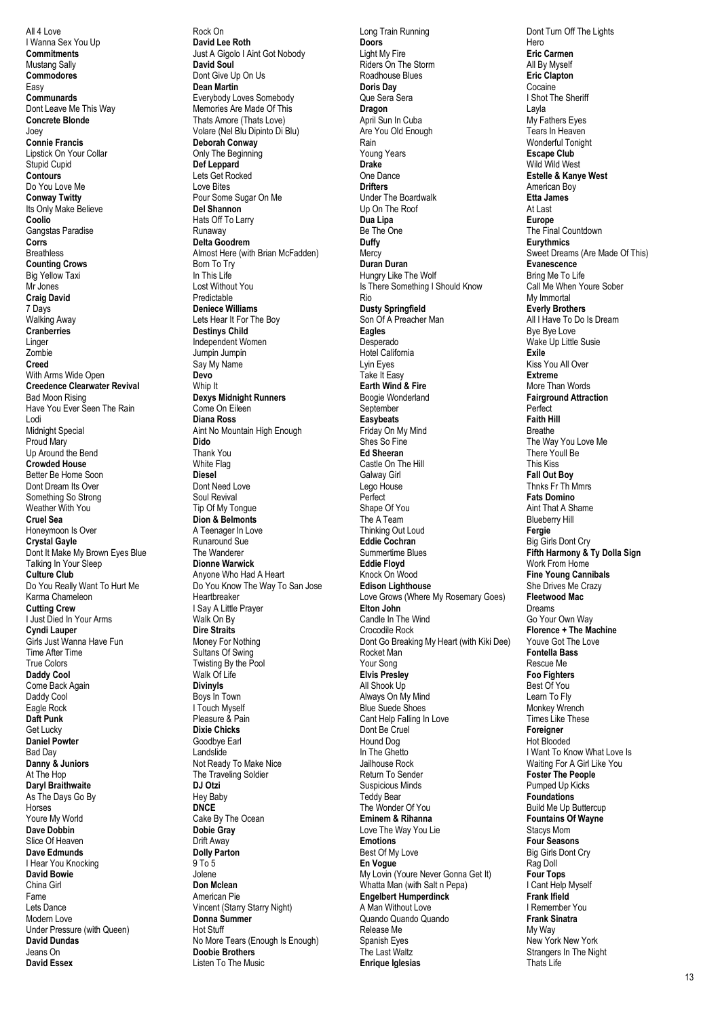All 4 Love I Wanna Sex You Up **Commitments** Mustang Sally **Commodores** Easy **Communards** Dont Leave Me This Way **Concrete Blonde** Joey **Connie Francis** Lipstick On Your Collar Stupid Cupid **Contours** Do You Love Me **Conway Twitty** Its Only Make Believe **Coolio** Gangstas Paradise **Corrs Breathless Counting Crows** Big Yellow Taxi Mr Jones **Craig David** 7 Days Walking Away **Cranberries** Linger Zombi e **Creed** With Arms Wide Open **Creedence Clearwater Revival** Bad Moon Rising Have You Ever Seen The Rain Lodi Midnight Special Proud Mary Up Around the Bend **Crowded House** Better Be Home Soon Dont Dream Its Over Something So Strong Weather With You **Cruel Sea** Honeymoon Is Over **Crystal Gayle** Dont It Make My Brown Eyes Blue Talking In Your Sleep **Culture Club** Do You Really Want To Hurt Me Karma Chameleon **Cutting Crew** I Just Died In Your Arms **Cyndi Lauper** Girls Just Wanna Have Fun Time After Time True Colors **Daddy Cool** Come Back Again Daddy Cool Eagle Rock **Daft Punk** Get Lucky **Daniel Powter** Bad Day **Danny & Juniors** At The Hop **Daryl Braithwaite** As The Days Go By Horses Youre My World **Dave Dobbin** Slice Of Heaven **Dave Edmunds** I Hear You Knocking **David Bowie** China Girl Fame Lets Dance Modern Love Under Pressure (with Queen) **David Dundas** Jeans On **David Essex**

Rock On **David Lee Roth** Just A Gigolo I Aint Got Nobody **David Soul** Dont Give Up On Us **Dean Martin** Everybody Loves Somebody Memories Are Made Of This Thats Amore (Thats Love) Volare (Nel Blu Dipinto Di Blu) **Deborah Conway** Only The Beginning **Def Leppard** Lets Get Rocked Love Bites Pour Some Sugar On Me **Del Shannon** Hats Off To Larry Runaway **Delta Goodrem** Almost Here (with Brian McFadden) Born To Try In This Life Lost Without Yo u Predictable **Deniece Williams** Lets Hear It For The Boy **Destinys Child** Independent Women Jumpin Jumpin Say My Name **Devo** Whip It **Dexys Midnight Runners** Come On Eileen **Diana Ross** Aint No Mountain High Enough **Dido** Thank You White Flag **Diesel** Dont Need Love Soul Revival Tip Of My Tongue **Dion & Belmonts** A Teenager In Love Runaround Sue The Wanderer **Dionne Warwick** Anyone Who Had A Heart Do You Know The Way To San Jose Heartbreaker I Say A Little Prayer Walk On By **Dire Straits** Money For Nothing Sultans Of Swing Twisting By the Pool Walk Of Life **Divinyls** Boys In Town I Touch Myself Pleasure & Pain **Dixie Chicks** Goodbye Earl **Landslide** Not Ready To Make Nice The Traveling Soldier **DJ Otzi** Hey Baby **DNCE** Cake By The Ocean **Dobie Gray** Drift Away **Dolly Parton**  $9T<sub>0</sub>5$ Jolene **Don Mclean** American Pie Vincent (Starry Starry Night) **Donna Summer** Hot Stuff No More Tears (Enough Is Enough) **Doobie Brothers** Listen To The Music

Long Train Running **Doors** Light My Fire Riders On The Storm Roadhouse Blues **Doris Day** Que Sera Sera **Dragon** April Sun In Cuba Are You Old Enough Rain Young Years **Drake** One Dance **Drifters** Under The Boardwalk Up On The Roof **Dua Lipa** Be The One **Duffy** Mercy **Duran Duran** Hungry Like The Wolf Is There Something I Should Know Rio **Dusty Springfield** Son Of A Preacher Man **Eagle s** Desperado Hotel California Lyin Eyes Take It Easy **Earth Wind & Fire** Boogie Wonderland **September Easybeats** Friday On My Mind Shes So Fine **Ed Sheeran** Castle On The Hill Galway Girl Lego House Perfect Shape Of You The A Team Thinking Out Loud **Eddie Cochran** Summertime Blues **Eddie Floyd** Knock On Wood **Edison Lighthouse** Love Grows (Where My Rosemary Goes) **Elton John** Candle In The Wind Crocodile Rock Dont Go Breaking My Heart (with Kiki Dee) Rocket Man Your Song **Elvis Presley** All Shook Up Always On My Mind Blue Suede Shoes Cant Help Falling In Love Dont Be Cruel Hound Dog In The Ghetto Jailhouse Rock Return To Sender Suspicious Minds Teddy Bear The Wonder Of You **Eminem & Rihanna** Love The Way You Lie **Emotions** Best Of My Love **En Vogue** My Lovin (Youre Never Gonna Get It) Whatta Man (with Salt n Pepa) **Engelbert Humperdinck** A Man Without Love Quando Quando Quando Release Me Spanish Eyes The Last Waltz **Enrique Iglesias**

Dont Turn Off The Lights Hero **Eric Carmen** All By Myself **Eric Clapton** Cocaine I Shot The Sheriff Layla My Fathers Eyes Tears In Heaven Wonderful Tonight **Escape Club** Wild Wild West **Estelle & Kanye West** American Boy **Etta James** At Last **Europe** The Final Countdown **Eurythmics** Sweet Dreams (Are Made Of This) **Evanescence** Bring Me To Life Call Me When Youre Sober My Immortal **Everly Brothers** All I Have To Do Is Dream Bye Bye Love Wake Up Little Susie **Exile** Kiss You All Over **Extreme** More Than Words **Fairground Attraction** Perfect **Faith Hill** Breathe The Way You Love Me There Youll Be This Kiss **Fall Out Boy** Thnks Fr Th Mmrs **Fats Domino** Aint That A Shame Blueberry Hill **Fergie** Big Girls Dont Cry **Fifth Harmony & Ty Dolla Sign** Work From Home **Fine Young Cannibals** She Drives Me Crazy **Fleetwood Mac** Dreams Go Your Own Way **Florence + The Machine** Youve Got The Love **Fontella Bass** Rescue Me **Foo Fighters** Best Of You Learn To Fly Monkey Wrench Times Like These **Foreigner** Hot Blooded I Want To Know What Love Is Waiting For A Girl Like You **Foster The People** Pumped Up Kicks **Foundations** Build Me Up Buttercup **Fountains Of Wayne** Stacys Mom **Four Seasons** Big Girls Dont Cry Rag Doll **Four Tops** I Cant Help Myself **Frank Ifield** I Remember You **Frank Sinatra** My Way New York New York Strangers In The Night Thats Life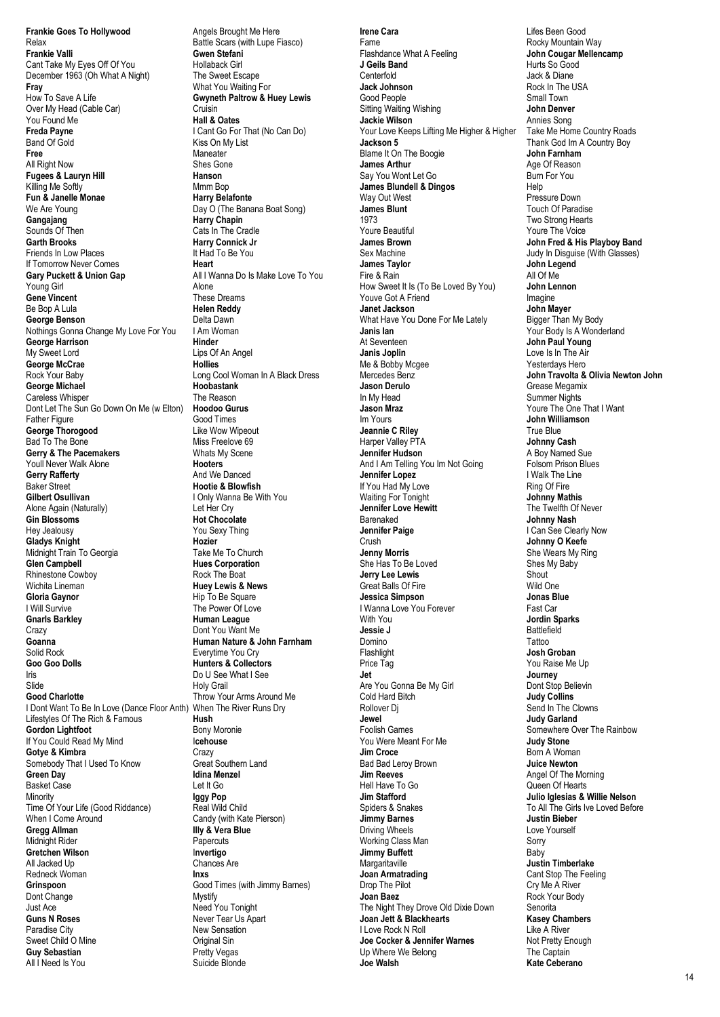**Frankie Goes To Hollywood** Relax **Frankie Valli** Cant Take My Eyes Off Of You December 1963 (Oh What A Night) **Fray** How To Save A Life Over My Head (Cable Car) You Found Me **Freda Payne** Band Of Gold **Free** All Right Now **Fugees & Lauryn Hill** Killing Me Softly **Fun & Janelle Monae** We Are Young **Gangajang** Sounds Of Then **Garth Brooks** Friends In Low Places If Tomorrow Never Comes **Gary Puckett & Union Gap** Young Girl **Gene Vincent** Be Bop A Lula **George Benson** Nothings Gonna Change My Love For You **George Harrison** My Sweet Lord **George McCrae** Rock Your Baby **George Michael** Careless Whisper Dont Let The Sun Go Down On Me (w Elton) Father Figure **George Thorogood** Bad To The Bone **Gerry & The Pacemakers** Youll Never Walk Alone **Gerry Rafferty** Baker Street **Gilbert Osullivan** Alone Again (Naturally) **Gin Blossoms** Hey Jealousy **Gladys Knight** Midnight Train To Georgia **Glen Campbell** Rhinestone Cowboy Wichita Lineman **Gloria Gaynor** I Will Survive **Gnarls Barkley Crazy Goanna** Solid Rock **Goo Goo Dolls** Iris Slide **Good Charlotte** I Dont Want To Be In Love (Dance Floor Anth) When The River Runs Dry Lifestyles Of The Rich & Famous **Gordon Lightfoot** If You Could Read My Mind **Gotye & Kimbra** Somebody That I Used To Know **Green Day** Basket Case **Minority** Time Of Your Life (Good Riddance) When I Come Around **Gregg Allman** Midnight Rider **Gretchen Wilson** All Jacked Up Redneck Woman **Grinspoon** Dont Change Just Ace **Guns N Roses** Paradise City Sweet Child O Mine **Guy Sebastian** All I Need Is You

Angels Brought Me Here Battle Scars (with Lupe Fiasco) **Gwen Stefani** Hollaback Girl The Sweet Escape What You Waiting For **Gwyneth Paltrow & Huey Lewis** Cruisin **Hall & Oates** I Cant Go For That (No Can Do) Kiss On My List Maneater Shes Gone **Hanson** Mmm Bop **Harry Belafonte** Day O (The Banana Boat Song) **Harry Chapin** Cats In The Cradle **Harry Connick Jr** It Had To Be You **Heart** All I Wanna Do Is Make Love To You Alone These Dreams **Helen Reddy** Delta Dawn I Am Woman **Hinder** Lips Of An Angel **Hollies** Long Cool Woman In A Black Dress **Hoobastank** The Reason **Hoodoo Gurus** Good Times Like Wow Wipeout Miss Freelove 69 Whats My Scene **Hooters** And We Danced **Hootie & Blowfish** I Only Wanna Be With You Let Her Cry **Hot Chocolate** You Sexy Thing **Hozier** Take Me To Church **Hues Corporation** Rock The Boat **Huey Lewis & News** Hip To Be Square The Power Of Love **Human League** Dont You Want Me **Human Nature & John Farnham** Everytime You Cry **Hunters & Collectors** Do U See What I See Holy Grail Throw Your Arms Around Me **Hush** Bony Moronie I**cehouse Crazy** Great Southern Land **Idina Menzel** Let It Go **Iggy Pop** Real Wild Child Candy (with Kate Pierson) **Illy & Vera Blue** Papercuts I**nvertigo** Chances Are **Inxs** Good Times (with Jimmy Barnes) Mystify Need You Tonight Never Tear Us Apart New Sensation Original Sin Pretty Vegas Suicide Blonde

**Irene Cara** Fame Flashdance What A Feeling **J Geils Band** Centerfold **Jack Johnson** Good People Sitting Waiting Wishing **Jackie Wilson** Your Love Keeps Lifting Me Higher & Higher **Jackson 5** Blame It On The Boogie **James Arthur** Say You Wont Let Go **James Blundell & Dingos** Way Out West **James Blunt** 1973 Youre Beautiful **James Brown** Sex Machine **James Taylor** Fire & Rain How Sweet It Is (To Be Loved By You) Youve Got A Friend **Janet Jackson** What Have You Done For Me Lately **Janis Ian** At Seventeen **Janis Joplin** Me & Bobby Mcgee Mercedes Benz **Jason Derulo** In My Head **Jason Mraz** Im Yours **Jeannie C Riley** Harper Valley PTA **Jennifer Hudson** And I Am Telling You Im Not Going **Jennifer Lopez** If You Had My Love Waiting For Tonight **Jennifer Love Hewitt** Barenaked **Jennifer Paige** Crush **Jenny Morris** She Has To Be Loved **Jerry Lee Lewis** Great Balls Of Fire **Jessica Simpson** I Wanna Love You Forever With You **Jessie J** Domino Flashlight Price Tag **Jet** Are You Gonna Be My Girl Cold Hard Bitch Rollover Dj **Jewel** Foolish Games You Were Meant For Me **Jim Croce** Bad Bad Leroy Brown **Jim Reeves** Hell Have To Go **Jim Stafford** Spiders & Snakes **Jimmy Barnes** Driving Wheels Working Class Man **Jimmy Buffett** Margaritaville **Joan Armatrading** Drop The Pilot **Joan Baez** The Night They Drove Old Dixie Down **Joan Jett & Blackhearts** I Love Rock N Roll **Joe Cocker & Jennifer Warnes** Up Where We Belong **Joe Walsh**

Lifes Been Good Rocky Mountain Way **John Cougar Mellencamp** Hurts So Good Jack & Diane Rock In The USA Small Town **John Denver** Annies Song Take Me Home Country Roads Thank God Im A Country Boy **John Farnham** Age Of Reason Burn For You Help Pressure Down Touch Of Paradise Two Strong Hearts Youre The Voice **John Fred & His Playboy Band** Judy In Disguise (With Glasses) **John Legend** All Of Me **John Lennon** Imagine **John Mayer** Bigger Than My Body Your Body Is A Wonderland **John Paul Young** Love Is In The Air Yesterdays Hero **John Travolta & Olivia Newton John** Grease Megamix Summer Nights Youre The One That I Want **John Williamson** True Blue **Johnny Cash** A Boy Named Sue Folsom Prison Blues I Walk The Line Ring Of Fire **Johnny Mathis** The Twelfth Of Never **Johnny Nash** I Can See Clearly Now **Johnny O Keefe** She Wears My Ring Shes My Baby Shout Wild One **Jonas Blue** Fast Car **Jordin Sparks Battlefield** Tattoo **Josh Groban** You Raise Me Up **Journey** Dont Stop Believin **Judy Collins** Send In The Clowns **Judy Garland** Somewhere Over The Rainbow **Judy Stone** Born A Woman **Juice Newton** Angel Of The Morning Queen Of Hearts **Julio Iglesias & Willie Nelson** To All The Girls Ive Loved Before **Justin Bieber** Love Yourself Sorry **Baby Justin Timberlake** Cant Stop The Feeling Cry Me A River Rock Your Body Senorita **Kasey Chambers** Like A River Not Pretty Enough The Captain **Kate Ceberano**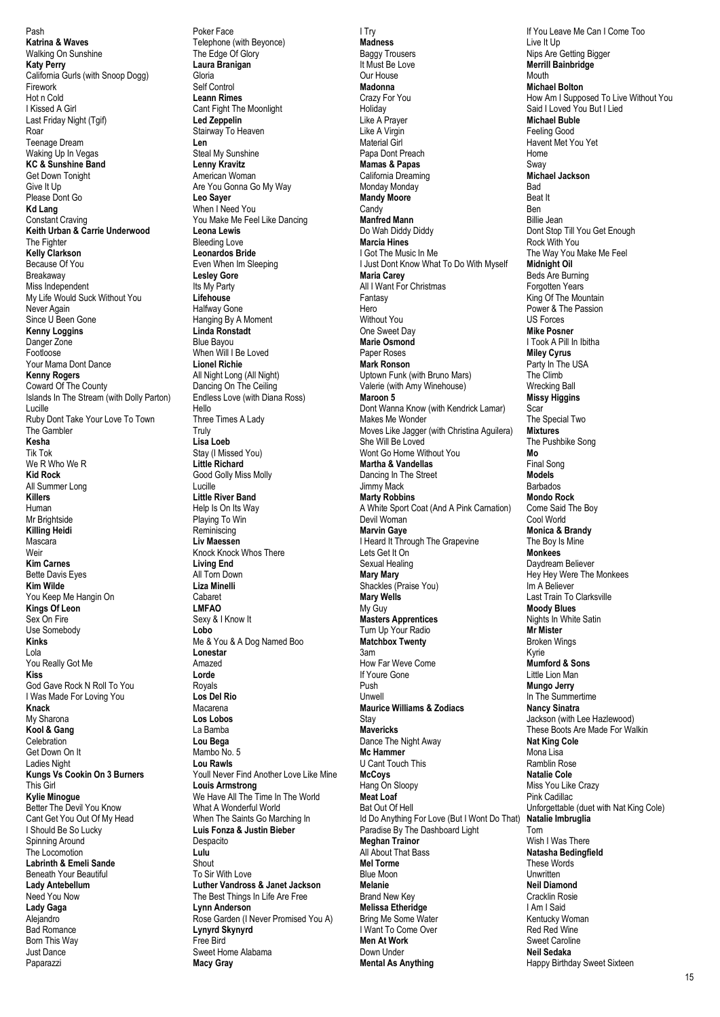Pash **Katrina & Waves** Walking On Sunshine **Katy Perry** California Gurls (with Snoop Dogg) Firework Hot n Cold I Kissed A Girl Last Friday Night (Tgif) Roar Teenage Dream Waking Up In Vegas **KC & Sunshine Band** Get Down Tonight Give It Up Please Dont Go **Kd Lang** Constant Craving **Keith Urban & Carrie Underwood The Fighter Kelly Clarkson** Because Of You Breakaway Miss Independent My Life Would Suck Without You Never Again Since U Been Gone **Kenny Loggins** Danger Zone Footloose Your Mama Dont Dance **Kenny Rogers** Coward Of The County Islands In The Stream (with Dolly Parton) Lucille Ruby Dont Take Your Love To Town The Gambler **Kesha** Tik Tok We R Who We R **Kid Rock** All Summer Long **Killers** Human Mr Brightside **Killing Heidi Mascara** Weir **Kim Carnes** Bette Davis Eyes **Kim Wilde** You Keep Me Hangin On **Kings Of Leon** Sex On Fire Use Somebody **Kinks** Lola You Really Got Me **Kiss** God Gave Rock N Roll To You I Was Made For Loving You **Knack** My Sharona **Kool & Gang** Celebration Get Down On It Ladies Night **Kungs Vs Cookin On 3 Burners** This Girl **Kylie Minogue** Better The Devil You Know Cant Get You Out Of My Head I Should Be So Lucky Spinning Around The Locomotion **Labrinth & Emeli Sande** Beneath Your Beautiful **Lady Antebellum** Need You Now **Lady Gaga** Alejandro Bad Romance Born This Way Just Dance Paparazzi

Poker Face Telephone (with Beyonce) The Edge Of Glory **Laura Branigan** Gloria Self Control **Leann Rimes** Cant Fight The Moonlight **Led Zeppelin** Stairway To Heaven **Len** Steal My Sunshine **Lenny Kravitz** American Woman Are You Gonna Go My Way **Leo Sayer** When I Need You You Make Me Feel Like Dancing **Leona Lewis** Bleeding Love **Leonardos Bride** Even When Im Sleeping **Lesley Gore** Its My Party **Lifehouse** Halfway Gone Hanging By A Moment **Linda Ronstadt** Blue Bayou When Will I Be Loved **Lionel Richie** All Night Long (All Night) Dancing On The Ceiling Endless Love (with Diana Ross) Hello Three Times A Lady Truly **Lisa Loeb** Stay (I Missed You) **Little Richard** Good Golly Miss Molly Lucille **Little River Band** Help Is On Its Way Playing To Win **Reminiscing Liv Maessen** Knock Knock Whos There **Living End** All Torn Down **Liza Minelli** Cabaret **LMFAO** Sexy & I Know It **Lobo** Me & You & A Dog Named Boo **Lonestar** Amazed **Lorde** Royals **Los Del Rio** Macarena **Los Lobos** La Bamba **Lou Bega** Mambo No. 5 **Lou Rawls** Youll Never Find Another Love Like Mine **Louis Armstrong** We Have All The Time In The World What A Wonderful World When The Saints Go Marching In **Luis Fonza & Justin Bieber** Despacito **Lulu** Shout To Sir With Love **Luther Vandross & Janet Jackson** The Best Things In Life Are Free **Lynn Anderson** Rose Garden (I Never Promised You A) **Lynyrd Skynyrd** Free Bird Sweet Home Alabama **Macy Gray**

I Try **Madness** Baggy Trousers It Must Be Love Our House **Madonna** Crazy For You **Holiday** Like A Prayer Like A Virgin Material Girl Papa Dont Preach **Mamas & Papas** California Dreaming Monday Monday **Mandy Moore Candy Manfred Mann** Do Wah Diddy Diddy **Marcia Hines** I Got The Music In Me I Just Dont Know What To Do With Myself **Maria Carey** All I Want For Christmas Fantasy Hero Without You One Sweet Day **Marie Osmond** Paper Roses **Mark Ronson** Uptown Funk (with Bruno Mars) Valerie (with Amy Winehouse) **Maroon 5** Dont Wanna Know (with Kendrick Lamar) Makes Me Wonder Moves Like Jagger (with Christina Aguilera) She Will Be Loved Wont Go Home Without You **Martha & Vandellas** Dancing In The Street Jimmy Mack **Marty Robbins** A White Sport Coat (And A Pink Carnation) Devil Woman **Marvin Gaye** I Heard It Through The Grapevine Lets Get It On Sexual Healing **Mary Mary** Shackles (Praise You) **Mary Wells** My Guy **Masters Apprentices** Turn Up Your Radio **Matchbox Twenty** 3am How Far Weve Come If Youre Gone Push Unwell **Maurice Williams & Zodiacs** Stay **Mavericks** Dance The Night Away **Mc Hammer** U Cant Touch This **McCoys** Hang On Sloopy **Meat Loaf** Bat Out Of Hell Id Do Anything For Love (But I Wont Do That) Paradise By The Dashboard Light **Meghan Trainor** All About That Bass **Mel Torme** Blue Moon **Melanie** Brand New Key **Melissa Etheridge** Bring Me Some Water I Want To Come Over **Men At Work** Down Under **Mental As Anything**

If You Leave Me Can I Come Too Live It Up Nips Are Getting Bigger **Merrill Bainbridge** Mouth **Michael Bolton** How Am I Supposed To Live Without You Said I Loved You But I Lied **Michael Buble** Feeling Good Havent Met You Yet Home Sway **Michael Jackson Bad** Beat It Ben Billie Jean Dont Stop Till You Get Enough Rock With You The Way You Make Me Feel **Midnight Oil** Beds Are Burning Forgotten Years King Of The Mountain Power & The Passion US Forces **Mike Posner** I Took A Pill In Ibitha **Miley Cyrus** Party In The USA The Climb Wrecking Ball **Missy Higgins** Scar The Special Two **Mixtures** The Pushbike Song **Mo** Final Song **Models Barbados Mondo Rock** Come Said The Boy Cool World **Monica & Brandy** The Boy Is Mine **Monkees** Daydream Believer Hey Hey Were The Monkees Im A Believer Last Train To Clarksville **Moody Blues** Nights In White Satin **Mr Mister** Broken Wings Kyrie **Mumford & Sons** Little Lion Man **Mungo Jerry** In The Summertime **Nancy Sinatra** Jackson (with Lee Hazlewood) These Boots Are Made For Walkin **Nat King Cole** Mona Lisa Ramblin Rose **Natalie Cole** Miss You Like Crazy Pink Cadillac Unforgettable (duet with Nat King Cole) **Natalie Imbruglia** Torn Wish I Was There **Natasha Bedingfield** These Words Unwritten **Neil Diamond** Cracklin Rosie I Am I Said Kentucky Woman Red Red Wine Sweet Caroline **Neil Sedaka** Happy Birthday Sweet Sixteen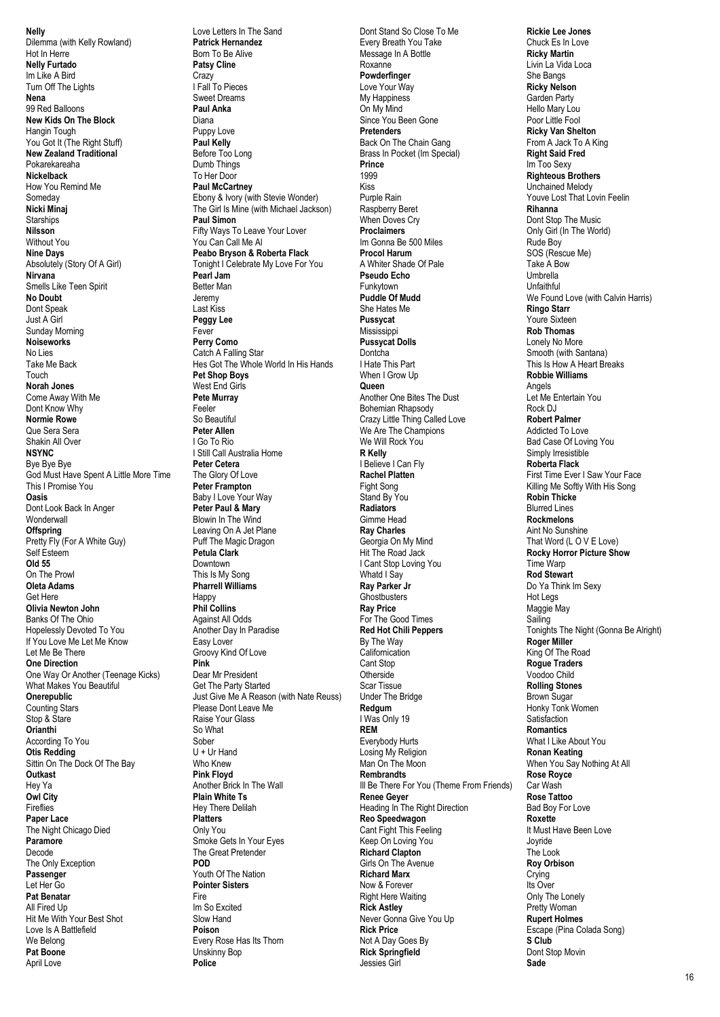**Nelly** Dilemma (with Kelly Rowland) Hot In Herre **Nelly Furtado** Im Like A Bird Turn Off The Lights **Nena** 99 Red Balloons **New Kids On The Block** Hangin Tough You Got It (The Right Stuff) **New Zealand Traditional** Pokarekareaha **Nickelback** How You Remind Me Someday **Nicki Minaj Starships Nilsson** Without You **Nine Days** Absolutely (Story Of A Girl) **Nirvana** Smells Like Teen Spirit **No Doubt** Dont Speak Just A Girl Sunday Morning **Noiseworks** No Lies Take Me Back Touch **Norah Jones** Come Away With Me Dont Know Why **Normie Rowe** Que Sera Sera Shakin All Over **NSYNC** Bye Bye Bye God Must Have Spent A Little More Time This I Promise You **Oasis** Dont Look Back In Anger **Wonderwall Offspring** Pretty Fly (For A White Guy) Self Esteem **Old 55** On The Prowl **Oleta Adams** Get Here **Olivia Newton John** Banks Of The Ohio Hopelessly Devoted To You If You Love Me Let Me Know Let Me Be There **One Direction** One Way Or Another (Teenage Kicks) What Makes You Beautiful **Onerepublic** Counting Stars Stop & Stare **Orianthi** According To You **Otis Redding** Sittin On The Dock Of The Bay **Outkast** Hey Ya **Owl City** Fireflies **Paper Lace** The Night Chicago Died **Paramore** Decode The Only Exception **Passenger** Let Her Go **Pat Benatar** All Fired Up Hit Me With Your Best Shot Love Is A Battlefield We Belong **Pat Boone** April Love

Love Letters In The Sand **Patrick Hernandez** Born To Be Alive **Patsy Cline** Crazy I Fall To Pieces Sweet Dreams **Paul Anka** Diana Puppy Love **Paul Kelly** Before Too Long Dumb Things To Her Door **Paul McCartney** Ebony & Ivory (with Stevie Wonder) The Girl Is Mine (with Michael Jackson) **Paul Simon** Fifty Ways To Leave Your Lover You Can Call Me Al **Peabo Bryson & Roberta Flack** Tonight I Celebrate My Love For You **Pearl Jam** Better Man Jeremy Last Kiss **Peggy Lee** Fever **Perry Como** Catch A Falling Star Hes Got The Whole World In His Hands **Pet Shop Boys** West End Girls **Pete Murray** Feeler So Beautiful **Peter Allen** I Go To Rio I Still Call Australia Home **Peter Cetera** The Glory Of Love **Peter Frampton** Baby I Love Your Way **Peter Paul & Mary** Blowin In The Wind Leaving On A Jet Plane Puff The Magic Dragon **Petula Clark** Downtown This Is My Song **Pharrell Williams** Happy **Phil Collins** Against All Odds Another Day In Paradise Easy Lover Groovy Kind Of Love **Pink** Dear Mr President Get The Party Started Just Give Me A Reason (with Nate Reuss) Please Dont Leave Me Raise Your Glass So What Sober U + Ur Hand Who Knew **Pink Floyd** Another Brick In The Wall **Plain White Ts** Hey There Delilah **Platters** Only You Smoke Gets In Your Eyes The Great Pretender **POD** Youth Of The Nation **Pointer Sisters** Fire Im So Excited Slow Hand **Poison** Every Rose Has Its Thorn Unskinny Bop

**Police**

Dont Stand So Close To Me Every Breath You Take Message In A Bottle Roxanne **Powderfinger** Love Your Way My Happiness<sup>3</sup> On My Mind Since You Been Gone **Pretenders** Back On The Chain Gang Brass In Pocket (Im Special) **Prince** 1999 Kiss Purple Rain Raspberry Beret When Doves Cry **Proclaimers** Im Gonna Be 500 Miles **Procol Harum** A Whiter Shade Of Pale **Pseudo Echo** Funkytown **Puddle Of Mudd** She Hates Me **Pussycat** Mississinni **Pussycat Dolls** Dontcha I Hate This Part When I Grow Up **Queen** Another One Bites The Dust Bohemian Rhapsody Crazy Little Thing Called Love We Are The Champions We Will Rock You **R Kelly** I Believe I Can Fly **Rachel Platten** Fight Song Stand By You **Radiators** Gimme Head **Ray Charles** Georgia On My Mind Hit The Road Jack I Cant Stop Loving You Whatd I Say **Ray Parker Jr Ghostbusters Ray Price** For The Good Times **Red Hot Chili Peppers** By The Way Californication Cant Stop **Otherside** Scar Tissue Under The Bridge **Redgum** I Was Only 19 **REM** Everybody Hurts Losing My Religion Man On The Moon **Rembrandts** Ill Be There For You (Theme From Friends) **Renee Geyer** Heading In The Right Direction **Reo Speedwagon** Cant Fight This Feeling Keep On Loving You **Richard Clapton** Girls On The Avenue **Richard Marx** Now & Forever Right Here Waiting **Rick Astley** Never Gonna Give You Up **Rick Price** Not A Day Goes By **Rick Springfield** Jessies Girl

**Rickie Lee Jones** Chuck Es In Love **Ricky Martin** Livin La Vida Loca She Bangs **Ricky Nelson** Garden Party Hello Mary Lou Poor Little Fool **Ricky Van Shelton** From A Jack To A King **Right Said Fred** Im Too Sexy **Righteous Brothers** Unchained Melody Youve Lost That Lovin Feelin **Rihanna** Dont Stop The Music Only Girl (In The World) Rude Boy SOS (Rescue Me) Take A Bow Umbrella Unfaithful We Found Love (with Calvin Harris) **Ringo Starr** Youre Sixteen **Rob Thomas** Lonely No More Smooth (with Santana) This Is How A Heart Breaks **Robbie Williams** Angels Let Me Entertain You Rock DJ **Robert Palmer** Addicted To Love Bad Case Of Loving You Simply Irresistible **Roberta Flack** First Time Ever I Saw Your Face Killing Me Softly With His Song **Robin Thicke** Blurred Lines **Rockmelons** Aint No Sunshine That Word (L O V E Love) **Rocky Horror Picture Show** Time Warp **Rod Stewart** Do Ya Think Im Sexy Hot Legs Maggie May Sailing Tonights The Night (Gonna Be Alright) **Roger Miller** King Of The Road **Rogue Traders** Voodoo Child **Rolling Stones** Brown Sugar Honky Tonk Women **Satisfaction Romantics** What I Like About You **Ronan Keating** When You Say Nothing At All **Rose Royce** Car Wash **Rose Tattoo** Bad Boy For Love **Roxette** It Must Have Been Love Joyride The Look **Roy Orbison** Crying Its Over Only The Lonely Pretty Woman **Rupert Holmes** Escape (Pina Colada Song) **S Club** Dont Stop Movin **Sade**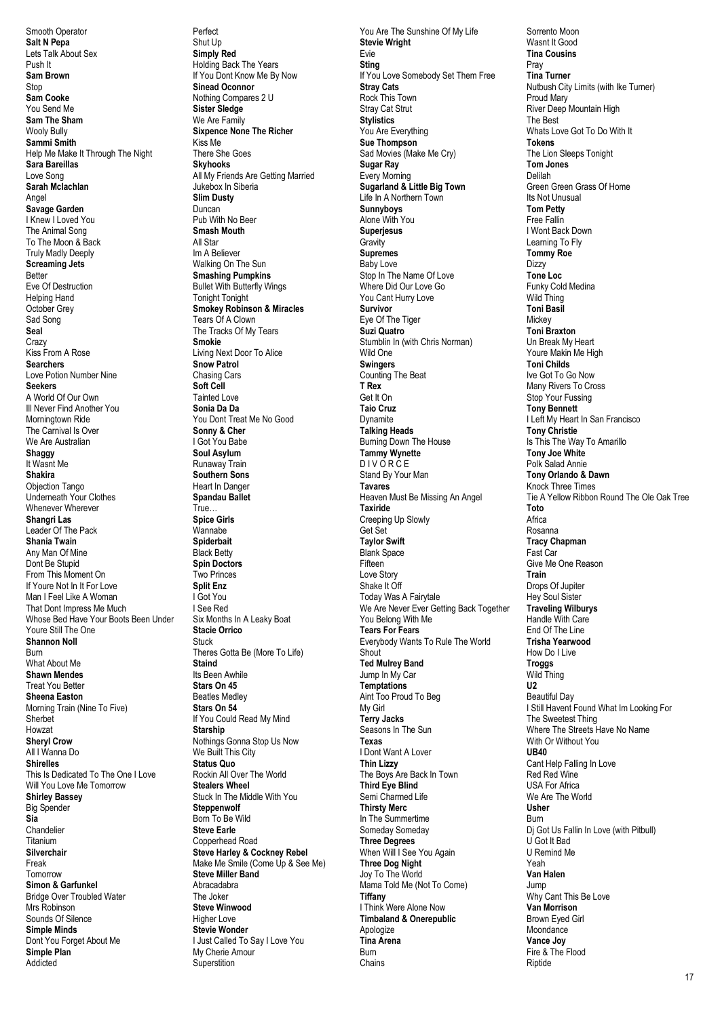Smooth Operator **Salt N Pepa** Lets Talk About Sex Push It **Sam Brown** Stop **Sam Cooke** You Send Me **Sam The Sham** Wooly Bully **Sammi Smith** Help Me Make It Through The Night **Sara Bareillas** Love Song **Sarah Mclachlan** Angel **Savage Garden** I Knew I Loved You The Animal Song To The Moon & Back Truly Madly Deeply **Screaming Jets** Better Eve Of Destruction Helping Hand October Grey Sad Song **Seal Crazy** Kiss From A Rose **Searchers** Love Potion Number Nine **Seekers** A World Of Our Own Ill Never Find Another You Morningtown Ride The Carnival Is Over We Are Australian **Shaggy** It Wasnt Me **Shakira** Objection Tango Underneath Your Clothes Whenever Wherever **Shangri Las** Leader Of The Pack **Shania Twain** Any Man Of Mine Dont Be Stupid From This Moment On If Youre Not In It For Love Man I Feel Like A Woman That Dont Impress Me Much Whose Bed Have Your Boots Been Under Youre Still The One **Shannon Noll** Burn What About Me **Shawn Mendes** Treat You Better **Sheena Easton** Morning Train (Nine To Five) Sherbet Howzat **Sheryl Crow** All I Wanna Do **Shirelles** This Is Dedicated To The One I Love Will You Love Me Tomorrow **Shirley Bassey** Big Spender **Sia Chandelier** Titanium **Silverchair** Freak **Tomorrow Simon & Garfunkel** Bridge Over Troubled Water Mrs Robinson Sounds Of Silence **Simple Minds** Dont You Forget About Me **Simple Plan** Addicted

Perfect Shut Up **Simply Red** Holding Back The Years If You Dont Know Me By Now **Sinead Oconnor** Nothing Compares 2 U **Sister Sledge** We Are Family **Sixpence None The Richer** Kiss Me There She Goes **Skyhooks** All My Friends Are Getting Married Jukebox In Siberia **Slim Dusty** Duncan Pub With No Beer **Smash Mouth** All Star Im A Believer Walking On The Sun **Smashing Pumpkins** Bullet With Butterfly Wings Tonight Tonight **Smokey Robinson & Miracles** Tears Of A Clown The Tracks Of My Tears **Smokie** Living Next Door To Alice **Snow Patrol** Chasing Cars **Soft Cell** Tainted Love **Sonia Da Da** You Dont Treat Me No Good **Sonny & Cher** I Got You Babe **Soul Asylum** Runaway Train **Southern Sons** Heart In Danger **Spandau Ballet** True… **Spice Girls** Wannabe **Spiderbait** Black Betty **Spin Doctors** Two Princes **Split Enz** I Got You I See Red Six Months In A Leaky Boat **Stacie Orrico** Stuck Theres Gotta Be (More To Life) **Staind** Its Been Awhile **Stars On 45** Beatles Medley **Stars On 54** If You Could Read My Mind **Starship** Nothings Gonna Stop Us Now We Built This City **Status Quo** Rockin All Over The World **Stealers Wheel** Stuck In The Middle With You **Steppenwolf** Born To Be Wild **Steve Earle** Copperhead Road **Steve Harley & Cockney Rebel** Make Me Smile (Come Up & See Me) **Steve Miller Band** Abracadabra The Joker **Steve Winwood** Higher Love **Stevie Wonder** I Just Called To Say I Love You My Cherie Amour Superstition

You Are The Sunshine Of My Life **Stevie Wright** Evie **Sting** If You Love Somebody Set Them Free **Stray Cats** Rock This Town Stray Cat Strut **Stylistics** You Are Everything **Sue Thompson** Sad Movies (Make Me Cry) **Sugar Ray** Every Morning **Sugarland & Little Big Town** Life In A Northern Town **Sunnyboys** Alone With You **Superjesus Gravity Supremes** Baby Love Stop In The Name Of Love Where Did Our Love Go You Cant Hurry Love **Survivor** Eye Of The Tiger **Suzi Quatro** Stumblin In (with Chris Norman) Wild One **Swingers** Counting The Beat **T Rex** Get It On **Taio Cruz** Dynamite **Talking Heads** Burning Down The House **Tammy Wynette** D I V O R C E Stand By Your Man **Tavares** Heaven Must Be Missing An Angel **Taxiride** Creeping Up Slowly Get Set **Taylor Swift** Blank Space Fifteen Love Story Shake It Off Today Was A Fairytale We Are Never Ever Getting Back Together You Belong With Me **Tears For Fears** Everybody Wants To Rule The World Shout **Ted Mulrey Band** Jump In My Car **Temptations** Aint Too Proud To Beg My Girl **Terry Jacks** Seasons In The Sun **Texas** I Dont Want A Lover **Thin Lizzy** The Boys Are Back In Town **Third Eye Blind** Semi Charmed Life **Thirsty Merc** In The Summertime Someday Someday **Three Degrees** When Will I See You Again **Three Dog Night** Joy To The World Mama Told Me (Not To Come) **Tiffany** I Think Were Alone Now **Timbaland & Onerepublic** Apologize **Tina Arena** Burn

Chains

Sorrento Moon Wasnt It Good **Tina Cousins** Pray **Tina Turner** Nutbush City Limits (with Ike Turner) Proud Mary River Deep Mountain High The Best Whats Love Got To Do With It **Tokens** The Lion Sleeps Tonight **Tom Jones** Delilah Green Green Grass Of Home Its Not Unusual **Tom Petty** Free Fallin I Wont Back Down Learning To Fly **Tommy Roe** Dizzy **Tone Loc** Funky Cold Medina Wild Thing **Toni Basil** Mickey **Toni Braxton** Un Break My Heart Youre Makin Me High **Toni Childs** Ive Got To Go Now Many Rivers To Cross Stop Your Fussing **Tony Bennett** I Left My Heart In San Francisco **Tony Christie** Is This The Way To Amarillo **Tony Joe White** Polk Salad Annie **Tony Orlando & Dawn** Knock Three Times Tie A Yellow Ribbon Round The Ole Oak Tree **Toto** Africa Rosanna **Tracy Chapman** Fast Car Give Me One Reason **Train** Drops Of Jupiter Hey Soul Sister **Traveling Wilburys** Handle With Care End Of The Line **Trisha Yearwood** How Do I Live **Troggs** Wild Thing **U2** Beautiful Day I Still Havent Found What Im Looking For The Sweetest Thing Where The Streets Have No Name With Or Without You **UB40** Cant Help Falling In Love Red Red Wine USA For Africa We Are The World **Usher** Burn Dj Got Us Fallin In Love (with Pitbull) U Got It Bad U Remind Me Yeah **Van Halen** Jump Why Cant This Be Love **Van Morrison** Brown Eyed Girl **Moondance Vance Joy** Fire & The Flood

**Rintide**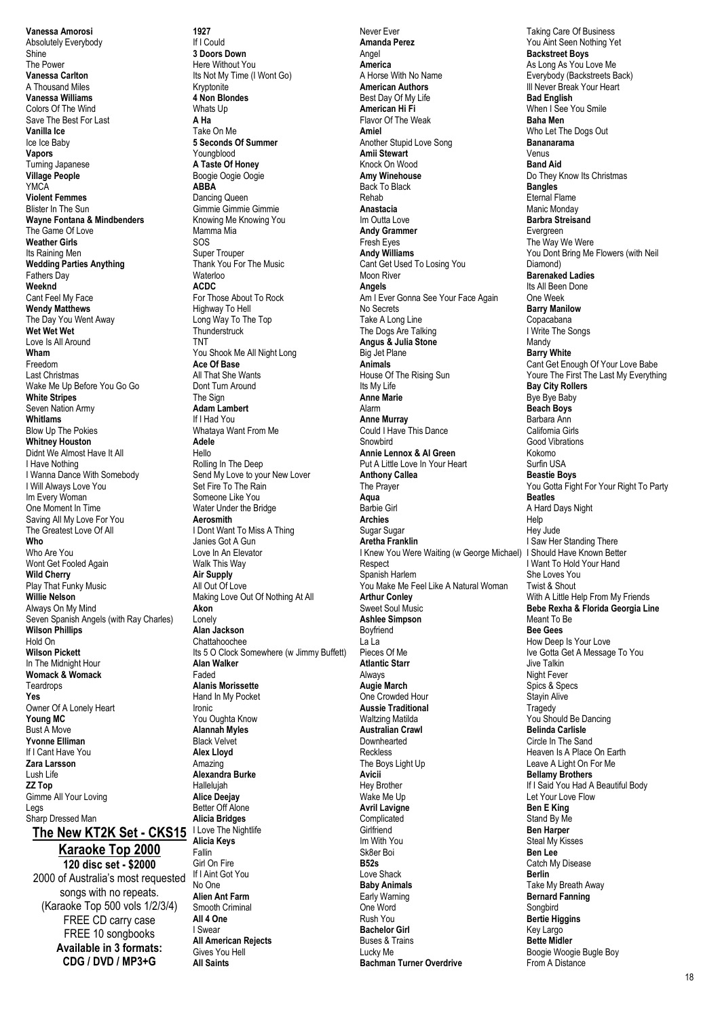**Vanessa Amorosi** Absolutely Everybody Shine The Power **Vanessa Carlton** A Thousand Miles **Vanessa Williams** Colors Of The Wind Save The Best For Last **Vanilla Ice** Ice Ice Baby **Vapors** Turning Japanese **Village People** YMCA **Violent Femmes** Blister In The Sun **Wayne Fontana & Mindbenders** The Game Of Love **Weather Girls** Its Raining Men **Wedding Parties Anything** Fathers Day **Weeknd** Cant Feel My Face **Wendy Matthews** The Day You Went Away **Wet Wet Wet** Love Is All Around **Wham** Freedom Last Christmas Wake Me Up Before You Go Go **White Stripes** Seven Nation Army **Whitlams** Blow Up The Pokies **Whitney Houston** Didnt We Almost Have It All I Have Nothing I Wanna Dance With Somebody I Will Always Love You Im Every Woman One Moment In Time Saving All My Love For You The Greatest Love Of All **Who** Who Are You Wont Get Fooled Again **Wild Cherry** Play That Funky Music **Willie Nelson** Always On My Mind Seven Spanish Angels (with Ray Charles) **Wilson Phillips** Hold On **Wilson Pickett** In The Midnight Hour **Womack & Womack Teardrops Yes** Owner Of A Lonely Heart **Young MC** Bust A Move **Yvonne Elliman** If I Cant Have You **Zara Larsson** Lush Life **ZZ Top** Gimme All Your Loving Legs Sharp Dressed Man **The New KT2K Set - CKS15**

#### **Karaoke Top 2000 120 disc set - \$2000**

2000 of Australia's most requested songs with no repeats. (Karaoke Top 500 vols 1/2/3/4) FREE CD carry case FREE 10 songbooks **Available in 3 formats: CDG / DVD / MP3+G**

**All Saints**

**1927** If I Could **3 Doors Down** Here Without You Its Not My Time (I Wont Go) Kryptonite **4 Non Blondes** Whats Up **A Ha** Take On Me **5 Seconds Of Summer** Youngblood **A Taste Of Honey** Boogie Oogie Oogie **ABBA** Dancing Queen Gimmie Gimmie Gimmie Knowing Me Knowing You Mamma Mia SOS Super Trouper Thank You For The Music Waterloo **ACDC** For Those About To Rock Highway To Hell Long Way To The Top **Thunderstruck** TNT You Shook Me All Night Long **Ace Of Base** All That She Wants Dont Turn Around The Sign **Adam Lambert** If I Had You Whataya Want From Me **Adele** Hello Rolling In The Deep Send My Love to your New Lover Set Fire To The Rain Someone Like You Water Under the Bridge **Aerosmith** I Dont Want To Miss A Thing Janies Got A Gun Love In An Elevator Walk This Way **Air Supply** All Out Of Love Making Love Out Of Nothing At All **Akon** Lonely **Alan Jackson** Chattahoochee Its 5 O Clock Somewhere (w Jimmy Buffett) **Alan Walker** Faded **Alanis Morissette** Hand In My Pocket Ironic You Oughta Know **Alannah Myles** Black Velvet **Alex Lloyd** Amazing **Alexandra Burke** Hallelujah **Alice Deejay** Better Off Alone **Alicia Bridges** I Love The Nightlife **Alicia Keys** Fallin Girl On Fire If I Aint Got You No One **Alien Ant Farm** Smooth Criminal **All 4 One** I Swear **All American Rejects** Gives You Hell

Never Ever **Amanda Perez** Angel **America** A Horse With No Name **American Authors** Best Day Of My Life **American Hi Fi** Flavor Of The Weak **Amiel** Another Stupid Love Song **Amii Stewart** Knock On Wood **Amy Winehouse** Back To Black Rehab **Anastacia** Im Outta Love **Andy Grammer** Fresh Eyes **Andy Williams** Cant Get Used To Losing You Moon River **Angels** Am I Ever Gonna See Your Face Again No Secrets Take A Long Line The Dogs Are Talking **Angus & Julia Stone** Big Jet Plane **Animals** House Of The Rising Sun Its My Life **Anne Marie** Alarm **Anne Murray** Could I Have This Dance **Snowbird Annie Lennox & Al Green** Put A Little Love In Your Heart **Anthony Callea** The Prayer **Aqua** Barbie Girl **Archies** Sugar Sugar **Aretha Franklin** I Knew You Were Waiting (w George Michael) I Should Have Known Better Respect Spanish Harlem You Make Me Feel Like A Natural Woman **Arthur Conley** Sweet Soul Music **Ashlee Simpson** Boyfriend La La Pieces Of Me **Atlantic Starr** Always **Augie March** One Crowded Hour **Aussie Traditional** Waltzing Matilda **Australian Crawl** Downhearted Reckless The Boys Light Up **Avicii** Hey Brother Wake Me Up **Avril Lavigne** Complicated Girlfriend Im With You Sk8er Boi **B52s** Love Shack **Baby Animals** Early Warning One Word Rush You **Bachelor Girl** Buses & Trains Lucky Me

**Bachman Turner Overdrive**

Taking Care Of Business You Aint Seen Nothing Yet **Backstreet Boys** As Long As You Love Me Everybody (Backstreets Back) Ill Never Break Your Heart **Bad English** When I See You Smile **Baha Men** Who Let The Dogs Out **Bananarama** Venus **Band Aid** Do They Know Its Christmas **Bangles** Eternal Flame Manic Monday **Barbra Streisand** Evergreen The Way We Were You Dont Bring Me Flowers (with Neil Diamond) **Barenaked Ladies** Its All Been Done One Week **Barry Manilow** Conacabana I Write The Songs Mandy **Barry White** Cant Get Enough Of Your Love Babe Youre The First The Last My Everything **Bay City Rollers** Bye Bye Baby **Beach Boys** Barbara Ann California Girls Good Vibrations Kokomo Surfin USA **Beastie Boys** You Gotta Fight For Your Right To Party **Beatles** A Hard Days Night Help Hey Jude I Saw Her Standing There I Want To Hold Your Hand She Loves You Twist & Shout With A Little Help From My Friends **Bebe Rexha & Florida Georgia Line** Meant To Be **Bee Gees** How Deep Is Your Love Ive Gotta Get A Message To You Jive Talkin Night Fever Spics & Specs Stayin Alive **Tragedy** You Should Be Dancing **Belinda Carlisle** Circle In The Sand Heaven Is A Place On Earth Leave A Light On For Me **Bellamy Brothers** If I Said You Had A Beautiful Body Let Your Love Flow **Ben E King** Stand By Me **Ben Harper** Steal My Kisses **Ben Lee** Catch My Disease **Berlin** Take My Breath Away **Bernard Fanning** Songbird **Bertie Higgins** Key Largo **Bette Midler** Boogie Woogie Bugle Boy From A Distance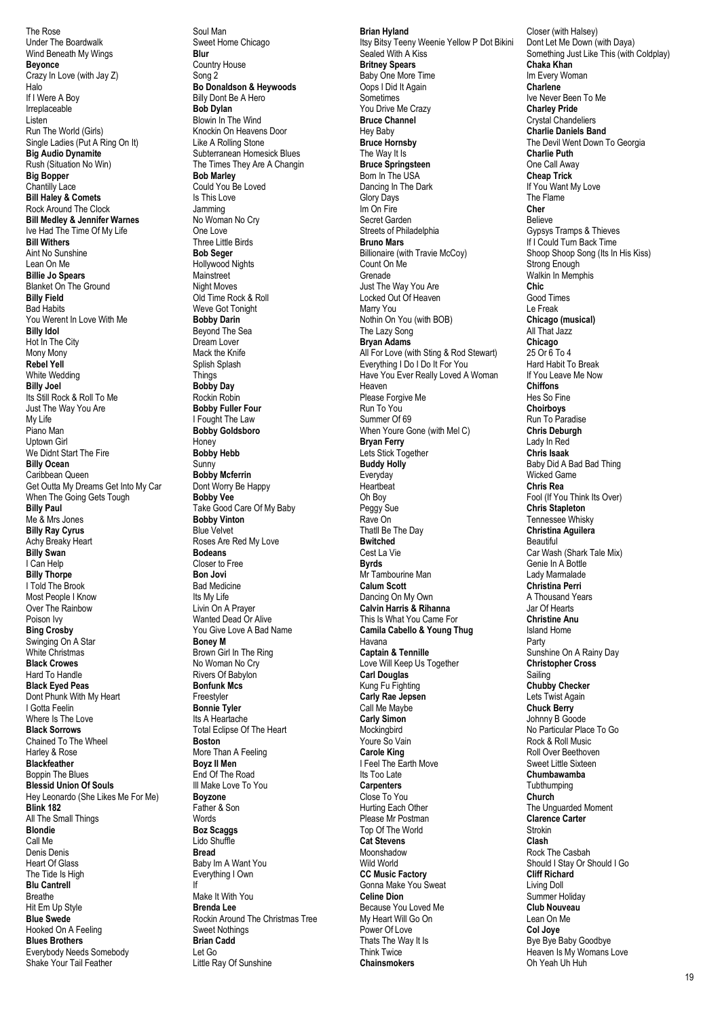The Rose Under The Boardwalk Wind Beneath My Wings **Beyonce** Crazy In Love (with Jay Z) Halo If I Were A Boy Irreplaceable Listen Run The World (Girls) Single Ladies (Put A Ring On It) **Big Audio Dynamite** Rush (Situation No Win) **Big Bopper** Chantilly Lace **Bill Haley & Comets** Rock Around The Clock **Bill Medley & Jennifer Warnes** Ive Had The Time Of My Life **Bill Withers** Aint No Sunshine Lean On Me **Billie Jo Spears** Blanket On The Ground **Billy Field** Bad Habits You Werent In Love With Me **Billy Idol** Hot In The City Mony Mony **Rebel Yell** White Wedding **Billy Joel** Its Still Rock & Roll To Me Just The Way You Are My Life Piano Man Uptown Girl We Didnt Start The Fire **Billy Ocean** Caribbean Queen Get Outta My Dreams Get Into My Car When The Going Gets Tough **Billy Paul** Me & Mrs Jones **Billy Ray Cyrus** Achy Breaky Heart **Billy Swan** I Can Help **Billy Thorpe** I Told The Brook Most People I Know Over The Rainbow Poison Ivy **Bing Crosby** Swinging On A Star White Christmas **Black Crowes** Hard To Handle **Black Eyed Peas** Dont Phunk With My Heart I Gotta Feelin Where Is The Love **Black Sorrows** Chained To The Wheel Harley & Rose **Blackfeather** Boppin The Blues **Blessid Union Of Souls** Hey Leonardo (She Likes Me For Me) **Blink 182** All The Small Things **Blondie** Call Me Denis Denis Heart Of Glass The Tide Is High **Blu Cantrell** Breathe Hit Em Up Style **Blue Swede** Hooked On A Feeling **Blues Brothers** Everybody Needs Somebody Shake Your Tail Feather

Soul Man Sweet Home Chicago **Blur** Country House Song 2 **Bo Donaldson & Heywoods** Billy Dont Be A Hero **Bob Dylan** Blowin In The Wind Knockin On Heavens Door Like A Rolling Stone Subterranean Homesick Blues The Times They Are A Changin **Bob Marley** Could You Be Loved Is This Love Jamming No Woman No Cry One Love Three Little Birds **Bob Seger** Hollywood Nights Mainstreet Night Moves Old Time Rock & Roll Weve Got Tonight **Bobby Darin** Beyond The Sea Dream Lover Mack the Knife Splish Splash **Things Bobby Day** Rockin Robin **Bobby Fuller Four** I Fought The Law **Bobby Goldsboro** Honey **Bobby Hebb** Sunny **Bobby Mcferrin** Dont Worry Be Happy **Bobby Vee** Take Good Care Of My Baby **Bobby Vinton** Blue Velvet Roses Are Red My Love **Bodeans** Closer to Free **Bon Jovi** Bad Medicine Its My Life Livin On A Prayer Wanted Dead Or Alive You Give Love A Bad Name **Boney M** Brown Girl In The Ring No Woman No Cry Rivers Of Babylon **Bonfunk Mcs** Freestyler **Bonnie Tyler** Its A Heartache Total Eclipse Of The Heart **Boston** More Than A Feeling **Boyz II Men** End Of The Road Ill Make Love To You **Boyzone** Father & Son **Words Boz Scaggs** Lido Shuffle **Bread** Baby Im A Want You Everything I Own If Make It With You **Brenda Lee** Rockin Around The Christmas Tree Sweet Nothings **Brian Cadd** Let Go Little Ray Of Sunshine

**Brian Hyland** Itsy Bitsy Teeny Weenie Yellow P Dot Bikini Sealed With A Kiss **Britney Spears** Baby One More Time Oops I Did It Again **Sometimes** You Drive Me Crazy **Bruce Channel** Hey Baby **Bruce Hornsby** The Way It Is **Bruce Springsteen** Born In The USA Dancing In The Dark Glory Days Im On Fire Secret Garden Streets of Philadelphia **Bruno Mars** Billionaire (with Travie McCoy) Count On Me Grenade Just The Way You Are Locked Out Of Heaven Marry You Nothin On You (with BOB) The Lazy Song **Bryan Adams** All For Love (with Sting & Rod Stewart) Everything I Do I Do It For You Have You Ever Really Loved A Woman Heaven Please Forgive Me Run To You Summer Of 69 When Youre Gone (with Mel C) **Bryan Ferry** Lets Stick Together **Buddy Holly Everyday** Heartbeat Oh Boy Peggy Sue Rave On Thatll Be The Day **Bwitched** Cest La Vie **Byrds** Mr Tambourine Man **Calum Scott** Dancing On My Own **Calvin Harris & Rihanna** This Is What You Came For **Camila Cabello & Young Thug** Havana **Captain & Tennille** Love Will Keep Us Together **Carl Douglas** Kung Fu Fighting **Carly Rae Jepsen** Call Me Maybe **Carly Simon** Mockingbird Youre So Vain **Carole King** I Feel The Earth Move Its Too Late **Carpenters** Close To You Hurting Each Other Please Mr Postman Top Of The World **Cat Stevens** Moonshadow Wild World **CC Music Factory** Gonna Make You Sweat **Celine Dion** Because You Loved Me My Heart Will Go On Power Of Love Thats The Way It Is Think Twice

**Chainsmokers**

Closer (with Halsey) Dont Let Me Down (with Daya) Something Just Like This (with Coldplay) **Chaka Khan** Im Every Woman **Charlene** Ive Never Been To Me **Charley Pride** Crystal Chandeliers **Charlie Daniels Band** The Devil Went Down To Georgia **Charlie Puth** One Call Away **Cheap Trick** If You Want My Love The Flame **Cher** Believe Gypsys Tramps & Thieves If I Could Turn Back Time Shoop Shoop Song (Its In His Kiss) Strong Enough Walkin In Memphis **Chic** Good Times Le Freak **Chicago (musical)** All That Jazz **Chicago** 25 Or 6 To 4 Hard Habit To Break If You Leave Me Now **Chiffons** Hes So Fine **Choirboys** Run To Paradise **Chris Deburgh** Lady In Red **Chris Isaak** Baby Did A Bad Bad Thing Wicked Game **Chris Rea** Fool (If You Think Its Over) **Chris Stapleton** Tennessee Whisky **Christina Aguilera** Beautiful Car Wash (Shark Tale Mix) Genie In A Bottle Lady Marmalade **Christina Perri** A Thousand Years Jar Of Hearts **Christine Anu** Island Home Party Sunshine On A Rainy Day **Christopher Cross** Sailing **Chubby Checker** Lets Twist Again **Chuck Berry** Johnny B Goode No Particular Place To Go Rock & Roll Music Roll Over Beethoven Sweet Little Sixteen **Chumbawamba** Tubthumping **Church** The Unguarded Moment **Clarence Carter** Strokin **Clash** Rock The Casbah Should I Stay Or Should I Go **Cliff Richard** Living Doll Summer Holiday **Club Nouveau** Lean On Me **Col Joye** Bye Bye Baby Goodbye Heaven Is My Womans Love Oh Yeah Uh Huh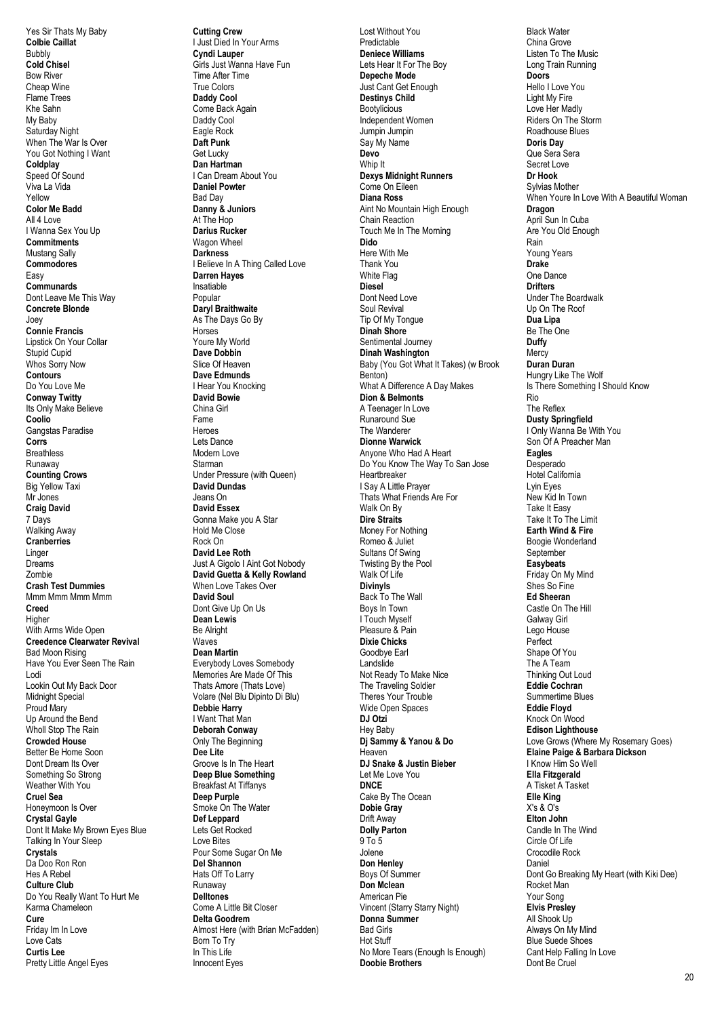Yes Sir Thats My Baby **Colbie Caillat** Bubbly **Cold Chisel** Bow River Cheap Wine Flame Trees Khe Sahn My Baby Saturday Night When The War Is Over You Got Nothing I Want **Coldplay** Speed Of Sound Viva La Vida Yellow **Color Me Badd** All 4 Love I Wanna Sex You Up **Commitments** Mustang Sally **Commodores** Easy **Communards** Dont Leave Me This Way **Concrete Blonde** Joey **Connie Francis** Lipstick On Your Collar Stupid Cupid Whos Sorry Now **Contours** Do You Love Me **Conway Twitty** Its Only Make Believe **Coolio** Gangstas Paradise **Corrs Breathless** Runaway **Counting Crows** Big Yellow Taxi Mr Jones **Craig David** 7 Days Walking Away **Cranberries** Linger Dreams Zombie **Crash Test Dummies** Mmm Mmm Mmm Mmm **Creed** Higher With Arms Wide Open **Creedence Clearwater Revival** Bad Moon Rising Have You Ever Seen The Rain Lodi Lookin Out My Back Door Midnight Special Proud Mary Up Around the Bend Wholl Stop The Rain **Crowded House** Better Be Home Soon Dont Dream Its Over Something So Strong Weather With You **Cruel Sea** Honeymoon Is Over **Crystal Gayle** Dont It Make My Brown Eyes Blue Talking In Your Sleep **Crystals** Da Doo Ron Ron Hes A Rebel **Culture Club** Do You Really Want To Hurt Me Karma Chameleon **Cure** Friday Im In Love Love Cats **Curtis Lee** Pretty Little Angel Eyes

**Cutting Crew** I Just Died In Your Arms **Cyndi Lauper** Girls Just Wanna Have Fun Time After Time True Colors **Daddy Cool** Come Back Again Daddy Cool Eagle Rock **Daft Punk** Get Lucky **Dan Hartman** I Can Dream About You **Daniel Powter** Bad Day **Danny & Juniors** At The Hop **Darius Rucker** Wagon Wheel **Darkness** I Believe In A Thing Called Love **Darren Hayes** Insatiable Popular **Daryl Braithwaite** As The Days Go By Horses Youre My World **Dave Dobbin** Slice Of Heaven **Dave Edmunds** I Hear You Knocking **David Bowie** China Girl Fame Heroes Lets Dance Modern Love Starman Under Pressure (with Queen) **David Dundas** Jeans On **David Essex** Gonna Make you A Star Hold Me Close Rock On **David Lee Roth** Just A Gigolo I Aint Got Nobody **David Guetta & Kelly Rowland** When Love Takes Over **David Soul** Dont Give Up On Us **Dean Lewis** Be Alright **Waves Dean Martin** Everybody Loves Somebody Memories Are Made Of This Thats Amore (Thats Love) Volare (Nel Blu Dipinto Di Blu) **Debbie Harry** I Want That Man **Deborah Conway** Only The Beginning **Dee Lite** Groove Is In The Heart **Deep Blue Something** Breakfast At Tiffanys **Deep Purple** Smoke On The Water **Def Leppard** Lets Get Rocked Love Bites Pour Some Sugar On Me **Del Shannon** Hats Off To Larry Runaway **Delltones** Come A Little Bit Closer **Delta Goodrem** Almost Here (with Brian McFadden) Born To Try In This Life Innocent Eyes

Lost Without You Predictable **Deniece Williams** Lets Hear It For The Boy **Depeche Mode** Just Cant Get Enough **Destinys Child Bootylicious** Independent Women Jumpin Jumpin Say My Name **Devo** Whip It **Dexys Midnight Runners** Come On Eileen **Diana Ross** Aint No Mountain High Enough Chain Reaction Touch Me In The Morning **Dido** Here With Me Thank You White Flag **Diesel** Dont Need Love Soul Revival Tip Of My Tongue **Dinah Shore** Sentimental Journey **Dinah Washington** Baby (You Got What It Takes) (w Brook Benton) What A Difference A Day Makes **Dion & Belmonts** A Teenager In Love Runaround Sue The Wanderer **Dionne Warwick** Anyone Who Had A Heart Do You Know The Way To San Jose **Hearthreaker** I Say A Little Prayer Thats What Friends Are For Walk On By **Dire Straits** Money For Nothing Romeo & Juliet Sultans Of Swing Twisting By the Pool Walk Of Life **Divinyls** Back To The Wall Boys In Town I Touch Myself Pleasure & Pain **Dixie Chicks** Goodbye Earl Landslide Not Ready To Make Nice The Traveling Soldier Theres Your Trouble Wide Open Spaces **DJ Otzi** Hey Baby **Dj Sammy & Yanou & Do** Heaven **DJ Snake & Justin Bieber** Let Me Love You **DNCE** Cake By The Ocean **Dobie Gray** Drift Away **Dolly Parton** 9 To 5 Jolene **Don Henley** Boys Of Summer **Don Mclean** American Pie Vincent (Starry Starry Night) **Donna Summer** Bad Girls Hot Stuff No More Tears (Enough Is Enough) **Doobie Brothers**

Black Water China Grove Listen To The Music Long Train Running **Doors** Hello I Love You Light My Fire Love Her Madly Riders On The Storm Roadhouse Blues **Doris Day** Que Sera Sera Secret Love **Dr Hook** Sylvias Mother When Youre In Love With A Beautiful Woman **Dragon** April Sun In Cuba Are You Old Enough Rain Young Years **Drake** One Dance **Drifters** Under The Boardwalk Up On The Roof **Dua Lipa** Be The One **Duffy Mercy Duran Duran** Hungry Like The Wolf Is There Something I Should Know Rio The Reflex **Dusty Springfield** I Only Wanna Be With You Son Of A Preacher Man **Eagles** Desperado Hotel California Lyin Eyes New Kid In Town Take It Easy Take It To The Limit **Earth Wind & Fire** Boogie Wonderland September **Easybeats** Friday On My Mind Shes So Fine **Ed Sheeran** Castle On The Hill Galway Girl Lego House Perfect Shape Of You The A Team Thinking Out Loud **Eddie Cochran** Summertime Blues **Eddie Floyd** Knock On Wood **Edison Lighthouse** Love Grows (Where My Rosemary Goes) **Elaine Paige & Barbara Dickson** I Know Him So Well **Ella Fitzgerald** A Tisket A Tasket **Elle King**  $X's & 0's$ **Elton John** Candle In The Wind Circle Of Life Crocodile Rock Daniel Dont Go Breaking My Heart (with Kiki Dee) Rocket Man Your Song **Elvis Presley** All Shook Up Always On My Mind Blue Suede Shoes Cant Help Falling In Love

Dont Be Cruel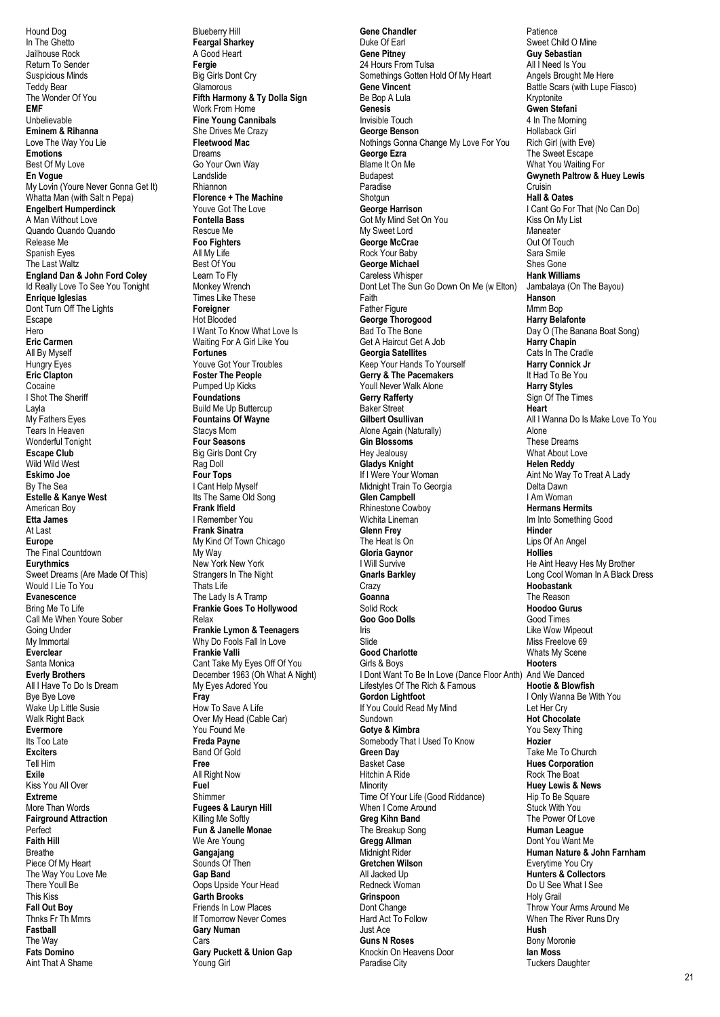Hound Dog In The Ghetto Jailhouse Rock Return To Sender Suspicious Minds Teddy Bear The Wonder Of You **EMF** Unbelievable **Eminem & Rihanna** Love The Way You Lie **Emotions** Best Of My Love **En Vogue** My Lovin (Youre Never Gonna Get It) Whatta Man (with Salt n Pepa) **Engelbert Humperdinck** A Man Without Love Quando Quando Quando Release Me Spanish Eyes The Last Waltz **England Dan & John Ford Coley** Id Really Love To See You Tonight **Enrique Iglesias** Dont Turn Off The Lights Escape **Hero Eric Carmen** All By Myself Hungry Eyes **Eric Clapton** Cocaine I Shot The Sheriff Layla My Fathers Eyes Tears In Heaven Wonderful Tonight **Escape Club** Wild Wild West **Eskimo Joe** By The Sea **Estelle & Kanye West** American Boy **Etta James** At Last **Europe** The Final Countdown **Eurythmics** Sweet Dreams (Are Made Of This) Would I Lie To You **Evanescence** Bring Me To Life Call Me When Youre Sober Going Under My Immortal **Everclear** Santa Monica **Everly Brothers** All I Have To Do Is Dream Bye Bye Love Wake Up Little Susie Walk Right Back **Evermore** Its Too Late **Exciters** Tell Him **Exile** Kiss You All Over **Extreme** More Than Words **Fairground Attraction** Perfect **Faith Hill** Breathe Piece Of My Heart The Way You Love Me There Youll Be This Kiss **Fall Out Boy** Thnks Fr Th Mmrs **Fastball** The Way **Fats Domino** Aint That A Shame

Blueberry Hill **Feargal Sharkey** A Good Heart **Fergie** Big Girls Dont Cry Glamorous **Fifth Harmony & Ty Dolla Sign** Work From Home **Fine Young Cannibals** She Drives Me Crazy **Fleetwood Mac** Dreams Go Your Own Way Landslide Rhiannon **Florence + The Machine** Youve Got The Love **Fontella Bass** Rescue Me **Foo Fighters** All My Life Best Of You Learn To Fly Monkey Wrench Times Like These **Foreigner** Hot Blooded I Want To Know What Love Is Waiting For A Girl Like You **Fortunes** Youve Got Your Troubles **Foster The People** Pumped Up Kicks **Foundations** Build Me Up Buttercup **Fountains Of Wayne** Stacys Mom **Four Seasons** Big Girls Dont Cry Rag Doll **Four Tops** I Cant Help Myself Its The Same Old Song **Frank Ifield** I Remember You **Frank Sinatra** My Kind Of Town Chicago My Way New York New York Strangers In The Night Thats Life The Lady Is A Tramp **Frankie Goes To Hollywood** Relax **Frankie Lymon & Teenagers** Why Do Fools Fall In Love **Frankie Valli** Cant Take My Eyes Off Of You December 1963 (Oh What A Night) My Eyes Adored You **Fray** How To Save A Life Over My Head (Cable Car) You Found Me **Freda Payne** Band Of Gold **Free** All Right Now **Fuel** Shimmer **Fugees & Lauryn Hill** Killing Me Softly **Fun & Janelle Monae** We Are Young **Gangajang** Sounds Of Then **Gap Band** Oops Upside Your Head **Garth Brooks** Friends In Low Places If Tomorrow Never Comes **Gary Numan** Cars **Gary Puckett & Union Gap** Young Girl

**Gene Chandler** Duke Of Earl **Gene Pitney** 24 Hours From Tulsa Somethings Gotten Hold Of My Heart **Gene Vincent** Be Bop A Lula **Genesis** Invisible Touch **George Benson** Nothings Gonna Change My Love For You **George Ezra** Blame It On Me Budapest Paradise Shotaun **George Harrison** Got My Mind Set On You My Sweet Lord **George McCrae** Rock Your Baby **George Michael** Careless Whisper Dont Let The Sun Go Down On Me (w Elton) Faith Father Figure **George Thorogood** Bad To The Bone Get A Haircut Get A Job **Georgia Satellites** Keep Your Hands To Yourself **Gerry & The Pacemakers** Youll Never Walk Alone **Gerry Rafferty** Baker Street **Gilbert Osullivan** Alone Again (Naturally) **Gin Blossoms** Hey Jealousy **Gladys Knight** If I Were Your Woman Midnight Train To Georgia **Glen Campbell** Rhinestone Cowboy Wichita Lineman **Glenn Frey** The Heat Is On **Gloria Gaynor** I Will Survive **Gnarls Barkley** Crazy **Goanna** Solid Rock **Goo Goo Dolls** Iris Slide **Good Charlotte** Girls & Boys I Dont Want To Be In Love (Dance Floor Anth) Lifestyles Of The Rich & Famous **Gordon Lightfoot** If You Could Read My Mind Sundown **Gotye & Kimbra** Somebody That I Used To Know **Green Day** Basket Case Hitchin A Ride Minority Time Of Your Life (Good Riddance) When I Come Around **Greg Kihn Band** The Breakup Song **Gregg Allman** Midnight Rider **Gretchen Wilson** All Jacked Up Redneck Woman **Grinspoon** Dont Change Hard Act To Follow Just Ace **Guns N Roses** Knockin On Heavens Door Paradise City

Patience Sweet Child O Mine **Guy Sebastian** All I Need Is You Angels Brought Me Here Battle Scars (with Lupe Fiasco) Kryptonite **Gwen Stefani** 4 In The Morning Hollaback Girl Rich Girl (with Eve) The Sweet Escape What You Waiting For **Gwyneth Paltrow & Huey Lewis** Cruisin **Hall & Oates** I Cant Go For That (No Can Do) Kiss On My List Maneater Out Of Touch Sara Smile Shes Gone **Hank Williams** Jambalaya (On The Bayou) **Hanson** Mmm Bop **Harry Belafonte** Day O (The Banana Boat Song) **Harry Chapin** Cats In The Cradle **Harry Connick Jr** It Had To Be You **Harry Styles** Sign Of The Times **Heart** All I Wanna Do Is Make Love To You Alone These Dreams What About Love **Helen Reddy** Aint No Way To Treat A Lady Delta Dawn I Am Woman **Hermans Hermits** Im Into Something Good **Hinder** Lips Of An Angel **Hollies** He Aint Heavy Hes My Brother Long Cool Woman In A Black Dress **Hoobastank** The Reason **Hoodoo Gurus** Good Times Like Wow Wipeout Miss Freelove 69 Whats My Scene **Hooters** And We Danced **Hootie & Blowfish** I Only Wanna Be With You Let Her Cry **Hot Chocolate** You Sexy Thing **Hozier** Take Me To Church **Hues Corporation** Rock The Boat **Huey Lewis & News** Hip To Be Square Stuck With You The Power Of Love **Human League** Dont You Want Me **Human Nature & John Farnham** Everytime You Cry **Hunters & Collectors** Do U See What I See Holy Grail Throw Your Arms Around Me When The River Runs Dry **Hush** Bony Moronie **Ian Moss** Tuckers Daughter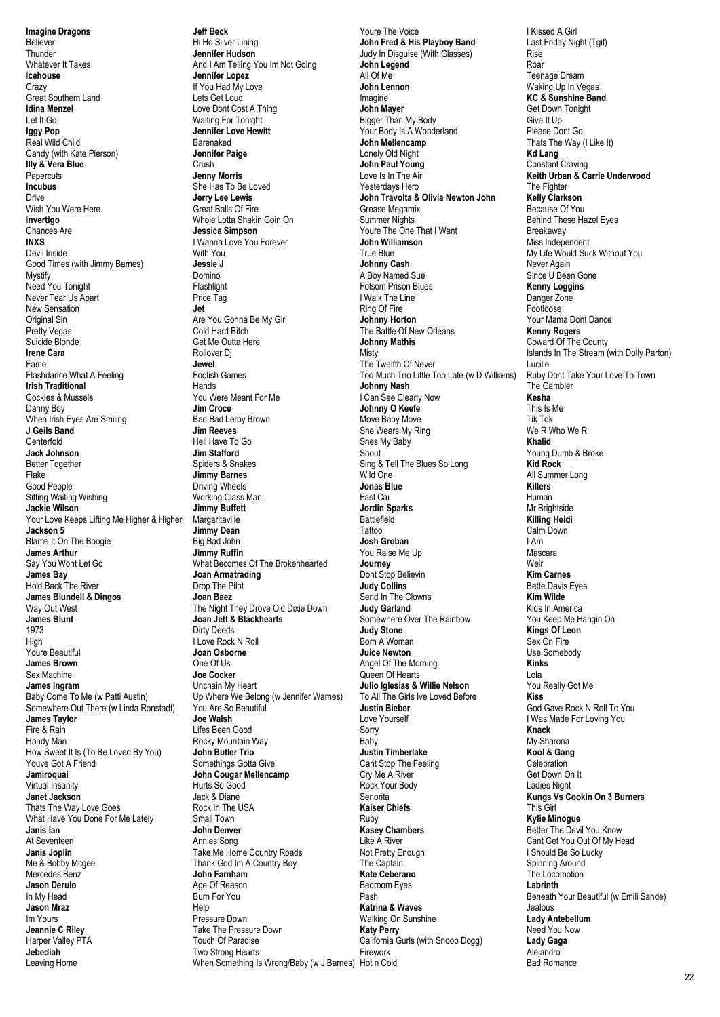**Imagine Dragons** Believer **Thunder** Whatever It Takes I**cehouse Crazy** Great Southern Land **Idina Menzel** Let It Go **Iggy Pop** Real Wild Child Candy (with Kate Pierson) **Illy & Vera Blue Papercuts Incubus** Drive Wish You Were Here I**nvertigo** Chances Are **INXS** Devil Inside Good Times (with Jimmy Barnes) Mystify Need You Tonight Never Tear Us Apart New Sensation Original Sin Pretty Vegas Suicide Blonde **Irene Cara** Fame Flashdance What A Feeling **Irish Traditional** Cockles & Mussels Danny Boy When Irish Eyes Are Smiling **J Geils Band Centerfold Jack Johnson** Better Together Flake Good People Sitting Waiting Wishing **Jackie Wilson** Your Love Keeps Lifting Me Higher & Higher **Jackson 5** Blame It On The Boogie **James Arthur** Say You Wont Let Go **James Bay** Hold Back The River **James Blundell & Dingos** Way Out West **James Blunt** 1973 High Youre Beautiful **James Brown** Sex Machine **James Ingram** Baby Come To Me (w Patti Austin) Somewhere Out There (w Linda Ronstadt) **James Taylor** Fire & Rain Handy Man How Sweet It Is (To Be Loved By You) Youve Got A Friend **Jamiroquai** Virtual Insanity **Janet Jackson** Thats The Way Love Goes What Have You Done For Me Lately **Janis Ian** At Seventeen **Janis Joplin** Me & Bobby Mcgee Mercedes Benz **Jason Derulo** In My Head **Jason Mraz** Im Yours **Jeannie C Riley** Harper Valley PTA **Jebediah** Leaving Home

**Jeff Beck** Hi Ho Silver Lining **Jennifer Hudson** And I Am Telling You Im Not Going **Jennifer Lopez** If You Had My Love Lets Get Loud Love Dont Cost A Thing Waiting For Tonight **Jennifer Love Hewitt** Barenaked **Jennifer Paige** Crush **Jenny Morris** She Has To Be Loved **Jerry Lee Lewis** Great Balls Of Fire Whole Lotta Shakin Goin On **Jessica Simpson** I Wanna Love You Forever With You **Jessie J** Domino Flashlight Price Tag **Jet** Are You Gonna Be My Girl Cold Hard Bitch Get Me Outta Here Rollover Dj **Jewel** Foolish Games Hands You Were Meant For Me **Jim Croce** Bad Bad Leroy Brown **Jim Reeves** Hell Have To Go **Jim Stafford** Spiders & Snakes **Jimmy Barnes** Driving Wheels Working Class Man **Jimmy Buffett** Margaritaville **Jimmy Dean** Big Bad John **Jimmy Ruffin** What Becomes Of The Brokenhearted **Joan Armatrading** Drop The Pilot **Joan Baez** The Night They Drove Old Dixie Down **Joan Jett & Blackhearts** Dirty Deeds I Love Rock N Roll **Joan Osborne** One Of Us **Joe Cocker** Unchain My Heart Up Where We Belong (w Jennifer Warnes) You Are So Beautiful **Joe Walsh** Lifes Been Good Rocky Mountain Way **John Butler Trio** Somethings Gotta Give **John Cougar Mellencamp** Hurts So Good Jack & Diane Rock In The USA Small Town **John Denver** Annies Song Take Me Home Country Roads Thank God Im A Country Boy **John Farnham** Age Of Reason Burn For You Help Pressure Down Take The Pressure Down Touch Of Paradise Two Strong Hearts

When Something Is Wrong/Baby (w J Barnes) Hot n Cold Youre The Voice **John Fred & His Playboy Band** Judy In Disguise (With Glasses) **John Legend** All Of Me **John Lennon** Imagine **John Mayer** Bigger Than My Body Your Body Is A Wonderland **John Mellencamp** Lonely Old Night **John Paul Young** Love Is In The Air Yesterdays Hero **John Travolta & Olivia Newton John** Grease Megamix Summer Nights Youre The One That I Want **John Williamson** True Blue **Johnny Cash** A Boy Named Sue Folsom Prison Blues I Walk The Line Ring Of Fire **Johnny Horton** The Battle Of New Orleans **Johnny Mathis** Misty The Twelfth Of Never Too Much Too Little Too Late (w D Williams) **Johnny Nash** I Can See Clearly Now **Johnny O Keefe** Move Baby Move She Wears My Ring Shes My Baby **Shout** Sing & Tell The Blues So Long Wild One **Jonas Blue** Fast Car **Jordin Sparks** Battlefield Tattoo **Josh Groban** You Raise Me Up **Journey** Dont Stop Believin **Judy Collins** Send In The Clowns **Judy Garland** Somewhere Over The Rainbow **Judy Stone** Born A Woman **Juice Newton** Angel Of The Morning Queen Of Hearts **Julio Iglesias & Willie Nelson** To All The Girls Ive Loved Before **Justin Bieber** Love Yourself Sorry Baby **Justin Timberlake** Cant Stop The Feeling Cry Me A River Rock Your Body **Senorita Kaiser Chiefs** Ruby **Kasey Chambers** Like A River Not Pretty Enough The Captain **Kate Ceberano** Bedroom Eyes Pash **Katrina & Waves** Walking On Sunshine **Katy Perry** California Gurls (with Snoop Dogg) Firework

I Kissed A Girl Last Friday Night (Tgif) Rise Roar Teenage Dream Waking Up In Vegas **KC & Sunshine Band** Get Down Tonight Give It Up Please Dont Go Thats The Way (I Like It) **Kd Lang** Constant Craving **Keith Urban & Carrie Underwood** The Fighter **Kelly Clarkson** Because Of You Behind These Hazel Eyes Breakaway Miss Independent My Life Would Suck Without You Never Again Since U Been Gone **Kenny Loggins** Danger Zone Footloose Your Mama Dont Dance **Kenny Rogers** Coward Of The County Islands In The Stream (with Dolly Parton) Lucille Ruby Dont Take Your Love To Town The Gambler **Kesha** This Is Me Tik Tok We R Who We R **Khalid** Young Dumb & Broke **Kid Rock** All Summer Long **Killers** Human Mr Brightside **Killing Heidi** Calm Down I Am Mascara Weir **Kim Carnes** Bette Davis Eyes **Kim Wilde** Kids In America You Keep Me Hangin On **Kings Of Leon** Sex On Fire Use Somebody **Kinks** Lola You Really Got Me **Kiss** God Gave Rock N Roll To You I Was Made For Loving You **Knack** My Sharona **Kool & Gang** Celebration Get Down On It Ladies Night **Kungs Vs Cookin On 3 Burners** This Girl **Kylie Minogue** Better The Devil You Know Cant Get You Out Of My Head I Should Be So Lucky Spinning Around The Locomotion **Labrinth** Beneath Your Beautiful (w Emili Sande) Jealous **Lady Antebellum** Need You Now **Lady Gaga** Alejandro Bad Romance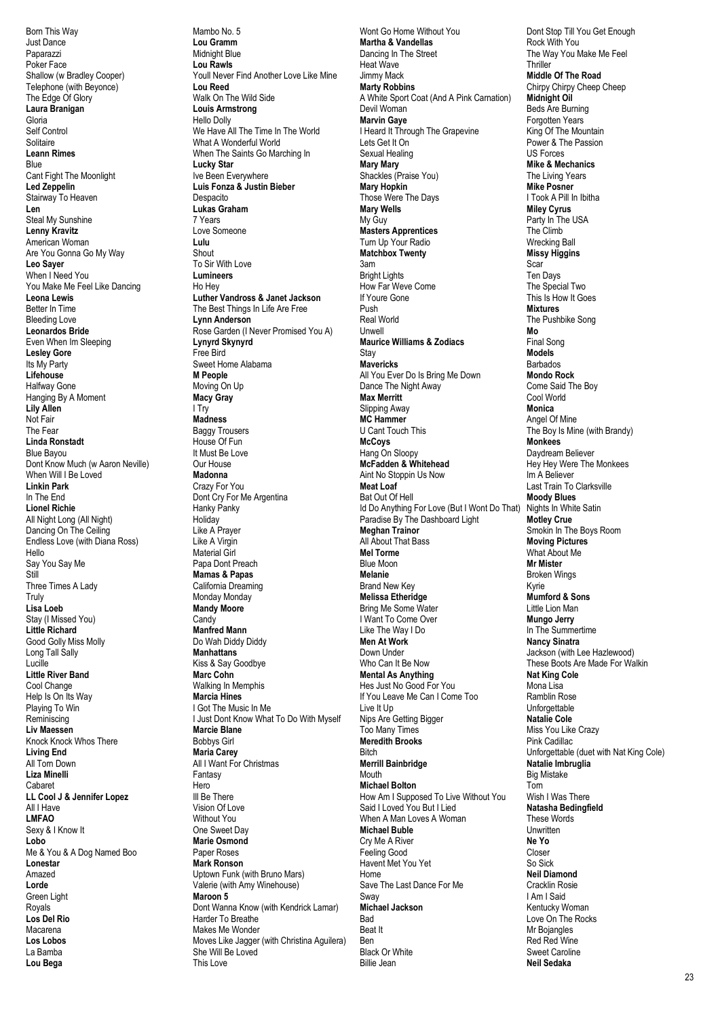Born This Way Just Dance Paparazzi Poker Face Shallow (w Bradley Cooper) Telephone (with Beyonce) The Edge Of Glory **Laura Branigan** Gloria Self Control Solitaire **Leann Rimes** Blue Cant Fight The Moonlight **Led Zeppelin** Stairway To Heaven **Len** Steal My Sunshine **Lenny Kravitz** American Woman Are You Gonna Go My Way **Leo Sayer** When I Need You You Make Me Feel Like Dancing **Leona Lewis** Better In Time Bleeding Love **Leonardos Bride** Even When Im Sleeping **Lesley Gore** Its My Party **Lifehouse** Halfway Gone Hanging By A Moment **Lily Allen** Not Fair The Fear **Linda Ronstadt** Blue Bayou Dont Know Much (w Aaron Neville) When Will I Be Loved **Linkin Park** In The End **Lionel Richie** All Night Long (All Night) Dancing On The Ceiling Endless Love (with Diana Ross) Hello Say You Say Me Still Three Times A Lady Truly **Lisa Loeb** Stay (I Missed You) **Little Richard** Good Golly Miss Molly Long Tall Sally Lucille **Little River Band** Cool Change Help Is On Its Way Playing To Win Reminiscing **Liv Maessen** Knock Knock Whos There **Living End** All Torn Down **Liza Minelli** Cabaret **LL Cool J & Jennifer Lopez** All I Have **LMFAO** Sexy & I Know It **Lobo** Me & You & A Dog Named Boo **Lonestar** Amazed **Lorde** Green Light Royals **Los Del Rio** Macarena **Los Lobos** La Bamba **Lou Bega**

Mambo No. 5 **Lou Gramm** Midnight Blue **Lou Rawls** Youll Never Find Another Love Like Mine **Lou Reed** Walk On The Wild Side **Louis Armstrong** Hello Dolly We Have All The Time In The World What A Wonderful World When The Saints Go Marching In **Lucky Star** Ive Been Everywhere **Luis Fonza & Justin Bieber** Despacito **Lukas Graham** 7 Years Love Someone **Lulu** Shout To Sir With Love **Lumineers** Ho Hey **Luther Vandross & Janet Jackson** The Best Things In Life Are Free **Lynn Anderson** Rose Garden (I Never Promised You A) **Lynyrd Skynyrd** Free Bird Sweet Home Alabama **M People** Moving On Up **Macy Gray** I Try **Madness** Baggy Trousers House Of Fun It Must Be Love Our House **Madonna** Crazy For You Dont Cry For Me Argentina Hanky Panky Holiday Like A Prayer Like A Virgin Material Girl Papa Dont Preach **Mamas & Papas** California Dreaming Monday Monday **Mandy Moore** Candy **Manfred Mann** Do Wah Diddy Diddy **Manhattans** Kiss & Say Goodbye **Marc Cohn** Walking In Memphis **Marcia Hines** I Got The Music In Me I Just Dont Know What To Do With Myself **Marcie Blane** Bobbys Girl **Maria Carey** All I Want For Christmas Fantasy Hero Ill Be There Vision Of Love Without You One Sweet Day **Marie Osmond** Paper Roses **Mark Ronson** Uptown Funk (with Bruno Mars) Valerie (with Amy Winehouse) **Maroon 5** Dont Wanna Know (with Kendrick Lamar) Harder To Breathe Makes Me Wonder Moves Like Jagger (with Christina Aguilera) She Will Be Loved This Love

Wont Go Home Without You **Martha & Vandellas** Dancing In The Street Heat Wave Jimmy Mack **Marty Robbins** A White Sport Coat (And A Pink Carnation) Devil Woman **Marvin Gaye** I Heard It Through The Grapevine Lets Get It On Sexual Healing **Mary Mary** Shackles (Praise You) **Mary Hopkin** Those Were The Days **Mary Wells** My Guy **Masters Apprentices** Turn Up Your Radio **Matchbox Twenty** 3am Bright Lights How Far Weve Come If Youre Gone Push Real World Unwell **Maurice Williams & Zodiacs Stay Mavericks** All You Ever Do Is Bring Me Down Dance The Night Away **Max Merritt** Slipping Away **MC Hammer** U Cant Touch This **McCoys** Hang On Sloopy **McFadden & Whitehead** Aint No Stoppin Us Now **Meat Loaf** Bat Out Of Hell Id Do Anything For Love (But I Wont Do That) Paradise By The Dashboard Light **Meghan Trainor** All About That Bass **Mel Torme** Blue Moon **Melanie** Brand New Key **Melissa Etheridge** Bring Me Some Water I Want To Come Over Like The Way I Do **Men At Work** Down Under Who Can It Be Now **Mental As Anything** Hes Just No Good For You If You Leave Me Can I Come Too Live It Up Nips Are Getting Bigger Too Many Times **Meredith Brooks** Bitch **Merrill Bainbridge** Mouth **Michael Bolton** How Am I Supposed To Live Without You Said I Loved You But I Lied When A Man Loves A Woman **Michael Buble** Cry Me A River Feeling Good Havent Met You Yet Home Save The Last Dance For Me Sway **Michael Jackson** Bad Beat It Ben Black Or White Billie Jean

Dont Stop Till You Get Enough Rock With You The Way You Make Me Feel **Thriller Middle Of The Road** Chirpy Chirpy Cheep Cheep **Midnight Oil** Beds Are Burning Forgotten Years King Of The Mountain Power & The Passion US Forces **Mike & Mechanics** The Living Years **Mike Posner** I Took A Pill In Ibitha **Miley Cyrus** Party In The USA The Climb Wrecking Ball **Missy Higgins** Scar Ten Days The Special Two This Is How It Goes **Mixtures** The Pushbike Song **Mo** Final Song **Models** Barbados **Mondo Rock** Come Said The Boy Cool World **Monica** Angel Of Mine The Boy Is Mine (with Brandy) **Monkees** Daydream Believer Hey Hey Were The Monkees Im A Believer Last Train To Clarksville **Moody Blues** Nights In White Satin **Motley Crue** Smokin In The Boys Room **Moving Pictures** What About Me **Mr Mister** Broken Wings Kyrie **Mumford & Sons** Little Lion Man **Mungo Jerry** In The Summertime **Nancy Sinatra** Jackson (with Lee Hazlewood) These Boots Are Made For Walkin **Nat King Cole** Mona Lisa Ramblin Rose Unforgettable **Natalie Cole** Miss You Like Crazy Pink Cadillac Unforgettable (duet with Nat King Cole) **Natalie Imbruglia** Big Mistake Torn Wish I Was There **Natasha Bedingfield** These Words Unwritten **Ne Yo** Closer So Sick **Neil Diamond** Cracklin Rosie I Am I Said Kentucky Woman Love On The Rocks Mr Bojangles Red Red Wine Sweet Caroline **Neil Sedaka**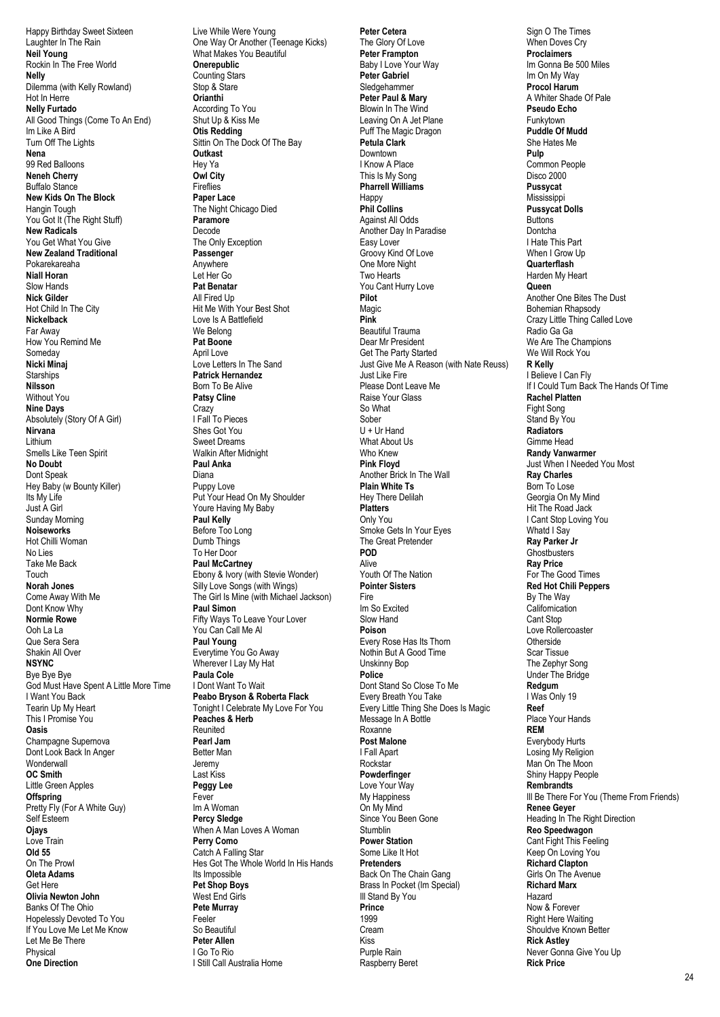Happy Birthday Sweet Sixteen Laughter In The Rain **Neil Young** Rockin In The Free World **Nelly** Dilemma (with Kelly Rowland) Hot In Herre **Nelly Furtado** All Good Things (Come To An End) Im Like A Bird Turn Off The Lights **Nena** 99 Red Balloons **Neneh Cherry** Buffalo Stance **New Kids On The Block** Hangin Tough You Got It (The Right Stuff) **New Radicals** You Get What You Give **New Zealand Traditional** Pokarekareaha **Niall Horan** Slow Hands **Nick Gilder** Hot Child In The City **Nickelback** Far Away How You Remind Me Someday **Nicki Minaj Starships Nilsson** Without You **Nine Days** Absolutely (Story Of A Girl) **Nirvana Lithium** Smells Like Teen Spirit **No Doubt** Dont Speak Hey Baby (w Bounty Killer) Its My Life Just A Girl Sunday Morning **Noiseworks** Hot Chilli Woman No Lies Take Me Back Touch **Norah Jones** Come Away With Me Dont Know Why **Normie Rowe** Ooh La La Que Sera Sera Shakin All Over **NSYNC** Bye Bye Bye God Must Have Spent A Little More Time I Want You Back Tearin Up My Heart This I Promise You **Oasis** Champagne Supernova Dont Look Back In Anger **Wonderwall OC Smith** Little Green Apples **Offspring** Pretty Fly (For A White Guy) Self Esteem **Ojays** Love Train **Old 55** On The Prowl **Oleta Adams** Get Here **Olivia Newton John** Banks Of The Ohio Hopelessly Devoted To You If You Love Me Let Me Know Let Me Be There Physical **One Direction**

Live While Were Young One Way Or Another (Teenage Kicks) What Makes You Beautiful **Onerepublic** Counting Stars Stop & Stare **Orianthi** According To You Shut Up & Kiss Me **Otis Redding** Sittin On The Dock Of The Bay **Outkast** Hey Ya **Owl City Fireflies Paper Lace** The Night Chicago Died **Paramore** Decode The Only Exception **Passenger** Anywhere Let Her Go **Pat Benatar** All Fired Up Hit Me With Your Best Shot Love Is A Battlefield We Belong **Pat Boone** April Love Love Letters In The Sand **Patrick Hernandez** Born To Be Alive **Patsy Cline Crazy** I Fall To Pieces Shes Got You Sweet Dreams Walkin After Midnight **Paul Anka** Diana Puppy Love Put Your Head On My Shoulder Youre Having My Baby **Paul Kelly** Before Too Long Dumb Things To Her Door **Paul McCartney** Ebony & Ivory (with Stevie Wonder) Silly Love Songs (with Wings) The Girl Is Mine (with Michael Jackson) **Paul Simon** Fifty Ways To Leave Your Lover You Can Call Me Al **Paul Young** Everytime You Go Away Wherever I Lay My Hat **Paula Cole** I Dont Want To Wait **Peabo Bryson & Roberta Flack** Tonight I Celebrate My Love For You **Peaches & Herb** Reunited **Pearl Jam** Better Man Jeremy Last Kiss **Peggy Lee** Fever Im A Woman **Percy Sledge** When A Man Loves A Woman **Perry Como** Catch A Falling Star Hes Got The Whole World In His Hands Its Impossible **Pet Shop Boys** West End Girls **Pete Murray** Feeler So Beautiful **Peter Allen** I Go To Rio I Still Call Australia Home

**Peter Cetera** The Glory Of Love **Peter Frampton** Baby I Love Your Way **Peter Gabriel** Sledgehammer **Peter Paul & Mary** Blowin In The Wind Leaving On A Jet Plane Puff The Magic Dragon **Petula Clark** Downtown I Know A Place This Is My Song **Pharrell Williams** Happy **Phil Collins** Against All Odds Another Day In Paradise Easy Lover Groovy Kind Of Love One More Night Two Hearts You Cant Hurry Love **Pilot** Magic **Pink** Beautiful Trauma Dear Mr President Get The Party Started Just Give Me A Reason (with Nate Reuss) Just Like Fire Please Dont Leave Me Raise Your Glass So What Sober U + Ur Hand What About Us Who Knew **Pink Floyd** Another Brick In The Wall **Plain White Ts** Hey There Delilah **Platters** Only You Smoke Gets In Your Eyes The Great Pretender **POD** Alive Youth Of The Nation **Pointer Sisters** Fire Im So Excited Slow Hand **Poison** Every Rose Has Its Thorn Nothin But A Good Time Unskinny Bop **Police** Dont Stand So Close To Me Every Breath You Take Every Little Thing She Does Is Magic Message In A Bottle Roxanne **Post Malone** I Fall Apart Rockstar **Powderfinger** Love Your Way My Happiness<sup>3</sup> On My Mind Since You Been Gone Stumblin **Power Station** Some Like It Hot **Pretenders** Back On The Chain Gang Brass In Pocket (Im Special) Ill Stand By You **Prince** 1999 Cream Kiss Purple Rain Raspberry Beret

Sign O The Times When Doves Cry **Proclaimers** Im Gonna Be 500 Miles Im On My Way **Procol Harum** A Whiter Shade Of Pale **Pseudo Echo** Funkytown **Puddle Of Mudd** She Hates Me **Pulp** Common People Disco 2000 **Pussycat** Mississippi **Pussycat Dolls Buttons** Dontcha I Hate This Part When I Grow Up **Quarterflash** Harden My Heart **Queen** Another One Bites The Dust Bohemian Rhapsody Crazy Little Thing Called Love Radio Ga Ga We Are The Champions We Will Rock You **R Kelly** I Believe I Can Fly If I Could Turn Back The Hands Of Time **Rachel Platten** Fight Song Stand By You **Radiators** Gimme Head **Randy Vanwarmer** Just When I Needed You Most **Ray Charles** Born To Lose Georgia On My Mind Hit The Road Jack I Cant Stop Loving You Whatd I Say **Ray Parker Jr Ghostbusters Ray Price** For The Good Times **Red Hot Chili Peppers** By The Way Californication Cant Stop Love Rollercoaster **Otherside** Scar Tissue The Zephyr Song Under The Bridge **Redgum** I Was Only 19 **Reef** Place Your Hands **REM** Everybody Hurts Losing My Religion Man On The Moon Shiny Happy People **Rembrandts** Ill Be There For You (Theme From Friends) **Renee Geyer** Heading In The Right Direction **Reo Speedwagon** Cant Fight This Feeling Keep On Loving You **Richard Clapton** Girls On The Avenue **Richard Marx** Hazard Now & Forever Right Here Waiting Shouldve Known Better **Rick Astley** Never Gonna Give You Up **Rick Price**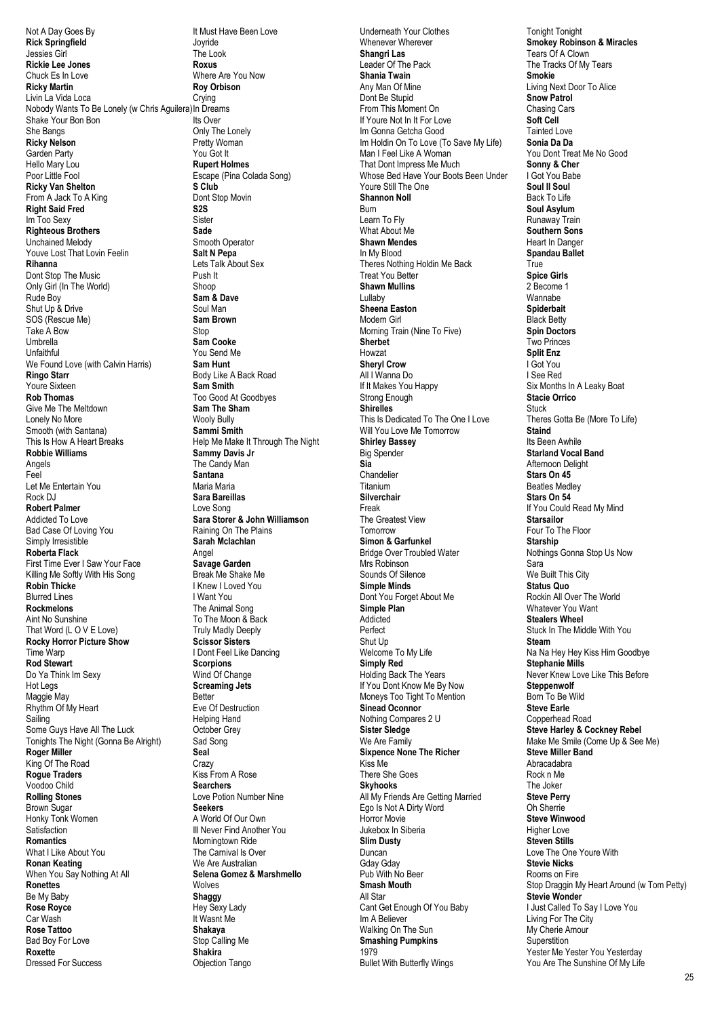Not A Day Goes By **Rick Springfield** Jessies Girl **Rickie Lee Jones** Chuck Es In Love **Ricky Martin** Livin La Vida Loca Nobody Wants To Be Lonely (w Chris Aguilera) In Dreams Shake Your Bon Bon She Bangs **Ricky Nelson** Garden Party Hello Mary Lou Poor Little Fool **Ricky Van Shelton** From A Jack To A King **Right Said Fred** Im Too Sexy **Righteous Brothers** Unchained Melody Youve Lost That Lovin Feelin **Rihanna** Dont Stop The Music Only Girl (In The World) Rude Boy Shut Up & Drive SOS (Rescue Me) Take A Bow Umbrella **Unfaithful** We Found Love (with Calvin Harris) **Ringo Starr** Youre Sixteen **Rob Thomas** Give Me The Meltdown Lonely No More Smooth (with Santana) This Is How A Heart Breaks **Robbie Williams** Angels Feel Let Me Entertain You Rock DJ **Robert Palmer** Addicted To Love Bad Case Of Loving You Simply Irresistible **Roberta Flack** First Time Ever I Saw Your Face Killing Me Softly With His Song **Robin Thicke** Blurred Lines **Rockmelons** Aint No Sunshine That Word (L O V E Love) **Rocky Horror Picture Show** Time Warp **Rod Stewart** Do Ya Think Im Sexy Hot Legs Maggie May Rhythm Of My Heart Sailing Some Guys Have All The Luck Tonights The Night (Gonna Be Alright) **Roger Miller** King Of The Road **Rogue Traders** Voodoo Child **Rolling Stones** Brown Sugar Honky Tonk Women Satisfaction **Romantics** What I Like About You **Ronan Keating** When You Say Nothing At All **Ronettes** Be My Baby **Rose Royce** Car Wash **Rose Tattoo** Bad Boy For Love **Roxette** Dressed For Success

It Must Have Been Love Joyride The Look **Roxus** Where Are You Now **Roy Orbison** Crying Its Over Only The Lonely Pretty Woman You Got It **Rupert Holmes** Escape (Pina Colada Song) **S Club** Dont Stop Movin **S2S** Sister **Sade** Smooth Operator **Salt N Pepa** Lets Talk About Sex Push It Shoop **Sam & Dave** Soul Man **Sam Brown Stop Sam Cooke** You Send Me **Sam Hunt** Body Like A Back Road **Sam Smith** Too Good At Goodbyes **Sam The Sham** Wooly Bully **Sammi Smith** Help Me Make It Through The Night **Sammy Davis Jr** The Candy Man **Santana** Maria Maria **Sara Bareillas** Love Song **Sara Storer & John Williamson** Raining On The Plains **Sarah Mclachlan** Angel **Savage Garden** Break Me Shake Me I Knew I Loved You I Want You The Animal Song To The Moon & Back Truly Madly Deeply **Scissor Sisters** I Dont Feel Like Dancing **Scorpions** Wind Of Change **Screaming Jets** Better Eve Of Destruction Helping Hand October Grey Sad Song **Seal** Crazy Kiss From A Rose **Searchers** Love Potion Number Nine **Seekers** A World Of Our Own Ill Never Find Another You Morningtown Ride The Carnival Is Over We Are Australian **Selena Gomez & Marshmello Wolves Shaggy** Hey Sexy Lady It Wasnt Me **Shakaya** Stop Calling Me **Shakira** Objection Tango

Underneath Your Clothes Whenever Wherever **Shangri Las** Leader Of The Pack **Shania Twain** Any Man Of Mine Dont Be Stupid From This Moment On If Youre Not In It For Love Im Gonna Getcha Good Im Holdin On To Love (To Save My Life) Man I Feel Like A Woman That Dont Impress Me Much Whose Bed Have Your Boots Been Under Youre Still The One **Shannon Noll** Burn Learn To Fly What About Me **Shawn Mendes** In My Blood Theres Nothing Holdin Me Back Treat You Better **Shawn Mullins** Lullaby **Sheena Easton** Modern Girl Morning Train (Nine To Five) **Sherbet** Howzat **Sheryl Crow** All I Wanna Do If It Makes You Happy Strong Enough **Shirelles** This Is Dedicated To The One I Love Will You Love Me Tomorrow **Shirley Bassey** Big Spender **Sia** Chandelier Titanium **Silverchair** Freak The Greatest View Tomorrow **Simon & Garfunkel** Bridge Over Troubled Water Mrs Robinson Sounds Of Silence **Simple Minds** Dont You Forget About Me **Simple Plan Addicted** Perfect Shut Up Welcome To My Life **Simply Red** Holding Back The Years If You Dont Know Me By Now Moneys Too Tight To Mention **Sinead Oconnor** Nothing Compares 2 U **Sister Sledge** We Are Family **Sixpence None The Richer** Kiss Me There She Goes **Skyhooks** All My Friends Are Getting Married Ego Is Not A Dirty Word Horror Movie Jukebox In Siberia **Slim Dusty** Duncan Gday Gday Pub With No Beer **Smash Mouth** All Star Cant Get Enough Of You Baby Im A Believer Walking On The Sun **Smashing Pumpkins** 1979 Bullet With Butterfly Wings

Tonight Tonight **Smokey Robinson & Miracles** Tears Of A Clown The Tracks Of My Tears **Smokie** Living Next Door To Alice **Snow Patrol** Chasing Cars **Soft Cell** Tainted Love **Sonia Da Da** You Dont Treat Me No Good **Sonny & Cher** I Got You Babe **Soul II Soul** Back To Life **Soul Asylum** Runaway Train **Southern Sons** Heart In Danger **Spandau Ballet True Spice Girls** 2 Become 1 Wannabe **Spiderbait** Black Betty **Spin Doctors** Two Princes **Split Enz** I Got You I See Red Six Months In A Leaky Boat **Stacie Orrico Stuck** Theres Gotta Be (More To Life) **Staind** Its Been Awhile **Starland Vocal Band** Afternoon Delight **Stars On 45** Beatles Medley **Stars On 54** If You Could Read My Mind **Starsailor** Four To The Floor **Starship** Nothings Gonna Stop Us Now Sara We Built This City **Status Quo** Rockin All Over The World Whatever You Want **Stealers Wheel** Stuck In The Middle With You **Steam** Na Na Hey Hey Kiss Him Goodbye **Stephanie Mills** Never Knew Love Like This Before **Steppenwolf** Born To Be Wild **Steve Earle** Copperhead Road **Steve Harley & Cockney Rebel** Make Me Smile (Come Up & See Me) **Steve Miller Band** Abracadabra Rock n Me The Joker **Steve Perry** Oh Sherrie **Steve Winwood** Higher Love **Steven Stills** Love The One Youre With **Stevie Nicks** Rooms on Fire Stop Draggin My Heart Around (w Tom Petty) **Stevie Wonder** I Just Called To Say I Love You Living For The City My Cherie Amour **Superstition** Yester Me Yester You Yesterday

You Are The Sunshine Of My Life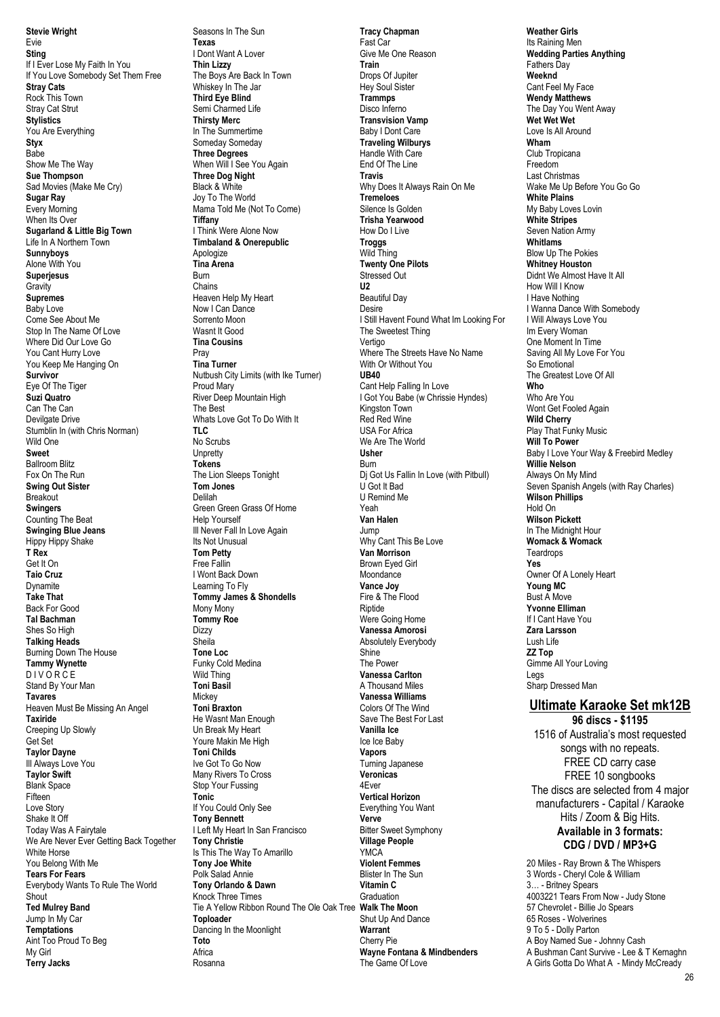**Stevie Wright** Evie **Sting** If I Ever Lose My Faith In You If You Love Somebody Set Them Free **Stray Cats** Rock This Town Stray Cat Strut **Stylistics** You Are Everything **Styx** Babe Show Me The Way **Sue Thompson** Sad Movies (Make Me Cry) **Sugar Ray** Every Morning When Its Over **Sugarland & Little Big Town** Life In A Northern Town **Sunnyboys** Alone With You **Superjesus Gravity Supremes** Baby Love Come See About Me Stop In The Name Of Love Where Did Our Love Go You Cant Hurry Love You Keep Me Hanging On **Survivor** Eve Of The Tiger **Suzi Quatro** Can The Can Devilgate Drive Stumblin In (with Chris Norman) Wild One **Sweet** Ballroom Blitz Fox On The Run **Swing Out Sister** Breakout **Swingers** Counting The Beat **Swinging Blue Jeans** Hippy Hippy Shake **T Rex** Get It On **Taio Cruz** Dynamite **Take That** Back For Good **Tal Bachman** Shes So High **Talking Heads** Burning Down The House **Tammy Wynette** D I V O R C E Stand By Your Man **Tavares** Heaven Must Be Missing An Angel **Taxiride** Creeping Up Slowly Get Set **Taylor Dayne** Ill Always Love You **Taylor Swift** Blank Space Fifteen Love Story Shake It Off Today Was A Fairytale We Are Never Ever Getting Back Together White Horse You Belong With Me **Tears For Fears** Everybody Wants To Rule The World Shout **Ted Mulrey Band** Jump In My Car **Temptations** Aint Too Proud To Beg My Girl **Terry Jacks**

Seasons In The Sun **Texas** I Dont Want A Lover **Thin Lizzy** The Boys Are Back In Town Whiskey In The Jar **Third Eye Blind** Semi Charmed Life **Thirsty Merc** In The Summertime Someday Someday **Three Degrees** When Will I See You Again **Three Dog Night** Black & White Joy To The World Mama Told Me (Not To Come) **Tiffany** I Think Were Alone Now **Timbaland & Onerepublic** Apologize **Tina Arena** Burn Chains Heaven Help My Heart Now I Can Dance Sorrento Moon Wasnt It Good **Tina Cousins** Pray **Tina Turner** Nutbush City Limits (with Ike Turner) Proud Mary River Deep Mountain High The Best Whats Love Got To Do With It **TLC** No Scrubs **Unpretty Tokens** The Lion Sleeps Tonight **Tom Jones** Delilah Green Green Grass Of Home Help Yourself Ill Never Fall In Love Again Its Not Unusual **Tom Petty** Free Fallin I Wont Back Down Learning To Fly **Tommy James & Shondells** Mony Mony **Tommy Roe** Dizzy Sheila **Tone Loc** Funky Cold Medina Wild Thing **Toni Basil** Mickey **Toni Braxton** He Wasnt Man Enough Un Break My Heart Youre Makin Me High **Toni Childs** Ive Got To Go Now Many Rivers To Cross Stop Your Fussing **Tonic** If You Could Only See **Tony Bennett** I Left My Heart In San Francisco **Tony Christie** Is This The Way To Amarillo **Tony Joe White** Polk Salad Annie **Tony Orlando & Dawn** Knock Three Times Tie A Yellow Ribbon Round The Ole Oak Tree **Walk The Moon Toploader** Dancing In the Moonlight **Toto** Africa Rosanna

**Tracy Chapman** Fast Car Give Me One Reason **Train** Drops Of Jupiter Hey Soul Sister **Trammps** Disco Inferno **Transvision Vamp** Baby I Dont Care **Traveling Wilburys** Handle With Care End Of The Line **Travis** Why Does It Always Rain On Me **Tremeloes** Silence Is Golden **Trisha Yearwood** How Do I Live **Troggs** Wild Thing **Twenty One Pilots** Stressed Out **U2** Beautiful Day Desire I Still Havent Found What Im Looking For The Sweetest Thing Vertigo Where The Streets Have No Name With Or Without You **UB40** Cant Help Falling In Love I Got You Babe (w Chrissie Hyndes) Kingston Town Red Red Wine USA For Africa We Are The World **Usher** Burn Dj Got Us Fallin In Love (with Pitbull) U Got It Bad U Remind Me Yeah **Van Halen** Jump Why Cant This Be Love **Van Morrison** Brown Eyed Girl **Moondance Vance Joy** Fire & The Flood Riptide Were Going Home **Vanessa Amorosi** Absolutely Everybody Shine The Power **Vanessa Carlton** A Thousand Miles **Vanessa Williams** Colors Of The Wind Save The Best For Last **Vanilla Ice** Ice Ice Baby **Vapors** Turning Japanese **Veronicas** 4Ever **Vertical Horizon** Everything You Want **Verve** Bitter Sweet Symphony **Village People** YMCA **Violent Femmes** Blister In The Sun **Vitamin C Graduation** Shut Up And Dance **Warrant** Cherry Pie **Wayne Fontana & Mindbenders** The Game Of Love

**Weather Girls** Its Raining Men **Wedding Parties Anything** Fathers Day **Weeknd** Cant Feel My Face **Wendy Matthews** The Day You Went Away **Wet Wet Wet** Love Is All Around **Wham** Club Tropicana Freedom Last Christmas Wake Me Up Before You Go Go **White Plains** My Baby Loves Lovin **White Stripes** Seven Nation Army **Whitlams** Blow Up The Pokies **Whitney Houston** Didnt We Almost Have It All How Will I Know I Have Nothing I Wanna Dance With Somebody I Will Always Love You Im Every Woman One Moment In Time Saving All My Love For You So Emotional The Greatest Love Of All **Who** Who Are You Wont Get Fooled Again **Wild Cherry** Play That Funky Music **Will To Power** Baby I Love Your Way & Freebird Medley **Willie Nelson** Always On My Mind Seven Spanish Angels (with Ray Charles) **Wilson Phillips** Hold On **Wilson Pickett** In The Midnight Hour **Womack & Womack Teardrops Yes** Owner Of A Lonely Heart **Young MC** Bust A Move **Yvonne Elliman** If I Cant Have You **Zara Larsson** Lush Life **ZZ Top** Gimme All Your Loving Legs Sharp Dressed Man **Ultimate Karaoke Set mk12B 96 discs - \$1195**

1516 of Australia's most requested songs with no repeats. FREE CD carry case FREE 10 songbooks The discs are selected from 4 major manufacturers - Capital / Karaoke Hits / Zoom & Big Hits. **Available in 3 formats: CDG / DVD / MP3+G** 20 Miles - Ray Brown & The Whispers

3 Words - Cheryl Cole & William 3… - Britney Spears 4003221 Tears From Now - Judy Stone 57 Chevrolet - Billie Jo Spears 65 Roses - Wolverines 9 To 5 - Dolly Parton A Boy Named Sue - Johnny Cash A Bushman Cant Survive - Lee & T Kernaghn A Girls Gotta Do What A - Mindy McCready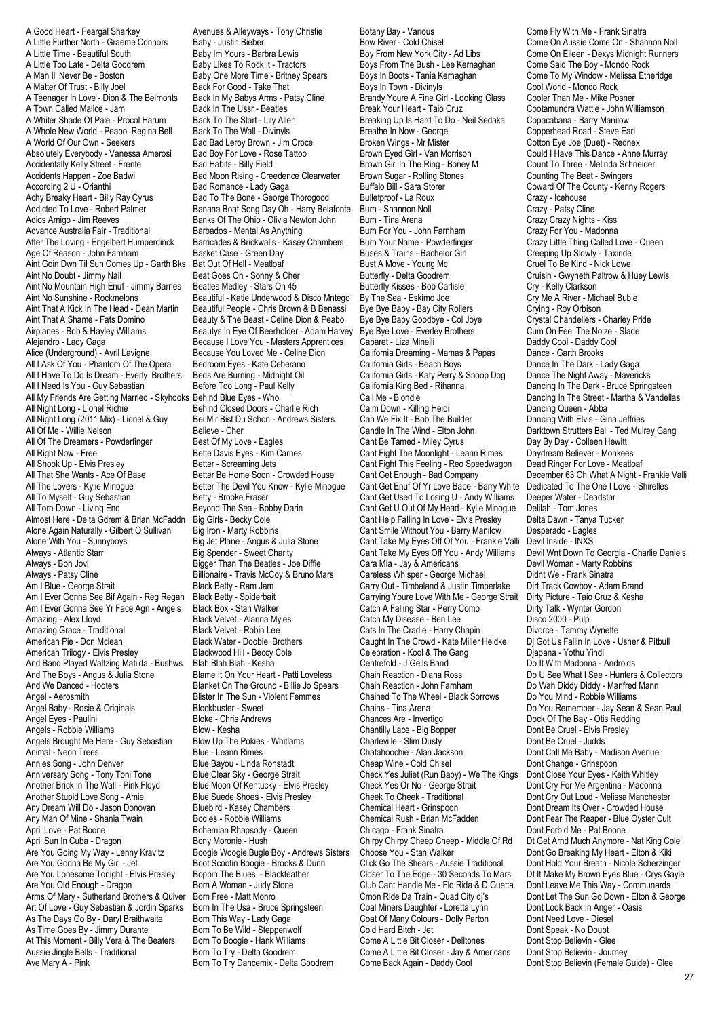A Good Heart - Feargal Sharkey A Little Further North - Graeme Connors A Little Time - Beautiful South A Little Too Late - Delta Goodrem A Man Ill Never Be - Boston A Matter Of Trust - Billy Joel A Teenager In Love - Dion & The Belmonts A Town Called Malice - Jam A Whiter Shade Of Pale - Procol Harum A Whole New World - Peabo Regina Bell A World Of Our Own - Seekers Absolutely Everybody - Vanessa Amerosi Accidentally Kelly Street - Frente Accidents Happen - Zoe Badwi According 2 U - Orianthi Achy Breaky Heart - Billy Ray Cyrus Addicted To Love - Robert Palmer Adios Amigo - Jim Reeves Advance Australia Fair - Traditional After The Loving - Engelbert Humperdinck Age Of Reason - John Farnham Aint Goin Dwn Til Sun Comes Up - Garth Bks Aint No Doubt - Jimmy Nail Aint No Mountain High Enuf - Jimmy Barnes Aint No Sunshine - Rockmelons Aint That A Kick In The Head - Dean Martin Aint That A Shame - Fats Domino Airplanes - Bob & Hayley Williams Alejandro - Lady Gaga Alice (Underground) - Avril Lavigne All I Ask Of You - Phantom Of The Opera All I Have To Do Is Dream - Everly Brothers All I Need Is You - Guy Sebastian All My Friends Are Getting Married - Skyhooks Behind Blue Eyes - Who All Night Long - Lionel Richie All Night Long (2011 Mix) - Lionel & Guy All Of Me - Willie Nelson All Of The Dreamers - Powderfinger All Right Now - Free All Shook Up - Elvis Presley All That She Wants - Ace Of Base All The Lovers - Kylie Minogue All To Myself - Guy Sebastian All Torn Down - Living End Almost Here - Delta Gdrem & Brian McFaddn Alone Again Naturally - Gilbert O Sullivan Alone With You - Sunnyboys Always - Atlantic Starr Always - Bon Jovi Always - Patsy Cline Am I Blue - George Strait Am I Ever Gonna See Bif Again - Reg Regan Am I Ever Gonna See Yr Face Agn - Angels Amazing - Alex Lloyd Amazing Grace - Traditional American Pie - Don Mclean American Trilogy - Elvis Presley And Band Played Waltzing Matilda - Bushws And The Boys - Angus & Julia Stone And We Danced - Hooters Angel - Aerosmith Angel Baby - Rosie & Originals Angel Eyes - Paulini Angels - Robbie Williams Angels Brought Me Here - Guy Sebastian Animal - Neon Trees Annies Song - John Denver Anniversary Song - Tony Toni Tone Another Brick In The Wall - Pink Floyd Another Stupid Love Song - Amiel Any Dream Will Do - Jason Donovan Any Man Of Mine - Shania Twain April Love - Pat Boone April Sun In Cuba - Dragon Are You Going My Way - Lenny Kravitz Are You Gonna Be My Girl - Jet Are You Lonesome Tonight - Elvis Presley Are You Old Enough - Dragon Arms Of Mary - Sutherland Brothers & Quiver Art Of Love - Guy Sebastian & Jordin Sparks As The Days Go By - Daryl Braithwaite As Time Goes By - Jimmy Durante At This Moment - Billy Vera & The Beaters Aussie Jingle Bells - Traditional Ave Mary A - Pink

Avenues & Alleyways - Tony Christie Baby - Justin Bieber Baby Im Yours - Barbra Lewis Baby Likes To Rock It - Tractors Baby One More Time - Britney Spears Back For Good - Take That Back In My Babys Arms - Patsy Cline Back In The Ussr - Beatles Back To The Start - Lily Allen Back To The Wall - Divinyls Bad Bad Leroy Brown - Jim Croce Bad Boy For Love - Rose Tattoo Bad Habits - Billy Field Bad Moon Rising - Creedence Clearwater Bad Romance - Lady Gaga Bad To The Bone - George Thorogood Banana Boat Song Day Oh - Harry Belafonte Banks Of The Ohio - Olivia Newton John Barbados - Mental As Anything Barricades & Brickwalls - Kasey Chambers Basket Case - Green Day Bat Out Of Hell - Meatloaf Beat Goes On - Sonny & Cher Beatles Medley - Stars On 45 Beautiful - Katie Underwood & Disco Mntego Beautiful People - Chris Brown & B Benassi Beauty & The Beast - Celine Dion & Peabo Beautys In Eye Of Beerholder - Adam Harvey Because I Love You - Masters Apprentices Because You Loved Me - Celine Dion Bedroom Eyes - Kate Ceberano Beds Are Burning - Midnight Oil Before Too Long - Paul Kelly Behind Closed Doors - Charlie Rich Bei Mir Bist Du Schon - Andrews Sisters Believe - Cher Best Of My Love - Eagles Bette Davis Eyes - Kim Carnes Better - Screaming Jets Better Be Home Soon - Crowded House Better The Devil You Know - Kylie Minogue Betty - Brooke Fraser Beyond The Sea - Bobby Darin Big Girls - Becky Cole Big Iron - Marty Robbins Big Jet Plane - Angus & Julia Stone Big Spender - Sweet Charity Bigger Than The Beatles - Joe Diffie Billionaire - Travis McCoy & Bruno Mars Black Betty - Ram Jam Black Betty - Spiderbait Black Box - Stan Walker Black Velvet - Alanna Myles Black Velvet - Robin Lee Black Water - Doobie Brothers Blackwood Hill - Beccy Cole Blah Blah - Kesha Blame It On Your Heart - Patti Loveless Blanket On The Ground - Billie Jo Spears Blister In The Sun - Violent Femmes Blockbuster - Sweet Bloke - Chris Andrews Blow - Kesha Blow Up The Pokies - Whitlams Blue - Leann Rimes Blue Bayou - Linda Ronstadt Blue Clear Sky - George Strait Blue Moon Of Kentucky - Elvis Presley Blue Suede Shoes - Elvis Presley Bluebird - Kasey Chambers Bodies - Robbie Williams Bohemian Rhapsody - Queen Bony Moronie - Hush Boogie Woogie Bugle Boy - Andrews Sisters Boot Scootin Boogie - Brooks & Dunn Boppin The Blues - Blackfeather Born A Woman - Judy Stone Born Free - Matt Monro Born In The Usa - Bruce Springsteen Born This Way - Lady Gaga Born To Be Wild - Steppenwolf Born To Boogie - Hank Williams Born To Try - Delta Goodrem Born To Try Dancemix - Delta Goodrem

Botany Bay - Various Bow River - Cold Chisel Boy From New York City - Ad Libs Boys From The Bush - Lee Kernaghan Boys In Boots - Tania Kernaghan Boys In Town - Divinyls Brandy Youre A Fine Girl - Looking Glass Break Your Heart - Taio Cruz Breaking Up Is Hard To Do - Neil Sedaka Breathe In Now - George Broken Wings - Mr Mister Brown Eyed Girl - Van Morrison Brown Girl In The Ring - Boney M Brown Sugar - Rolling Stones Buffalo Bill - Sara Storer Bulletproof - La Roux Burn - Shannon Noll Burn - Tina Arena Burn For You - John Farnham Burn Your Name - Powderfinger Buses & Trains - Bachelor Girl Bust A Move - Young Mc Butterfly - Delta Goodrem Butterfly Kisses - Bob Carlisle By The Sea - Eskimo Joe Bye Bye Baby - Bay City Rollers Bye Bye Baby Goodbye - Col Joye Bye Bye Love - Everley Brothers Cabaret - Liza Minelli California Dreaming - Mamas & Papas California Girls - Beach Boys California Girls - Katy Perry & Snoop Dog California King Bed - Rihanna Call Me - Blondie Calm Down - Killing Heidi Can We Fix It - Bob The Builder Candle In The Wind - Elton John Cant Be Tamed - Miley Cyrus Cant Fight The Moonlight - Leann Rimes Cant Fight This Feeling - Reo Speedwagon Cant Get Enough - Bad Company Cant Get Enuf Of Yr Love Babe - Barry White Cant Get Used To Losing U - Andy Williams Cant Get U Out Of My Head - Kylie Minogue Cant Help Falling In Love - Elvis Presley Cant Smile Without You - Barry Manilow Cant Take My Eyes Off Of You - Frankie Valli Cant Take My Eyes Off You - Andy Williams Cara Mia - Jay & Americans Careless Whisper - George Michael Carry Out - Timbaland & Justin Timberlake Carrying Youre Love With Me - George Strait Catch A Falling Star - Perry Como Catch My Disease - Ben Lee Cats In The Cradle - Harry Chapin Caught In The Crowd - Kate Miller Heidke Celebration - Kool & The Gang Centrefold - J Geils Band Chain Reaction - Diana Ross Chain Reaction - John Farnham Chained To The Wheel - Black Sorrows Chains - Tina Arena Chances Are - Invertigo Chantilly Lace - Big Bopper Charleville - Slim Dusty Chatahoochie - Alan Jackson Cheap Wine - Cold Chisel Check Yes Juliet (Run Baby) - We The Kings Check Yes Or No - George Strait Cheek To Cheek - Traditional Chemical Heart - Grinspoon Chemical Rush - Brian McFadden Chicago - Frank Sinatra Chirpy Chirpy Cheep Cheep - Middle Of Rd Choose You - Stan Walker Click Go The Shears - Aussie Traditional Closer To The Edge - 30 Seconds To Mars Club Cant Handle Me - Flo Rida & D Guetta Cmon Ride Da Train - Quad City dj's Coal Miners Daughter - Loretta Lynn Coat Of Many Colours - Dolly Parton Cold Hard Bitch - Jet Come A Little Bit Closer - Delltones Come A Little Bit Closer - Jay & Americans Come Back Again - Daddy Cool

Come Fly With Me - Frank Sinatra Come On Aussie Come On - Shannon Noll Come On Eileen - Dexys Midnight Runners Come Said The Boy - Mondo Rock Come To My Window - Melissa Etheridge Cool World - Mondo Rock Cooler Than Me - Mike Posner Cootamundra Wattle - John Williamson Copacabana - Barry Manilow Copperhead Road - Steve Earl Cotton Eye Joe (Duet) - Rednex Could I Have This Dance - Anne Murray Count To Three - Melinda Schneider Counting The Beat - Swingers Coward Of The County - Kenny Rogers Crazy - Icehouse Crazy - Patsy Cline Crazy Crazy Nights - Kiss Crazy For You - Madonna Crazy Little Thing Called Love - Queen Creeping Up Slowly - Taxiride Cruel To Be Kind - Nick Lowe Cruisin - Gwyneth Paltrow & Huey Lewis Cry - Kelly Clarkson Cry Me A River - Michael Buble Crying - Roy Orbison Crystal Chandeliers - Charley Pride Cum On Feel The Noize - Slade Daddy Cool - Daddy Cool Dance - Garth Brooks Dance In The Dark - Lady Gaga Dance The Night Away - Mavericks Dancing In The Dark - Bruce Springsteen Dancing In The Street - Martha & Vandellas Dancing Queen - Abba Dancing With Elvis - Gina Jeffries Darktown Strutters Ball - Ted Mulrey Gang Day By Day - Colleen Hewitt Daydream Believer - Monkees Dead Ringer For Love - Meatloaf December 63 Oh What A Night - Frankie Valli Dedicated To The One I Love - Shirelles Deeper Water - Deadstar Delilah - Tom Jones Delta Dawn - Tanya Tucker Desperado - Eagles Devil Inside - INXS Devil Wnt Down To Georgia - Charlie Daniels Devil Woman - Marty Robbins Didnt We - Frank Sinatra Dirt Track Cowboy - Adam Brand Dirty Picture - Taio Cruz & Kesha Dirty Talk - Wynter Gordon Disco 2000 - Pulp Divorce - Tammy Wynette Dj Got Us Fallin In Love - Usher & Pitbull Djapana - Yothu Yindi Do It With Madonna - Androids Do U See What I See - Hunters & Collectors Do Wah Diddy Diddy - Manfred Mann Do You Mind - Robbie Williams Do You Remember - Jay Sean & Sean Paul Dock Of The Bay - Otis Redding Dont Be Cruel - Elvis Presley Dont Be Cruel - Judds Dont Call Me Baby - Madison Avenue Dont Change - Grinspoon Dont Close Your Eyes - Keith Whitley Dont Cry For Me Argentina - Madonna Dont Cry Out Loud - Melissa Manchester Dont Dream Its Over - Crowded House Dont Fear The Reaper - Blue Oyster Cult Dont Forbid Me - Pat Boone Dt Get Arnd Much Anymore - Nat King Cole Dont Go Breaking My Heart - Elton & Kiki Dont Hold Your Breath - Nicole Scherzinger Dt It Make My Brown Eyes Blue - Crys Gayle Dont Leave Me This Way - Communards Dont Let The Sun Go Down - Elton & George Dont Look Back In Anger - Oasis Dont Need Love - Diesel Dont Speak - No Doubt Dont Stop Believin - Glee Dont Stop Believin - Journey Dont Stop Believin (Female Guide) - Glee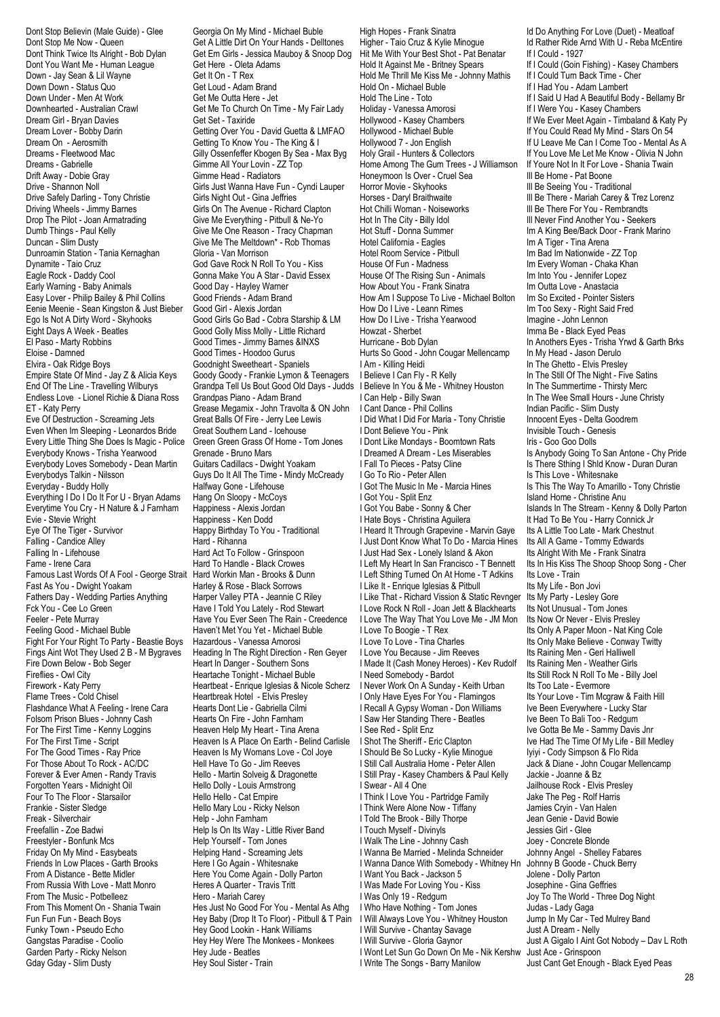Dont Stop Believin (Male Guide) - Glee Dont Stop Me Now - Queen Dont Think Twice Its Alright - Bob Dylan Dont You Want Me - Human League Down - Jay Sean & Lil Wayne Down Down - Status Quo Down Under - Men At Work Downhearted - Australian Crawl Dream Girl - Bryan Davies Dream Lover - Bobby Darin Dream On - Aerosmith Dreams - Fleetwood Mac Dreams - Gabrielle Drift Away - Dobie Gray Drive - Shannon Noll Drive Safely Darling - Tony Christie Driving Wheels - Jimmy Barnes Drop The Pilot - Joan Armatrading Dumb Things - Paul Kelly Duncan - Slim Dusty Dunroamin Station - Tania Kernaghan Dynamite - Taio Cruz Eagle Rock - Daddy Cool Early Warning - Baby Animals Easy Lover - Philip Bailey & Phil Collins Eenie Meenie - Sean Kingston & Just Bieber Ego Is Not A Dirty Word - Skyhooks Eight Days A Week - Beatles El Paso - Marty Robbins Eloise - Damned Elvira - Oak Ridge Boys Empire State Of Mind - Jay Z & Alicia Keys End Of The Line - Travelling Wilburys Endless Love - Lionel Richie & Diana Ross ET - Katy Perry Eve Of Destruction - Screaming Jets Even When Im Sleeping - Leonardos Bride Every Little Thing She Does Is Magic - Police Everybody Knows - Trisha Yearwood Everybody Loves Somebody - Dean Martin Everybodys Talkin - Nilsson Everyday - Buddy Holly Everything I Do I Do It For U - Bryan Adams Everytime You Cry - H Nature & J Farnham Evie - Stevie Wright Eye Of The Tiger - Survivor Falling - Candice Alley Falling In - Lifehouse Fame - Irene Cara Famous Last Words Of A Fool - George Strait Hard Workin Man - Brooks & Dunn Fast As You - Dwight Yoakam Fathers Day - Wedding Parties Anything Fck You - Cee Lo Green Feeler - Pete Murray Feeling Good - Michael Buble Fight For Your Right To Party - Beastie Boys Fings Aint Wot They Used 2 B - M Bygraves Fire Down Below - Bob Seger Fireflies - Owl City Firework - Katy Perry Flame Trees - Cold Chisel Flashdance What A Feeling - Irene Cara Folsom Prison Blues - Johnny Cash For The First Time - Kenny Loggins For The First Time - Script For The Good Times - Ray Price For Those About To Rock - AC/DC Forever & Ever Amen - Randy Travis Forgotten Years - Midnight Oil Four To The Floor - Starsailor Frankie - Sister Sledge Freak - Silverchair Freefallin - Zoe Badwi Freestyler - Bonfunk Mcs Friday On My Mind - Easybeats Friends In Low Places - Garth Brooks From A Distance - Bette Midler From Russia With Love - Matt Monro From The Music - Potbelleez From This Moment On - Shania Twain Fun Fun Fun - Beach Boys Funky Town - Pseudo Echo Gangstas Paradise - Coolio Garden Party - Ricky Nelson Gday Gday - Slim Dusty

Georgia On My Mind - Michael Buble Get A Little Dirt On Your Hands - Delltones Get Em Girls - Jessica Mauboy & Snoop Dog Get Here - Oleta Adams Get It On - T Rex Get Loud - Adam Brand Get Me Outta Here - Jet Get Me To Church On Time - My Fair Lady Get Set - Taxiride Getting Over You - David Guetta & LMFAO Getting To Know You - The King & I Gilly Ossenfeffer Kbogen By Sea - Max Byg Gimme All Your Lovin - ZZ Top Gimme Head - Radiators Girls Just Wanna Have Fun - Cyndi Lauper Girls Night Out - Gina Jeffries Girls On The Avenue - Richard Clapton Give Me Everything - Pitbull & Ne-Yo Give Me One Reason - Tracy Chapman Give Me The Meltdown\* - Rob Thomas Gloria - Van Morrison God Gave Rock N Roll To You - Kiss Gonna Make You A Star - David Essex Good Day - Hayley Warner Good Friends - Adam Brand Good Girl - Alexis Jordan Good Girls Go Bad - Cobra Starship & LM Good Golly Miss Molly - Little Richard Good Times - Jimmy Barnes &INXS Good Times - Hoodoo Gurus Goodnight Sweetheart - Spaniels Goody Goody - Frankie Lymon & Teenagers Grandpa Tell Us Bout Good Old Days - Judds Grandpas Piano - Adam Brand Grease Megamix - John Travolta & ON John Great Balls Of Fire - Jerry Lee Lewis Great Southern Land - Icehouse Green Green Grass Of Home - Tom Jones Grenade - Bruno Mars Guitars Cadillacs - Dwight Yoakam Guys Do It All The Time - Mindy McCready Halfway Gone - Lifehouse Hang On Sloopy - McCoys Happiness - Alexis Jordan Happiness - Ken Dodd Happy Birthday To You - Traditional Hard - Rihanna Hard Act To Follow - Grinspoon Hard To Handle - Black Crowes Harley & Rose - Black Sorrows Harper Valley PTA - Jeannie C Riley Have I Told You Lately - Rod Stewart Have You Ever Seen The Rain - Creedence Haven't Met You Yet - Michael Buble Hazardous - Vanessa Amorosi Heading In The Right Direction - Ren Geyer Heart In Danger - Southern Sons Heartache Tonight - Michael Buble Heartbeat - Enrique Iglesias & Nicole Scherz Heartbreak Hotel - Elvis Presley Hearts Dont Lie - Gabriella Cilmi Hearts On Fire - John Farnham Heaven Help My Heart - Tina Arena Heaven Is A Place On Earth - Belind Carlisle Heaven Is My Womans Love - Col Joye Hell Have To Go - Jim Reeves Hello - Martin Solveig & Dragonette Hello Dolly - Louis Armstrong Hello Hello - Cat Empire Hello Mary Lou - Ricky Nelson Help - John Farnham Help Is On Its Way - Little River Band Help Yourself - Tom Jones Helping Hand - Screaming Jets Here I Go Again - Whitesnake Here You Come Again - Dolly Parton Heres A Quarter - Travis Tritt Hero - Mariah Carey Hes Just No Good For You - Mental As Athg Hey Baby (Drop It To Floor) - Pitbull & T Pain Hey Good Lookin - Hank Williams Hey Hey Were The Monkees - Monkees Hey Jude - Beatles Hey Soul Sister - Train

High Hopes - Frank Sinatra Higher - Taio Cruz & Kylie Minogue Hit Me With Your Best Shot - Pat Benatar Hold It Against Me - Britney Spears Hold Me Thrill Me Kiss Me - Johnny Mathis Hold On - Michael Buble Hold The Line - Toto Holiday - Vanessa Amorosi Hollywood - Kasey Chambers Hollywood - Michael Buble Hollywood 7 - Jon English Holy Grail - Hunters & Collectors Home Among The Gum Trees - J Williamson Honeymoon Is Over - Cruel Sea Horror Movie - Skyhooks Horses - Daryl Braithwaite Hot Chilli Woman - Noiseworks Hot In The City - Billy Idol Hot Stuff - Donna Summer Hotel California - Eagles Hotel Room Service - Pitbull House Of Fun - Madness House Of The Rising Sun - Animals How About You - Frank Sinatra How Am I Suppose To Live - Michael Bolton How Do I Live - Leann Rimes How Do I Live - Trisha Yearwood Howzat - Sherbet Hurricane - Bob Dylan Hurts So Good - John Cougar Mellencamp I Am - Killing Heidi I Believe I Can Fly - R Kelly I Believe In You & Me - Whitney Houston I Can Help - Billy Swan I Cant Dance - Phil Collins I Did What I Did For Maria - Tony Christie I Dont Believe You - Pink I Dont Like Mondays - Boomtown Rats I Dreamed A Dream - Les Miserables I Fall To Pieces - Patsy Cline I Go To Rio - Peter Allen I Got The Music In Me - Marcia Hines I Got You - Split Enz I Got You Babe - Sonny & Cher I Hate Boys - Christina Aguilera I Heard It Through Grapevine - Marvin Gaye I Just Dont Know What To Do - Marcia Hines I Just Had Sex - Lonely Island & Akon I Left My Heart In San Francisco - T Bennett I Left Sthing Turned On At Home - T Adkins I Like It - Enrique Iglesias & Pitbull I Like That - Richard Vission & Static Revnger I Love Rock N Roll - Joan Jett & Blackhearts I Love The Way That You Love Me - JM Mon I Love To Boogie - T Rex I Love To Love - Tina Charles I Love You Because - Jim Reeves I Made It (Cash Money Heroes) - Kev Rudolf I Need Somebody - Bardot I Never Work On A Sunday - Keith Urban I Only Have Eyes For You - Flamingos I Recall A Gypsy Woman - Don Williams I Saw Her Standing There - Beatles I See Red - Split Enz I Shot The Sheriff - Eric Clapton I Should Be So Lucky - Kylie Minogue I Still Call Australia Home - Peter Allen I Still Pray - Kasey Chambers & Paul Kelly I Swear - All 4 One I Think I Love You - Partridge Family I Think Were Alone Now - Tiffany I Told The Brook - Billy Thorpe I Touch Myself - Divinyls I Walk The Line - Johnny Cash I Wanna Be Married - Melinda Schneider I Wanna Dance With Somebody - Whitney Hn I Want You Back - Jackson 5 I Was Made For Loving You - Kiss I Was Only 19 - Redgum I Who Have Nothing - Tom Jones I Will Always Love You - Whitney Houston I Will Survive - Chantay Savage I Will Survive - Gloria Gaynor I Wont Let Sun Go Down On Me - Nik Kershw I Write The Songs - Barry Manilow

Id Do Anything For Love (Duet) - Meatloaf Id Rather Ride Arnd With U - Reba McEntire If I Could - 1927 If I Could (Goin Fishing) - Kasey Chambers If I Could Turn Back Time - Cher If I Had You - Adam Lambert If I Said U Had A Beautiful Body - Bellamy Br If I Were You - Kasey Chambers If We Ever Meet Again - Timbaland & Katy Py If You Could Read My Mind - Stars On 54 If U Leave Me Can I Come Too - Mental As A If You Love Me Let Me Know - Olivia N John If Youre Not In It For Love - Shania Twain Ill Be Home - Pat Boone Ill Be Seeing You - Traditional III Be There - Mariah Carey & Trez Lorenz Ill Be There For You - Rembrandts Ill Never Find Another You - Seekers Im A King Bee/Back Door - Frank Marino Im A Tiger - Tina Arena Im Bad Im Nationwide - ZZ Top Im Every Woman - Chaka Khan Im Into You - Jennifer Lopez Im Outta Love - Anastacia Im So Excited - Pointer Sisters Im Too Sexy - Right Said Fred Imagine - John Lennon Imma Be - Black Eyed Peas In Anothers Eyes - Trisha Yrwd & Garth Brks In My Head - Jason Derulo In The Ghetto - Elvis Presley In The Still Of The Night - Five Satins In The Summertime - Thirsty Merc In The Wee Small Hours - June Christy Indian Pacific - Slim Dusty Innocent Eyes - Delta Goodrem Invisible Touch - Genesis Iris - Goo Goo Dolls Is Anybody Going To San Antone - Chy Pride Is There Sthing I Shld Know - Duran Duran Is This Love - Whitesnake Is This The Way To Amarillo - Tony Christie Island Home - Christine Anu Islands In The Stream - Kenny & Dolly Parton It Had To Be You - Harry Connick Jr Its A Little Too Late - Mark Chestnut Its All A Game - Tommy Edwards Its Alright With Me - Frank Sinatra Its In His Kiss The Shoop Shoop Song - Cher Its Love - Train Its My Life - Bon Jovi Its My Party - Lesley Gore Its Not Unusual - Tom Jones Its Now Or Never - Elvis Presley Its Only A Paper Moon - Nat King Cole Its Only Make Believe - Conway Twitty Its Raining Men - Geri Halliwell Its Raining Men - Weather Girls Its Still Rock N Roll To Me - Billy Joel Its Too Late - Evermore Its Your Love - Tim Mcgraw & Faith Hill Ive Been Everywhere - Lucky Star Ive Been To Bali Too - Redgum Ive Gotta Be Me - Sammy Davis Jnr Ive Had The Time Of My Life - Bill Medley Iyiyi - Cody Simpson & Flo Rida Jack & Diane - John Cougar Mellencamp Jackie - Joanne & Bz Jailhouse Rock - Elvis Presley Jake The Peg - Rolf Harris Jamies Cryin - Van Halen Jean Genie - David Bowie Jessies Girl - Glee Joey - Concrete Blonde Johnny Angel - Shelley Fabares Johnny B Goode - Chuck Berry Jolene - Dolly Parton Josephine - Gina Geffries Joy To The World - Three Dog Night Judas - Lady Gaga Jump In My Car - Ted Mulrey Band Just A Dream - Nelly Just A Gigalo I Aint Got Nobody – Dav L Roth Just Ace - Grinspoon Just Cant Get Enough - Black Eyed Peas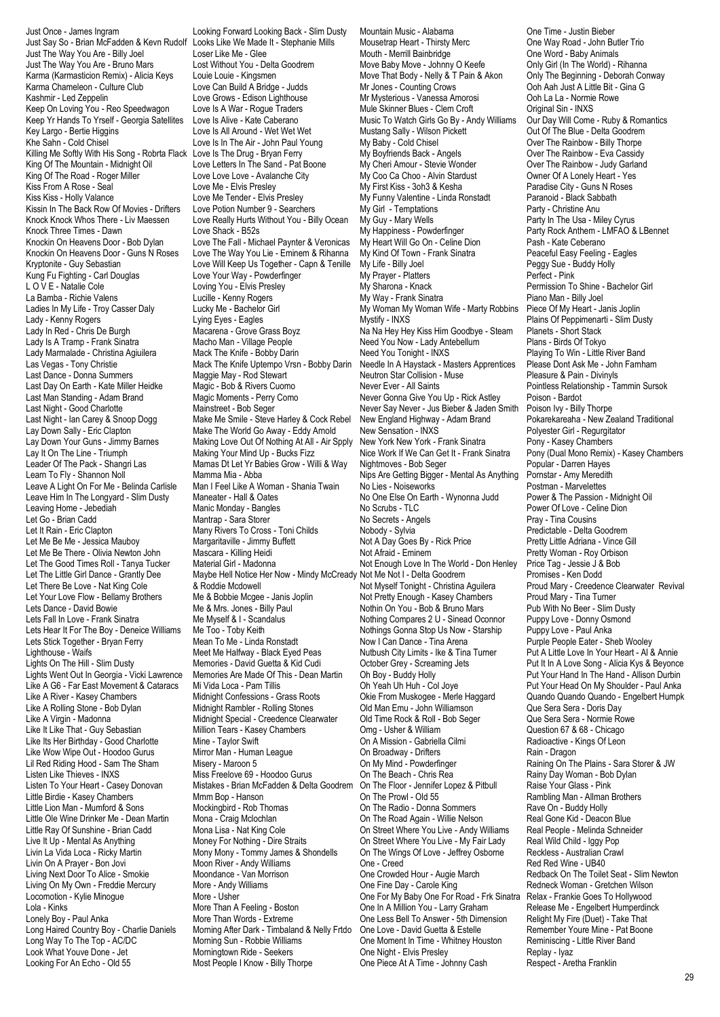Just Once - James Ingram Just Say So - Brian McFadden & Kevn Rudolf Looks Like We Made It - Stephanie Mills Just The Way You Are - Billy Joel Just The Way You Are - Bruno Mars Karma (Karmasticion Remix) - Alicia Keys Karma Chameleon - Culture Club Kashmir - Led Zeppelin Keep On Loving You - Reo Speedwagon Keep Yr Hands To Yrself - Georgia Satellites Key Largo - Bertie Higgins Khe Sahn - Cold Chisel Killing Me Softly With His Song - Robrta Flack Love Is The Drug - Bryan Ferry King Of The Mountain - Midnight Oil King Of The Road - Roger Miller Kiss From A Rose - Seal Kiss Kiss - Holly Valance Kissin In The Back Row Of Movies - Drifters Knock Knock Whos There - Liv Maessen Knock Three Times - Dawn Knockin On Heavens Door - Bob Dylan Knockin On Heavens Door - Guns N Roses Kryptonite - Guy Sebastian Kung Fu Fighting - Carl Douglas L O V E - Natalie Cole La Bamba - Richie Valens Ladies In My Life - Troy Casser Daly Lady - Kenny Rogers Lady In Red - Chris De Burgh Lady Is A Tramp - Frank Sinatra Lady Marmalade - Christina Agiuilera Las Vegas - Tony Christie Last Dance - Donna Summers Last Day On Earth - Kate Miller Heidke Last Man Standing - Adam Brand Last Night - Good Charlotte Last Night - Ian Carey & Snoop Dogg Lay Down Sally - Eric Clapton Lay Down Your Guns - Jimmy Barnes Lay It On The Line - Triumph Leader Of The Pack - Shangri Las Learn To Fly - Shannon Noll Leave A Light On For Me - Belinda Carlisle Leave Him In The Longyard - Slim Dusty Leaving Home - Jebediah Let Go - Brian Cadd Let It Rain - Eric Clapton Let Me Be Me - Jessica Mauboy Let Me Be There - Olivia Newton John Let The Good Times Roll - Tanya Tucker Let The Little Girl Dance - Grantly Dee Let There Be Love - Nat King Cole Let Your Love Flow - Bellamy Brothers Lets Dance - David Bowie Lets Fall In Love - Frank Sinatra Lets Hear It For The Boy - Deneice Williams Lets Stick Together - Bryan Ferry Lighthouse - Waifs Lights On The Hill - Slim Dusty Lights Went Out In Georgia - Vicki Lawrence Like A G6 - Far East Movement & Cataracs Like A River - Kasey Chambers Like A Rolling Stone - Bob Dylan Like A Virgin - Madonna Like It Like That - Guy Sebastian Like Its Her Birthday - Good Charlotte Like Wow Wipe Out - Hoodoo Gurus Lil Red Riding Hood - Sam The Sham Listen Like Thieves - INXS Listen To Your Heart - Casey Donovan Little Birdie - Kasey Chambers Little Lion Man - Mumford & Sons Little Ole Wine Drinker Me - Dean Martin Little Ray Of Sunshine - Brian Cadd Live It Up - Mental As Anything Livin La Vida Loca - Ricky Martin Livin On A Prayer - Bon Jovi Living Next Door To Alice - Smokie Living On My Own - Freddie Mercury Locomotion - Kylie Minogue Lola - Kinks Lonely Boy - Paul Anka Long Haired Country Boy - Charlie Daniels Long Way To The Top - AC/DC Look What Youve Done - Jet Looking For An Echo - Old 55

Looking Forward Looking Back - Slim Dusty Loser Like Me - Glee Lost Without You - Delta Goodrem Louie Louie - Kingsmen Love Can Build A Bridge - Judds Love Grows - Edison Lighthouse Love Is A War - Rogue Traders Love Is Alive - Kate Caberano Love Is All Around - Wet Wet Wet Love Is In The Air - John Paul Young Love Letters In The Sand - Pat Boone Love Love Love - Avalanche City Love Me - Elvis Presley Love Me Tender - Elvis Presley Love Potion Number 9 - Searchers Love Really Hurts Without You - Billy Ocean Love Shack - B52s Love The Fall - Michael Paynter & Veronicas Love The Way You Lie - Eminem & Rihanna Love Will Keep Us Together - Capn & Tenille Love Your Way - Powderfinger Loving You - Elvis Presley Lucille - Kenny Rogers Lucky Me - Bachelor Girl Lying Eyes - Eagles Macarena - Grove Grass Boyz Macho Man - Village People Mack The Knife - Bobby Darin Mack The Knife Uptempo Vrsn - Bobby Darin Maggie May - Rod Stewart Magic - Bob & Rivers Cuomo Magic Moments - Perry Como Mainstreet - Bob Seger Make Me Smile - Steve Harley & Cock Rebel Make The World Go Away - Eddy Arnold Making Love Out Of Nothing At All - Air Spply Making Your Mind Up - Bucks Fizz Mamas Dt Let Yr Babies Grow - Willi & Way Mamma Mia - Abba Man I Feel Like A Woman - Shania Twain Maneater - Hall & Oates Manic Monday - Bangles Mantrap - Sara Storer Many Rivers To Cross - Toni Childs Margaritaville - Jimmy Buffett Mascara - Killing Heidi Material Girl - Madonna Maybe Hell Notice Her Now - Mindy McCready Not Me Not I - Delta Goodrem & Roddie Mcdowell Me & Bobbie Mcgee - Janis Joplin Me & Mrs. Jones - Billy Paul Me Myself & I - Scandalus Me Too - Toby Keith Mean To Me - Linda Ronstadt Meet Me Halfway - Black Eyed Peas Memories - David Guetta & Kid Cudi Memories Are Made Of This - Dean Martin Mi Vida Loca - Pam Tillis Midnight Confessions - Grass Roots Midnight Rambler - Rolling Stones Midnight Special - Creedence Clearwater Million Tears - Kasey Chambers Mine - Taylor Swift Mirror Man - Human League Misery - Maroon 5 Miss Freelove 69 - Hoodoo Gurus Mistakes - Brian McFadden & Delta Goodrem Mmm Bop - Hanson Mockingbird - Rob Thomas Mona - Craig Mclochlan Mona Lisa - Nat King Cole Money For Nothing - Dire Straits Mony Mony - Tommy James & Shondells Moon River - Andy Williams Moondance - Van Morrison More - Andy Williams More - Usher More Than A Feeling - Boston More Than Words - Extreme Morning After Dark - Timbaland & Nelly Frtdo Morning Sun - Robbie Williams Morningtown Ride - Seekers Most People I Know - Billy Thorpe

Mountain Music - Alabama Mousetrap Heart - Thirsty Merc Mouth - Merrill Bainbridge Move Baby Move - Johnny O Keefe Move That Body - Nelly & T Pain & Akon Mr Jones - Counting Crows Mr Mysterious - Vanessa Amorosi Mule Skinner Blues - Clem Croft Music To Watch Girls Go By - Andy Williams Mustang Sally - Wilson Pickett My Baby - Cold Chisel My Boyfriends Back - Angels My Cheri Amour - Stevie Wonder My Coo Ca Choo - Alvin Stardust My First Kiss - 3oh3 & Kesha My Funny Valentine - Linda Ronstadt My Girl - Temptations My Guy - Mary Wells My Happiness - Powderfinger My Heart Will Go On - Celine Dion My Kind Of Town - Frank Sinatra My Life - Billy Joel My Prayer - Platters My Sharona - Knack My Way - Frank Sinatra My Woman My Woman Wife - Marty Robbins Mystify - INXS Na Na Hey Hey Kiss Him Goodbye - Steam Need You Now - Lady Antebellum Need You Tonight - INXS Needle In A Haystack - Masters Apprentices Neutron Star Collision - Muse Never Ever - All Saints Never Gonna Give You Up - Rick Astley Never Say Never - Jus Bieber & Jaden Smith New England Highway - Adam Brand New Sensation - INXS New York New York - Frank Sinatra Nice Work If We Can Get It - Frank Sinatra Nightmoves - Bob Seger Nips Are Getting Bigger - Mental As Anything No Lies - Noiseworks No One Else On Earth - Wynonna Judd No Scrubs - TLC No Secrets - Angels Nobody - Sylvia Not A Day Goes By - Rick Price Not Afraid - Eminem Not Enough Love In The World - Don Henley Not Myself Tonight - Christina Aguilera Not Pretty Enough - Kasey Chambers Nothin On You - Bob & Bruno Mars Nothing Compares 2 U - Sinead Oconnor Nothings Gonna Stop Us Now - Starship Now I Can Dance - Tina Arena Nutbush City Limits - Ike & Tina Turner October Grey - Screaming Jets Oh Boy - Buddy Holly Oh Yeah Uh Huh - Col Joye Okie From Muskogee - Merle Haggard Old Man Emu - John Williamson Old Time Rock & Roll - Bob Seger Omg - Usher & William On A Mission - Gabriella Cilmi On Broadway - Drifters On My Mind - Powderfinger On The Beach - Chris Rea On The Floor - Jennifer Lopez & Pitbull On The Prowl - Old 55 On The Radio - Donna Sommers On The Road Again - Willie Nelson On Street Where You Live - Andy Williams On Street Where You Live - My Fair Lady On The Wings Of Love - Jeffrey Osborne One - Creed One Crowded Hour - Augie March One Fine Day - Carole King One For My Baby One For Road - Frk Sinatra One In A Million You - Larry Graham One Less Bell To Answer - 5th Dimension One Love - David Guetta & Estelle One Moment In Time - Whitney Houston One Night - Elvis Presley One Piece At A Time - Johnny Cash

One Time - Justin Bieber One Way Road - John Butler Trio One Word - Baby Animals Only Girl (In The World) - Rihanna Only The Beginning - Deborah Conway Ooh Aah Just A Little Bit - Gina G Ooh La La - Normie Rowe Original Sin - INXS Our Day Will Come - Ruby & Romantics Out Of The Blue - Delta Goodrem Over The Rainbow - Billy Thorpe Over The Rainbow - Eva Cassidy Over The Rainbow - Judy Garland Owner Of A Lonely Heart - Yes Paradise City - Guns N Roses Paranoid - Black Sabbath Party - Christine Anu Party In The Usa - Miley Cyrus Party Rock Anthem - LMFAO & LBennet Pash - Kate Ceberano Peaceful Easy Feeling - Eagles Peggy Sue - Buddy Holly Perfect - Pink Permission To Shine - Bachelor Girl Piano Man - Billy Joel Piece Of My Heart - Janis Joplin Plains Of Peppimenarti - Slim Dusty Planets - Short Stack Plans - Birds Of Tokyo Playing To Win - Little River Band Please Dont Ask Me - John Farnham Pleasure & Pain - Divinyls Pointless Relationship - Tammin Sursok Poison - Bardot Poison Ivy - Billy Thorpe Pokarekareaha - New Zealand Traditional Polyester Girl - Regurgitator Pony - Kasey Chambers Pony (Dual Mono Remix) - Kasey Chambers Popular - Darren Hayes Pornstar - Amy Meredith Postman - Marvelettes Power & The Passion - Midnight Oil Power Of Love - Celine Dion Pray - Tina Cousins Predictable - Delta Goodrem Pretty Little Adriana - Vince Gill Pretty Woman - Roy Orbison Price Tag - Jessie J & Bob Promises - Ken Dodd Proud Mary - Creedence Clearwater Revival Proud Mary - Tina Turner Pub With No Beer - Slim Dusty Puppy Love - Donny Osmond Puppy Love - Paul Anka Purple People Eater - Sheb Wooley Put A Little Love In Your Heart - Al & Annie Put It In A Love Song - Alicia Kys & Beyonce Put Your Hand In The Hand - Allison Durbin Put Your Head On My Shoulder - Paul Anka Quando Quando Quando - Engelbert Humpk Que Sera Sera - Doris Day Que Sera Sera - Normie Rowe Question 67 & 68 - Chicago Radioactive - Kings Of Leon Rain - Dragon Raining On The Plains - Sara Storer & JW Rainy Day Woman - Bob Dylan Raise Your Glass - Pink Rambling Man - Allman Brothers Rave On - Buddy Holly Real Gone Kid - Deacon Blue Real People - Melinda Schneider Real Wild Child - Iggy Pop Reckless - Australian Crawl Red Red Wine - UB40 Redback On The Toilet Seat - Slim Newton Redneck Woman - Gretchen Wilson Relax - Frankie Goes To Hollywood Release Me - Engelbert Humperdinck Relight My Fire (Duet) - Take That Remember Youre Mine - Pat Boone Reminiscing - Little River Band Replay - Iyaz Respect - Aretha Franklin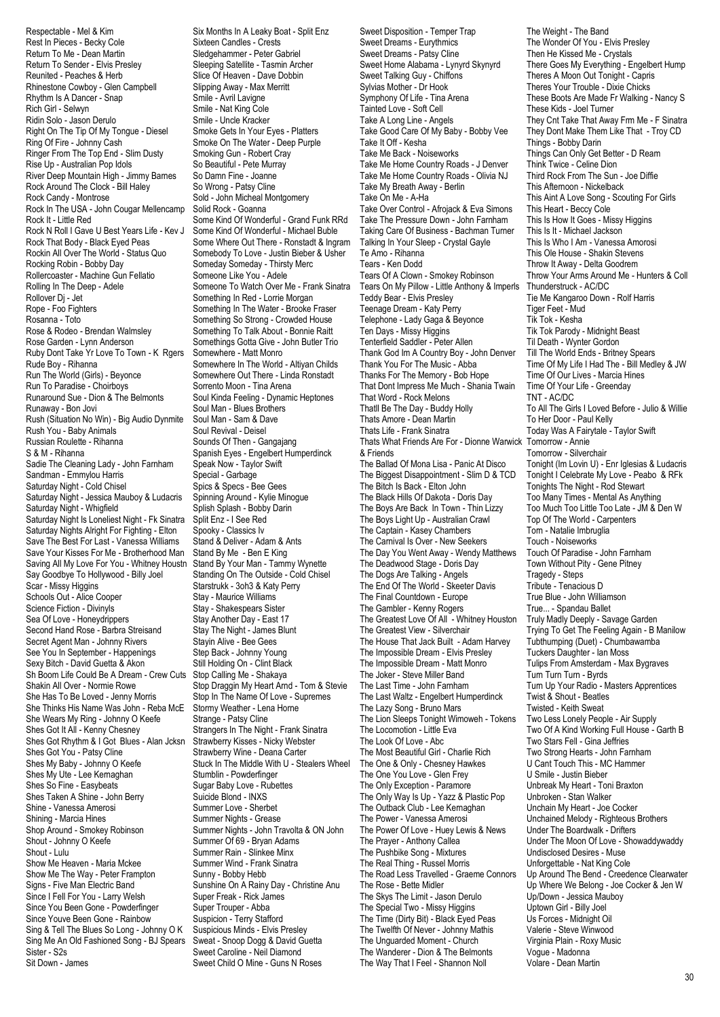Respectable - Mel & Kim Rest In Pieces - Becky Cole Return To Me - Dean Martin Return To Sender - Elvis Presley Reunited - Peaches & Herb Rhinestone Cowboy - Glen Campbell Rhythm Is A Dancer - Snap Rich Girl - Selwyn Ridin Solo - Jason Derulo Right On The Tip Of My Tongue - Diesel Ring Of Fire - Johnny Cash Ringer From The Top End - Slim Dusty Rise Up - Australian Pop Idols River Deep Mountain High - Jimmy Barnes Rock Around The Clock - Bill Haley Rock Candy - Montrose Rock In The USA - John Cougar Mellencamp Rock It - Little Red Rock N Roll I Gave U Best Years Life - Kev J Rock That Body - Black Eyed Peas Rockin All Over The World - Status Quo Rocking Robin - Bobby Day Rollercoaster - Machine Gun Fellatio Rolling In The Deep - Adele Rollover Dj - Jet Rope - Foo Fighters Rosanna - Toto Rose & Rodeo - Brendan Walmsley Rose Garden - Lynn Anderson Ruby Dont Take Yr Love To Town - K Rgers Rude Boy - Rihanna Run The World (Girls) - Beyonce Run To Paradise - Choirboys Runaround Sue - Dion & The Belmonts Runaway - Bon Jovi Rush (Situation No Win) - Big Audio Dynmite Rush You - Baby Animals Russian Roulette - Rihanna S & M - Rihanna Sadie The Cleaning Lady - John Farnham Sandman - Emmylou Harris Saturday Night - Cold Chisel Saturday Night - Jessica Mauboy & Ludacris Saturday Night - Whigfield Saturday Night Is Loneliest Night - Fk Sinatra Saturday Nights Alright For Fighting - Elton Save The Best For Last - Vanessa Williams Save Your Kisses For Me - Brotherhood Man Saving All My Love For You - Whitney Houstn Say Goodbye To Hollywood - Billy Joel Scar - Missy Higgins Schools Out - Alice Cooper Science Fiction - Divinyls Sea Of Love - Honeydrippers Second Hand Rose - Barbra Streisand Secret Agent Man - Johnny Rivers See You In September - Happenings Sexy Bitch - David Guetta & Akon Sh Boom Life Could Be A Dream - Crew Cuts Shakin All Over - Normie Rowe She Has To Be Loved - Jenny Morris She Thinks His Name Was John - Reba McE She Wears My Ring - Johnny O Keefe Shes Got It All - Kenny Chesney Shes Got Rhythm & I Got Blues - Alan Jcksn Shes Got You - Patsy Cline Shes My Baby - Johnny O Keefe Shes My Ute - Lee Kernaghan Shes So Fine - Easybeats Shes Taken A Shine - John Berry Shine - Vanessa Amerosi Shining - Marcia Hines Shop Around - Smokey Robinson Shout - Johnny O Keefe Shout - Lulu Show Me Heaven - Maria Mckee Show Me The Way - Peter Frampton Signs - Five Man Electric Band Since I Fell For You - Larry Welsh Since You Been Gone - Powderfinger Since Youve Been Gone - Rainbow Sing & Tell The Blues So Long - Johnny O K Sing Me An Old Fashioned Song - BJ Spears Sister - S2s Sit Down - James

Six Months In A Leaky Boat - Split Enz Sixteen Candles - Crests Sledgehammer - Peter Gabriel Sleeping Satellite - Tasmin Archer Slice Of Heaven - Dave Dobbin Slipping Away - Max Merritt Smile - Avril Lavigne Smile - Nat King Cole Smile - Uncle Kracker Smoke Gets In Your Eyes - Platters Smoke On The Water - Deep Purple Smoking Gun - Robert Cray So Beautiful - Pete Murray So Damn Fine - Joanne So Wrong - Patsy Cline Sold - John Micheal Montgomery Solid Rock - Goanna Some Kind Of Wonderful - Grand Funk RRd Some Kind Of Wonderful - Michael Buble Some Where Out There - Ronstadt & Ingram Somebody To Love - Justin Bieber & Usher Someday Someday - Thirsty Merc Someone Like You - Adele Someone To Watch Over Me - Frank Sinatra Something In Red - Lorrie Morgan Something In The Water - Brooke Fraser Something So Strong - Crowded House Something To Talk About - Bonnie Raitt Somethings Gotta Give - John Butler Trio Somewhere - Matt Monro Somewhere In The World - Altiyan Childs Somewhere Out There - Linda Ronstadt Sorrento Moon - Tina Arena Soul Kinda Feeling - Dynamic Heptones Soul Man - Blues Brothers Soul Man - Sam & Dave Soul Revival - Deisel Sounds Of Then - Gangajang Spanish Eyes - Engelbert Humperdinck Speak Now - Taylor Swift Special - Garbage Spics & Specs - Bee Gees Spinning Around - Kylie Minogue Splish Splash - Bobby Darin Split Enz - I See Red Spooky - Classics Iv Stand & Deliver - Adam & Ants Stand By Me - Ben E King Stand By Your Man - Tammy Wynette Standing On The Outside - Cold Chisel Starstrukk - 3oh3 & Katy Perry Stay - Maurice Williams Stay - Shakespears Sister Stay Another Day - East 17 Stay The Night - James Blunt Stayin Alive - Bee Gees Step Back - Johnny Young Still Holding On - Clint Black Stop Calling Me - Shakaya Stop Draggin My Heart Arnd - Tom & Stevie Stop In The Name Of Love - Supremes Stormy Weather - Lena Horne Strange - Patsy Cline Strangers In The Night - Frank Sinatra Strawberry Kisses - Nicky Webster Strawberry Wine - Deana Carter Stuck In The Middle With U - Stealers Wheel Stumblin - Powderfinger Sugar Baby Love - Rubettes Suicide Blond - INXS Summer Love - Sherbet Summer Nights - Grease Summer Nights - John Travolta & ON John Summer Of 69 - Bryan Adams Summer Rain - Slinkee Minx Summer Wind - Frank Sinatra Sunny - Bobby Hebb Sunshine On A Rainy Day - Christine Anu Super Freak - Rick James Super Trouper - Abba Suspicion - Terry Stafford Suspicious Minds - Elvis Presley Sweat - Snoop Dogg & David Guetta Sweet Caroline - Neil Diamond Sweet Child O Mine - Guns N Roses

Sweet Disposition - Temper Trap Sweet Dreams - Eurythmics Sweet Dreams - Patsy Cline Sweet Home Alabama - Lynyrd Skynyrd Sweet Talking Guy - Chiffons Sylvias Mother - Dr Hook Symphony Of Life - Tina Arena Tainted Love - Soft Cell Take A Long Line - Angels Take Good Care Of My Baby - Bobby Vee Take It Off - Kesha Take Me Back - Noiseworks Take Me Home Country Roads - J Denver Take Me Home Country Roads - Olivia NJ Take My Breath Away - Berlin Take On Me - A-Ha Take Over Control - Afrojack & Eva Simons Take The Pressure Down - John Farnham Taking Care Of Business - Bachman Turner Talking In Your Sleep - Crystal Gayle Te Amo - Rihanna Tears - Ken Dodd Tears Of A Clown - Smokey Robinson Tears On My Pillow - Little Anthony & Imperls Teddy Bear - Elvis Presley Teenage Dream - Katy Perry Telephone - Lady Gaga & Beyonce Ten Days - Missy Higgins Tenterfield Saddler - Peter Allen Thank God Im A Country Boy - John Denver Thank You For The Music - Abba Thanks For The Memory - Bob Hope That Dont Impress Me Much - Shania Twain That Word - Rock Melons Thatll Be The Day - Buddy Holly Thats Amore - Dean Martin Thats Life - Frank Sinatra Thats What Friends Are For - Dionne Warwick & Friends The Ballad Of Mona Lisa - Panic At Disco The Biggest Disappointment - Slim D & TCD The Bitch Is Back - Elton John The Black Hills Of Dakota - Doris Day The Boys Are Back In Town - Thin Lizzy The Boys Light Up - Australian Crawl The Captain - Kasey Chambers The Carnival Is Over - New Seekers The Day You Went Away - Wendy Matthews The Deadwood Stage - Doris Day The Dogs Are Talking - Angels The End Of The World - Skeeter Davis The Final Countdown - Europe The Gambler - Kenny Rogers The Greatest Love Of All - Whitney Houston The Greatest View - Silverchair The House That Jack Built - Adam Harvey The Impossible Dream - Elvis Presley The Impossible Dream - Matt Monro The Joker - Steve Miller Band The Last Time - John Farnham The Last Waltz - Engelbert Humperdinck The Lazy Song - Bruno Mars The Lion Sleeps Tonight Wimoweh - Tokens The Locomotion - Little Eva The Look Of Love - Abc The Most Beautiful Girl - Charlie Rich The One & Only - Chesney Hawkes The One You Love - Glen Frey The Only Exception - Paramore The Only Way Is Up - Yazz & Plastic Pop The Outback Club - Lee Kernaghan The Power - Vanessa Amerosi The Power Of Love - Huey Lewis & News The Prayer - Anthony Callea The Pushbike Song - Mixtures The Real Thing - Russel Morris The Road Less Travelled - Graeme Connors The Rose - Bette Midler The Skys The Limit - Jason Derulo The Special Two - Missy Higgins The Time (Dirty Bit) - Black Eyed Peas The Twelfth Of Never - Johnny Mathis The Unguarded Moment - Church The Wanderer - Dion & The Belmonts The Way That I Feel - Shannon Noll

The Weight - The Band The Wonder Of You - Elvis Presley Then He Kissed Me - Crystals There Goes My Everything - Engelbert Hump Theres A Moon Out Tonight - Capris Theres Your Trouble - Dixie Chicks These Boots Are Made Fr Walking - Nancy S These Kids - Joel Turner They Cnt Take That Away Frm Me - F Sinatra They Dont Make Them Like That - Troy CD Things - Bobby Darin Things Can Only Get Better - D Ream Think Twice - Celine Dion Third Rock From The Sun - Joe Diffie This Afternoon - Nickelback This Aint A Love Song - Scouting For Girls This Heart - Beccy Cole This Is How It Goes - Missy Higgins This Is It - Michael Jackson This Is Who I Am - Vanessa Amorosi This Ole House - Shakin Stevens Throw It Away - Delta Goodrem Throw Your Arms Around Me - Hunters & Coll Thunderstruck - AC/DC Tie Me Kangaroo Down - Rolf Harris Tiger Feet - Mud Tik Tok - Kesha Tik Tok Parody - Midnight Beast Til Death - Wynter Gordon Till The World Ends - Britney Spears Time Of My Life I Had The - Bill Medley & JW Time Of Our Lives - Marcia Hines Time Of Your Life - Greenday TNT - AC/DC To All The Girls I Loved Before - Julio & Willie To Her Door - Paul Kelly Today Was A Fairytale - Taylor Swift Tomorrow - Annie Tomorrow - Silverchair Tonight (Im Lovin U) - Enr Iglesias & Ludacris Tonight I Celebrate My Love - Peabo & RFk Tonights The Night - Rod Stewart Too Many Times - Mental As Anything Too Much Too Little Too Late - JM & Den W Top Of The World - Carpenters Torn - Natalie Imbruglia Touch - Noiseworks Touch Of Paradise - John Farnham Town Without Pity - Gene Pitney Tragedy - Steps Tribute - Tenacious D True Blue - John Williamson True... - Spandau Ballet Truly Madly Deeply - Savage Garden Trying To Get The Feeling Again - B Manilow Tubthumping (Duet) - Chumbawamba Tuckers Daughter - Ian Moss Tulips From Amsterdam - Max Bygraves Turn Turn Turn - Byrds Turn Up Your Radio - Masters Apprentices Twist & Shout - Beatles Twisted - Keith Sweat Two Less Lonely People - Air Supply Two Of A Kind Working Full House - Garth B Two Stars Fell - Gina Jeffries Two Strong Hearts - John Farnham U Cant Touch This - MC Hammer U Smile - Justin Bieber Unbreak My Heart - Toni Braxton Unbroken - Stan Walker Unchain My Heart - Joe Cocker Unchained Melody - Righteous Brothers Under The Boardwalk - Drifters Under The Moon Of Love - Showaddywaddy Undisclosed Desires - Muse Unforgettable - Nat King Cole Up Around The Bend - Creedence Clearwater Up Where We Belong - Joe Cocker & Jen W Up/Down - Jessica Mauboy Uptown Girl - Billy Joel Us Forces - Midnight Oil Valerie - Steve Winwood Virginia Plain - Roxy Music Vogue - Madonna Volare - Dean Martin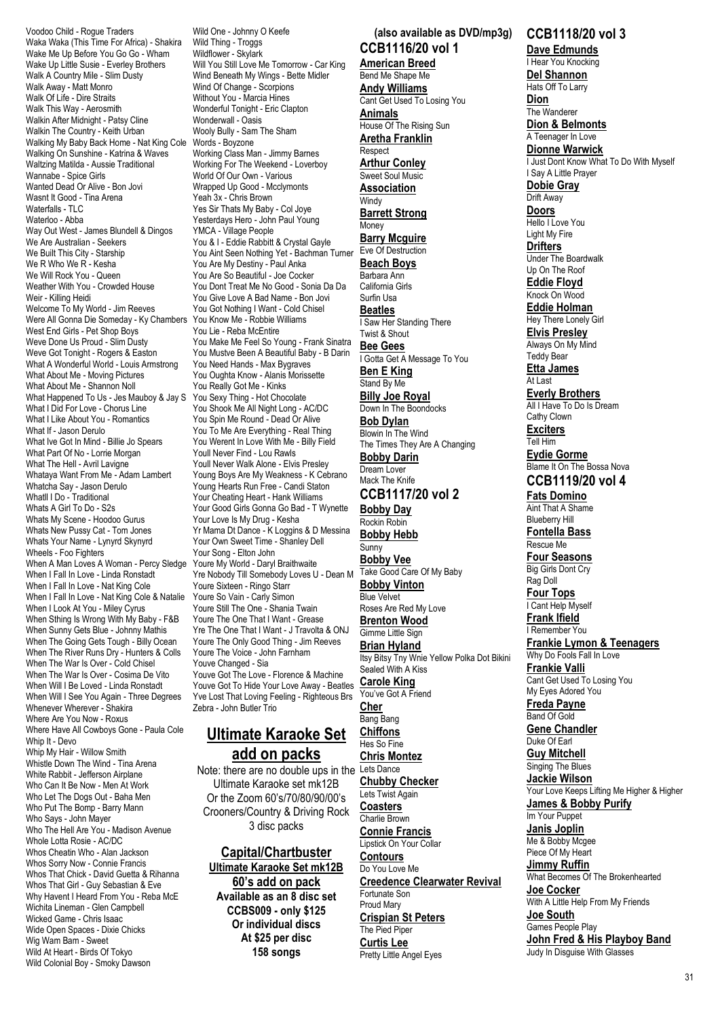Voodoo Child - Rogue Traders Waka Waka (This Time For Africa) - Shakira Wake Me Up Before You Go Go - Wham Wake Up Little Susie - Everley Brothers Walk A Country Mile - Slim Dusty Walk Away - Matt Monro Walk Of Life - Dire Straits Walk This Way - Aerosmith Walkin After Midnight - Patsy Cline Walkin The Country - Keith Urban Walking My Baby Back Home - Nat King Cole Walking On Sunshine - Katrina & Waves Waltzing Matilda - Aussie Traditional Wannabe - Spice Girls Wanted Dead Or Alive - Bon Jovi Wasnt It Good - Tina Arena Waterfalls - TLC Waterloo - Abba Way Out West - James Blundell & Dingos We Are Australian - Seekers We Built This City - Starship We R Who We R - Kesha We Will Rock You - Queen Weather With You - Crowded House Weir - Killing Heidi Welcome To My World - Jim Reeves Were All Gonna Die Someday - Ky Chambers West End Girls - Pet Shop Boys Weve Done Us Proud - Slim Dusty Weve Got Tonight - Rogers & Easton What A Wonderful World - Louis Armstrong What About Me - Moving Pictures What About Me - Shannon Noll What Happened To Us - Jes Mauboy & Jay S What I Did For Love - Chorus Line What I Like About You - Romantics What If - Jason Derulo What Ive Got In Mind - Billie Jo Spears What Part Of No - Lorrie Morgan What The Hell - Avril Lavigne Whataya Want From Me - Adam Lambert Whatcha Say - Jason Derulo Whatll I Do - Traditional Whats A Girl To Do - S2s Whats My Scene - Hoodoo Gurus Whats New Pussy Cat - Tom Jones Whats Your Name - Lynyrd Skynyrd Wheels - Foo Fighters When A Man Loves A Woman - Percy Sledge When I Fall In Love - Linda Ronstadt When I Fall In Love - Nat King Cole When I Fall In Love - Nat King Cole & Natalie When I Look At You - Miley Cyrus When Sthing Is Wrong With My Baby - F&B When Sunny Gets Blue - Johnny Mathis When The Going Gets Tough - Billy Ocean When The River Runs Dry - Hunters & Colls When The War Is Over - Cold Chisel When The War Is Over - Cosima De Vito When Will I Be Loved - Linda Ronstadt When Will I See You Again - Three Degrees Whenever Wherever - Shakira Where Are You Now - Roxus Where Have All Cowboys Gone - Paula Cole Whin It - Devo Whip My Hair - Willow Smith Whistle Down The Wind - Tina Arena White Rabbit - Jefferson Airplane Who Can It Be Now - Men At Work Who Let The Dogs Out - Baha Men Who Put The Bomp - Barry Mann Who Says - John Mayer Who The Hell Are You - Madison Avenue Whole Lotta Rosie - AC/DC Whos Cheatin Who - Alan Jackson Whos Sorry Now - Connie Francis Whos That Chick - David Guetta & Rihanna Whos That Girl - Guy Sebastian & Eve Why Havent I Heard From You - Reba McE Wichita Lineman - Glen Campbell Wicked Game - Chris Isaac Wide Open Spaces - Dixie Chicks Wig Wam Bam - Sweet

Wild At Heart - Birds Of Tokyo Wild Colonial Boy - Smoky Dawson

Wild One - Johnny O Keefe Wild Thing - Troggs Wildflower - Skylark Will You Still Love Me Tomorrow - Car King Wind Beneath My Wings - Bette Midler Wind Of Change - Scorpions Without You - Marcia Hines Wonderful Tonight - Eric Clapton Wonderwall - Oasis Wooly Bully - Sam The Sham Words - Boyzone Working Class Man - Jimmy Barnes Working For The Weekend - Loverboy World Of Our Own - Various Wrapped Up Good - Mcclymonts Yeah 3x - Chris Brown Yes Sir Thats My Baby - Col Joye Yesterdays Hero - John Paul Young YMCA - Village People You & I - Eddie Rabbitt & Crystal Gayle You Aint Seen Nothing Yet - Bachman Turner You Are My Destiny - Paul Anka You Are So Beautiful - Joe Cocker You Dont Treat Me No Good - Sonia Da Da You Give Love A Bad Name - Bon Jovi You Got Nothing I Want - Cold Chisel You Know Me - Robbie Williams You Lie - Reba McEntire You Make Me Feel So Young - Frank Sinatra You Mustve Been A Beautiful Baby - B Darin You Need Hands - Max Bygraves You Oughta Know - Alanis Morissette You Really Got Me - Kinks You Sexy Thing - Hot Chocolate You Shook Me All Night Long - AC/DC You Spin Me Round - Dead Or Alive You To Me Are Everything - Real Thing You Werent In Love With Me - Billy Field Youll Never Find - Lou Rawls Youll Never Walk Alone - Elvis Presley Young Boys Are My Weakness - K Cebrano Young Hearts Run Free - Candi Staton Your Cheating Heart - Hank Williams Your Good Girls Gonna Go Bad - T Wynette Your Love Is My Drug - Kesha Yr Mama Dt Dance - K Loggins & D Messina Your Own Sweet Time - Shanley Dell Your Song - Elton John Youre My World - Daryl Braithwaite Yre Nobody Till Somebody Loves U - Dean M Youre Sixteen - Ringo Starr Youre So Vain - Carly Simon Youre Still The One - Shania Twain Youre The One That I Want - Grease Yre The One That I Want - J Travolta & ONJ Youre The Only Good Thing - Jim Reeves Youre The Voice - John Farnham Youve Changed - Sia Youve Got The Love - Florence & Machine Youve Got To Hide Your Love Away - Beatles Yve Lost That Loving Feeling - Righteous Brs Zebra - John Butler Trio **Ultimate Karaoke Set add on packs** Note: there are no double ups in the Lets Dance Ultimate Karaoke set mk12B Or the Zoom 60's/70/80/90/00's Crooners/Country & Driving Rock 3 disc packs

**Capital/Chartbuster Ultimate Karaoke Set mk12B 60's add on pack Available as an 8 disc set CCBS009 - only \$125 Or individual discs At \$25 per disc 158 songs**

**(also available as DVD/mp3g) CCB1116/20 vol 1**

**American Breed** Bend Me Shape Me **Andy Williams** Cant Get Used To Losing You **Animals** House Of The Rising Sun **Aretha Franklin** Respect **Arthur Conley** Sweet Soul Music **Association Windy Barrett Strong** Money **Barry Mcguire** Eve Of Destruction **Beach Boys** Barbara Ann California Girls Surfin Usa **Beatles** I Saw Her Standing There Twist & Shout **Bee Gees** I Gotta Get A Message To You **Ben E King** Stand By Me **Billy Joe Royal** Down In The Boondocks **Bob Dylan** Blowin In The Wind The Times They Are A Changing **Bobby Darin** Dream Lover Mack The Knife **CCB1117/20 vol 2 Bobby Day** Rockin Robin **Bobby Hebb Sunny Bobby Vee** Take Good Care Of My Baby **Bobby Vinton** Blue Velvet Roses Are Red My Love **Brenton Wood** Gimme Little Sign **Brian Hyland** Itsy Bitsy Tny Wnie Yellow Polka Dot Bikini Sealed With A Kiss **Carole King** You've Got A Friend **Cher** Bang Bang **Chiffons** Hes So Fine **Chris Montez Chubby Checker** Lets Twist Again **Coasters** Charlie Brown **Connie Francis** Lipstick On Your Collar **Contours** Do You Love Me **Creedence Clearwater Revival** Fortunate Son Proud Mary **Crispian St Peters** The Pied Piper **Curtis Lee**

Pretty Little Angel Eyes

**CCB1118/20 vol 3 Dave Edmunds** I Hear You Knocking **Del Shannon** Hats Off To Larry **Dion** The Wanderer **Dion & Belmonts** A Teenager In Love **Dionne Warwick** I Just Dont Know What To Do With Myself I Say A Little Prayer **Dobie Gray** Drift Away **Doors** Hello II ove You Light My Fire **Drifters** Under The Boardwalk Up On The Roof **Eddie Floyd** Knock On Wood **Eddie Holman** Hey There Lonely Girl **Elvis Presley** Always On My Mind Teddy Bear **Etta James** At Last **Everly Brothers** All I Have To Do Is Dream Cathy Clown **Exciters** Tell Him **Eydie Gorme** Blame It On The Bossa Nova **CCB1119/20 vol 4 Fats Domino** Aint That A Shame Blueberry Hill **Fontella Bass** Rescue Me **Four Seasons** Big Girls Dont Cry Rag Doll **Four Tops** I Cant Help Myself **Frank Ifield** I Remember You **Frankie Lymon & Teenagers** Why Do Fools Fall In Love **Frankie Valli** Cant Get Used To Losing You My Eyes Adored You **Freda Payne** Band Of Gold **Gene Chandler** Duke Of Earl **Guy Mitchell** Singing The Blues **Jackie Wilson** Your Love Keeps Lifting Me Higher & Higher **James & Bobby Purify** Im Your Puppet **Janis Joplin** Me & Bobby Mcgee Piece Of My Heart **Jimmy Ruffin** What Becomes Of The Brokenhearted **Joe Cocker** With A Little Help From My Friends

### Games People Play **John Fred & His Playboy Band**

**Joe South**

Judy In Disguise With Glasses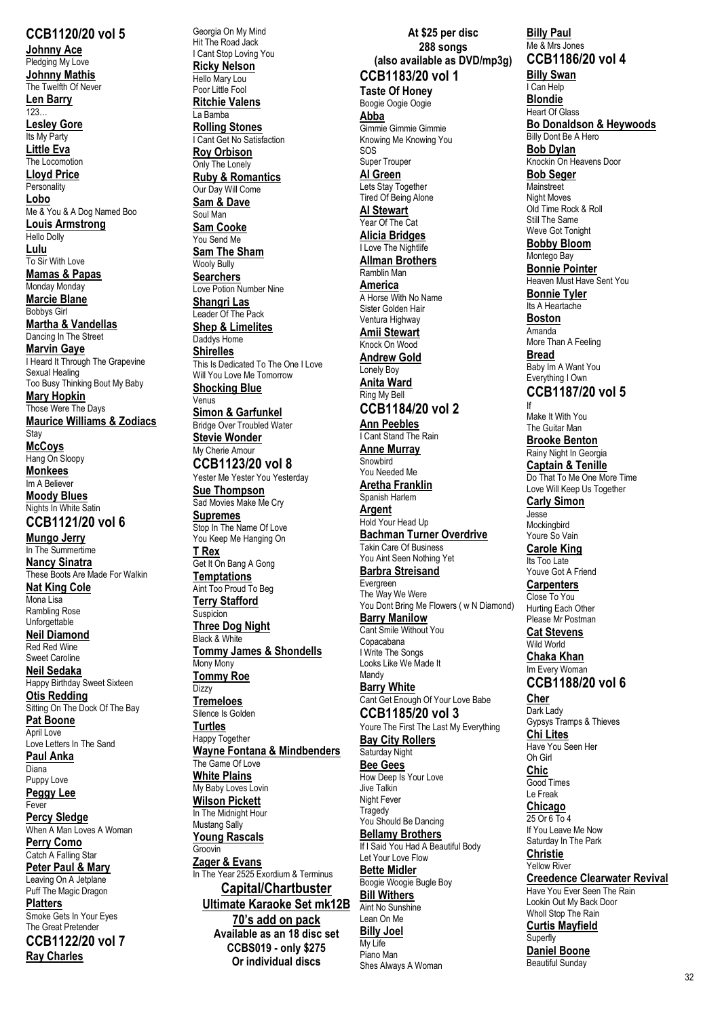**CCB1120/20 vol 5 Johnny Ace** Pledging My Love **Johnny Mathis** The Twelfth Of Never **Len Barry** 123… **Lesley Gore** Its My Party **Little Eva** The Locomotion **Lloyd Price Personality Lobo** Me & You & A Dog Named Boo **Louis Armstrong** Hello Dolly **Lulu** To Sir With Love **Mamas & Papas** Monday Monday **Marcie Blane** Bobbys Girl **Martha & Vandellas** Dancing In The Street **Marvin Gaye** I Heard It Through The Grapevine Sexual Healing Too Busy Thinking Bout My Baby **Mary Hopkin** Those Were The Days **Maurice Williams & Zodiacs** Stay **McCoys** Hang On Sloopy **Monkees** Im A Believer **Moody Blues** Nights In White Satin **CCB1121/20 vol 6 Mungo Jerry** In The Summertime **Nancy Sinatra** These Boots Are Made For Walkin **Nat King Cole** Mona Lisa Rambling Rose Unforgettable **Neil Diamond** Red Red Wine Sweet Caroline **Neil Sedaka** Happy Birthday Sweet Sixteen **Otis Redding** Sitting On The Dock Of The Bay **Pat Boone** April Love Love Letters In The Sand **Paul Anka** Diana Puppy Love **Peggy Lee** Fever **Percy Sledge** When A Man Loves A Woman **Perry Como** Catch A Falling Star **Peter Paul & Mary** Leaving On A Jetplane Puff The Magic Dragon **Platters** Smoke Gets In Your Eyes The Great Pretender **CCB1122/20 vol 7**

**Ray Charles**

Georgia On My Mind Hit The Road Jack I Cant Stop Loving You **Ricky Nelson** Hello Mary Lou Poor Little Fool **Ritchie Valens** La Bamba **Rolling Stones** I Cant Get No Satisfaction **Roy Orbison** Only The Lonely **Ruby & Romantics** Our Day Will Come **Sam & Dave** Soul Man **Sam Cooke** You Send Me **Sam The Sham** Wooly Bully **Searchers** Love Potion Number Nine **Shangri Las** Leader Of The Pack **Shep & Limelites** Daddys Home **Shirelles** This Is Dedicated To The One I Love Will You Love Me Tomorrow **Shocking Blue** Venus **Simon & Garfunkel** Bridge Over Troubled Water **Stevie Wonder** My Cherie Amour **CCB1123/20 vol 8** Yester Me Yester You Yesterday **Sue Thompson** Sad Movies Make Me Cry **Supremes** Stop In The Name Of Love You Keep Me Hanging On **T Rex** Get It On Bang A Gong **Temptations** Aint Too Proud To Beg **Terry Stafford Suspicion Three Dog Night** Black & White **Tommy James & Shondells** Mony Mony **Tommy Roe** Dizzy **Tremeloes** Silence Is Golden **Turtles** Happy Together **Wayne Fontana & Mindbenders** The Game Of Love **White Plains** My Baby Loves Lovin **Wilson Pickett** In The Midnight Hour Mustang Sally **Young Rascals** Groovin **Zager & Evans** In The Year 2525 Exordium & Terminus **Capital/Chartbuster Ultimate Karaoke Set mk12B 70's add on pack Available as an 18 disc set**

> **CCBS019 - only \$275 Or individual discs**

## **At \$25 per disc 288 songs (also available as DVD/mp3g)**

**CCB1183/20 vol 1 Taste Of Honey** Boogie Oogie Oogie **Abba** Gimmie Gimmie Gimmie Knowing Me Knowing You SOS Super Trouper **Al Green** Lets Stay Together Tired Of Being Alone **Al Stewart** Year Of The Cat **Alicia Bridges** I Love The Nightlife **Allman Brothers** Ramblin Man **America** A Horse With No Name Sister Golden Hair Ventura Highway **Amii Stewart** Knock On Wood **Andrew Gold** Lonely Boy **Anita Ward** Ring My Bell **CCB1184/20 vol 2 Ann Peebles** I Cant Stand The Rain **Anne Murray Snowbird** You Needed Me **Aretha Franklin** Spanish Harlem **Argent** Hold Your Head Up **Bachman Turner Overdrive** Takin Care Of Business You Aint Seen Nothing Yet **Barbra Streisand** Evergreen The Way We Were You Dont Bring Me Flowers ( w N Diamond) **Barry Manilow** Cant Smile Without You Copacabana I Write The Songs Looks Like We Made It Mandy **Barry White** Cant Get Enough Of Your Love Babe **CCB1185/20 vol 3** Youre The First The Last My Everything **Bay City Rollers** Saturday Night **Bee Gees** How Deep Is Your Love Jive Talkin Night Fever **Tragedy** You Should Be Dancing **Bellamy Brothers** If I Said You Had A Beautiful Body Let Your Love Flow **Bette Midler** Boogie Woogie Bugle Boy **Bill Withers** Aint No Sunshine Lean On Me

**Billy Joel** My Life Piano Man Shes Always A Woman

**Billy Paul** Me & Mrs Jones **CCB1186/20 vol 4 Billy Swan** I Can Help **Blondie** Heart Of Glass **Bo Donaldson & Heywoods** Billy Dont Be A Hero **Bob Dylan** Knockin On Heavens Door **Bob Seger Mainstreet** Night Moves Old Time Rock & Roll Still The Same Weve Got Tonight **Bobby Bloom** Montego Bay **Bonnie Pointer** Heaven Must Have Sent You **Bonnie Tyler** Its A Heartache **Boston** Amanda More Than A Feeling **Bread** Baby Im A Want You Everything I Own **CCB1187/20 vol 5** If Make It With You The Guitar Man **Brooke Benton** Rainy Night In Georgia **Captain & Tenille** Do That To Me One More Time Love Will Keep Us Together **Carly Simon Jesse** Mockingbird Youre So Vain **Carole King** Its Too Late Youve Got A Friend **Carpenters** Close To You Hurting Each Other Please Mr Postman **Cat Stevens** Wild World **Chaka Khan** Im Every Woman **CCB1188/20 vol 6 Cher** Dark Lady Gypsys Tramps & Thieves **Chi Lites** Have You Seen Her Oh Girl **Chic**

Saturday In The Park **Christie** Yellow River **Creedence Clearwater Revival** Have You Ever Seen The Rain Lookin Out My Back Door Wholl Stop The Rain **Curtis Mayfield** Superfly **Daniel Boone** Beautiful Sunday

Good Times Le Freak **Chicago**  $\overline{250r6.704}$ If You Leave Me Now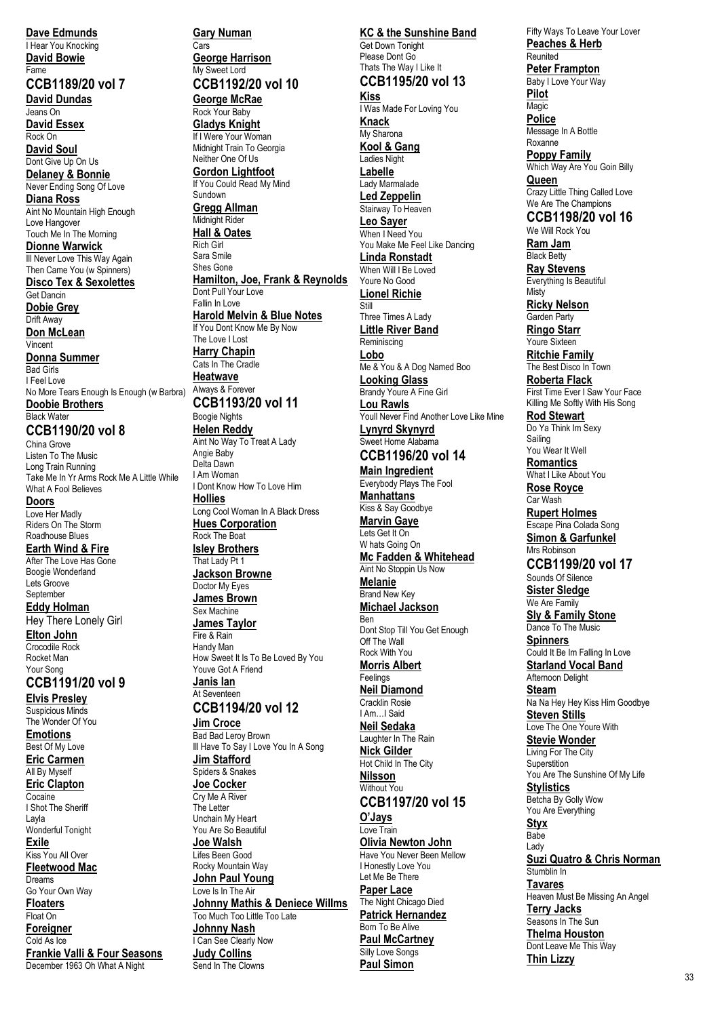**Dave Edmunds** I Hear You Knocking **David Bowie** Fame

**CCB1189/20 vol 7 David Dundas**

Jeans On **David Essex** Rock On

**David Soul** Dont Give Up On Us

**Delaney & Bonnie** Never Ending Song Of Love

**Diana Ross** Aint No Mountain High Enough Love Hangover Touch Me In The Morning

**Dionne Warwick** Ill Never Love This Way Again

Then Came You (w Spinners) **Disco Tex & Sexolettes** Get Dancin **Dobie Grey**

Drift Away **Don McLean** Vincent **Donna Summer** Bad Girls I Feel Love No More Tears Enough Is Enough (w Barbra) **Doobie Brothers**

Black Water **CCB1190/20 vol 8**

China Grove Listen To The Music Long Train Running Take Me In Yr Arms Rock Me A Little While What A Fool Believes **Doors** Love Her Madly Riders On The Storm Roadhouse Blues **Earth Wind & Fire** After The Love Has Gone Boogie Wonderland Lets Groove **September Eddy Holman** Hey There Lonely Girl **Elton John** Crocodile Rock Rocket Man Your Song **CCB1191/20 vol 9 Elvis Presley** Suspicious Minds The Wonder Of You **Emotions** Best Of My Love

**Eric Carmen** All By Myself **Eric Clapton**

Cocaine I Shot The Sheriff Layla Wonderful Tonight

**Exile** Kiss You All Over **Fleetwood Mac** Dreams Go Your Own Way **Floaters**

Float On **Foreigner** Cold As Ice **Frankie Valli & Four Seasons** December 1963 Oh What A Night

**Gary Numan**

Cars **George Harrison** My Sweet Lord **CCB1192/20 vol 10**

**George McRae** Rock Your Baby **Gladys Knight**

If I Were Your Woman Midnight Train To Georgia Neither One Of Us **Gordon Lightfoot** If You Could Read My Mind

Sundown **Gregg Allman**

Midnight Rider **Hall & Oates** Rich Girl Sara Smile Shes Gone **Hamilton, Joe, Frank & Reynolds** Dont Pull Your Love Fallin In Love **Harold Melvin & Blue Notes**

If You Dont Know Me By Now The Love I Lost **Harry Chapin**

Cats In The Cradle **Heatwave** Always & Forever **CCB1193/20 vol 11** Boogie Nights

**Helen Reddy** Aint No Way To Treat A Lady Angie Baby Delta Dawn I Am Woman I Dont Know How To Love Him **Hollies** Long Cool Woman In A Black Dress **Hues Corporation** Rock The Boat **Isley Brothers** That Lady Pt 1 **Jackson Browne** Doctor My Eyes **James Brown**

Sex Machine **James Taylor** Fire & Rain Handy Man How Sweet It Is To Be Loved By You Youve Got A Friend **Janis Ian** At Seventeen

**CCB1194/20 vol 12 Jim Croce** Bad Bad Leroy Brown

Ill Have To Say I Love You In A Song **Jim Stafford** Spiders & Snakes

**Joe Cocker** Cry Me A River The Letter Unchain My Heart You Are So Beautiful

**Joe Walsh** Lifes Been Good Rocky Mountain Way **John Paul Young** Love Is In The Air **Johnny Mathis & Deniece Willms** Too Much Too Little Too Late **Johnny Nash** I Can See Clearly Now **Judy Collins** Send In The Clowns

## **KC & the Sunshine Band**

Get Down Tonight Please Dont Go Thats The Way I Like It

### **CCB1195/20 vol 13 Kiss**

I Was Made For Loving You **Knack** My Sharona **Kool & Gang** Ladies Night

**Labelle** Lady Marmalade

**Led Zeppelin** Stairway To Heaven **Leo Sayer**

When I Need You You Make Me Feel Like Dancing **Linda Ronstadt**

When Will I Be Loved Youre No Good **Lionel Richie**

Still Three Times A Lady **Little River Band** Reminiscing

**Lobo** Me & You & A Dog Named Boo **Looking Glass** Brandy Youre A Fine Girl **Lou Rawls** Youll Never Find Another Love Like Mine **Lynyrd Skynyrd** Sweet Home Alabama

## **CCB1196/20 vol 14**

**Main Ingredient** Everybody Plays The Fool **Manhattans** Kiss & Say Goodbye

**Marvin Gaye** Lets Get It On W hats Going On

**Mc Fadden & Whitehead** Aint No Stoppin Us Now **Melanie** Brand New Key **Michael Jackson**

Ben Dont Stop Till You Get Enough Off The Wall Rock With You

**Morris Albert** Feelings

**Neil Diamond** Cracklin Rosie I Am…I Said **Neil Sedaka** Laughter In The Rain **Nick Gilder** Hot Child In The City **Nilsson** Without You **CCB1197/20 vol 15 O'Jays** Love Train

**Olivia Newton John** Have You Never Been Mellow I Honestly Love You Let Me Be There **Paper Lace** The Night Chicago Died **Patrick Hernandez** Born To Be Alive **Paul McCartney** Silly Love Songs **Paul Simon**

Fifty Ways To Leave Your Lover **Peaches & Herb** Reunited **Peter Frampton** Baby I Love Your Way **Pilot Magic Police** Message In A Bottle Roxanne **Poppy Family** Which Way Are You Goin Billy **Queen** Crazy Little Thing Called Love We Are The Champions **CCB1198/20 vol 16** We Will Rock You **Ram Jam Black Betty Ray Stevens** Everything Is Beautiful Misty **Ricky Nelson** Garden Party **Ringo Starr** Youre Sixteen **Ritchie Family** The Best Disco In Town **Roberta Flack** First Time Ever I Saw Your Face

Killing Me Softly With His Song **Rod Stewart** Do Ya Think Im Sexy Sailing

You Wear It Well **Romantics** What I Like About You

**Rose Royce** Car Wash

**Rupert Holmes** Escape Pina Colada Song **Simon & Garfunkel** Mrs Robinson

**CCB1199/20 vol 17**

Sounds Of Silence **Sister Sledge** We Are Family

**Sly & Family Stone** Dance To The Music **Spinners**

Could It Be Im Falling In Love **Starland Vocal Band**

Afternoon Delight **Steam** Na Na Hey Hey Kiss Him Goodbye **Steven Stills**

Love The One Youre With **Stevie Wonder**

Living For The City **Superstition** You Are The Sunshine Of My Life

**Stylistics** Betcha By Golly Wow You Are Everything

**Styx** Babe Lady **Suzi Quatro & Chris Norman** Stumblin In **Tavares** Heaven Must Be Missing An Angel **Terry Jacks** Seasons In The Sun **Thelma Houston**

Dont Leave Me This Way **Thin Lizzy**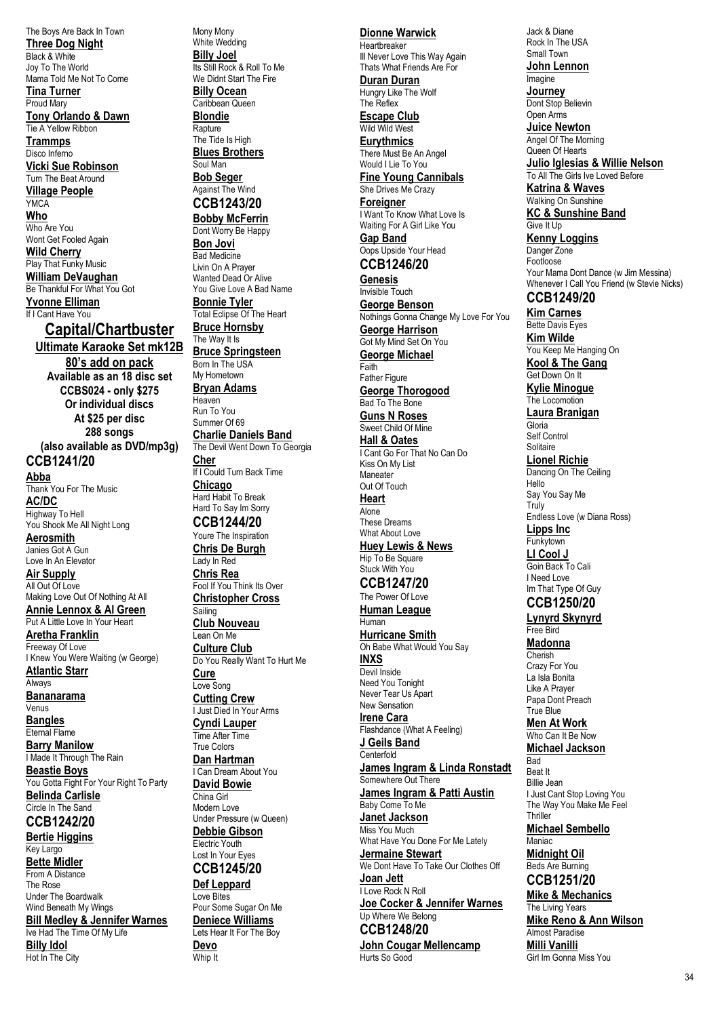The Boys Are Back In Town **Three Dog Night** Black & White Joy To The World Mama Told Me Not To Come **Tina Turner** Proud Mary **Tony Orlando & Dawn** Tie A Yellow Ribbon **Trammps** Disco Inferno **Vicki Sue Robinson** Turn The Beat Around **Village People** YMCA **Who** Who Are You Wont Get Fooled Again **Wild Cherry** Play That Funky Music **William DeVaughan** Be Thankful For What You Got **Yvonne Elliman** If I Cant Have You **Capital/Chartbuster Ultimate Karaoke Set mk12B 80's add on pack Available as an 18 disc set CCBS024 - only \$275 Or individual discs At \$25 per disc 288 songs (also available as DVD/mp3g) CCB1241/20 Abba** Thank You For The Music **AC/DC** Highway To Hell You Shook Me All Night Long **Aerosmith** Janies Got A Gun Love In An Elevator **Air Supply** All Out Of Love Making Love Out Of Nothing At All **Annie Lennox & Al Green** Put A Little Love In Your Heart **Aretha Franklin** Freeway Of Love I Knew You Were Waiting (w George) **Atlantic Starr** Always **Bananarama** Venus **Bangles** Eternal Flame **Barry Manilow** I Made It Through The Rain **Beastie Boys** You Gotta Fight For Your Right To Party **Belinda Carlisle** Circle In The Sand **CCB1242/20 Bertie Higgins** Key Largo **Bette Midler** From A Distance The Rose Under The Boardwalk Wind Beneath My Wings **Bill Medley & Jennifer Warnes** Ive Had The Time Of My Life **Billy Idol** Hot In The City

Mony Mony White Wedding **Billy Joel** Its Still Rock & Roll To Me We Didnt Start The Fire **Billy Ocean** Caribbean Queen **Blondie Rapture** The Tide Is High **Blues Brothers** Soul Man **Bob Seger** Against The Wind **CCB1243/20 Bobby McFerrin** Dont Worry Be Happy **Bon Jovi** Bad Medicine Livin On A Prayer Wanted Dead Or Alive You Give Love A Bad Name **Bonnie Tyler** Total Eclipse Of The Heart **Bruce Hornsby** The Way It Is **Bruce Springsteen** Born In The USA My Hometown **Bryan Adams** Heaven Run To You Summer Of 69 **Charlie Daniels Band** The Devil Went Down To Georgia **Cher** If I Could Turn Back Time **Chicago** Hard Habit To Break Hard To Say Im Sorry **CCB1244/20** Youre The Inspiration **Chris De Burgh** Lady In Red **Chris Rea** Fool If You Think Its Over **Christopher Cross** Sailing **Club Nouveau** Lean On Me **Culture Club** Do You Really Want To Hurt Me **Cure** Love Song **Cutting Crew** I Just Died In Your Arms **Cyndi Lauper** Time After Time True Colors **Dan Hartman** I Can Dream About You **David Bowie** China Girl Modern Love Under Pressure (w Queen) **Debbie Gibson** Electric Youth Lost In Your Eyes **CCB1245/20 Def Leppard** Love Bites Pour Some Sugar On Me **Deniece Williams** Lets Hear It For The Boy **Devo** Whip It

## **Dionne Warwick**

**Hearthreaker** Ill Never Love This Way Again Thats What Friends Are For **Duran Duran**

Hungry Like The Wolf The Reflex **Escape Club**

Wild Wild West **Eurythmics** There Must Be An Angel Would I Lie To You

**Fine Young Cannibals** She Drives Me Crazy

**Foreigner** I Want To Know What Love Is Waiting For A Girl Like You **Gap Band** Oops Upside Your Head

**CCB1246/20 Genesis**

Invisible Touch **George Benson** Nothings Gonna Change My Love For You **George Harrison** Got My Mind Set On You **George Michael Faith** Father Figure **George Thorogood** Bad To The Bone **Guns N Roses** Sweet Child Of Mine **Hall & Oates** I Cant Go For That No Can Do Kiss On My List Maneater Out Of Touch **Heart** Alone These Dreams What About Love **Huey Lewis & News** Hip To Be Square Stuck With You **CCB1247/20** The Power Of Love **Human League** Human **Hurricane Smith** Oh Babe What Would You Say **INXS** Devil Inside Need You Tonight Never Tear Us Apart New Sensation **Irene Cara** Flashdance (What A Feeling) **J Geils Band Centerfold James Ingram & Linda Ronstadt** Somewhere Out There **James Ingram & Patti Austin** Baby Come To Me **Janet Jackson** Miss You Much What Have You Done For Me Lately **Jermaine Stewart** We Dont Have To Take Our Clothes Off **Joan Jett** I Love Rock N Roll **Joe Cocker & Jennifer Warnes** Up Where We Belong **CCB1248/20 John Cougar Mellencamp** Hurts So Good

Jack & Diane Rock In The USA Small Town **John Lennon Imagine Journey** Dont Stop Believin Open Arms **Juice Newton** Angel Of The Morning Queen Of Hearts **Julio Iglesias & Willie Nelson** To All The Girls Ive Loved Before **Katrina & Waves** Walking On Sunshine **KC & Sunshine Band** Give It Up **Kenny Loggins** Danger Zone Footloose Your Mama Dont Dance (w Jim Messina) Whenever I Call You Friend (w Stevie Nicks) **CCB1249/20 Kim Carnes** Bette Davis Eyes **Kim Wilde** You Keep Me Hanging On **Kool & The Gang** Get Down On It **Kylie Minogue** The Locomotion **Laura Branigan** Gloria Self Control Solitaire **Lionel Richie** Dancing On The Ceiling Hello Say You Say Me **Truly** Endless Love (w Diana Ross) **Lipps Inc** Funkytown **Ll Cool J** Goin Back To Cali I Need Love Im That Type Of Guy **CCB1250/20 Lynyrd Skynyrd** Free Bird **Madonna Cherish** Crazy For You La Isla Bonita Like A Prayer Papa Dont Preach True Blue **Men At Work** Who Can It Be Now **Michael Jackson Bad** Beat It Billie Jean I Just Cant Stop Loving You The Way You Make Me Feel Thriller **Michael Sembello** Maniac **Midnight Oil** Beds Are Burning **CCB1251/20 Mike & Mechanics**

The Living Years **Mike Reno & Ann Wilson** Almost Paradise

**Milli Vanilli** Girl Im Gonna Miss You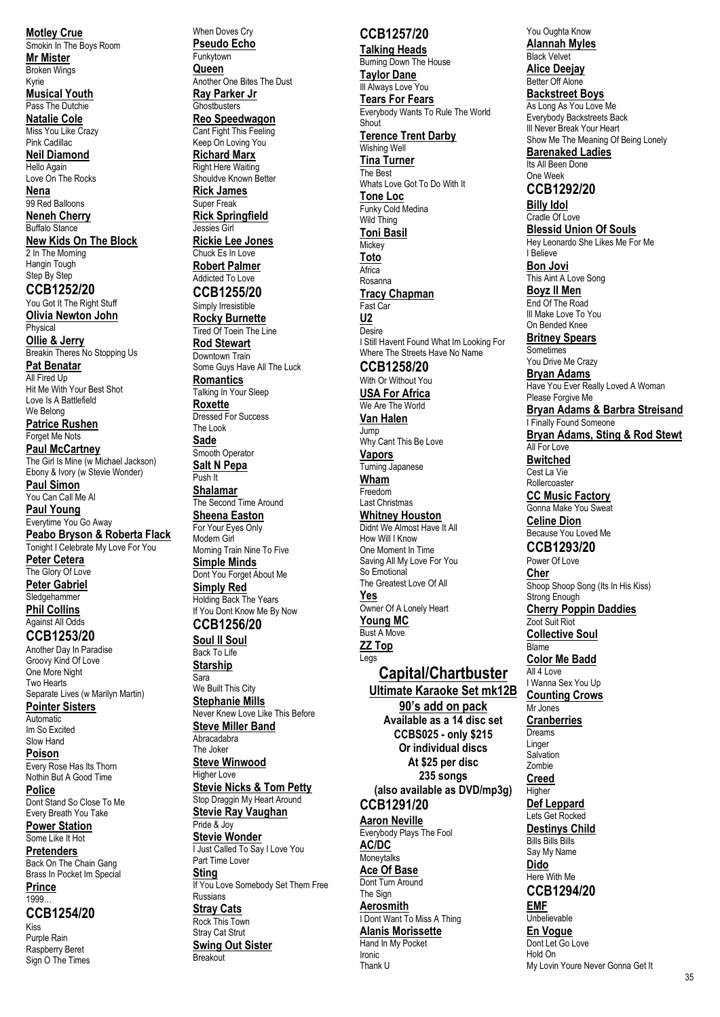**Motley Crue** Smokin In The Boys Room **Mr Mister** Broken Wings **Musical Youth** Pass The Dutchie **Natalie Cole** Miss You Like Crazy Pink Cadillac **Neil Diamond** Hello Again Love On The Rocks 99 Red Balloons **Neneh Cherry** Buffalo Stance **New Kids On The Block** 2 In The Morning Hangin Tough Step By Step **CCB1252/20** You Got It The Right Stuff **Olivia Newton John Ollie & Jerry** Breakin Theres No Stopping Us **Pat Benatar All Fired Up** Hit Me With Your Best Shot Love Is A Battlefield We Belong **Patrice Rushen** Forget Me Nots **Paul McCartney** The Girl Is Mine (w Michael Jackson) Ebony & Ivory (w Stevie Wonder) **Paul Simon** You Can Call Me Al **Paul Young** Everytime You Go Away **Peabo Bryson & Roberta Flack** Tonight I Celebrate My Love For You **Peter Cetera** The Glory Of Love **Peter Gabriel Sledgehammer Phil Collins** Against All Odds **CCB1253/20** Another Day In Paradise Groovy Kind Of Love One More Night Two Hearts Separate Lives (w Marilyn Martin) **Pointer Sisters** Automatic Im So Excited Slow Hand **Poison** Every Rose Has Its Thorn Nothin But A Good Time Dont Stand So Close To Me Every Breath You Take **Power Station** Some Like It Hot **Pretenders** Back On The Chain Gang Brass In Pocket Im Special **Prince CCB1254/20** Purple Rain Raspberry Beret Sign O The Times Sara

Kyrie

**Nena**

Physical

**Police**

1999…

Kiss

When Doves Cry **Pseudo Echo** Funkytown **Queen** Another One Bites The Dust **Ray Parker Jr Ghostbusters Reo Speedwagon** Cant Fight This Feeling Keep On Loving You **Richard Marx** Right Here Waiting Shouldve Known Better **Rick James** Super Freak **Rick Springfield** Jessies Girl **Rickie Lee Jones** Chuck Es In Love **Robert Palmer** Addicted To Love **CCB1255/20** Simply Irresistible **Rocky Burnette** Tired Of Toein The Line **Rod Stewart** Downtown Train Some Guys Have All The Luck **Romantics** Talking In Your Sleep **Roxette** Dressed For Success The Look **Sade** Smooth Operator **Salt N Pepa** Push It **Shalamar** The Second Time Around **Sheena Easton** For Your Eyes Only Modern Girl Morning Train Nine To Five **Simple Minds** Dont You Forget About Me **Simply Red** Holding Back The Years If You Dont Know Me By Now **CCB1256/20 Soul II Soul** Back To Life **Starship** We Built This City **Stephanie Mills** Never Knew Love Like This Before **Steve Miller Band** Abracadabra The Joker **Steve Winwood** Higher Love **Stevie Nicks & Tom Petty** Stop Draggin My Heart Around **Stevie Ray Vaughan** Pride & Joy **Stevie Wonder** I Just Called To Say I Love You Part Time Lover **Sting** If You Love Somebody Set Them Free Russians **Stray Cats** Rock This Town Stray Cat Strut **Swing Out Sister Breakout** 

## **CCB1257/20**

**Talking Heads** Burning Down The House **Taylor Dane III Always Love You Tears For Fears** Everybody Wants To Rule The World **Shout Terence Trent Darby** Wishing Well **Tina Turner** The Best Whats Love Got To Do With It **Tone Loc** Funky Cold Medina Wild Thing **Toni Basil Mickey Toto** Africa Rosanna **Tracy Chapman** Fast Car **U2** Desire I Still Havent Found What Im Looking For Where The Streets Have No Name **CCB1258/20** With Or Without You **USA For Africa** We Are The World **Van Halen** Jump Why Cant This Be Love **Vapors** Turning Japanese **Wham** Freedom Last Christmas **Whitney Houston** Didnt We Almost Have It All How Will I Know One Moment In Time Saving All My Love For You So Emotional The Greatest Love Of All **Yes** Owner Of A Lonely Heart **Young MC** Bust A Move **ZZ Top** Legs **Capital/Chartbuster Ultimate Karaoke Set mk12B 90's add on pack Available as a 14 disc set CCBS025 - only \$215 Or individual discs At \$25 per disc 235 songs (also available as DVD/mp3g) CCB1291/20 Aaron Neville** Everybody Plays The Fool **AC/DC** Moneytalks **Ace Of Base** Dont Turn Around The Sign **Aerosmith** I Dont Want To Miss A Thing **Alanis Morissette** Hand In My Pocket Ironic

Thank U

You Oughta Know **Alannah Myles** Black Velvet **Alice Deejay** Better Off Alone **Backstreet Boys** As Long As You Love Me Everybody Backstreets Back Ill Never Break Your Heart Show Me The Meaning Of Being Lonely **Barenaked Ladies** Its All Been Done One Week **CCB1292/20 Billy Idol** Cradle Of Love **Blessid Union Of Souls** Hey Leonardo She Likes Me For Me I Believe **Bon Jovi** This Aint A Love Song **Boyz II Men** End Of The Road Ill Make Love To You On Bended Knee **Britney Spears Sometimes** You Drive Me Crazy **Bryan Adams** Have You Ever Really Loved A Woman Please Forgive Me **Bryan Adams & Barbra Streisand** I Finally Found Someone **Bryan Adams, Sting & Rod Stewt** All For Love **Bwitched** Cest La Vie Rollercoaster **CC Music Factory** Gonna Make You Sweat **Celine Dion** Because You Loved Me **CCB1293/20** Power Of Love **Cher** Shoop Shoop Song (Its In His Kiss) Strong Enough **Cherry Poppin Daddies** Zoot Suit Riot **Collective Soul** Blame **Color Me Badd** All 4 Love I Wanna Sex You Up **Counting Crows** Mr Jones **Cranberries** Dreams Linger Salvation Zombie **Creed Higher Def Leppard** Lets Get Rocked **Destinys Child** Bills Bills Bills Say My Name **Dido** Here With Me **CCB1294/20 EMF Unbelievable En Vogue** Dont Let Go Love Hold On My Lovin Youre Never Gonna Get It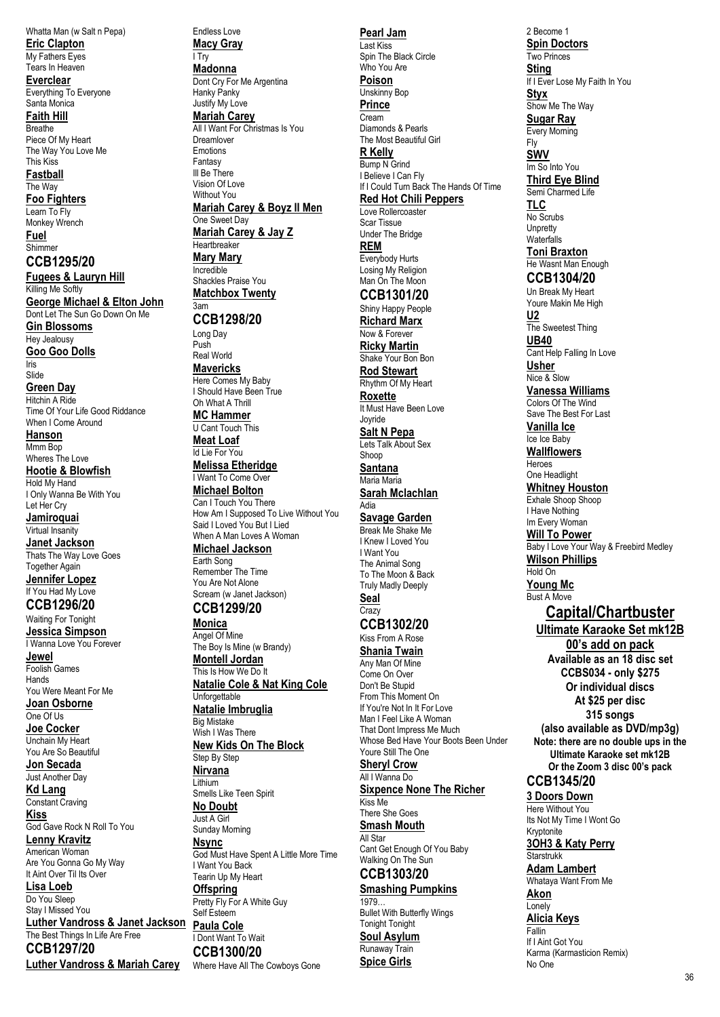Whatta Man (w Salt n Pepa) **Eric Clapton** My Fathers Eyes Tears In Heaven

**Everclear** Everything To Everyone Santa Monica

**Faith Hill Breathe** Piece Of My Heart The Way You Love Me This Kiss

**Fastball** The Way

**Foo Fighters**

Learn To Fly Monkey Wrench **Fuel**

#### **Shimmer CCB1295/20**

**Fugees & Lauryn Hill** Killing Me Softly

**George Michael & Elton John** Dont Let The Sun Go Down On Me **Gin Blossoms** Hey Jealousy **Goo Goo Dolls**

Iris Slide

**Green Day** Hitchin A Ride Time Of Your Life Good Riddance When I Come Around

**Hanson** Mmm Bop

Wheres The Love **Hootie & Blowfish** Hold My Hand I Only Wanna Be With You

Let Her Cry **Jamiroquai**

Virtual Insanity **Janet Jackson**

Thats The Way Love Goes Together Again

**Jennifer Lopez** If You Had My Love

**CCB1296/20** Waiting For Tonight

**Jessica Simpson** I Wanna Love You Forever **Jewel**

Foolish Games **Hands** You Were Meant For Me

**Joan Osborne** One Of Us **Joe Cocker**

Unchain My Heart You Are So Beautiful **Jon Secada**

Just Another Day **Kd Lang**

Constant Craving **Kiss**

God Gave Rock N Roll To You **Lenny Kravitz** American Woman Are You Gonna Go My Way

It Aint Over Til Its Over **Lisa Loeb**

Do You Sleep

Stay I Missed You **Luther Vandross & Janet Jackson Paula Cole** The Best Things In Life Are Free **CCB1297/20**

Luther Vandross & Mariah Carey Where Have All The Cowboys Gone

Endless Love **Macy Gray**

I Try **Madonna** Dont Cry For Me Argentina Hanky Panky Justify My Love **Mariah Carey** All I Want For Christmas Is You Dreamlover Emotions

Fantasy Ill Be There Vision Of Love Without You **Mariah Carey & Boyz II Men** One Sweet Day

**Mariah Carey & Jay Z Heartbreaker** 

**Mary Mary** Incredible Shackles Praise You **Matchbox Twenty**

#### 3am **CCB1298/20**

Long Day Push Real World **Mavericks** Here Comes My Baby I Should Have Been True Oh What A Thrill **MC Hammer** U Cant Touch This **Meat Loaf** Id Lie For You **Melissa Etheridge**

I Want To Come Over **Michael Bolton** Can I Touch You There How Am I Supposed To Live Without You Said I Loved You But I Lied

When A Man Loves A Woman **Michael Jackson** Earth Song Remember The Time

You Are Not Alone Scream (w Janet Jackson) **CCB1299/20**

## **Monica**

Angel Of Mine The Boy Is Mine (w Brandy) **Montell Jordan** This Is How We Do It **Natalie Cole & Nat King Cole** Unforgettable **Natalie Imbruglia** Big Mistake

Wish I Was There **New Kids On The Block** Step By Step

**Nirvana** Lithium

Smells Like Teen Spirit **No Doubt** Just A Girl

Sunday Morning **Nsync**

God Must Have Spent A Little More Time I Want You Back Tearin Up My Heart **Offspring** Pretty Fly For A White Guy Self Esteem

I Dont Want To Wait **CCB1300/20**

## **Pearl Jam**

Last Kiss Spin The Black Circle Who You Are **Poison** Unskinny Bop **Prince** Cream Diamonds & Pearls The Most Beautiful Girl **R Kelly** Bump N Grind I Believe I Can Fly

If I Could Turn Back The Hands Of Time **Red Hot Chili Peppers**

Love Rollercoaster Scar Tissue Under The Bridge **REM** Everybody Hurts

Losing My Religion Man On The Moon **CCB1301/20**

## Shiny Happy People

**Richard Marx** Now & Forever

**Ricky Martin** Shake Your Bon Bon **Rod Stewart**

Rhythm Of My Heart **Roxette** It Must Have Been Love

Joyride **Salt N Pepa** Lets Talk About Sex Shoop **Santana**

Maria Maria **Sarah Mclachlan** Adia

**Savage Garden**

Break Me Shake Me I Knew I Loved You I Want You The Animal Song To The Moon & Back Truly Madly Deeply **Seal** Crazy **CCB1302/20** Kiss From A Rose **Shania Twain** Any Man Of Mine Come On Over Don't Be Stupid From This Moment On If You're Not In It For Love Man I Feel Like A Woman That Dont Impress Me Much

Youre Still The One **Sheryl Crow** All I Wanna Do

**Sixpence None The Richer**

Whose Bed Have Your Boots Been Under

Kiss Me There She Goes **Smash Mouth** All Star Cant Get Enough Of You Baby Walking On The Sun

## **CCB1303/20**

**Smashing Pumpkins** 1979… Bullet With Butterfly Wings Tonight Tonight

**Soul Asylum** Runaway Train **Spice Girls**

2 Become 1 **Spin Doctors** Two Princes **Sting** If I Ever Lose My Faith In You **Styx** Show Me The Way **Sugar Ray** Every Morning Fly

**SWV**

Im So Into You **Third Eye Blind** Semi Charmed Life

**TLC**

No Scrubs Unpretty **Waterfalls** 

**Toni Braxton** He Wasnt Man Enough **CCB1304/20**

Un Break My Heart Youre Makin Me High

**U2** The Sweetest Thing

**UB40** Cant Help Falling In Love **Usher**

Nice & Slow

**Vanessa Williams** Colors Of The Wind

Save The Best For Last **Vanilla Ice**

Ice Ice Baby **Wallflowers**

Heroes One Headlight

**Whitney Houston** Exhale Shoop Shoop I Have Nothing

Im Every Woman **Will To Power**

Baby I Love Your Way & Freebird Medley **Wilson Phillips** Hold On

**Young Mc** Bust A Move

# **Capital/Chartbuster**

**Ultimate Karaoke Set mk12B 00's add on pack Available as an 18 disc set CCBS034 - only \$275 Or individual discs At \$25 per disc 315 songs (also available as DVD/mp3g) Note: there are no double ups in the Ultimate Karaoke set mk12B Or the Zoom 3 disc 00's pack**

**CCB1345/20**

**3 Doors Down**

Here Without You Its Not My Time I Wont Go Kryptonite **3OH3 & Katy Perry** Starstrukk

**Adam Lambert** Whataya Want From Me

**Akon Lonely** 

**Alicia Keys**

Fallin If I Aint Got You Karma (Karmasticion Remix) No One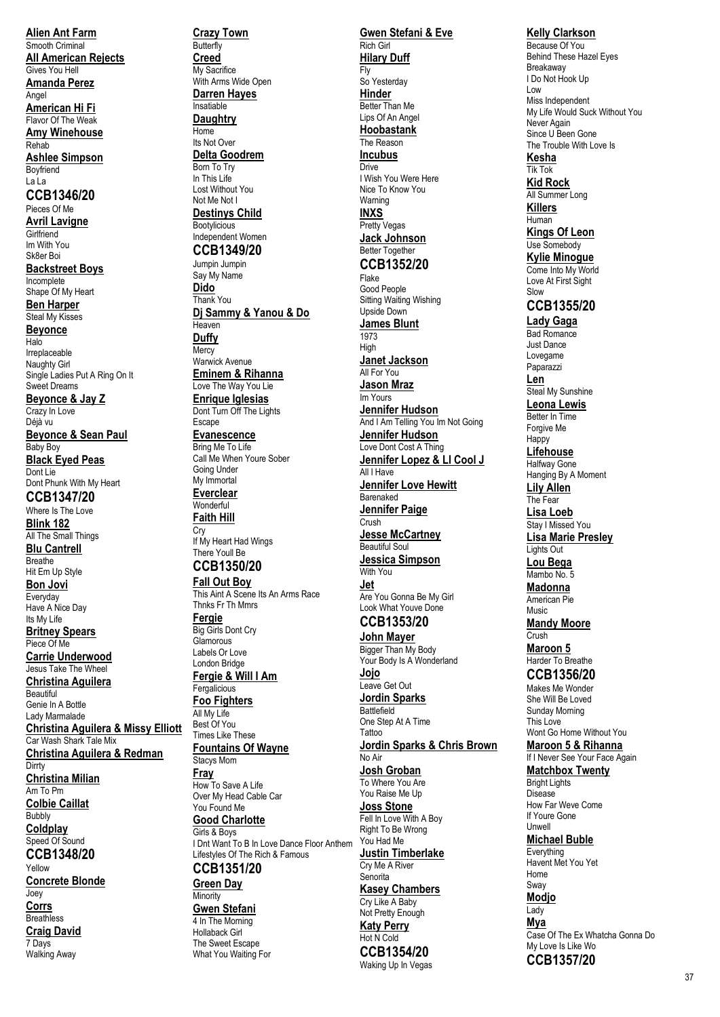**Alien Ant Farm** Smooth Criminal **All American Rejects** Gives You Hell **Amanda Perez American Hi Fi** Flavor Of The Weak **Amy Winehouse** Rehab **Ashlee Simpson Boyfriend CCB1346/20** Pieces Of Me **Avril Lavigne Girlfriend** Im With You Sk8er Boi **Backstreet Boys** Incomplete Shape Of My Heart **Ben Harper** Steal My Kisses **Beyonce** Irreplaceable Naughty Girl Single Ladies Put A Ring On It Sweet Dreams **Beyonce & Jay Z** Crazy In Love Déjà vu **Beyonce & Sean Paul** Baby Boy **Black Eyed Peas** Dont Lie Dont Phunk With My Heart **CCB1347/20** Where Is The Love **Blink 182** All The Small Things **Blu Cantrell Breathe** Hit Em Up Style **Bon Jovi Everyday** Have A Nice Day Its My Life **Britney Spears** Piece Of Me **Carrie Underwood** Jesus Take The Wheel **Christina Aguilera** Beautiful Genie In A Bottle Lady Marmalade **Christina Aguilera & Missy Elliott** Car Wash Shark Tale Mix **Christina Aguilera & Redman Christina Milian** Am To Pm **Colbie Caillat** Bubbly **Coldplay** Speed Of Sound **CCB1348/20** Yellow **Concrete Blonde Corrs Breathless Craig David**

Angel

La La

Halo

**Dirrty** 

 $\overline{J}$ loey

7 Days Walking Away

**Crazy Town Butterfly Creed** My Sacrifice With Arms Wide Open **Darren Hayes Insatiable Daughtry** Home Its Not Over **Delta Goodrem** Born To Try In This Life Lost Without You Not Me Not I **Destinys Child Bootylicious** Independent Women **CCB1349/20** Jumpin Jumpin Say My Name **Dido** Thank You **Dj Sammy & Yanou & Do** Heaven **Duffy Mercy** Warwick Avenue **Eminem & Rihanna** Love The Way You Lie **Enrique Iglesias** Dont Turn Off The Lights Escape **Evanescence** Bring Me To Life Call Me When Youre Sober Going Under My Immortal **Everclear** Wonderful **Faith Hill Cry** If My Heart Had Wings There Youll Be **CCB1350/20 Fall Out Boy** This Aint A Scene Its An Arms Race Thnks Fr Th Mmrs **Fergie** Big Girls Dont Cry **Glamorous** Labels Or Love London Bridge **Fergie & Will I Am Fergalicious Foo Fighters** All My Life Best Of You Times Like These **Fountains Of Wayne** Stacys Mom **Fray** How To Save A Life Over My Head Cable Car You Found Me **Good Charlotte** Girls & Boys I Dnt Want To B In Love Dance Floor Anthem Lifestyles Of The Rich & Famous **CCB1351/20 Green Day Minority Gwen Stefani** 4 In The Morning Hollaback Girl The Sweet Escape What You Waiting For

**Gwen Stefani & Eve** Rich Girl **Hilary Duff** Fly So Yesterday **Hinder** Better Than Me Lips Of An Angel **Hoobastank** The Reason **Incubus Drive** I Wish You Were Here Nice To Know You Warning **INXS** Pretty Vegas **Jack Johnson Better Together CCB1352/20** Flake Good People Sitting Waiting Wishing Upside Down **James Blunt** 1973 High **Janet Jackson** All For You **Jason Mraz** Im Yours **Jennifer Hudson** And I Am Telling You Im Not Going **Jennifer Hudson** Love Dont Cost A Thing **Jennifer Lopez & Ll Cool J** All I Have **Jennifer Love Hewitt** Barenaked **Jennifer Paige** Crush **Jesse McCartney** Beautiful Soul **Jessica Simpson** With You **Jet** Are You Gonna Be My Girl Look What Youve Done **CCB1353/20 John Mayer** Bigger Than My Body Your Body Is A Wonderland **Jojo** Leave Get Out **Jordin Sparks** Battlefield One Step At A Time **Tattoo Jordin Sparks & Chris Brown** No Air **Josh Groban** To Where You Are You Raise Me Up **Joss Stone** Fell In Love With A Boy Right To Be Wrong You Had Me **Justin Timberlake** Cry Me A River Senorita **Kasey Chambers** Cry Like A Baby Not Pretty Enough **Katy Perry** Hot N Cold **CCB1354/20**

Waking Up In Vegas

## **Kelly Clarkson**

Because Of You Behind These Hazel Eyes Breakaway I Do Not Hook Up Low Miss Independent My Life Would Suck Without You Never Again Since U Been Gone The Trouble With Love Is **Kesha** Tik Tok **Kid Rock**

All Summer Long **Killers Human** 

**Kings Of Leon** Use Somebody

**Kylie Minogue** Come Into My World Love At First Sight Slow

**CCB1355/20 Lady Gaga** Bad Romance Just Dance

Lovegame Paparazzi **Len** Steal My Sunshine **Leona Lewis** Better In Time Forgive Me Hanny **Lifehouse** Halfway Gone Hanging By A Moment **Lily Allen** The Fear **Lisa Loeb** Stay I Missed You **Lisa Marie Presley** Lights Out **Lou Bega** Mambo No. 5 **Madonna** American Pie **Music Mandy Moore** Crush **Maroon 5** Harder To Breathe **CCB1356/20** Makes Me Wonder She Will Be Loved Sunday Morning This Love Wont Go Home Without You **Maroon 5 & Rihanna** If I Never See Your Face Again **Matchbox Twenty** Bright Lights Disease How Far Weve Come If Youre Gone Unwell **Michael Buble Everything** Havent Met You Yet Home

Sway **Modjo** Lady **Mya** Case Of The Ex Whatcha Gonna Do My Love Is Like Wo **CCB1357/20**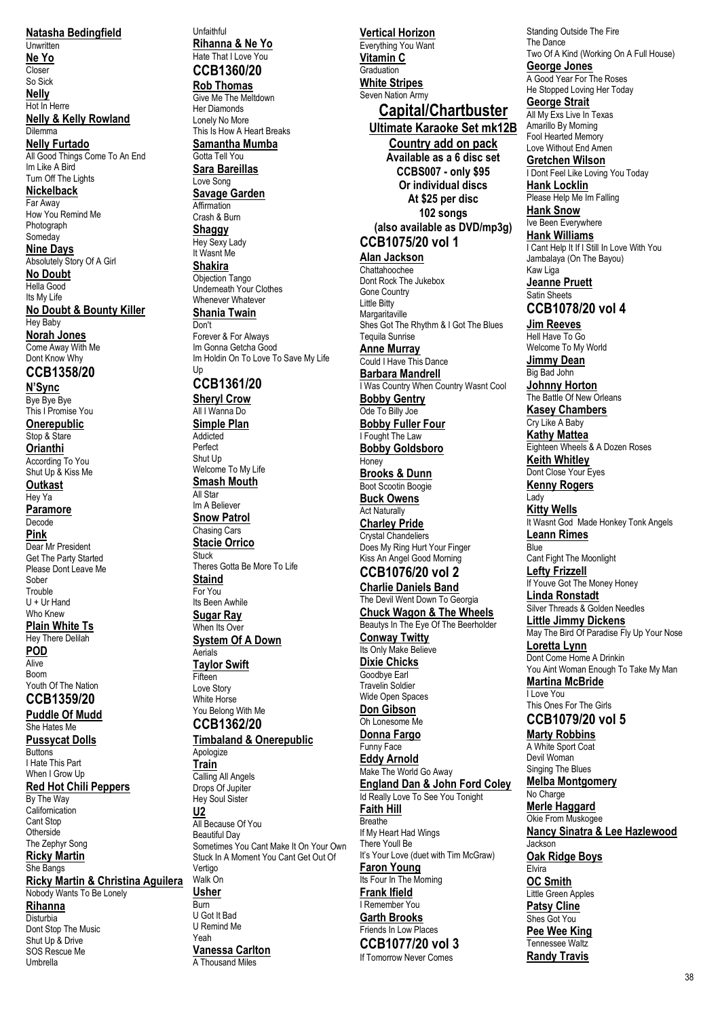**Natasha Bedingfield Unwritten Ne Yo** Hot In Herre **Nelly & Kelly Rowland** Dilemma **Nelly Furtado** All Good Things Come To An End Im Like A Bird Turn Off The Lights **Nickelback** Far Away How You Remind Me **Photograph Someday Nine Days** Absolutely Story Of A Girl **No Doubt** Hella Good Its My Life **No Doubt & Bounty Killer** Hey Baby **Norah Jones** Come Away With Me Dont Know Why **CCB1358/20 N'Sync** Bye Bye Bye This I Promise You **Onerepublic** Stop & Stare **Orianthi** According To You Shut Up & Kiss Me **Outkast Paramore** Dear Mr President Get The Party Started Please Dont Leave Me U + Ur Hand Who Knew **Plain White Ts** Hey There Delilah Youth Of The Nation **CCB1359/20 Puddle Of Mudd** She Hates Me **Pussycat Dolls** I Hate This Part When I Grow Up **Red Hot Chili Peppers** By The Way Californication Cant Stop Otherside The Zephyr Song **Ricky Martin** She Bangs **Ricky Martin & Christina Aguilera** Nobody Wants To Be Lonely **Rihanna Disturbia** Dont Stop The Music Shut Up & Drive SOS Rescue Me Umbrella Up **U2**

Closer So Sick **Nelly**

Hey Ya

Decode **Pink**

Sober Trouble

**POD** Alive Boom

**Buttons** 

Unfaithful **Rihanna & Ne Yo** Hate That I Love You **CCB1360/20 Rob Thomas** Give Me The Meltdown Her Diamonds Lonely No More This Is How A Heart Breaks **Samantha Mumba** Gotta Tell You **Sara Bareillas** Love Song **Savage Garden** Affirmation Crash & Burn **Shaggy** Hey Sexy Lady It Wasnt Me **Shakira** Objection Tango Underneath Your Clothes Whenever Whatever **Shania Twain** Don't Forever & For Always Im Gonna Getcha Good Im Holdin On To Love To Save My Life **CCB1361/20 Sheryl Crow** All I Wanna Do **Simple Plan Addicted** Perfect Shut Up Welcome To My Life **Smash Mouth** All Star Im A Believer **Snow Patrol** Chasing Cars **Stacie Orrico** Stuck Theres Gotta Be More To Life **Staind** For You Its Been Awhile **Sugar Ray** When Its Over **System Of A Down Aerials Taylor Swift** Fifteen Love Story White Horse You Belong With Me **CCB1362/20 Timbaland & Onerepublic Apologize Train** Calling All Angels Drops Of Jupiter Hey Soul Sister All Because Of You Beautiful Day Sometimes You Cant Make It On Your Own Stuck In A Moment You Cant Get Out Of Vertigo Walk On **Usher Burn** U Got It Bad U Remind Me Yeah **Vanessa Carlton** A Thousand Miles

**Vertical Horizon** Everything You Want **Vitamin C** Graduation **White Stripes** Seven Nation Army **Capital/Chartbuster Ultimate Karaoke Set mk12B Country add on pack Available as a 6 disc set CCBS007 - only \$95 Or individual discs At \$25 per disc 102 songs (also available as DVD/mp3g) CCB1075/20 vol 1 Alan Jackson** Chattahoochee Dont Rock The Jukebox Gone Country Little Bitty **Margaritaville** Shes Got The Rhythm & I Got The Blues Tequila Sunrise **Anne Murray** Could I Have This Dance **Barbara Mandrell** I Was Country When Country Wasnt Cool **Bobby Gentry** Ode To Billy Joe **Bobby Fuller Four** I Fought The Law **Bobby Goldsboro Honey Brooks & Dunn** Boot Scootin Boogie **Buck Owens Act Naturally Charley Pride** Crystal Chandeliers Does My Ring Hurt Your Finger Kiss An Angel Good Morning **CCB1076/20 vol 2 Charlie Daniels Band** The Devil Went Down To Georgia **Chuck Wagon & The Wheels** Beautys In The Eye Of The Beerholder **Conway Twitty** Its Only Make Believe **Dixie Chicks** Goodbye Earl Travelin Soldier Wide Open Spaces **Don Gibson** Oh Lonesome Me **Donna Fargo** Funny Face **Eddy Arnold** Make The World Go Away **England Dan & John Ford Coley** Id Really Love To See You Tonight **Faith Hill Breathe** If My Heart Had Wings There Youll Be It's Your Love (duet with Tim McGraw) **Faron Young** Its Four In The Morning **Frank Ifield** I Remember You **Garth Brooks** Friends In Low Places **CCB1077/20 vol 3** If Tomorrow Never Comes

He Stopped Loving Her Today **George Strait** All My Exs Live In Texas Amarillo By Morning Fool Hearted Memory Love Without End Amen **Gretchen Wilson** I Dont Feel Like Loving You Today **Hank Locklin** Please Help Me Im Falling **Hank Snow** Ive Been Everywhere **Hank Williams** I Cant Help It If I Still In Love With You Jambalaya (On The Bayou) Kaw Liga **Jeanne Pruett** Satin Sheets **CCB1078/20 vol 4 Jim Reeves** Hell Have To Go Welcome To My World **Jimmy Dean** Big Bad John **Johnny Horton** The Battle Of New Orleans **Kasey Chambers** Cry Like A Baby **Kathy Mattea** Eighteen Wheels & A Dozen Roses **Keith Whitley** Dont Close Your Eyes **Kenny Rogers** Lady **Kitty Wells** It Wasnt God Made Honkey Tonk Angels **Leann Rimes Blue** Cant Fight The Moonlight **Lefty Frizzell** If Youve Got The Money Honey **Linda Ronstadt** Silver Threads & Golden Needles **Little Jimmy Dickens** May The Bird Of Paradise Fly Up Your Nose **Loretta Lynn** Dont Come Home A Drinkin You Aint Woman Enough To Take My Man **Martina McBride** I Love You This Ones For The Girls **CCB1079/20 vol 5 Marty Robbins** A White Sport Coat Devil Woman Singing The Blues **Melba Montgomery** No Charge **Merle Haggard** Okie From Muskogee **Nancy Sinatra & Lee Hazlewood** Jackson **Oak Ridge Boys** Elvira **OC Smith** Little Green Apples **Patsy Cline** Shes Got You **Pee Wee King** Tennessee Waltz **Randy Travis**

Standing Outside The Fire

Two Of A Kind (Working On A Full House)

The Dance

**George Jones** A Good Year For The Roses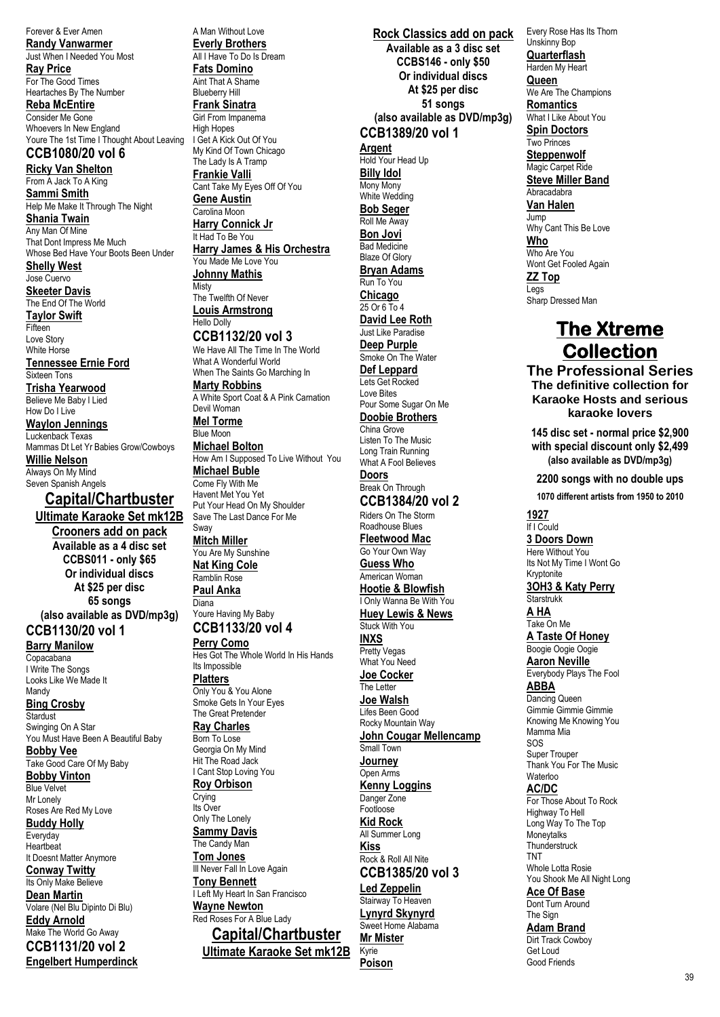Forever & Ever Amen **Randy Vanwarmer** Just When I Needed You Most **Ray Price** For The Good Times Heartaches By The Number **Reba McEntire** Consider Me Gone Whoevers In New England Youre The 1st Time I Thought About Leaving

**CCB1080/20 vol 6**

**Ricky Van Shelton** From A Jack To A King **Sammi Smith** Help Me Make It Through The Night **Shania Twain** Any Man Of Mine That Dont Impress Me Much Whose Bed Have Your Boots Been Under

**Shelly West** Jose Cuervo **Skeeter Davis** The End Of The World **Taylor Swift**

**Fifteen** Love Story White Horse

**Tennessee Ernie Ford** Sixteen Tons

**Trisha Yearwood** Believe Me Baby I Lied How Do I Live

**Waylon Jennings** Luckenback Texas Mammas Dt Let Yr Babies Grow/Cowboys **Willie Nelson** Always On My Mind Seven Spanish Angels

**Capital/Chartbuster Ultimate Karaoke Set mk12B Crooners add on pack Available as a 4 disc set CCBS011 - only \$65 Or individual discs At \$25 per disc 65 songs (also available as DVD/mp3g) CCB1130/20 vol 1 Barry Manilow** Copacabana I Write The Songs Looks Like We Made It Mandy **Bing Crosby Stardust** Swinging On A Star You Must Have Been A Beautiful Baby **Bobby Vee** Take Good Care Of My Baby **Bobby Vinton**

Blue Velvet Mr Lonely Roses Are Red My Love **Buddy Holly Everyday** 

**Heartbeat** It Doesnt Matter Anymore

**Conway Twitty** Its Only Make Believe

**Dean Martin** Volare (Nel Blu Dipinto Di Blu)

**Eddy Arnold** Make The World Go Away **CCB1131/20 vol 2 Engelbert Humperdinck**

A Man Without Love **Everly Brothers** All I Have To Do Is Dream **Fats Domino** Aint That A Shame Blueberry Hill **Frank Sinatra** Girl From Impanema High Hopes I Get A Kick Out Of You My Kind Of Town Chicago The Lady Is A Tramp **Frankie Valli** Cant Take My Eyes Off Of You **Gene Austin** Carolina Moon **Harry Connick Jr** It Had To Be You **Harry James & His Orchestra** You Made Me Love You **Johnny Mathis Misty** The Twelfth Of Never **Louis Armstrong** Hello Dolly **CCB1132/20 vol 3** We Have All The Time In The World What A Wonderful World When The Saints Go Marching In **Marty Robbins** A White Sport Coat & A Pink Carnation Devil Woman **Mel Torme** Blue Moon **Michael Bolton** How Am I Supposed To Live Without You **Michael Buble** Come Fly With Me Havent Met You Yet Put Your Head On My Shoulder Save The Last Dance For Me Sway **Mitch Miller** You Are My Sunshine **Nat King Cole** Ramblin Rose **Paul Anka** Diana Youre Having My Baby **CCB1133/20 vol 4 Perry Como** Hes Got The Whole World In His Hands Its Impossible **Platters** Only You & You Alone Smoke Gets In Your Eyes The Great Pretender **Ray Charles** Born To Lose Georgia On My Mind Hit The Road Jack I Cant Stop Loving You **Roy Orbison** Crying Its Over Only The Lonely **Sammy Davis** The Candy Man **Tom Jones** Ill Never Fall In Love Again **Tony Bennett** I Left My Heart In San Francisco **Wayne Newton** Red Roses For A Blue Lady

> **Capital/Chartbuster Ultimate Karaoke Set mk12B**

**Rock Classics add on pack Available as a 3 disc set CCBS146 - only \$50 Or individual discs At \$25 per disc 51 songs (also available as DVD/mp3g) CCB1389/20 vol 1 Argent** Hold Your Head Up **Billy Idol** Mony Mony White Wedding **Bob Seger** Roll Me Away **Bon Jovi** Bad Medicine Blaze Of Glory **Bryan Adams** Run To You **Chicago** 25 Or 6 To 4 **David Lee Roth** Just Like Paradise **Deep Purple** Smoke On The Water **Def Leppard** Lets Get Rocked Love Bites Pour Some Sugar On Me **Doobie Brothers** China Grove Listen To The Music Long Train Running What A Fool Believes **Doors** Break On Through **CCB1384/20 vol 2** Riders On The Storm Roadhouse Blues **Fleetwood Mac** Go Your Own Way **Guess Who** American Woman **Hootie & Blowfish** I Only Wanna Be With You **Huey Lewis & News** Stuck With You **INXS** Pretty Vegas What You Need **Joe Cocker** The Letter **Joe Walsh** Lifes Been Good Rocky Mountain Way **John Cougar Mellencamp** Small Town **Journey** Open Arms **Kenny Loggins** Danger Zone Footloose **Kid Rock** All Summer Long **Kiss** Rock & Roll All Nite **CCB1385/20 vol 3 Led Zeppelin** Stairway To Heaven **Lynyrd Skynyrd** Sweet Home Alabama **Mr Mister** Kyrie **Poison**

Every Rose Has Its Thorn Unskinny Bop **Quarterflash** Harden My Heart **Queen** We Are The Champions **Romantics** What I Like About You **Spin Doctors** Two Princes **Steppenwolf** Magic Carpet Ride **Steve Miller Band** Abracadabra **Van Halen Jump** Why Cant This Be Love **Who** Who Are You Wont Get Fooled Again **ZZ Top** Legs Sharp Dressed Man **The Xtreme Collection The Professional Series The definitive collection for Karaoke Hosts and serious karaoke lovers 145 disc set - normal price \$2,900 with special discount only \$2,499 (also available as DVD/mp3g) 2200 songs with no double ups 1070 different artists from 1950 to 2010 1927** If I Could **3 Doors Down** Here Without You Its Not My Time I Wont Go Kryptonite **3OH3 & Katy Perry** Starstrukk **A HA** Take On Me **A Taste Of Honey** Boogie Oogie Oogie **Aaron Neville** Everybody Plays The Fool **ABBA** Dancing Queen Gimmie Gimmie Gimmie Knowing Me Knowing You Mamma Mia SOS Super Trouper Thank You For The Music Waterloo **AC/DC** For Those About To Rock Highway To Hell Long Way To The Top **Moneytalks** Thunderstruck

TNT Whole Lotta Rosie You Shook Me All Night Long **Ace Of Base**

Dont Turn Around The Sign

**Adam Brand** Dirt Track Cowboy Get Loud Good Friends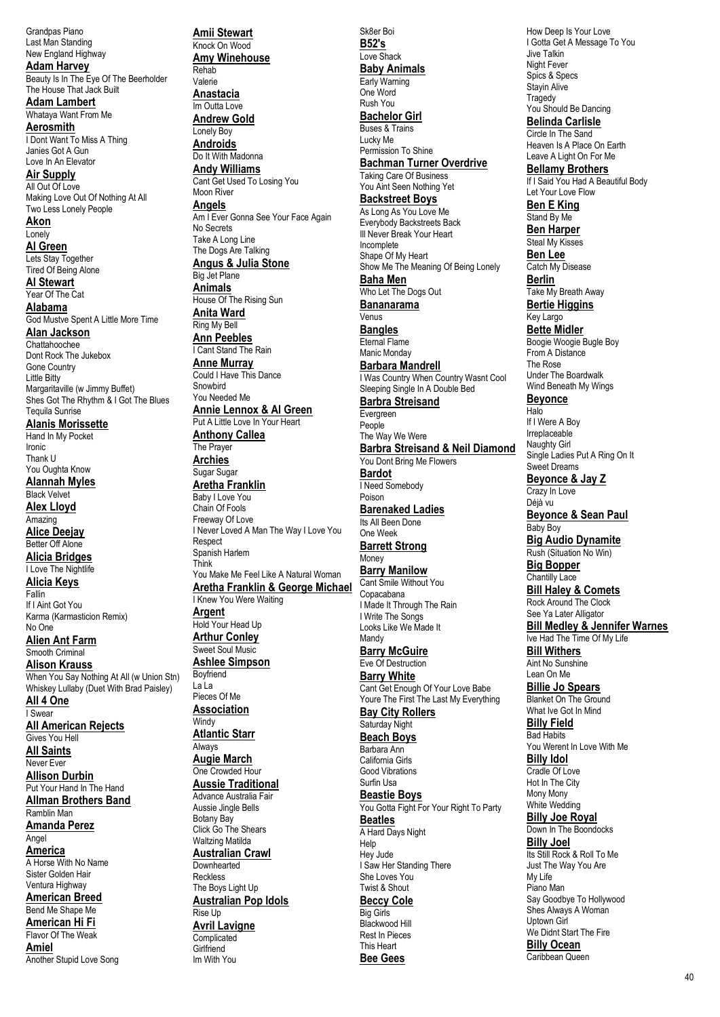Grandpas Piano Last Man Standing New England Highway **Adam Harvey** Beauty Is In The Eye Of The Beerholder The House That Jack Built **Adam Lambert** Whataya Want From Me **Aerosmith** I Dont Want To Miss A Thing Janies Got A Gun Love In An Elevator **Air Supply** All Out Of Love Making Love Out Of Nothing At All Two Less Lonely People **Akon Lonely Al Green** Lets Stay Together Tired Of Being Alone **Al Stewart** Year Of The Cat **Alabama** God Mustve Spent A Little More Time **Alan Jackson** Chattahoochee Dont Rock The Jukebox Gone Country Little Bitty Margaritaville (w Jimmy Buffet) Shes Got The Rhythm & I Got The Blues Tequila Sunrise **Alanis Morissette** Hand In My Pocket Ironic Thank U You Oughta Know **Alannah Myles** Black Velvet **Alex Lloyd** Amazing **Alice Deejay** Better Off Alone **Alicia Bridges** I Love The Nightlife **Alicia Keys** If I Aint Got You Karma (Karmasticion Remix) No One **Alien Ant Farm** Smooth Criminal **Alison Krauss** When You Say Nothing At All (w Union Stn) Whiskey Lullaby (Duet With Brad Paisley) **All 4 One** I Swear **All American Rejects** Gives You Hell **All Saints** Never Ever **Allison Durbin** Put Your Hand In The Hand **Allman Brothers Band** Ramblin Man **Amanda Perez** Angel **America** A Horse With No Name Sister Golden Hair Ventura Highway **American Breed** Bend Me Shape Me **American Hi Fi** Flavor Of The Weak **Amiel** Another Stupid Love Song **Amii Stewart** Knock On Wood **Amy Winehouse** Rehab Valerie **Anastacia** Im Outta Love **Andrew Gold** Lonely Boy **Androids** Do It With Madonna **Andy Williams** Moon River **Angels** No Secrets Take A Long Line The Dogs Are Talking **Angus & Julia Stone** Big Jet Plane **Animals** House Of The Rising Sun **Anita Ward** Ring My Bell **Ann Peebles** I Cant Stand The Rain **Anne Murray** Could I Have This Dance Snowbird You Needed Me **Anthony Callea** The Prayer **Archies** Sugar Sugar **Aretha Franklin** Baby I Love You Chain Of Fools Freeway Of Love Respect Spanish Harlem Think I Knew You Were Waiting **Argent** Hold Your Head Up **Arthur Conley** Sweet Soul Music **Ashlee Simpson** Boyfriend La La Pieces Of Me **Association** Windy **Atlantic Starr** Always **Augie March** One Crowded Hour **Aussie Traditional** Advance Australia Fair Aussie Jingle Bells Botany Bay Click Go The Shears Waltzing Matilda **Australian Crawl Downhearted** Reckless The Boys Light Up **Australian Pop Idols** Rise Up **Avril Lavigne** Complicated **Girlfriend** Im With You

**Fallin** 

Cant Get Used To Losing You Am I Ever Gonna See Your Face Again **Annie Lennox & Al Green** Put A Little Love In Your Heart I Never Loved A Man The Way I Love You You Make Me Feel Like A Natural Woman **Aretha Franklin & George Michael** Sk8er Boi **B52's** Love Shack **Baby Animals** Early Warning One Word Rush You **Bachelor Girl** Buses & Trains Lucky Me Permission To Shine Taking Care Of Business You Aint Seen Nothing Yet **Backstreet Boys** As Long As You Love Me Ill Never Break Your Heart Incomplete Shape Of My Heart **Baha Men** Who Let The Dogs Out **Bananarama** Venus **Bangles** Eternal Flame Manic Monday **Barbara Mandrell Barbra Streisand Evergreen** People The Way We Were **Bardot** I Need Somebody Poison **Barenaked Ladies** Its All Been Done One Week **Barrett Strong Money Barry Manilow** Cant Smile Without You Copacabana I Write The Songs Looks Like We Made It Mandy **Barry McGuire** Eve Of Destruction **Barry White Bay City Rollers** Saturday Night **Beach Boys** Barbara Ann California Girls Good Vibrations Surfin Usa **Beastie Boys Beatles** A Hard Days Night Help Hey Jude I Saw Her Standing There She Loves You Twist & Shout **Beccy Cole** Big Girls Blackwood Hill Rest In Pieces This Heart **Bee Gees**

**Bachman Turner Overdrive** Everybody Backstreets Back Show Me The Meaning Of Being Lonely I Was Country When Country Wasnt Cool Sleeping Single In A Double Bed **Barbra Streisand & Neil Diamond** You Dont Bring Me Flowers I Made It Through The Rain Cant Get Enough Of Your Love Babe Youre The First The Last My Everything You Gotta Fight For Your Right To Party

How Deep Is Your Love I Gotta Get A Message To You Jive Talkin Night Fever Spics & Specs Stayin Alive **Tragedy** You Should Be Dancing **Belinda Carlisle** Circle In The Sand Heaven Is A Place On Earth Leave A Light On For Me **Bellamy Brothers** If I Said You Had A Beautiful Body Let Your Love Flow **Ben E King** Stand By Me **Ben Harper** Steal My Kisses **Ben Lee** Catch My Disease **Berlin** Take My Breath Away **Bertie Higgins** Key Largo **Bette Midler** Boogie Woogie Bugle Boy From A Distance The Rose Under The Boardwalk Wind Beneath My Wings **Beyonce** Halo If I Were A Boy Irreplaceable Naughty Girl Single Ladies Put A Ring On It Sweet Dreams **Beyonce & Jay Z** Crazy In Love Déjà vu **Beyonce & Sean Paul** Baby Boy **Big Audio Dynamite** Rush (Situation No Win) **Big Bopper** Chantilly Lace **Bill Haley & Comets** Rock Around The Clock See Ya Later Alligator **Bill Medley & Jennifer Warnes** Ive Had The Time Of My Life **Bill Withers** Aint No Sunshine Lean On Me **Billie Jo Spears** Blanket On The Ground What Ive Got In Mind **Billy Field Bad Habits** You Werent In Love With Me **Billy Idol** Cradle Of Love Hot In The City Mony Mony White Wedding **Billy Joe Royal** Down In The Boondocks **Billy Joel** Its Still Rock & Roll To Me Just The Way You Are My Life Piano Man Say Goodbye To Hollywood Shes Always A Woman Uptown Girl We Didnt Start The Fire

**Billy Ocean** Caribbean Queen

40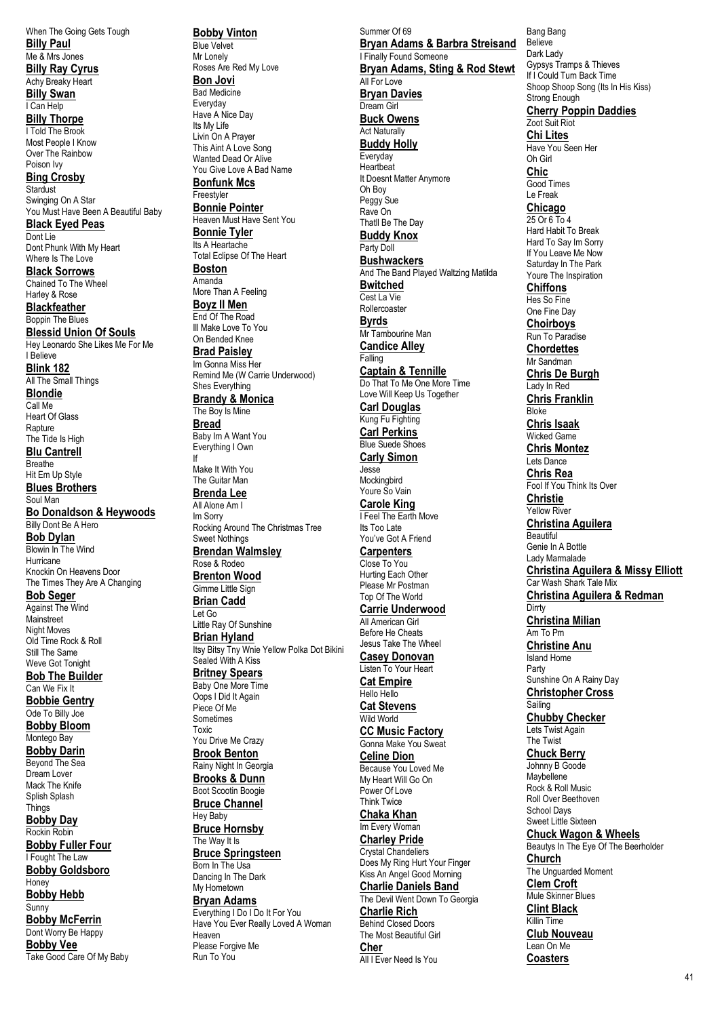When The Going Gets Tough **Billy Paul** Me & Mrs Jones **Billy Ray Cyrus** Achy Breaky Heart **Billy Swan Billy Thorpe** I Told The Brook Most People I Know Over The Rainbow **Bing Crosby** Swinging On A Star You Must Have Been A Beautiful Baby **Black Eyed Peas** Dont Phunk With My Heart Where Is The Love **Black Sorrows** Chained To The Wheel Harley & Rose **Blackfeather** Boppin The Blues **Blessid Union Of Souls** Hey Leonardo She Likes Me For Me **Blink 182** All The Small Things Heart Of Glass The Tide Is High **Blu Cantrell** Hit Em Up Style **Blues Brothers Bo Donaldson & Heywoods** Billy Dont Be A Hero **Bob Dylan** Blowin In The Wind Knockin On Heavens Door The Times They Are A Changing **Bob Seger** Against The Wind Night Moves Old Time Rock & Roll Still The Same Weve Got Tonight **Bob The Builder** Can We Fix It **Bobbie Gentry** Ode To Billy Joe **Bobby Bloom** Montego Bay **Bobby Darin** Beyond The Sea Dream Lover Mack The Knife Splish Splash **Bobby Day** Rockin Robin **Bobby Fuller Four** I Fought The Law **Bobby Goldsboro Bobby Hebb Bobby McFerrin** Dont Worry Be Happy **Bobby Vee** Take Good Care Of My Baby If Run To You

I Can Help

Poison Ivy

**Stardust** 

Dont Lie

I Believe

**Blondie** Call Me

Rapture

Breathe

Soul Man

Hurricane

Mainstreet

**Things** 

**Honey** 

**Sunny** 

**Bobby Vinton** Blue Velvet Mr Lonely Roses Are Red My Love **Bon Jovi** Bad Medicine Everyday Have A Nice Day Its My Life Livin On A Prayer This Aint A Love Song Wanted Dead Or Alive You Give Love A Bad Name **Bonfunk Mcs** Freestyler **Bonnie Pointer** Heaven Must Have Sent You **Bonnie Tyler** Its A Heartache Total Eclipse Of The Heart **Boston** Amanda More Than A Feeling **Boyz II Men** End Of The Road Ill Make Love To You On Bended Knee **Brad Paisley** Im Gonna Miss Her Remind Me (W Carrie Underwood) Shes Everything **Brandy & Monica** The Boy Is Mine **Bread** Baby Im A Want You Everything I Own Make It With You The Guitar Man **Brenda Lee** All Alone Am I Im Sorry Rocking Around The Christmas Tree Sweet Nothings **Brendan Walmsley** Rose & Rodeo **Brenton Wood** Gimme Little Sign **Brian Cadd** Let Go Little Ray Of Sunshine **Brian Hyland** Itsy Bitsy Tny Wnie Yellow Polka Dot Bikini Sealed With A Kiss **Britney Spears** Baby One More Time Oops I Did It Again Piece Of Me Sometimes Toxic You Drive Me Crazy **Brook Benton** Rainy Night In Georgia **Brooks & Dunn** Boot Scootin Boogie **Bruce Channel** Hey Baby **Bruce Hornsby** The Way It Is **Bruce Springsteen** Born In The Usa Dancing In The Dark My Hometown **Bryan Adams** Everything I Do I Do It For You Have You Ever Really Loved A Woman Heaven Please Forgive Me

Summer Of 69 **Bryan Adams & Barbra Streisand** I Finally Found Someone **Bryan Adams, Sting & Rod Stewt** All For Love **Bryan Davies** Dream Girl **Buck Owens** Act Naturally **Buddy Holly Everyday Heartbeat** It Doesnt Matter Anymore Oh Boy Peggy Sue Rave On Thatll Be The Day **Buddy Knox** Party Doll **Bushwackers** And The Band Played Waltzing Matilda **Bwitched** Cest La Vie Rollercoaster **Byrds** Mr Tambourine Man **Candice Alley** Falling **Captain & Tennille** Do That To Me One More Time Love Will Keep Us Together **Carl Douglas** Kung Fu Fighting **Carl Perkins** Blue Suede Shoes **Carly Simon** Jesse Mockingbird Youre So Vain **Carole King** I Feel The Earth Move Its Too Late You've Got A Friend **Carpenters** Close To You Hurting Each Other Please Mr Postman Top Of The World **Carrie Underwood** All American Girl Before He Cheats Jesus Take The Wheel **Casey Donovan** Listen To Your Heart **Cat Empire** Hello Hello **Cat Stevens** Wild World **CC Music Factory** Gonna Make You Sweat **Celine Dion** Because You Loved Me My Heart Will Go On Power Of Love Think Twice **Chaka Khan** Im Every Woman **Charley Pride** Crystal Chandeliers Does My Ring Hurt Your Finger Kiss An Angel Good Morning **Charlie Daniels Band** The Devil Went Down To Georgia **Charlie Rich** Behind Closed Doors The Most Beautiful Girl **Cher All I Ever Need Is You** 

Bang Bang Believe Dark Lady Gypsys Tramps & Thieves If  $I$  Could Turn Back Time Shoop Shoop Song (Its In His Kiss) Strong Enough **Cherry Poppin Daddies** Zoot Suit Riot **Chi Lites** Have You Seen Her Oh Girl **Chic** Good Times Le Freak **Chicago** 25 Or 6 To 4 Hard Habit To Break Hard To Say Im Sorry If You Leave Me Now Saturday In The Park Youre The Inspiration **Chiffons** Hes So Fine One Fine Day **Choirboys** Run To Paradise **Chordettes** Mr Sandman **Chris De Burgh** Lady In Red **Chris Franklin Bloke Chris Isaak** Wicked Game **Chris Montez** Lets Dance **Chris Rea** Fool If You Think Its Over **Christie** Yellow River **Christina Aguilera Beautiful** Genie In A Bottle Lady Marmalade **Christina Aguilera & Missy Elliott** Car Wash Shark Tale Mix **Christina Aguilera & Redman Dirrty Christina Milian** Am To Pm **Christine Anu** Island Home Party Sunshine On A Rainy Day **Christopher Cross Sailing Chubby Checker** Lets Twist Again The Twist **Chuck Berry** Johnny B Goode **Maybellene** Rock & Roll Music Roll Over Beethoven School Days Sweet Little Sixteen **Chuck Wagon & Wheels** Beautys In The Eye Of The Beerholder **Church** The Unguarded Moment **Clem Croft** Mule Skinner Blues **Clint Black** Killin Time **Club Nouveau** Lean On Me **Coasters**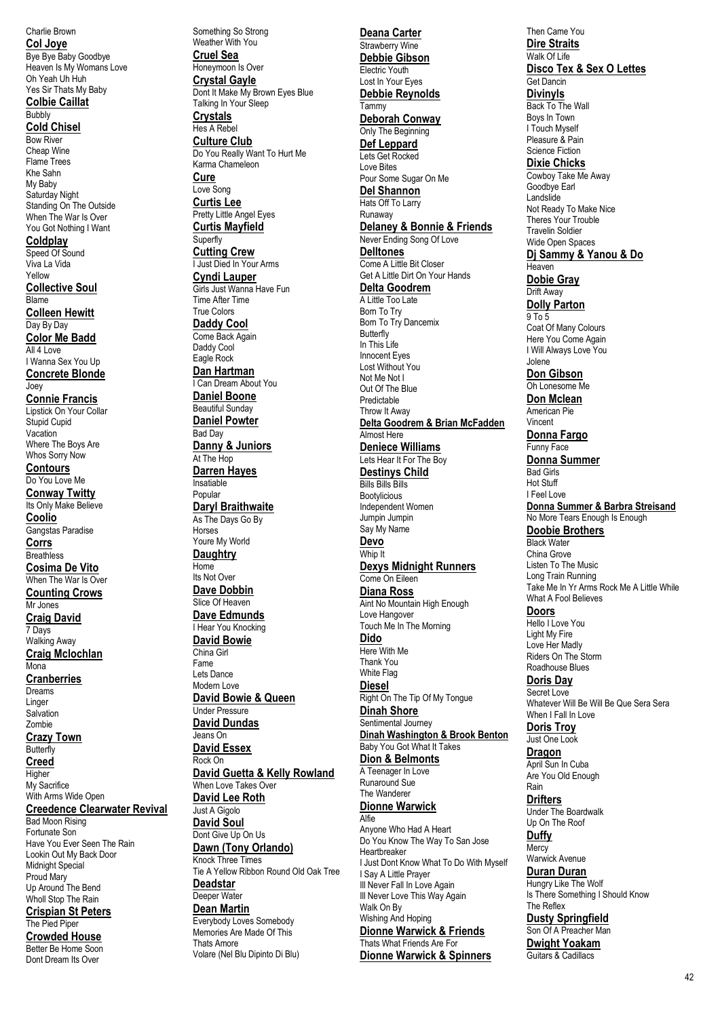Charlie Brown **Col Joye** Bye Bye Baby Goodbye Heaven Is My Womans Love Oh Yeah Uh Huh Yes Sir Thats My Baby **Colbie Caillat Bubbly Cold Chisel** Bow River Cheap Wine Flame Trees Khe Sahn My Baby Saturday Night Standing On The Outside When The War Is Over You Got Nothing I Want **Coldplay** Speed Of Sound Viva La Vida Yellow **Collective Soul** Blame **Colleen Hewitt** Day By Day **Color Me Badd** All 4 Love I Wanna Sex You Un **Concrete Blonde** Joey **Connie Francis** Lipstick On Your Collar Stupid Cupid Vacation Where The Boys Are Whos Sorry Now **Contours** Do You Love Me **Conway Twitty** Its Only Make Believe **Coolio** Gangstas Paradise **Corrs Breathless Cosima De Vito** When The War Is Over **Counting Crows** Mr Jones **Craig David** 7 Days Walking Away **Craig Mclochlan** Mona **Cranberries** Dreams Linger Salvation Zombie **Crazy Town Butterfly Creed Higher** My Sacrifice With Arms Wide Open **Creedence Clearwater Revival** Bad Moon Rising Fortunate Son Have You Ever Seen The Rain Lookin Out My Back Door Midnight Special Proud Mary Up Around The Bend Wholl Stop The Rain **Crispian St Peters** The Pied Piper **Crowded House** Better Be Home Soon Dont Dream Its Over

Something So Strong Weather With You **Cruel Sea** Honeymoon Is Over **Crystal Gayle** Dont It Make My Brown Eyes Blue Talking In Your Sleep **Crystals** Hes A Rebel **Culture Club** Do You Really Want To Hurt Me Karma Chameleon **Cure** Love Song **Curtis Lee** Pretty Little Angel Eyes **Curtis Mayfield Superfly Cutting Crew** I Just Died In Your Arms **Cyndi Lauper** Girls Just Wanna Have Fun Time After Time True Colors **Daddy Cool** Come Back Again Daddy Cool Eagle Rock **Dan Hartman** I Can Dream About You **Daniel Boone** Beautiful Sunday **Daniel Powter** Bad Day **Danny & Juniors** At The Hop **Darren Hayes** Insatiable Popular **Daryl Braithwaite** As The Days Go By Horses Youre My World **Daughtry** Home Its Not Over **Dave Dobbin** Slice Of Heaven **Dave Edmunds** I Hear You Knocking **David Bowie** China Girl Fame Lets Dance Modern Love **David Bowie & Queen** Under Pressure **David Dundas** Jeans On **David Essex** Rock On **David Guetta & Kelly Rowland** When Love Takes Over **David Lee Roth** Just A Gigolo **David Soul** Dont Give Up On Us **Dawn (Tony Orlando)** Knock Three Times Tie A Yellow Ribbon Round Old Oak Tree **Deadstar** Deeper Water **Dean Martin** Everybody Loves Somebody Memories Are Made Of This Thats Amore Volare (Nel Blu Dipinto Di Blu)

**Deana Carter** Strawberry Wine **Debbie Gibson** Electric Youth Lost In Your Eyes **Debbie Reynolds Tammy Deborah Conway** Only The Beginning **Def Leppard** Lets Get Rocked Love Bites Pour Some Sugar On Me **Del Shannon** Hats Off To Larry Runaway **Delaney & Bonnie & Friends** Never Ending Song Of Love **Delltones** Come A Little Bit Closer Get A Little Dirt On Your Hands **Delta Goodrem** A Little Too Late Born To Try Born To Try Dancemix Butterfly In This Life Innocent Eyes Lost Without You Not Me Not I Out Of The Blue Predictable Throw It Away **Delta Goodrem & Brian McFadden** Almost Here **Deniece Williams** Lets Hear It For The Boy **Destinys Child** Bills Bills Bills Bootylicious Independent Women Jumpin Jumpin Say My Name **Devo** Whip It **Dexys Midnight Runners** Come On Eileen **Diana Ross** Aint No Mountain High Enough Love Hangover Touch Me In The Morning **Dido** Here With Me Thank You White Flag **Diesel** Right On The Tip Of My Tongue **Dinah Shore** Sentimental Journey **Dinah Washington & Brook Benton** Baby You Got What It Takes **Dion & Belmonts** A Teenager In Love Runaround Sue The Wanderer **Dionne Warwick** Alfie Anyone Who Had A Heart Do You Know The Way To San Jose Heartbreaker I Just Dont Know What To Do With Myself I Say A Little Prayer III Never Fall In Love Again Ill Never Love This Way Again Walk On By Wishing And Hoping **Dionne Warwick & Friends** Thats What Friends Are For **Dionne Warwick & Spinners**

Then Came You **Dire Straits** Walk Of Life **Disco Tex & Sex O Lettes** Get Dancin **Divinyls** Back To The Wall Boys In Town I Touch Myself Pleasure & Pain Science Fiction **Dixie Chicks** Cowboy Take Me Away Goodbye Earl Landslide Not Ready To Make Nice Theres Your Trouble Travelin Soldier Wide Open Spaces **Dj Sammy & Yanou & Do** Heaven **Dobie Gray** Drift Away **Dolly Parton** 9 To 5 Coat Of Many Colours Here You Come Again I Will Always Love You Jolene **Don Gibson** Oh Lonesome Me **Don Mclean** American Pie Vincent **Donna Fargo** Funny Face **Donna Summer** Bad Girls Hot Stuff I Feel Love **Donna Summer & Barbra Streisand** No More Tears Enough Is Enough **Doobie Brothers Black Water** China Grove Listen To The Music Long Train Running Take Me In Yr Arms Rock Me A Little While What A Fool Believes **Doors** Hello I Love You Light My Fire Love Her Madly Riders On The Storm Roadhouse Blues **Doris Day** Secret Love Whatever Will Be Will Be Que Sera Sera When I Fall In Love **Doris Troy** Just One Look **Dragon** April Sun In Cuba Are You Old Enough Rain **Drifters** Under The Boardwalk Up On The Roof **Duffy Mercy** Warwick Avenue **Duran Duran** Hungry Like The Wolf Is There Something I Should Know The Reflex **Dusty Springfield** Son Of A Preacher Man **Dwight Yoakam** Guitars & Cadillacs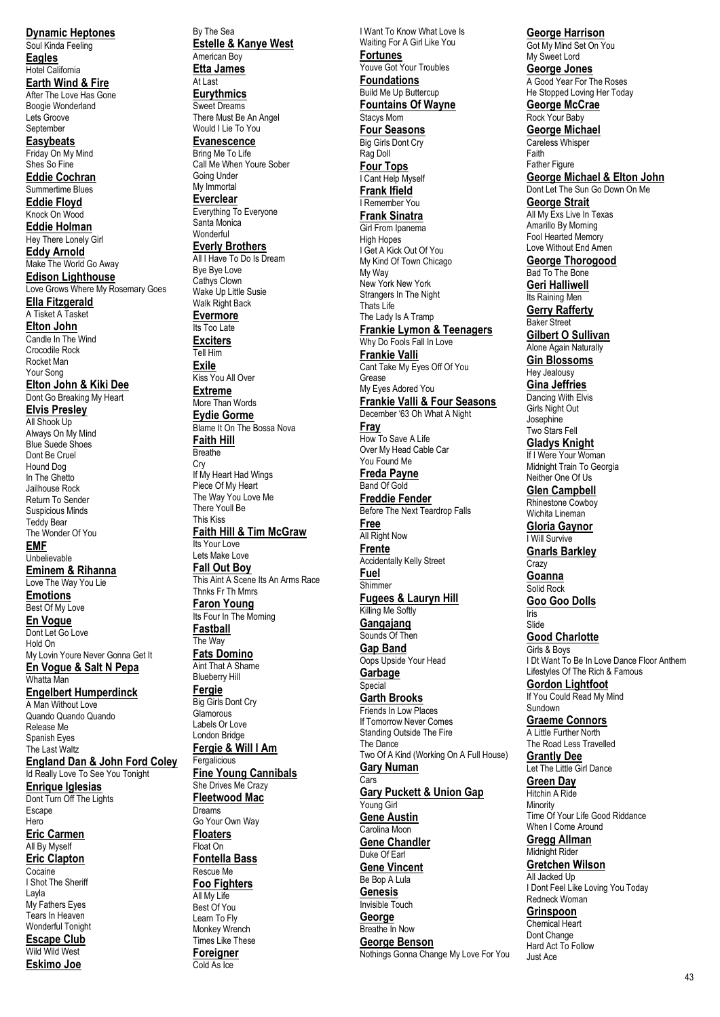**Dynamic Heptones**

Soul Kinda Feeling **Eagles** Hotel California

**Earth Wind & Fire** After The Love Has Gone Boogie Wonderland Lets Groove

September **Easybeats** Friday On My Mind

Shes So Fine **Eddie Cochran** Summertime Blues

**Eddie Floyd** Knock On Wood **Eddie Holman** Hey There Lonely Girl **Eddy Arnold** Make The World Go Away **Edison Lighthouse** Love Grows Where My Rosemary Goes **Ella Fitzgerald** A Tisket A Tasket **Elton John** Candle In The Wind Crocodile Rock Rocket Man Your Song **Elton John & Kiki Dee** Dont Go Breaking My Heart **Elvis Presley All Shook Up** Always On My Mind Blue Suede Shoes Dont Be Cruel Hound Dog In The Ghetto

Jailhouse Rock Return To Sender Suspicious Minds Teddy Bear The Wonder Of You **EMF Unbelievable Eminem & Rihanna** Love The Way You Lie **Emotions** Best Of My Love **En Vogue** Dont Let Go Love Hold On My Lovin Youre Never Gonna Get It

**En Vogue & Salt N Pepa** Whatta Man **Engelbert Humperdinck** A Man Without Love

Quando Quando Quando Release Me Spanish Eyes The Last Waltz

**England Dan & John Ford Coley** Id Really Love To See You Tonight **Enrique Iglesias** Dont Turn Off The Lights Escape Hero<sup>1</sup> **Eric Carmen** All By Myself **Eric Clapton** Cocaine I Shot The Sheriff Layla My Fathers Eyes Tears In Heaven Wonderful Tonight

**Escape Club** Wild Wild West **Eskimo Joe**

By The Sea **Estelle & Kanye West** American Boy **Etta James** At Last **Eurythmics** Sweet Dreams There Must Be An Angel Would I Lie To You **Evanescence** Bring Me To Life Call Me When Youre Sober Going Under My Immortal **Everclear** Everything To Everyone Santa Monica Wonderful **Everly Brothers** All I Have To Do Is Dream Bye Bye Love Cathys Clown Wake Up Little Susie Walk Right Back **Evermore** Its Too Late **Exciters** Tell Him **Exile** Kiss You All Over **Extreme** More Than Words **Eydie Gorme** Blame It On The Bossa Nova **Faith Hill** Breathe Cry If My Heart Had Wings Piece Of My Heart The Way You Love Me There Youll Be This Kiss **Faith Hill & Tim McGraw** Its Your Love Lets Make Love **Fall Out Boy** This Aint A Scene Its An Arms Race Thnks Fr Th Mmrs **Faron Young** Its Four In The Morning **Fastball** The Way **Fats Domino** Aint That A Shame Blueberry Hill **Fergie** Big Girls Dont Cry Glamorous Labels Or Love London Bridge **Fergie & Will I Am Fergalicious Fine Young Cannibals** She Drives Me Crazy **Fleetwood Mac** Dreams Go Your Own Way **Floaters** Float On **Fontella Bass** Rescue Me **Foo Fighters** All My Life Best Of You Learn To Fly

Times Like These **Foreigner**

Monkey Wrench

Cold As Ice

I Want To Know What Love Is Waiting For A Girl Like You **Fortunes** Youve Got Your Troubles **Foundations** Build Me Up Buttercup **Fountains Of Wayne** Stacys Mom **Four Seasons** Big Girls Dont Cry Rag Doll **Four Tops** I Cant Help Myself **Frank Ifield** I Remember You **Frank Sinatra** Girl From Ipanema High Hopes I Get A Kick Out Of You My Kind Of Town Chicago My Way New York New York Strangers In The Night Thats Life The Lady Is A Tramp **Frankie Lymon & Teenagers** Why Do Fools Fall In Love **Frankie Valli** Cant Take My Eyes Off Of You Grease My Eyes Adored You **Frankie Valli & Four Seasons** December '63 Oh What A Night **Fray** How To Save A Life Over My Head Cable Car You Found Me **Freda Payne** Band Of Gold **Freddie Fender** Before The Next Teardrop Falls **Free** All Right Now **Frente** Accidentally Kelly Street **Fuel Shimmer Fugees & Lauryn Hill** Killing Me Softly **Gangajang** Sounds Of Then **Gap Band** Oops Upside Your Head **Garbage Special Garth Brooks** Friends In Low Places If Tomorrow Never Comes Standing Outside The Fire The Dance Two Of A Kind (Working On A Full House) **Gary Numan** Cars **Gary Puckett & Union Gap** Young Girl **Gene Austin** Carolina Moon **Gene Chandler** Duke Of Earl **Gene Vincent** Be Bop A Lula **Genesis** Invisible Touch **George** Breathe In Now **George Benson** Nothings Gonna Change My Love For You

### **George Harrison** Got My Mind Set On You

My Sweet Lord **George Jones**

A Good Year For The Roses He Stopped Loving Her Today **George McCrae**

Rock Your Baby **George Michael**

Careless Whisper Faith Father Figure

**George Michael & Elton John** Dont Let The Sun Go Down On Me **George Strait**

All My Exs Live In Texas Amarillo By Morning Fool Hearted Memory Love Without End Amen **George Thorogood**

Bad To The Bone

**Geri Halliwell** Its Raining Men **Gerry Rafferty** Baker Street

**Gilbert O Sullivan** Alone Again Naturally **Gin Blossoms**

Hey Jealousy

**Gina Jeffries** Dancing With Elvis Girls Night Out

Josephine Two Stars Fell **Gladys Knight**

If I Were Your Woman Midnight Train To Georgia Neither One Of Us

**Glen Campbell** Rhinestone Cowboy Wichita Lineman

**Gloria Gaynor** I Will Survive

**Gnarls Barkley Crazy Goanna**

Solid Rock **Goo Goo Dolls**

**Iris** Slide

**Good Charlotte** Girls & Boys I Dt Want To Be In Love Dance Floor Anthem Lifestyles Of The Rich & Famous **Gordon Lightfoot** If You Could Read My Mind Sundown **Graeme Connors**

A Little Further North The Road Less Travelled

**Grantly Dee** Let The Little Girl Dance **Green Day**

Hitchin A Ride Minority

Time Of Your Life Good Riddance When I Come Around **Gregg Allman**

Midnight Rider **Gretchen Wilson** All Jacked Up I Dont Feel Like Loving You Today

Redneck Woman **Grinspoon** Chemical Heart Dont Change Hard Act To Follow Just Ace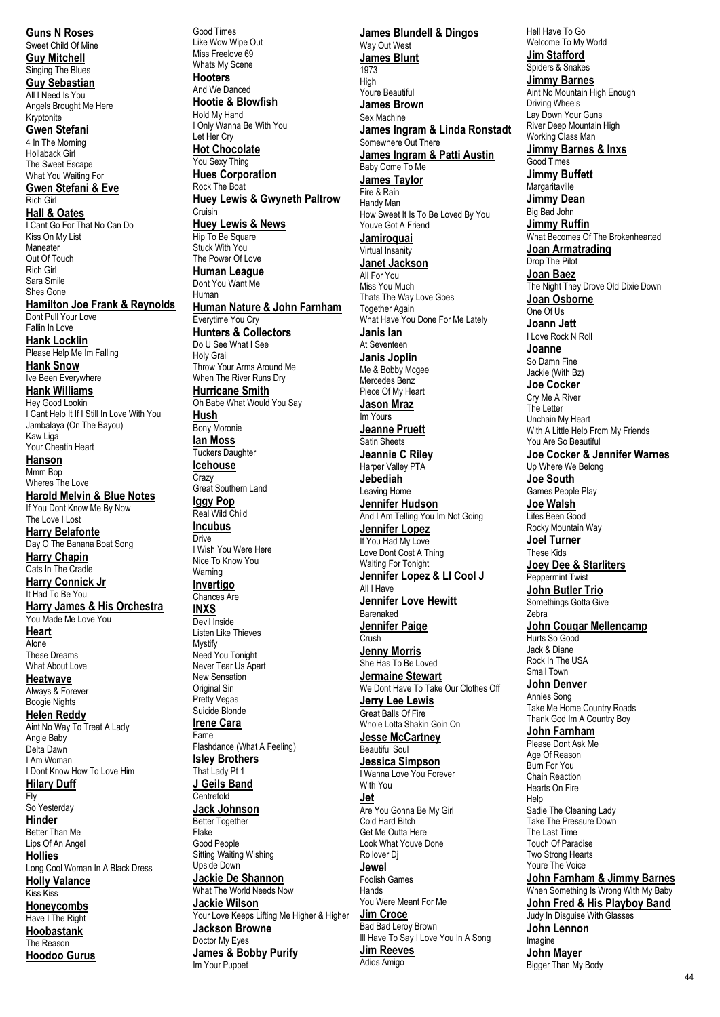**Guns N Roses** Sweet Child Of Mine **Guy Mitchell** Singing The Blues **Guy Sebastian** All I Need Is You Angels Brought Me Here Kryptonite **Gwen Stefani** 4 In The Morning Hollaback Girl The Sweet Escape What You Waiting For **Gwen Stefani & Eve** Rich Girl **Hall & Oates** I Cant Go For That No Can Do Kiss On My List Maneater Out Of Touch Rich Girl Sara Smile Shes Gone **Hamilton Joe Frank & Reynolds** Dont Pull Your Love Fallin In Love **Hank Locklin** Please Help Me Im Falling **Hank Snow** Ive Been Everywhere **Hank Williams** Hey Good Lookin I Cant Help It If I Still In Love With You Jambalaya (On The Bayou) Kaw Liga Your Cheatin Heart **Hanson** Mmm Bop Wheres The Love **Harold Melvin & Blue Notes** If You Dont Know Me By Now The Love I Lost **Harry Belafonte** Day O The Banana Boat Song **Harry Chapin** Cats In The Cradle **Harry Connick Jr** It Had To Be You **Harry James & His Orchestra** You Made Me Love You **Heart Alone** These Dreams What About Love **Heatwave** Always & Forever Boogie Nights **Helen Reddy** Aint No Way To Treat A Lady Angie Baby Delta Dawn I Am Woman I Dont Know How To Love Him **Hilary Duff** Fly So Yesterday **Hinder** Better Than Me Lips Of An Angel **Hollies** Long Cool Woman In A Black Dress **Holly Valance** Kiss Kiss **Honeycombs** Have I The Right **Hoobastank** The Reason **Hoodoo Gurus**

Good Times Like Wow Wipe Out Miss Freelove 69 Whats My Scene **Hooters** And We Danced **Hootie & Blowfish** Hold My Hand I Only Wanna Be With You Let Her Cry **Hot Chocolate** You Sexy Thing **Hues Corporation** Rock The Boat **Huey Lewis & Gwyneth Paltrow** Cruisin **Huey Lewis & News** Hip To Be Square Stuck With You The Power Of Love **Human League** Dont You Want Me Human **Human Nature & John Farnham** Everytime You Cry **Hunters & Collectors** Do U See What I See Holy Grail Throw Your Arms Around Me When The River Runs Dry **Hurricane Smith** Oh Babe What Would You Say **Hush** Bony Moronie **Ian Moss** Tuckers Daughter **Icehouse Crazy** Great Southern Land **Iggy Pop** Real Wild Child **Incubus** Drive I Wish You Were Here Nice To Know You Warning **Invertigo** Chances Are **INXS** Devil Inside Listen Like Thieves Mystify Need You Tonight Never Tear Us Apart New Sensation Original Sin Pretty Vegas Suicide Blonde **Irene Cara** Fame Flashdance (What A Feeling) **Isley Brothers** That Lady Pt 1 **J Geils Band Centrefold Jack Johnson** Better Together Flake Good People Sitting Waiting Wishing Upside Down **Jackie De Shannon** What The World Needs Now **Jackie Wilson** Your Love Keeps Lifting Me Higher & Higher **Jackson Browne** Doctor My Eyes **James & Bobby Purify** Im Your Puppet

**James Blundell & Dingos** Way Out West **James Blunt** 1973 High Youre Beautiful **James Brown** Sex Machine **James Ingram & Linda Ronstadt** Somewhere Out There **James Ingram & Patti Austin** Baby Come To Me **James Taylor** Fire & Rain Handy Man How Sweet It Is To Be Loved By You Youve Got A Friend **Jamiroquai** Virtual Insanity **Janet Jackson** All For You Miss You Much Thats The Way Love Goes Together Again What Have You Done For Me Lately **Janis Ian** At Seventeen **Janis Joplin** Me & Bobby Mcgee Mercedes Benz Piece Of My Heart **Jason Mraz** Im Yours **Jeanne Pruett** Satin Sheets **Jeannie C Riley** Harper Valley PTA **Jebediah** Leaving Home **Jennifer Hudson** And I Am Telling You Im Not Going **Jennifer Lopez** If You Had My Love Love Dont Cost A Thing Waiting For Tonight **Jennifer Lopez & Ll Cool J** All I Have **Jennifer Love Hewitt Barenaked Jennifer Paige Crush Jenny Morris** She Has To Be Loved **Jermaine Stewart** We Dont Have To Take Our Clothes Off **Jerry Lee Lewis** Great Balls Of Fire Whole Lotta Shakin Goin On **Jesse McCartney** Beautiful Soul **Jessica Simpson** I Wanna Love You Forever With You **Jet** Are You Gonna Be My Girl Cold Hard Bitch Get Me Outta Here Look What Youve Done Rollover Dj **Jewel** Foolish Games Hands You Were Meant For Me **Jim Croce** Bad Bad Leroy Brown Ill Have To Say I Love You In A Song **Jim Reeves** Adios Amigo

Hell Have To Go Welcome To My World **Jim Stafford** Spiders & Snakes **Jimmy Barnes** Aint No Mountain High Enough Driving Wheels Lay Down Your Guns River Deep Mountain High Working Class Man **Jimmy Barnes & Inxs** Good Times **Jimmy Buffett Margaritaville Jimmy Dean** Big Bad John **Jimmy Ruffin** What Becomes Of The Brokenhearted **Joan Armatrading** Drop The Pilot **Joan Baez** The Night They Drove Old Dixie Down **Joan Osborne** One Of Us **Joann Jett** I Love Rock N Roll **Joanne** So Damn Fine Jackie (With Bz) **Joe Cocker** Cry Me A River The Letter Unchain My Heart With A Little Help From My Friends You Are So Beautiful **Joe Cocker & Jennifer Warnes** Up Where We Belong **Joe South** Games People Play **Joe Walsh** Lifes Been Good Rocky Mountain Way **Joel Turner** These Kids **Joey Dee & Starliters** Peppermint Twist **John Butler Trio** Somethings Gotta Give Zebra **John Cougar Mellencamp** Hurts So Good Jack & Diane Rock In The USA Small Town **John Denver** Annies Song Take Me Home Country Roads Thank God Im A Country Boy **John Farnham** Please Dont Ask Me Age Of Reason Burn For You Chain Reaction Hearts On Fire Help Sadie The Cleaning Lady Take The Pressure Down The Last Time Touch Of Paradise Two Strong Hearts Youre The Voice **John Farnham & Jimmy Barnes** When Something Is Wrong With My Baby **John Fred & His Playboy Band** Judy In Disguise With Glasses **John Lennon** Imagine **John Mayer** Bigger Than My Body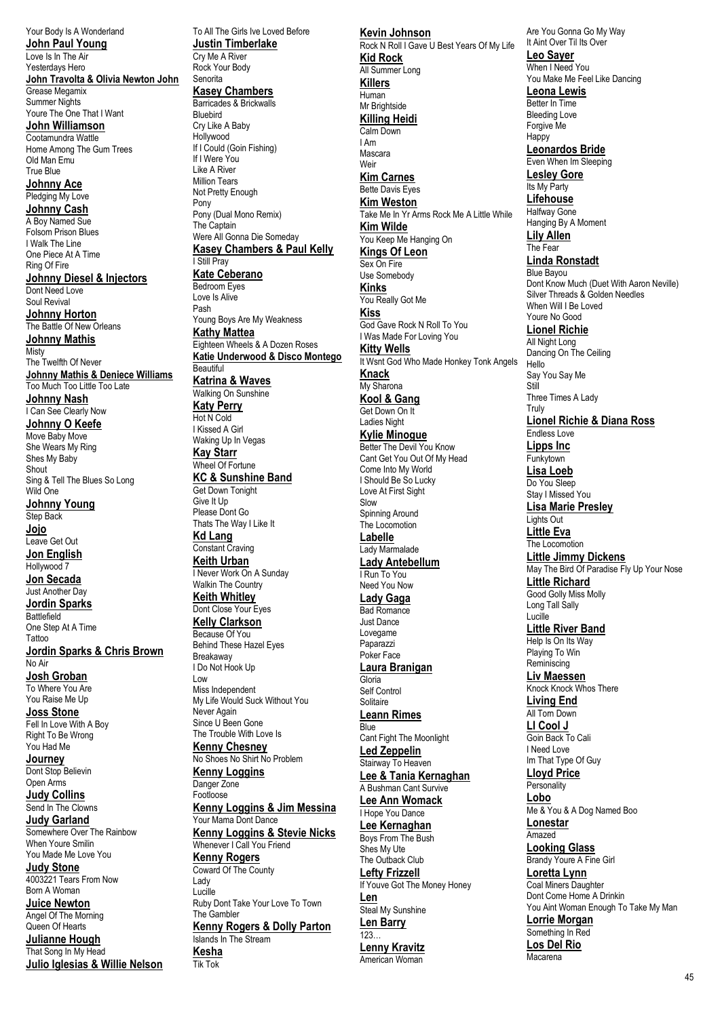Your Body Is A Wonderland **John Paul Young** Love Is In The Air Yesterdays Hero **John Travolta & Olivia Newton John** Grease Megamix Summer Nights Youre The One That I Want **John Williamson** Cootamundra Wattle Home Among The Gum Trees Old Man Emu True Blue **Johnny Ace** Pledging My Love **Johnny Cash** A Boy Named Sue Folsom Prison Blues I Walk The Line One Piece At A Time Ring Of Fire **Johnny Diesel & Injectors** Dont Need Love Soul Revival **Johnny Horton** The Battle Of New Orleans **Johnny Mathis** Misty The Twelfth Of Never **Johnny Mathis & Deniece Williams** Too Much Too Little Too Late **Johnny Nash** I Can See Clearly Now **Johnny O Keefe** Move Baby Move She Wears My Ring Shes My Baby Shout Sing & Tell The Blues So Long Wild One **Johnny Young** Step Back **Jojo** Leave Get Out **Jon English** Hollywood 7 **Jon Secada** Just Another Day **Jordin Sparks Battlefield** One Step At A Time Tattoo **Jordin Sparks & Chris Brown** No Air **Josh Groban** To Where You Are You Raise Me Up **Joss Stone** Fell In Love With A Boy Right To Be Wrong You Had Me **Journey** Dont Stop Believin Open Arms **Judy Collins** Send In The Clowns **Judy Garland** Somewhere Over The Rainbow When Youre Smilin You Made Me Love You **Judy Stone** 4003221 Tears From Now Born A Woman **Juice Newton** Angel Of The Morning Queen Of Hearts **Julianne Hough** That Song In My Head **Julio Iglesias & Willie Nelson Kesha** Tik Tok

To All The Girls Ive Loved Before **Justin Timberlake** Cry Me A River Rock Your Body Senorita **Kasey Chambers** Barricades & Brickwalls Bluebird Cry Like A Baby Hollywood If I Could (Goin Fishing) If I Were You Like A River Million Tears Not Pretty Enough Pony Pony (Dual Mono Remix) The Captain Were All Gonna Die Someday **Kasey Chambers & Paul Kelly** I Still Pray **Kate Ceberano** Bedroom Eyes Love Is Alive Pash Young Boys Are My Weakness **Kathy Mattea** Eighteen Wheels & A Dozen Roses **Katie Underwood & Disco Montego** Beautiful **Katrina & Waves** Walking On Sunshine **Katy Perry** Hot N Cold I Kissed A Girl Waking Up In Vegas **Kay Starr** Wheel Of Fortune **KC & Sunshine Band** Get Down Tonight Give It Up Please Dont Go Thats The Way I Like It **Kd Lang** Constant Craving **Keith Urban** I Never Work On A Sunday Walkin The Country **Keith Whitley** Dont Close Your Eyes **Kelly Clarkson** Because Of You Behind These Hazel Eyes Breakaway I Do Not Hook Up Low Miss Independent My Life Would Suck Without You Never Again Since U Been Gone The Trouble With Love Is **Kenny Chesney** No Shoes No Shirt No Problem **Kenny Loggins** Danger Zone Footloose **Kenny Loggins & Jim Messina** Your Mama Dont Dance **Kenny Loggins & Stevie Nicks** Whenever I Call You Friend **Kenny Rogers** Coward Of The County Lady Lucille Ruby Dont Take Your Love To Town The Gambler **Kenny Rogers & Dolly Parton** Islands In The Stream

#### **Kevin Johnson** Rock N Roll I Gave U Best Years Of My Life **Kid Rock** All Summer Long **Killers** Human Mr Brightside **Killing Heidi** Calm Down I Am Mascara Weir **Kim Carnes** Bette Davis Eyes **Kim Weston** Take Me In Yr Arms Rock Me A Little While **Kim Wilde** You Keep Me Hanging On **Kings Of Leon** Sex On Fire Use Somebody **Kinks** You Really Got Me **Kiss** God Gave Rock N Roll To You I Was Made For Loving You **Kitty Wells** It Wsnt God Who Made Honkey Tonk Angels **Knack** My Sharona **Kool & Gang** Get Down On It Ladies Night **Kylie Minogue** Better The Devil You Know Cant Get You Out Of My Head Come Into My World I Should Be So Lucky Love At First Sight Slow Spinning Around The Locomotion **Labelle** Lady Marmalade **Lady Antebellum** I Run To You Need You Now **Lady Gaga** Bad Romance Just Dance Lovegame Paparazzi Poker Face **Laura Branigan** Gloria Self Control Solitaire **Leann Rimes** Blue Cant Fight The Moonlight **Led Zeppelin** Stairway To Heaven **Lee & Tania Kernaghan** A Bushman Cant Survive **Lee Ann Womack** I Hope You Dance **Lee Kernaghan** Boys From The Bush Shes My Ute The Outback Club **Lefty Frizzell** If Youve Got The Money Honey **Len** Steal My Sunshine **Len Barry**  $\overline{123}$ **Lenny Kravitz** American Woman

Are You Gonna Go My Way It Aint Over Til Its Over **Leo Sayer** When I Need You You Make Me Feel Like Dancing **Leona Lewis** Better In Time Bleeding Love Forgive Me Happy **Leonardos Bride** Even When Im Sleeping **Lesley Gore** Its My Party **Lifehouse** Halfway Gone Hanging By A Moment **Lily Allen** The Fear **Linda Ronstadt** Blue Bayou Dont Know Much (Duet With Aaron Neville) Silver Threads & Golden Needles When Will I Be Loved Youre No Good **Lionel Richie** All Night Long Dancing On The Ceiling Hello Say You Say Me Still Three Times A Lady Truly **Lionel Richie & Diana Ross** Endless Love **Lipps Inc Funkytown Lisa Loeb** Do You Sleep Stay I Missed You **Lisa Marie Presley** Lights Out **Little Eva** The Locomotion **Little Jimmy Dickens** May The Bird Of Paradise Fly Up Your Nose **Little Richard** Good Golly Miss Molly Long Tall Sally Lucille **Little River Band** Help Is On Its Way Playing To Win Reminiscing **Liv Maessen** Knock Knock Whos There **Living End** All Torn Down **Ll Cool J** Goin Back To Cali I Need Love Im That Type Of Guy **Lloyd Price Personality Lobo** Me & You & A Dog Named Boo **Lonestar** Amazed **Looking Glass** Brandy Youre A Fine Girl **Loretta Lynn** Coal Miners Daughter Dont Come Home A Drinkin You Aint Woman Enough To Take My Man **Lorrie Morgan** Something In Red **Los Del Rio** Macarena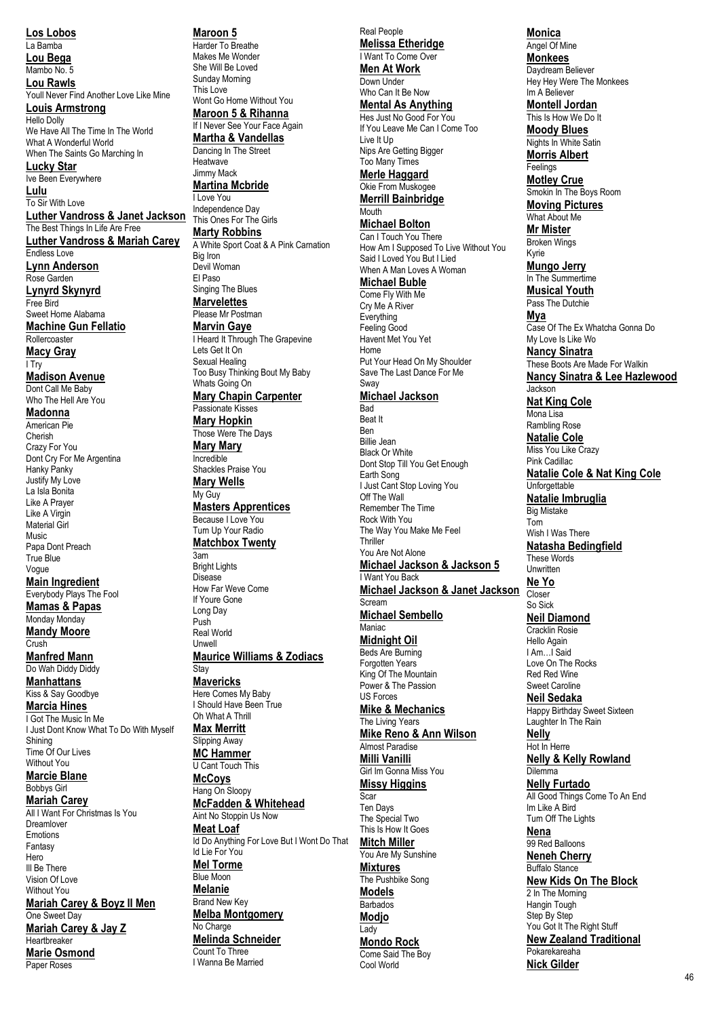La Bamba **Lou Bega** Mambo No. 5 **Lou Rawls** Youll Never Find Another Love Like Mine **Louis Armstrong** Hello Dolly We Have All The Time In The World What A Wonderful World When The Saints Go Marching In **Lucky Star** Ive Been Everywhere **Lulu** To Sir With Love **Luther Vandross & Janet Jackson** Independence Day The Best Things In Life Are Free **Luther Vandross & Mariah Carey** Endless Love **Lynn Anderson** Rose Garden **Lynyrd Skynyrd** Free Bird Sweet Home Alabama **Machine Gun Fellatio** Rollermaster **Macy Gray** I Try **Madison Avenue** Dont Call Me Baby Who The Hell Are You **Madonna** American Pie Cherish Crazy For You Dont Cry For Me Argentina Hanky Panky Justify My Love La Isla Bonita Like A Prayer Like A Virgin Material Girl Music Papa Dont Preach True Blue Vogue **Main Ingredient** Everybody Plays The Fool **Mamas & Papas** Monday Monday **Mandy Moore Crush Manfred Mann** Do Wah Diddy Diddy **Manhattans** Kiss & Say Goodbye **Marcia Hines** I Got The Music In Me I Just Dont Know What To Do With Myself Shining Time Of Our Lives Without You **Marcie Blane** Bobbys Girl **Mariah Carey** All I Want For Christmas Is You Dreamlover Emotions Fantasy Hero Ill Be There Vision Of Love Without You **Mariah Carey & Boyz II Men** One Sweet Day **Mariah Carey & Jay Z Hearthreaker Marie Osmond** Paper Roses

**Los Lobos**

**Maroon 5** Harder To Breathe Makes Me Wonder She Will Be Loved Sunday Morning This Love Wont Go Home Without You **Maroon 5 & Rihanna** If I Never See Your Face Again **Martha & Vandellas** Dancing In The Street Heatwave Jimmy Mack **Martina Mcbride** I Love You<br>Independence Day This Ones For The Girls **Marty Robbins** A White Sport Coat & A Pink Carnation Big Iron Devil Woman El Paso Singing The Blues **Marvelettes** Please Mr Postman **Marvin Gaye** I Heard It Through The Grapevine Lets Get It On Sexual Healing Too Busy Thinking Bout My Baby Whats Going On **Mary Chapin Carpenter** Passionate Kisses **Mary Hopkin** Those Were The Days **Mary Mary** Incredible Shackles Praise You **Mary Wells** My Guy **Masters Apprentices** Because I Love You Turn Up Your Radio **Matchbox Twenty** 3am Bright Lights Disease How Far Weve Come If Youre Gone Long Day Push Real World Unwell **Maurice Williams & Zodiacs Stav Mavericks** Here Comes My Baby I Should Have Been True Oh What A Thrill **Max Merritt** Slipping Away **MC Hammer** U Cant Touch This **McCoys** Hang On Sloopy **McFadden & Whitehead** Aint No Stoppin Us Now **Meat Loaf** Id Do Anything For Love But I Wont Do That Id Lie For You **Mel Torme** Blue Moon **Melanie** Brand New Key **Melba Montgomery** No Charge **Melinda Schneider** Count To Three I Wanna Be Married

**Melissa Etheridge** I Want To Come Over **Men At Work** Down Under Who Can It Be Now **Mental As Anything** Hes Just No Good For You If You Leave Me Can I Come Too Live It Up **Nips Are Getting Bigger** Too Many Times **Merle Haggard** Okie From Muskogee **Merrill Bainbridge Mouth Michael Bolton** Can I Touch You There How Am I Supposed To Live Without You Said I Loved You But I Lied When A Man Loves A Woman **Michael Buble** Come Fly With Me Cry Me A River **Fverything** Feeling Good Havent Met You Yet Home Put Your Head On My Shoulder Save The Last Dance For Me Sway **Michael Jackson Bad** Beat It Ben Billie Jean Black Or White Dont Stop Till You Get Enough Earth Song I Just Cant Stop Loving You Off The Wall Remember The Time Rock With You The Way You Make Me Feel **Thriller** You Are Not Alone **Michael Jackson & Jackson 5** I Want You Back **Michael Jackson & Janet Jackson** Scream **Michael Sembello Maniac Midnight Oil Beds Are Burning** Forgotten Years King Of The Mountain Power & The Passion US Forces **Mike & Mechanics** The Living Years **Mike Reno & Ann Wilson** Almost Paradise **Milli Vanilli** Girl Im Gonna Miss You **Missy Higgins Scar** Ten Days The Special Two This Is How It Goes **Mitch Miller** You Are My Sunshine **Mixtures** The Pushbike Song **Models Barbados Modjo** Lady **Mondo Rock** Come Said The Boy Cool World

Real People

**Monica** Angel Of Mine

**Monkees** Daydream Believer Hey Hey Were The Monkees Im A Believer

**Montell Jordan** This Is How We Do It

**Moody Blues** Nights In White Satin **Morris Albert**

**Feelings** 

**Motley Crue** Smokin In The Boys Room **Moving Pictures** What About Me **Mr Mister** Broken Wings

Kyrie **Mungo Jerry**

In The Summertime **Musical Youth** Pass The Dutchie

**Mya** Case Of The Ex Whatcha Gonna Do My Love Is Like Wo

**Nancy Sinatra** These Boots Are Made For Walkin **Nancy Sinatra & Lee Hazlewood** Jackson

**Nat King Cole** Mona Lisa Rambling Rose

**Natalie Cole** Miss You Like Crazy Pink Cadillac

**Natalie Cole & Nat King Cole** Unforgettable **Natalie Imbruglia**

Big Mistake Torn

Wish I Was There **Natasha Bedingfield** These Words

Unwritten **Ne Yo**

**Closer** So Sick

**Neil Diamond** Cracklin Rosie

Hello Again I Am…I Said Love On The Rocks Red Red Wine Sweet Caroline **Neil Sedaka** Happy Birthday Sweet Sixteen Laughter In The Rain **Nelly** Hot In Herre **Nelly & Kelly Rowland** Dilemma **Nelly Furtado** All Good Things Come To An End Im Like A Bird Turn Off The Lights **Nena** 09 Red Balloons **Neneh Cherry** Buffalo Stance **New Kids On The Block** 2 In The Morning Hangin Tough

Step By Step You Got It The Right Stuff **New Zealand Traditional** Pokarekareaha **Nick Gilder**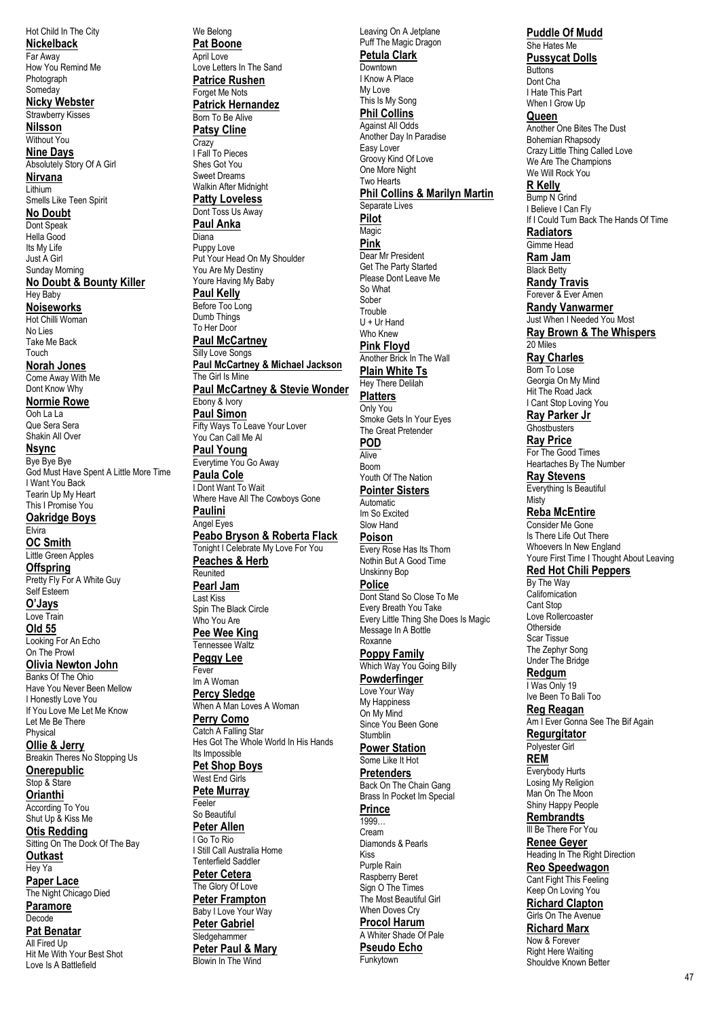Hot Child In The City **Nickelback** How You Remind Me **Nicky Webster** Strawberry Kisses **Nine Days** Absolutely Story Of A Girl Smells Like Teen Spirit Sunday Morning **No Doubt & Bounty Killer Noiseworks** Hot Chilli Woman Take Me Back **Norah Jones** Come Away With Me Dont Know Why **Normie Rowe** Que Sera Sera Shakin All Over God Must Have Spent A Little More Time I Want You Back Tearin Up My Heart This I Promise You **Oakridge Boys** Little Green Apples Pretty Fly For A White Guy Looking For An Echo On The Prowl **Olivia Newton John** Banks Of The Ohio Have You Never Been Mellow I Honestly Love You If You Love Me Let Me Know Let Me Be There **Ollie & Jerry** Breakin Theres No Stopping Us **Onerepublic** According To You Shut Up & Kiss Me **Otis Redding** Sitting On The Dock Of The Bay **Paper Lace** The Night Chicago Died **Paramore Pat Benatar** Hit Me With Your Best Shot Love Is A Battlefield We Belong **Pat Boone** April Love Forget Me Nots Born To Be Alive **Patsy Cline** Crazy I Fall To Pieces Shes Got You Sweet Dreams **Paul Anka** Diana Puppy Love **Paul Kelly** Before Too Long Dumb Things To Her Door Silly Love Songs The Girl Is Mine Ebony & Ivory **Paul Simon Paul Young Paula Cole Paulini** Angel Eyes Reunited **Pearl Jam** Last Kiss Who You Are Tennessee Waltz **Peggy Lee** Fever Im A Woman **Percy Sledge Perry Como** Its Impossible West End Girls **Pete Murray** Feeler So Beautiful **Peter Allen** I Go To Rio **Peter Cetera** The Glory Of Love **Peter Gabriel Sledgehammer** 

Far Away

Photograph **Someday** 

**Nilsson** Without You

**Nirvana** Lithium

**No Doubt** Dont Speak Hella Good Its My Life Just A Girl

Hey Baby

No Lies

Touch

Ooh La La

**Nsync** Bye Bye Bye

**Flvira OC Smith**

**Offspring**

Self Esteem **O'Jays** Love Train **Old 55**

Physical

Stop & Stare **Orianthi**

**Outkast** Hey Ya

Decode

All Fired Up

Love Letters In The Sand **Patrice Rushen Patrick Hernandez** Walkin After Midnight **Patty Loveless** Dont Toss Us Away Put Your Head On My Shoulder You Are My Destiny Youre Having My Baby **Paul McCartney Paul McCartney & Michael Jackson Paul McCartney & Stevie Wonder** Fifty Ways To Leave Your Lover You Can Call Me Al Everytime You Go Away I Dont Want To Wait Where Have All The Cowboys Gone **Peabo Bryson & Roberta Flack** Tonight I Celebrate My Love For You **Peaches & Herb** Spin The Black Circle **Pee Wee King** When A Man Loves A Woman Catch A Falling Star Hes Got The Whole World In His Hands **Pet Shop Boys** I Still Call Australia Home Tenterfield Saddler **Peter Frampton** Baby I Love Your Way **Peter Paul & Mary** Blowin In The Wind Downtown My Love Easy Lover Two Hearts **Pilot Magic Pink** So What Sober **Trouble** Who Knew **Platters** Only You **POD** Alive Boom **Automatic** Slow Hand **Poison Police** Roxanne Stumblin **Prince** 1999… Cream Kiss Purple Rain Funkytown

Leaving On A Jetplane Puff The Magic Dragon **Petula Clark** I Know A Place This Is My Song **Phil Collins** Against All Odds Another Day In Paradise Groovy Kind Of Love One More Night **Phil Collins & Marilyn Martin** Separate Lives Dear Mr President Get The Party Started Please Dont Leave Me U + Ur Hand **Pink Floyd** Another Brick In The Wall **Plain White Ts** Hey There Delilah Smoke Gets In Your Eyes The Great Pretender Youth Of The Nation **Pointer Sisters** Im So Excited Every Rose Has Its Thorn Nothin But A Good Time Unskinny Bop Dont Stand So Close To Me Every Breath You Take Every Little Thing She Does Is Magic Message In A Bottle **Poppy Family** Which Way You Going Billy **Powderfinger** Love Your Way My Happiness On My Mind Since You Been Gone **Power Station** Some Like It Hot **Pretenders** Back On The Chain Gang Brass In Pocket Im Special Diamonds & Pearls Raspberry Beret Sign O The Times The Most Beautiful Girl When Doves Cry **Procol Harum** A Whiter Shade Of Pale **Pseudo Echo Puddle Of Mudd** She Hates Me **Pussycat Dolls**

#### **Buttons** Dont Cha I Hate This Part When I Grow Up **Queen** Another One Bites The Dust Bohemian Rhapsody Crazy Little Thing Called Love We Are The Champions We Will Rock You **R Kelly** Bump N Grind I Believe I Can Fly If I Could Turn Back The Hands Of Time **Radiators** Gimme Head **Ram Jam Black Betty Randy Travis** Forever & Ever Amen **Randy Vanwarmer** Just When I Needed You Most **Ray Brown & The Whispers** 20 Miles **Ray Charles** Born To Lose Georgia On My Mind Hit The Road Jack I Cant Stop Loving You **Ray Parker Jr Ghostbusters Ray Price** For The Good Times Heartaches By The Number **Ray Stevens** Everything Is Beautiful Misty **Reba McEntire** Consider Me Gone Is There Life Out There Whoevers In New England Youre First Time I Thought About Leaving **Red Hot Chili Peppers** By The Way Californication Cant Stop Love Rollercoaster **Otherside** Scar Tissue The Zephyr Song

Under The Bridge **Redgum** I Was Only 19 Ive Been To Bali Too **Reg Reagan**

Am I Ever Gonna See The Bif Again **Regurgitator** Polyester Girl

**REM** Everybody Hurts Losing My Religion Man On The Moon Shiny Happy People

**Rembrandts** Ill Be There For You

**Renee Geyer** Heading In The Right Direction **Reo Speedwagon**

Cant Fight This Feeling Keep On Loving You

**Richard Clapton** Girls On The Avenue

**Richard Marx** Now & Forever Right Here Waiting Shouldve Known Better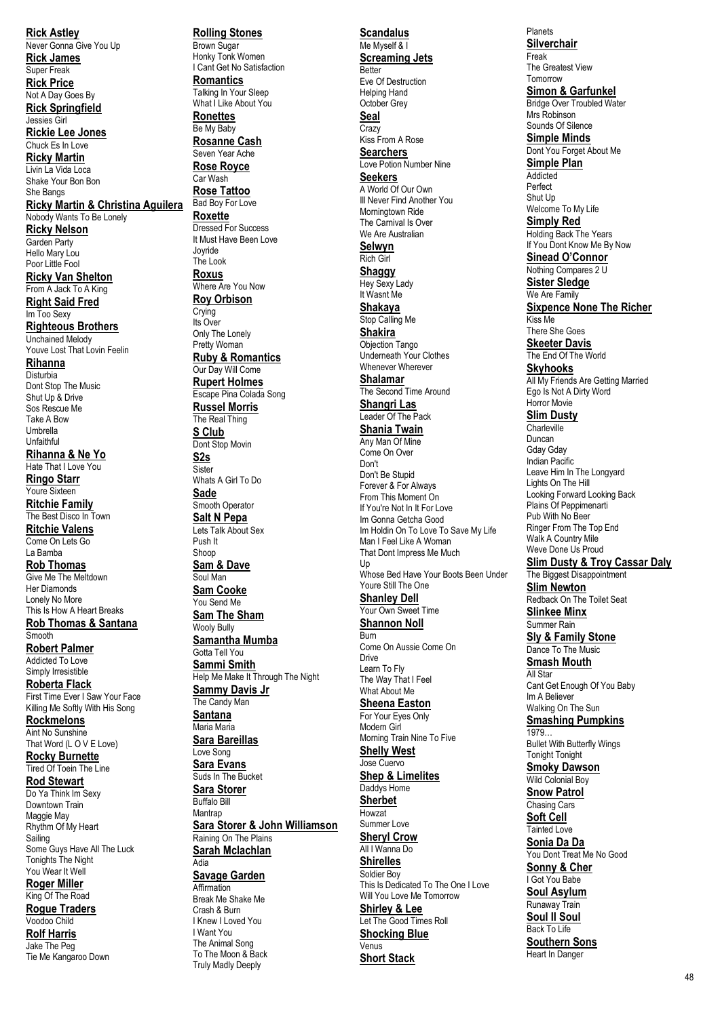**Rick Astley** Never Gonna Give You Up **Rick James** Super Freak **Rick Price** Not A Day Goes By **Rick Springfield** Jessies Girl **Rickie Lee Jones** Chuck Es In Love **Ricky Martin** Livin La Vida Loca Shake Your Bon Bon She Bangs **Ricky Martin & Christina Aguilera** Nobody Wants To Be Lonely **Ricky Nelson** Garden Party Hello Mary Lou Poor Little Fool **Ricky Van Shelton** From A Jack To A King **Right Said Fred** Im Too Sexy **Righteous Brothers** Unchained Melody Youve Lost That Lovin Feelin **Rihanna Disturbia** Dont Stop The Music Shut Up & Drive Sos Rescue Me Take A Bow Umbrella Unfaithful **Rihanna & Ne Yo** Hate That I Love You **Ringo Starr** Youre Sixteen **Ritchie Family** The Best Disco In Town **Ritchie Valens** Come On Lets Go La Bamba **Rob Thomas** Give Me The Meltdown Her Diamonds Lonely No More This Is How A Heart Breaks **Rob Thomas & Santana Smooth Robert Palmer** Addicted To Love Simply Irresistible **Roberta Flack** First Time Ever I Saw Your Face Killing Me Softly With His Song **Rockmelons** Aint No Sunshine That Word (L O V E Love) **Rocky Burnette** Tired Of Toein The Line **Rod Stewart** Do Ya Think Im Sexy Downtown Train Maggie May Rhythm Of My Heart Sailing Some Guys Have All The Luck Tonights The Night You Wear It Well **Roger Miller** King Of The Road **Rogue Traders** Voodoo Child **Rolf Harris** Jake The Peg

Tie Me Kangaroo Down

**Rolling Stones** Brown Sugar Honky Tonk Women I Cant Get No Satisfaction **Romantics** Talking In Your Sleep What I Like About You **Ronettes** Be My Baby **Rosanne Cash** Seven Year Ache **Rose Royce** Car Wash **Rose Tattoo** Bad Boy For Love **Roxette** Dressed For Success It Must Have Been Love Joyride The Look **Roxus** Where Are You Now **Roy Orbison Crying** Its Over Only The Lonely Pretty Woman **Ruby & Romantics** Our Day Will Come **Rupert Holmes** Escape Pina Colada Song **Russel Morris**  The Real Thing **S Club** Dont Stop Movin **S2s Sister** Whats A Girl To Do **Sade** Smooth Operator **Salt N Pepa** Lets Talk About Sex Push It Shoop **Sam & Dave** Soul Man **Sam Cooke** You Send Me **Sam The Sham** Wooly Bully **Samantha Mumba** Gotta Tell You **Sammi Smith** Help Me Make It Through The Night **Sammy Davis Jr** The Candy Man **Santana** Maria Maria **Sara Bareillas** Love Song **Sara Evans** Suds In The Bucket **Sara Storer** Buffalo Bill Mantrap **Sara Storer & John Williamson** Raining On The Plains **Sarah Mclachlan** Adia **Savage Garden Affirmation** Break Me Shake Me Crash & Burn I Knew I Loved You I Want You The Animal Song To The Moon & Back

Truly Madly Deeply

#### **Scandalus** Me Myself & I **Screaming Jets** Better Eve Of Destruction Helping Hand October Grev **Seal Crazy** Kiss From A Rose **Searchers** Love Potion Number Nine **Seekers** A World Of Our Own Ill Never Find Another You Morningtown Ride The Carnival Is Over We Are Australian **Selwyn** Rich Girl **Shaggy** Hey Sexy Lady It Wasnt Me **Shakaya** Stop Calling Me **Shakira** Objection Tango Underneath Your Clothes Whenever Wherever **Shalamar** The Second Time Around **Shangri Las** Leader Of The Pack **Shania Twain** Any Man Of Mine Come On Over Don't Don't Be Stupid Forever & For Always From This Moment On If You're Not In It For Love Im Gonna Getcha Good Im Holdin On To Love To Save My Life Man I Feel Like A Woman That Dont Impress Me Much Up Whose Bed Have Your Boots Been Under Youre Still The One **Shanley Dell** Your Own Sweet Time **Shannon Noll** Burn Come On Aussie Come On Drive Learn To Fly The Way That I Feel What About Me **Sheena Easton** For Your Eyes Only Modern Girl Morning Train Nine To Five **Shelly West** Jose Cuervo **Shep & Limelites** Daddys Home **Sherbet Howzat** Summer Love **Sheryl Crow** All I Wanna Do **Shirelles** Soldier Boy This Is Dedicated To The One I Love Will You Love Me Tomorrow **Shirley & Lee** Let The Good Times Roll **Shocking Blue** Venus

**Short Stack**

Planets **Silverchair** Freak The Greatest View Tomorrow **Simon & Garfunkel** Bridge Over Troubled Water Mrs Pobinson Sounds Of Silence **Simple Minds** Dont You Forget About Me **Simple Plan** Addicted Perfect Shut Up Welcome To My Life **Simply Red** Holding Back The Years If You Dont Know Me By Now **Sinead O'Connor** Nothing Compares 2 U **Sister Sledge** We Are Family **Sixpence None The Richer** Kiss Me There She Goes **Skeeter Davis** The End Of The World **Skyhooks** All My Friends Are Getting Married Ego Is Not A Dirty Word Horror Movie **Slim Dusty Charleville** Duncan Gday Gday Indian Pacific Leave Him In The Longyard Lights On The Hill Looking Forward Looking Back Plains Of Peppimenarti Pub With No Beer Ringer From The Top End Walk A Country Mile Weve Done Us Proud **Slim Dusty & Troy Cassar Daly** The Biggest Disappointment **Slim Newton** Redback On The Toilet Seat **Slinkee Minx** Summer Rain **Sly & Family Stone** Dance To The Music **Smash Mouth** All Star Cant Get Enough Of You Baby Im A Believer Walking On The Sun **Smashing Pumpkins** 1979… Bullet With Butterfly Wings Tonight Tonight **Smoky Dawson** Wild Colonial Boy **Snow Patrol** Chasing Cars **Soft Cell** Tainted Love **Sonia Da Da** You Dont Treat Me No Good **Sonny & Cher** I Got You Babe **Soul Asylum** Runaway Train **Soul II Soul** Back To Life **Southern Sons** Heart In Danger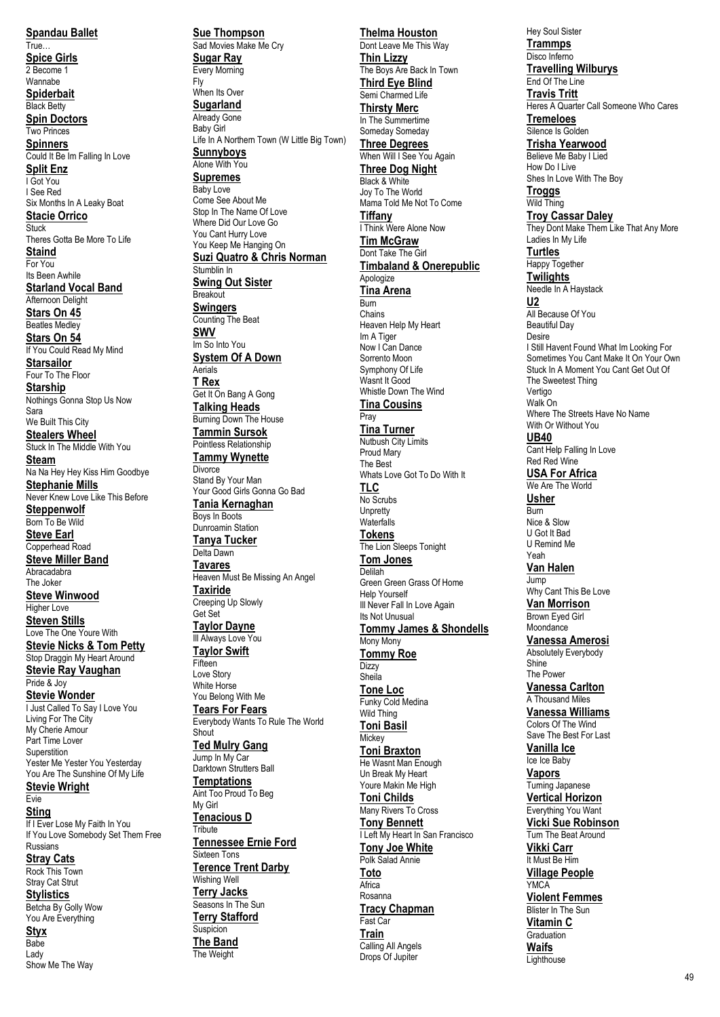**Spandau Ballet** True… **Spice Girls** 2 Become 1 Wannabe **Spiderbait** Black Betty **Spin Doctors** Two Princes **Spinners** Could It Be Im Falling In Love **Split Enz** I Got You I See Red Six Months In A Leaky Boat **Stacie Orrico** Stuck Theres Gotta Be More To Life **Staind** For You Its Been Awhile **Starland Vocal Band** Afternoon Delight **Stars On 45** Beatles Medley **Stars On 54** If You Could Read My Mind **Starsailor** Four To The Floor **Starship** Nothings Gonna Stop Us Now Sara We Built This City **Stealers Wheel** Stuck In The Middle With You **Steam** Na Na Hey Hey Kiss Him Goodbye **Stephanie Mills** Never Knew Love Like This Before **Steppenwolf** Born To Be Wild **Steve Earl** Copperhead Road **Steve Miller Band** Abracadabra The Joker **Steve Winwood** Higher Love **Steven Stills** Love The One Youre With **Stevie Nicks & Tom Petty** Stop Draggin My Heart Around **Stevie Ray Vaughan** Pride & Joy **Stevie Wonder** I Just Called To Say I Love You Living For The City My Cherie Amour Part Time Lover Superstition Yester Me Yester You Yesterday You Are The Sunshine Of My Life **Stevie Wright**  Evie **Sting** If I Ever Lose My Faith In You If You Love Somebody Set Them Free Russians **Stray Cats** Rock This Town Stray Cat Strut **Stylistics** Betcha By Golly Wow You Are Everything **Styx** Babe

Lady

Show Me The Way

Come See About Me Stop In The Name Of Love Where Did Our Love Go You Cant Hurry Love You Keep Me Hanging On **Suzi Quatro & Chris Norman** Stumblin In **Swing Out Sister Breakout Swingers** Counting The Beat **SWV** Im So Into You **System Of A Down** Aerials **T Rex** Get It On Bang A Gong **Talking Heads** Burning Down The House **Tammin Sursok** Pointless Relationship **Tammy Wynette Divorce** Stand By Your Man Your Good Girls Gonna Go Bad **Tania Kernaghan** Boys In Boots Dunroamin Station **Tanya Tucker** Delta Dawn **Tavares** Heaven Must Be Missing An Angel **Taxiride** Creeping Up Slowly Get Set **Taylor Dayne III Always Love You Taylor Swift Fifteen** Love Story White Horse You Belong With Me **Tears For Fears** Everybody Wants To Rule The World Shout **Ted Mulry Gang** Jump In My Car Darktown Strutters Ball **Temptations** Aint Too Proud To Beg My Girl **Tenacious D** Tribute **Tennessee Ernie Ford** Sixteen Tons **Terence Trent Darby** Wishing Well **Terry Jacks** Seasons In The Sun **Terry Stafford Suspicion The Band** The Weight

**Sue Thompson** Sad Movies Make Me Cry

Life In A Northern Town (W Little Big Town)

**Sugar Ray** Every Morning Fly When Its Over **Sugarland** Already Gone Baby Girl

**Sunnyboys** Alone With You **Supremes** Baby Love

### **Thelma Houston**

Dont Leave Me This Way **Thin Lizzy** The Boys Are Back In Town **Third Eye Blind** Semi Charmed Life **Thirsty Merc** In The Summertime Someday Someday **Three Degrees** When Will I See You Again **Three Dog Night** Black & White Joy To The World Mama Told Me Not To Come **Tiffany** I Think Were Alone Now **Tim McGraw** Dont Take The Girl **Timbaland & Onerepublic** Apologize **Tina Arena Burn** Chains Heaven Help My Heart Im A Tiger Now I Can Dance Sorrento Moon Symphony Of Life Wasnt It Good Whistle Down The Wind **Tina Cousins** Pray **Tina Turner** Nutbush City Limits Proud Mary The Best Whats Love Got To Do With It **TLC** No Scrubs **Unpretty** Waterfalls **Tokens** The Lion Sleeps Tonight **Tom Jones** Delilah Green Green Grass Of Home Help Yourself Ill Never Fall In Love Again Its Not Unusual **Tommy James & Shondells** Mony Mony **Tommy Roe Dizzy** Sheila **Tone Loc** Funky Cold Medina Wild Thing **Toni Basil Mickey Toni Braxton** He Wasnt Man Enough Un Break My Heart Youre Makin Me High **Toni Childs** Many Rivers To Cross **Tony Bennett** I Left My Heart In San Francisco **Tony Joe White** Polk Salad Annie **Toto** Africa Rosanna **Tracy Chapman** Fast Car **Train** Calling All Angels Drops Of Jupiter

Hey Soul Sister **Trammps** Disco Inferno **Travelling Wilburys** End Of The Line **Travis Tritt** Heres A Quarter Call Someone Who Cares **Tremeloes** Silence Is Golden **Trisha Yearwood** Believe Me Baby I Lied How Do I Live Shes In Love With The Boy **Troggs** Wild Thing **Troy Cassar Daley** They Dont Make Them Like That Any More Ladies In My Life **Turtles** Happy Together **Twilights** Needle In A Haystack **U2** All Because Of You Beautiful Day Desire I Still Havent Found What Im Looking For Sometimes You Cant Make It On Your Own Stuck In A Moment You Cant Get Out Of The Sweetest Thing Vertigo Walk On Where The Streets Have No Name With Or Without You **UB40** Cant Help Falling In Love Red Red Wine **USA For Africa** We Are The World **Usher** Burn Nice & Slow U Got It Bad U Remind Me Yeah **Van Halen** Jump Why Cant This Be Love **Van Morrison** Brown Eyed Girl **Moondance Vanessa Amerosi** Absolutely Everybody Shine The Power **Vanessa Carlton** A Thousand Miles **Vanessa Williams** Colors Of The Wind Save The Best For Last **Vanilla Ice** Ice Ice Baby **Vapors** Turning Japanese **Vertical Horizon** Everything You Want **Vicki Sue Robinson** Turn The Beat Around **Vikki Carr** It Must Be Him **Village People YMCA Violent Femmes** Blister In The Sun **Vitamin C Graduation Waifs Lighthouse**